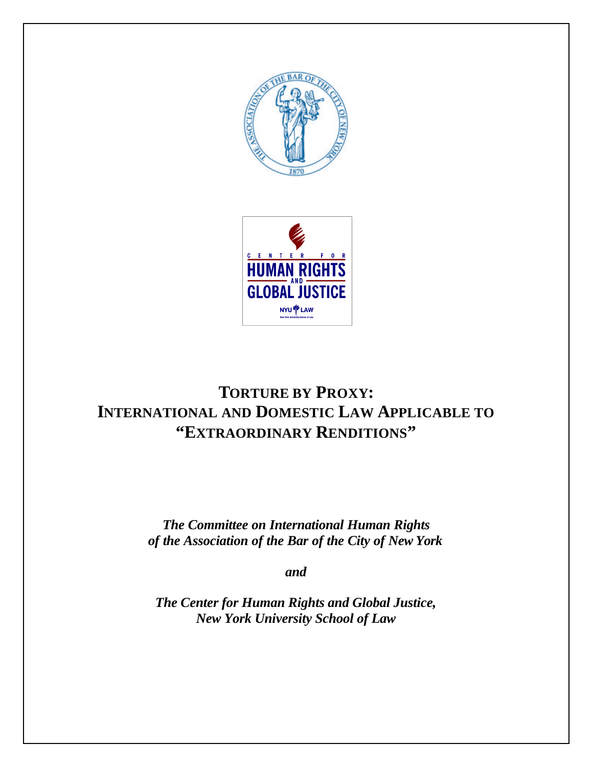



# **TORTURE BY PROXY: INTERNATIONAL AND DOMESTIC LAW APPLICABLE TO "EXTRAORDINARY RENDITIONS"**

*The Committee on International Human Rights of the Association of the Bar of the City of New York*

*and*

*The Center for Human Rights and Global Justice, New York University School of Law*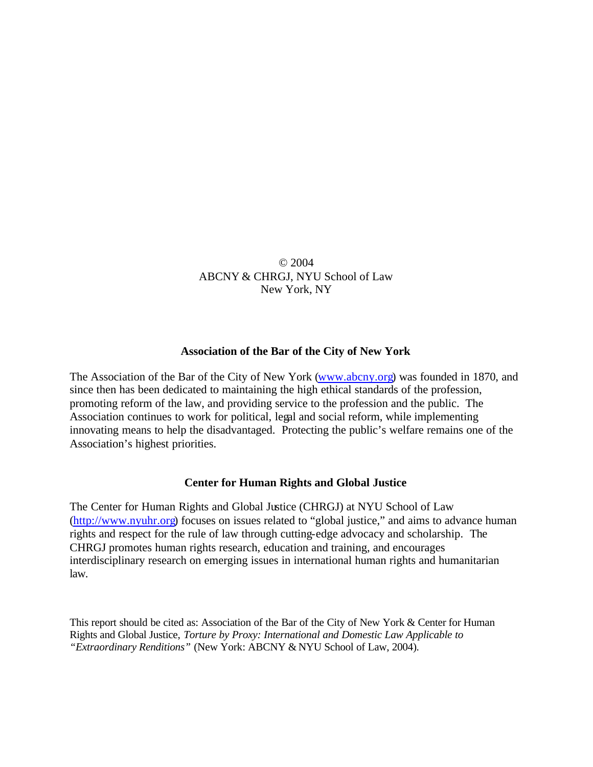© 2004 ABCNY & CHRGJ, NYU School of Law New York, NY

# **Association of the Bar of the City of New York**

The Association of the Bar of the City of New York (www.abcny.org) was founded in 1870, and since then has been dedicated to maintaining the high ethical standards of the profession, promoting reform of the law, and providing service to the profession and the public. The Association continues to work for political, legal and social reform, while implementing innovating means to help the disadvantaged. Protecting the public's welfare remains one of the Association's highest priorities.

# **Center for Human Rights and Global Justice**

The Center for Human Rights and Global Justice (CHRGJ) at NYU School of Law (http://www.nyuhr.org) focuses on issues related to "global justice," and aims to advance human rights and respect for the rule of law through cutting-edge advocacy and scholarship. The CHRGJ promotes human rights research, education and training, and encourages interdisciplinary research on emerging issues in international human rights and humanitarian law.

This report should be cited as: Association of the Bar of the City of New York & Center for Human Rights and Global Justice, *Torture by Proxy: International and Domestic Law Applicable to "Extraordinary Renditions"* (New York: ABCNY & NYU School of Law, 2004).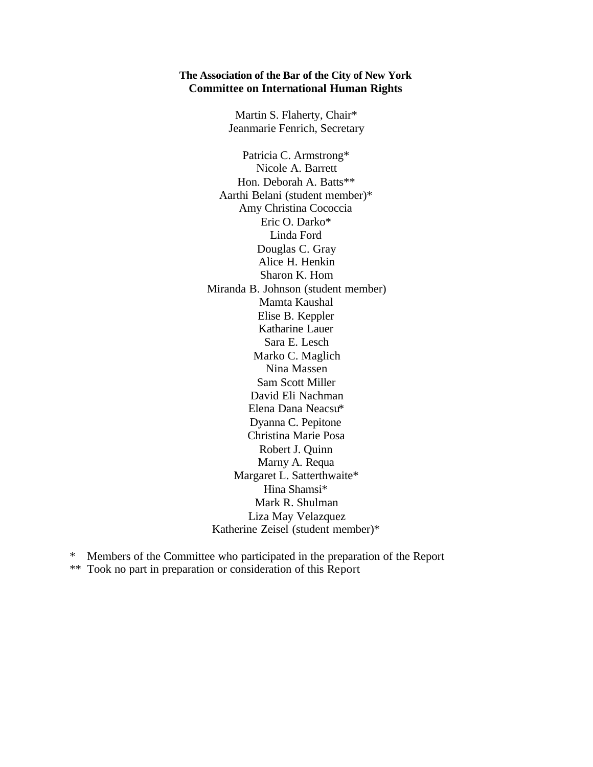# **The Association of the Bar of the City of New York Committee on International Human Rights**

Martin S. Flaherty, Chair\* Jeanmarie Fenrich, Secretary

Patricia C. Armstrong\* Nicole A. Barrett Hon. Deborah A. Batts\*\* Aarthi Belani (student member)\* Amy Christina Cococcia Eric O. Darko\* Linda Ford Douglas C. Gray Alice H. Henkin Sharon K. Hom Miranda B. Johnson (student member) Mamta Kaushal Elise B. Keppler Katharine Lauer Sara E. Lesch Marko C. Maglich Nina Massen Sam Scott Miller David Eli Nachman Elena Dana Neacsu\* Dyanna C. Pepitone Christina Marie Posa Robert J. Quinn Marny A. Requa Margaret L. Satterthwaite\* Hina Shamsi\* Mark R. Shulman Liza May Velazquez Katherine Zeisel (student member)\*

\* Members of the Committee who participated in the preparation of the Report

\*\* Took no part in preparation or consideration of this Report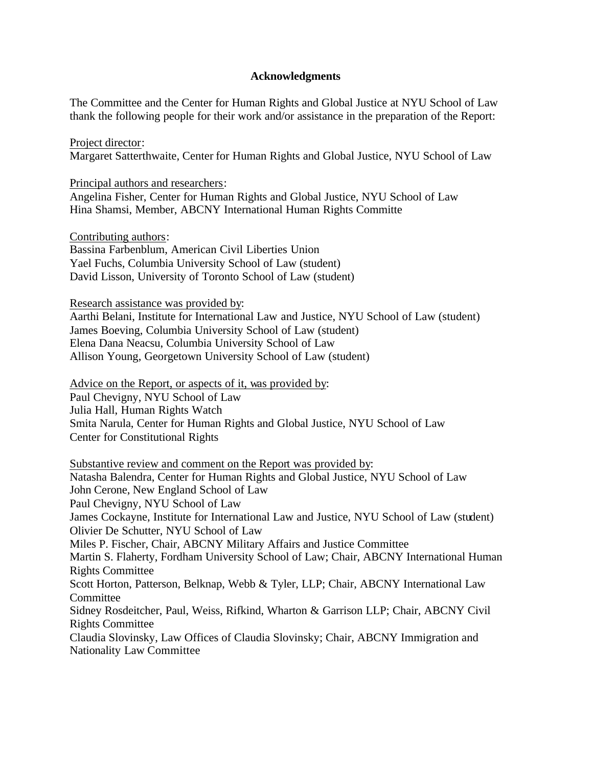# **Acknowledgments**

The Committee and the Center for Human Rights and Global Justice at NYU School of Law thank the following people for their work and/or assistance in the preparation of the Report:

Project director: Margaret Satterthwaite, Center for Human Rights and Global Justice, NYU School of Law

Principal authors and researchers:

Angelina Fisher, Center for Human Rights and Global Justice, NYU School of Law Hina Shamsi, Member, ABCNY International Human Rights Committe

Contributing authors:

Bassina Farbenblum, American Civil Liberties Union Yael Fuchs, Columbia University School of Law (student) David Lisson, University of Toronto School of Law (student)

Research assistance was provided by:

Aarthi Belani, Institute for International Law and Justice, NYU School of Law (student) James Boeving, Columbia University School of Law (student) Elena Dana Neacsu, Columbia University School of Law Allison Young, Georgetown University School of Law (student)

Advice on the Report, or aspects of it, was provided by:

Paul Chevigny, NYU School of Law Julia Hall, Human Rights Watch Smita Narula, Center for Human Rights and Global Justice, NYU School of Law Center for Constitutional Rights

Substantive review and comment on the Report was provided by: Natasha Balendra, Center for Human Rights and Global Justice, NYU School of Law John Cerone, New England School of Law Paul Chevigny, NYU School of Law James Cockayne, Institute for International Law and Justice, NYU School of Law (student) Olivier De Schutter, NYU School of Law Miles P. Fischer, Chair, ABCNY Military Affairs and Justice Committee Martin S. Flaherty, Fordham University School of Law; Chair, ABCNY International Human Rights Committee Scott Horton, Patterson, Belknap, Webb & Tyler, LLP; Chair, ABCNY International Law **Committee** Sidney Rosdeitcher, Paul, Weiss, Rifkind, Wharton & Garrison LLP; Chair, ABCNY Civil Rights Committee Claudia Slovinsky, Law Offices of Claudia Slovinsky; Chair, ABCNY Immigration and Nationality Law Committee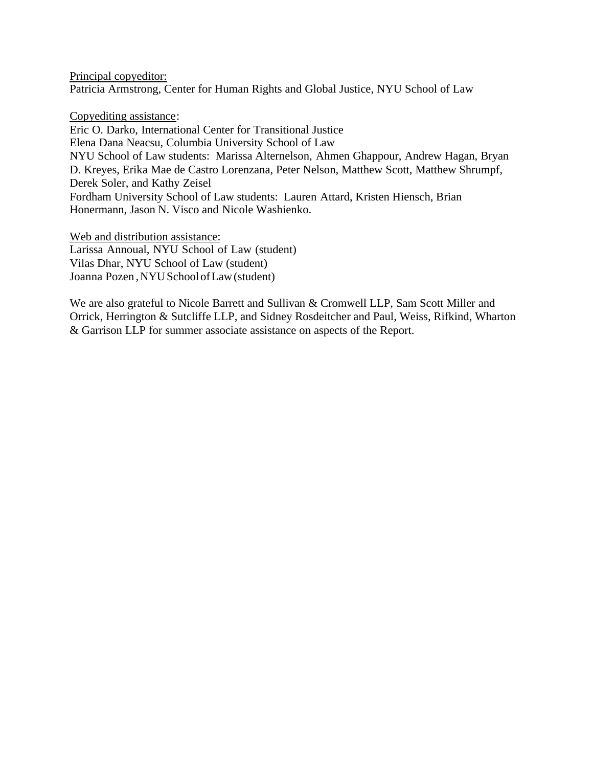Principal copyeditor: Patricia Armstrong, Center for Human Rights and Global Justice, NYU School of Law

Copyediting assistance:

Eric O. Darko, International Center for Transitional Justice Elena Dana Neacsu, Columbia University School of Law NYU School of Law students: Marissa Alternelson, Ahmen Ghappour, Andrew Hagan, Bryan D. Kreyes, Erika Mae de Castro Lorenzana, Peter Nelson, Matthew Scott, Matthew Shrumpf, Derek Soler, and Kathy Zeisel Fordham University School of Law students: Lauren Attard, Kristen Hiensch, Brian Honermann, Jason N. Visco and Nicole Washienko.

Web and distribution assistance: Larissa Annoual, NYU School of Law (student) Vilas Dhar, NYU School of Law (student) Joanna Pozen , NYU School of Law (student)

We are also grateful to Nicole Barrett and Sullivan & Cromwell LLP, Sam Scott Miller and Orrick, Herrington & Sutcliffe LLP, and Sidney Rosdeitcher and Paul, Weiss, Rifkind, Wharton & Garrison LLP for summer associate assistance on aspects of the Report.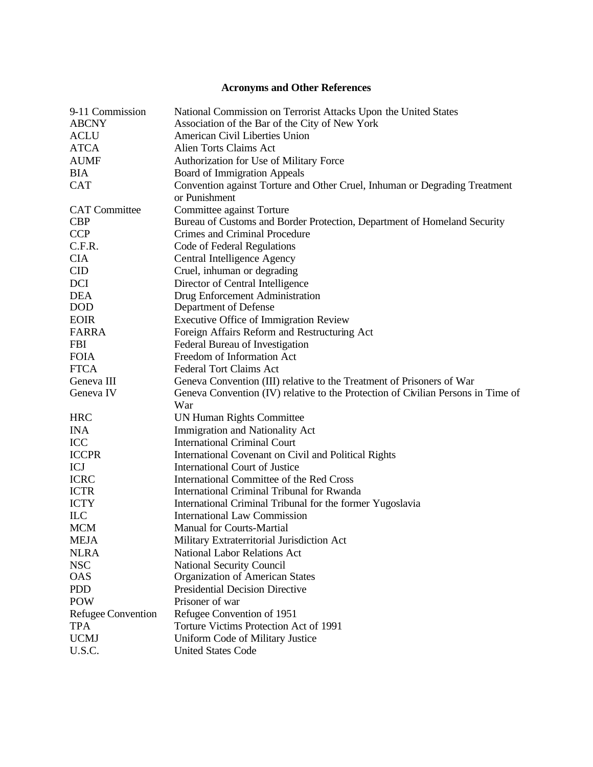# **Acronyms and Other References**

| 9-11 Commission           | National Commission on Terrorist Attacks Upon the United States                  |
|---------------------------|----------------------------------------------------------------------------------|
| <b>ABCNY</b>              | Association of the Bar of the City of New York                                   |
| <b>ACLU</b>               | American Civil Liberties Union                                                   |
| <b>ATCA</b>               | Alien Torts Claims Act                                                           |
| <b>AUMF</b>               | Authorization for Use of Military Force                                          |
| <b>BIA</b>                | Board of Immigration Appeals                                                     |
| <b>CAT</b>                | Convention against Torture and Other Cruel, Inhuman or Degrading Treatment       |
|                           | or Punishment                                                                    |
| <b>CAT Committee</b>      | Committee against Torture                                                        |
| <b>CBP</b>                | Bureau of Customs and Border Protection, Department of Homeland Security         |
| <b>CCP</b>                | Crimes and Criminal Procedure                                                    |
| C.F.R.                    | Code of Federal Regulations                                                      |
| <b>CIA</b>                | Central Intelligence Agency                                                      |
| <b>CID</b>                | Cruel, inhuman or degrading                                                      |
| <b>DCI</b>                | Director of Central Intelligence                                                 |
| <b>DEA</b>                | Drug Enforcement Administration                                                  |
| <b>DOD</b>                | Department of Defense                                                            |
| <b>EOIR</b>               | Executive Office of Immigration Review                                           |
| <b>FARRA</b>              | Foreign Affairs Reform and Restructuring Act                                     |
| <b>FBI</b>                | Federal Bureau of Investigation                                                  |
| <b>FOIA</b>               | Freedom of Information Act                                                       |
| <b>FTCA</b>               | <b>Federal Tort Claims Act</b>                                                   |
| Geneva III                | Geneva Convention (III) relative to the Treatment of Prisoners of War            |
| Geneva IV                 | Geneva Convention (IV) relative to the Protection of Civilian Persons in Time of |
|                           | War                                                                              |
| <b>HRC</b>                | <b>UN Human Rights Committee</b>                                                 |
| <b>INA</b>                | Immigration and Nationality Act                                                  |
| ICC                       | <b>International Criminal Court</b>                                              |
| <b>ICCPR</b>              | International Covenant on Civil and Political Rights                             |
| ICJ                       | International Court of Justice                                                   |
| <b>ICRC</b>               | International Committee of the Red Cross                                         |
| <b>ICTR</b>               | International Criminal Tribunal for Rwanda                                       |
| <b>ICTY</b>               | International Criminal Tribunal for the former Yugoslavia                        |
| <b>ILC</b>                | <b>International Law Commission</b>                                              |
| <b>MCM</b>                | Manual for Courts-Martial                                                        |
| <b>MEJA</b>               | Military Extraterritorial Jurisdiction Act                                       |
| <b>NLRA</b>               | <b>National Labor Relations Act</b>                                              |
| <b>NSC</b>                | <b>National Security Council</b>                                                 |
| <b>OAS</b>                | <b>Organization of American States</b>                                           |
| <b>PDD</b>                | Presidential Decision Directive                                                  |
| <b>POW</b>                | Prisoner of war                                                                  |
| <b>Refugee Convention</b> | Refugee Convention of 1951                                                       |
| <b>TPA</b>                | Torture Victims Protection Act of 1991                                           |
| <b>UCMJ</b>               | Uniform Code of Military Justice                                                 |
| U.S.C.                    | <b>United States Code</b>                                                        |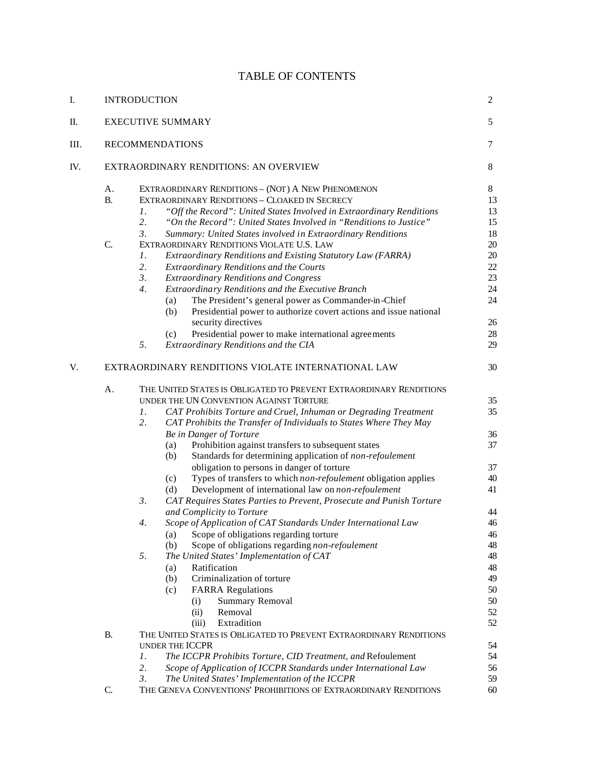# TABLE OF CONTENTS

| I.  |                                                                          | <b>INTRODUCTION</b>                                                                     | 2      |  |
|-----|--------------------------------------------------------------------------|-----------------------------------------------------------------------------------------|--------|--|
| Π.  | <b>EXECUTIVE SUMMARY</b>                                                 |                                                                                         |        |  |
| Ш.  |                                                                          | <b>RECOMMENDATIONS</b>                                                                  | $\tau$ |  |
| IV. |                                                                          | EXTRAORDINARY RENDITIONS: AN OVERVIEW                                                   | 8      |  |
|     | A.                                                                       | EXTRAORDINARY RENDITIONS - (NOT) A NEW PHENOMENON                                       | 8      |  |
|     | B.                                                                       | <b>EXTRAORDINARY RENDITIONS - CLOAKED IN SECRECY</b>                                    | 13     |  |
|     |                                                                          | $\mathfrak{1}.$<br>"Off the Record": United States Involved in Extraordinary Renditions | 13     |  |
|     |                                                                          | 2.<br>"On the Record": United States Involved in "Renditions to Justice"                | 15     |  |
|     |                                                                          | 3.<br>Summary: United States involved in Extraordinary Renditions                       | 18     |  |
|     | C.                                                                       | EXTRAORDINARY RENDITIONS VIOLATE U.S. LAW                                               | 20     |  |
|     |                                                                          | Extraordinary Renditions and Existing Statutory Law (FARRA)<br>1.                       | 20     |  |
|     |                                                                          | 2.<br>Extraordinary Renditions and the Courts                                           | 22     |  |
|     |                                                                          | 3.<br><b>Extraordinary Renditions and Congress</b>                                      | 23     |  |
|     |                                                                          | 4.<br>Extraordinary Renditions and the Executive Branch                                 | 24     |  |
|     |                                                                          | The President's general power as Commander-in-Chief<br>(a)                              | 24     |  |
|     |                                                                          | Presidential power to authorize covert actions and issue national<br>(b)                |        |  |
|     |                                                                          | security directives                                                                     | 26     |  |
|     |                                                                          | Presidential power to make international agreements<br>(c)                              | 28     |  |
|     |                                                                          | 5.<br>Extraordinary Renditions and the CIA                                              | 29     |  |
| V.  |                                                                          | EXTRAORDINARY RENDITIONS VIOLATE INTERNATIONAL LAW                                      | 30     |  |
|     | A.<br>THE UNITED STATES IS OBLIGATED TO PREVENT EXTRAORDINARY RENDITIONS |                                                                                         |        |  |
|     |                                                                          | UNDER THE UN CONVENTION AGAINST TORTURE                                                 | 35     |  |
|     |                                                                          | CAT Prohibits Torture and Cruel, Inhuman or Degrading Treatment<br>1.                   | 35     |  |
|     |                                                                          | 2.<br>CAT Prohibits the Transfer of Individuals to States Where They May                |        |  |
|     |                                                                          | Be in Danger of Torture                                                                 | 36     |  |
|     |                                                                          | Prohibition against transfers to subsequent states<br>(a)                               | 37     |  |
|     |                                                                          | Standards for determining application of non-refoulement<br>(b)                         |        |  |
|     |                                                                          | obligation to persons in danger of torture                                              | 37     |  |
|     |                                                                          | Types of transfers to which non-refoulement obligation applies<br>(c)                   | 40     |  |
|     |                                                                          | Development of international law on non-refoulement<br>(d)                              | 41     |  |
|     |                                                                          | 3.<br>CAT Requires States Parties to Prevent, Prosecute and Punish Torture              |        |  |
|     |                                                                          | and Complicity to Torture                                                               | 44     |  |
|     |                                                                          | Scope of Application of CAT Standards Under International Law<br>4.                     | 46     |  |
|     |                                                                          | Scope of obligations regarding torture<br>(a)                                           | 46     |  |
|     |                                                                          | Scope of obligations regarding non-refoulement<br>(b)                                   | 48     |  |
|     |                                                                          | 5.<br>The United States' Implementation of CAT                                          | 48     |  |
|     |                                                                          | Ratification<br>(a)                                                                     | 48     |  |
|     |                                                                          | Criminalization of torture<br>(b)                                                       | 49     |  |
|     |                                                                          | <b>FARRA</b> Regulations<br>(c)                                                         | 50     |  |
|     |                                                                          | <b>Summary Removal</b><br>(i)                                                           | 50     |  |
|     |                                                                          | Removal<br>(ii)                                                                         | 52     |  |
|     |                                                                          | (iii)<br>Extradition                                                                    | 52     |  |
|     | <b>B.</b>                                                                | THE UNITED STATES IS OBLIGATED TO PREVENT EXTRAORDINARY RENDITIONS                      |        |  |
|     |                                                                          | UNDER THE ICCPR                                                                         | 54     |  |
|     |                                                                          | $\mathfrak{1}.$<br>The ICCPR Prohibits Torture, CID Treatment, and Refoulement          | 54     |  |
|     |                                                                          | 2.<br>Scope of Application of ICCPR Standards under International Law                   | 56     |  |
|     |                                                                          | The United States' Implementation of the ICCPR<br>3.                                    | 59     |  |
|     | C.                                                                       | THE GENEVA CONVENTIONS' PROHIBITIONS OF EXTRAORDINARY RENDITIONS                        | 60     |  |
|     |                                                                          |                                                                                         |        |  |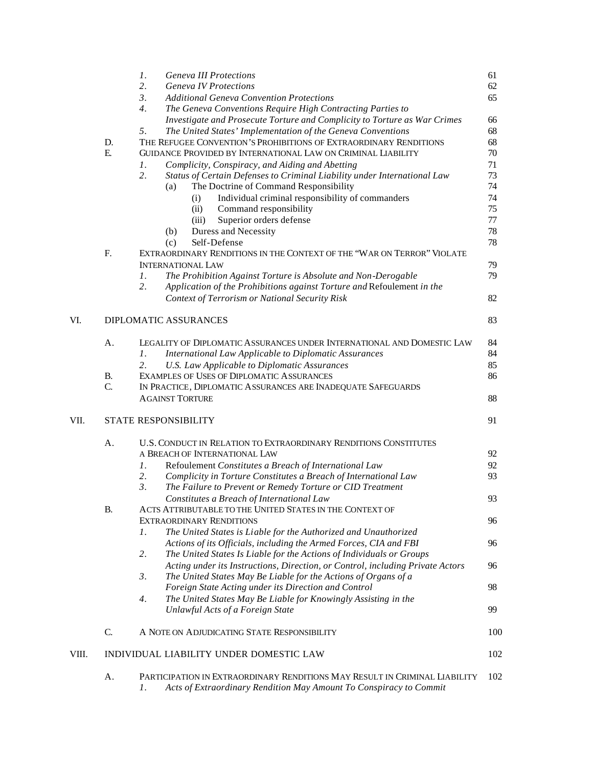|       |           | <b>Geneva III Protections</b><br>1.                                            | 61  |  |
|-------|-----------|--------------------------------------------------------------------------------|-----|--|
|       |           | 2.<br><b>Geneva IV Protections</b>                                             | 62  |  |
|       |           | 3.<br><b>Additional Geneva Convention Protections</b>                          | 65  |  |
|       |           | 4.<br>The Geneva Conventions Require High Contracting Parties to               |     |  |
|       |           | Investigate and Prosecute Torture and Complicity to Torture as War Crimes      | 66  |  |
|       |           | 5.<br>The United States' Implementation of the Geneva Conventions              | 68  |  |
|       | D.        | THE REFUGEE CONVENTION'S PROHIBITIONS OF EXTRAORDINARY RENDITIONS              | 68  |  |
|       | E.        | GUIDANCE PROVIDED BY INTERNATIONAL LAW ON CRIMINAL LIABILITY                   | 70  |  |
|       |           | Complicity, Conspiracy, and Aiding and Abetting<br>1.                          | 71  |  |
|       |           | 2.<br>Status of Certain Defenses to Criminal Liability under International Law | 73  |  |
|       |           | The Doctrine of Command Responsibility<br>(a)                                  | 74  |  |
|       |           | Individual criminal responsibility of commanders<br>(i)                        | 74  |  |
|       |           | (ii)<br>Command responsibility                                                 | 75  |  |
|       |           | Superior orders defense<br>(iii)                                               | 77  |  |
|       |           | Duress and Necessity<br>(b)                                                    | 78  |  |
|       |           | Self-Defense<br>(c)                                                            | 78  |  |
|       | F.        | EXTRAORDINARY RENDITIONS IN THE CONTEXT OF THE "WAR ON TERROR" VIOLATE         |     |  |
|       |           | <b>INTERNATIONAL LAW</b>                                                       | 79  |  |
|       |           | The Prohibition Against Torture is Absolute and Non-Derogable<br>1.            | 79  |  |
|       |           | 2.<br>Application of the Prohibitions against Torture and Refoulement in the   |     |  |
|       |           | Context of Terrorism or National Security Risk                                 | 82  |  |
|       |           |                                                                                |     |  |
| VI.   |           | DIPLOMATIC ASSURANCES                                                          | 83  |  |
|       | A.        | LEGALITY OF DIPLOMATIC ASSURANCES UNDER INTERNATIONAL AND DOMESTIC LAW         | 84  |  |
|       |           | 1.<br>International Law Applicable to Diplomatic Assurances                    | 84  |  |
|       |           | 2.<br>U.S. Law Applicable to Diplomatic Assurances                             | 85  |  |
|       | <b>B.</b> | <b>EXAMPLES OF USES OF DIPLOMATIC ASSURANCES</b>                               | 86  |  |
|       | C.        | IN PRACTICE, DIPLOMATIC ASSURANCES ARE INADEQUATE SAFEGUARDS                   |     |  |
|       |           | <b>AGAINST TORTURE</b>                                                         | 88  |  |
|       |           |                                                                                |     |  |
| VII.  |           | STATE RESPONSIBILITY                                                           | 91  |  |
|       | A.        | U.S. CONDUCT IN RELATION TO EXTRAORDINARY RENDITIONS CONSTITUTES               |     |  |
|       |           | A BREACH OF INTERNATIONAL LAW                                                  | 92  |  |
|       |           | Refoulement Constitutes a Breach of International Law<br>1.                    | 92  |  |
|       |           | 2.<br>Complicity in Torture Constitutes a Breach of International Law          | 93  |  |
|       |           | 3.<br>The Failure to Prevent or Remedy Torture or CID Treatment                |     |  |
|       |           | Constitutes a Breach of International Law                                      | 93  |  |
|       | <b>B.</b> | ACTS ATTRIBUTABLE TO THE UNITED STATES IN THE CONTEXT OF                       |     |  |
|       |           | <b>EXTRAORDINARY RENDITIONS</b>                                                | 96  |  |
|       |           | The United States is Liable for the Authorized and Unauthorized<br>1.          |     |  |
|       |           | Actions of its Officials, including the Armed Forces, CIA and FBI              | 96  |  |
|       |           | The United States Is Liable for the Actions of Individuals or Groups<br>2.     |     |  |
|       |           | Acting under its Instructions, Direction, or Control, including Private Actors | 96  |  |
|       |           | The United States May Be Liable for the Actions of Organs of a<br>3.           |     |  |
|       |           | Foreign State Acting under its Direction and Control                           | 98  |  |
|       |           | The United States May Be Liable for Knowingly Assisting in the<br>4.           |     |  |
|       |           | Unlawful Acts of a Foreign State                                               | 99  |  |
|       | C.        | A NOTE ON ADJUDICATING STATE RESPONSIBILITY                                    | 100 |  |
| VIII. |           | INDIVIDUAL LIABILITY UNDER DOMESTIC LAW                                        |     |  |
|       |           |                                                                                | 102 |  |
|       | A.        | PARTICIPATION IN EXTRAORDINARY RENDITIONS MAY RESULT IN CRIMINAL LIABILITY     | 102 |  |
|       |           | Acts of Extraordinary Rendition May Amount To Conspiracy to Commit<br>1.       |     |  |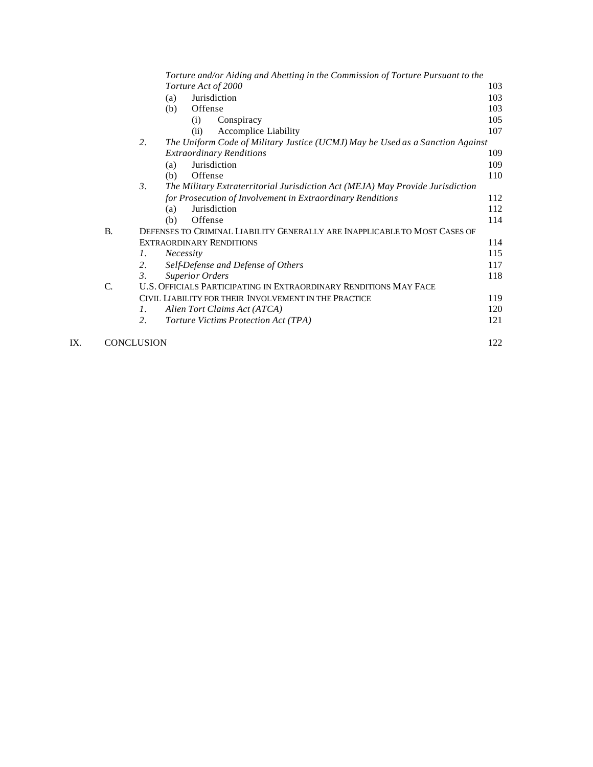|                  | Torture Act of 2000                                        | 103                                                                                                                                                                                                                                                                                                                                                                                                                                                                                                                                                               |
|------------------|------------------------------------------------------------|-------------------------------------------------------------------------------------------------------------------------------------------------------------------------------------------------------------------------------------------------------------------------------------------------------------------------------------------------------------------------------------------------------------------------------------------------------------------------------------------------------------------------------------------------------------------|
|                  | Jurisdiction<br>(a)                                        | 103                                                                                                                                                                                                                                                                                                                                                                                                                                                                                                                                                               |
|                  | Offense<br>(b)                                             | 103                                                                                                                                                                                                                                                                                                                                                                                                                                                                                                                                                               |
|                  | Conspiracy<br>(i)                                          | 105                                                                                                                                                                                                                                                                                                                                                                                                                                                                                                                                                               |
|                  | (ii)                                                       | 107                                                                                                                                                                                                                                                                                                                                                                                                                                                                                                                                                               |
| 2.               |                                                            |                                                                                                                                                                                                                                                                                                                                                                                                                                                                                                                                                                   |
|                  | <b>Extraordinary Renditions</b>                            | 109                                                                                                                                                                                                                                                                                                                                                                                                                                                                                                                                                               |
|                  | Jurisdiction<br>(a)                                        | 109                                                                                                                                                                                                                                                                                                                                                                                                                                                                                                                                                               |
|                  | Offense<br>(b)                                             | 110                                                                                                                                                                                                                                                                                                                                                                                                                                                                                                                                                               |
| $\mathfrak{Z}$ . |                                                            |                                                                                                                                                                                                                                                                                                                                                                                                                                                                                                                                                                   |
|                  | for Prosecution of Involvement in Extraordinary Renditions | 112                                                                                                                                                                                                                                                                                                                                                                                                                                                                                                                                                               |
|                  | Jurisdiction<br>(a)                                        | 112                                                                                                                                                                                                                                                                                                                                                                                                                                                                                                                                                               |
|                  | Offense<br>(b)                                             | 114                                                                                                                                                                                                                                                                                                                                                                                                                                                                                                                                                               |
|                  |                                                            |                                                                                                                                                                                                                                                                                                                                                                                                                                                                                                                                                                   |
|                  |                                                            | 114                                                                                                                                                                                                                                                                                                                                                                                                                                                                                                                                                               |
| $\mathcal{I}$ .  | <b>Necessity</b>                                           | 115                                                                                                                                                                                                                                                                                                                                                                                                                                                                                                                                                               |
| 2.               | Self-Defense and Defense of Others                         | 117                                                                                                                                                                                                                                                                                                                                                                                                                                                                                                                                                               |
| 3.               |                                                            | 118                                                                                                                                                                                                                                                                                                                                                                                                                                                                                                                                                               |
|                  |                                                            |                                                                                                                                                                                                                                                                                                                                                                                                                                                                                                                                                                   |
|                  |                                                            | 119                                                                                                                                                                                                                                                                                                                                                                                                                                                                                                                                                               |
| $\mathcal{I}$ .  | Alien Tort Claims Act (ATCA)                               | 120                                                                                                                                                                                                                                                                                                                                                                                                                                                                                                                                                               |
| 2.               | Torture Victims Protection Act (TPA)                       | 121                                                                                                                                                                                                                                                                                                                                                                                                                                                                                                                                                               |
|                  |                                                            | 122                                                                                                                                                                                                                                                                                                                                                                                                                                                                                                                                                               |
|                  | <b>B.</b><br>$\mathcal{C}$ .                               | Torture and/or Aiding and Abetting in the Commission of Torture Pursuant to the<br>Accomplice Liability<br>The Uniform Code of Military Justice (UCMJ) May be Used as a Sanction Against<br>The Military Extraterritorial Jurisdiction Act (MEJA) May Provide Jurisdiction<br>DEFENSES TO CRIMINAL LIABILITY GENERALLY ARE INAPPLICABLE TO MOST CASES OF<br><b>EXTRAORDINARY RENDITIONS</b><br><b>Superior Orders</b><br>U.S. OFFICIALS PARTICIPATING IN EXTRAORDINARY RENDITIONS MAY FACE<br>CIVIL LIABILITY FOR THEIR INVOLVEMENT IN THE PRACTICE<br>CONCLUSION |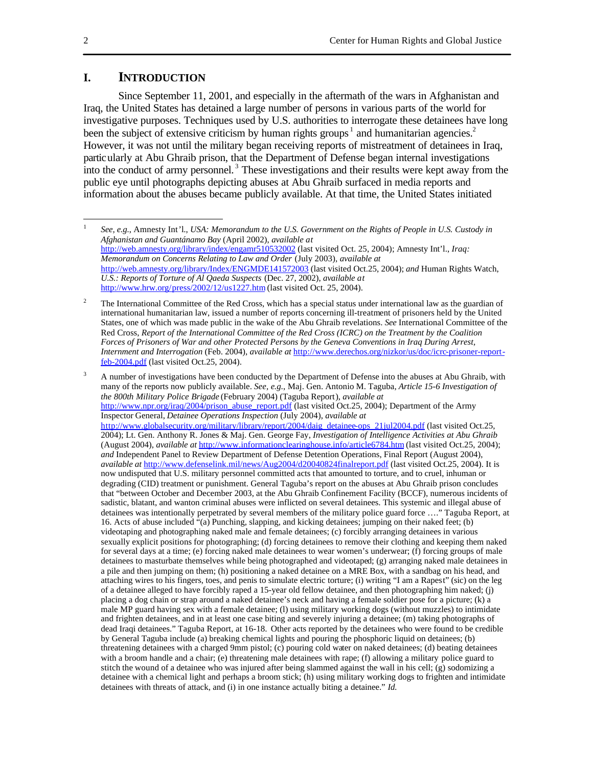# **I. INTRODUCTION**

Since September 11, 2001, and especially in the aftermath of the wars in Afghanistan and Iraq, the United States has detained a large number of persons in various parts of the world for investigative purposes. Techniques used by U.S. authorities to interrogate these detainees have long been the subject of extensive criticism by human rights groups<sup>1</sup> and humanitarian agencies.<sup>2</sup> However, it was not until the military began receiving reports of mistreatment of detainees in Iraq, particularly at Abu Ghraib prison, that the Department of Defense began internal investigations into the conduct of army personnel.<sup>3</sup> These investigations and their results were kept away from the public eye until photographs depicting abuses at Abu Ghraib surfaced in media reports and information about the abuses became publicly available. At that time, the United States initiated

<sup>3</sup> A number of investigations have been conducted by the Department of Defense into the abuses at Abu Ghraib, with many of the reports now publicly available. *See, e.g*., Maj. Gen. Antonio M. Taguba, *Article 15-6 Investigation of the 800th Military Police Brigade* (February 2004) (Taguba Report), *available at*  http://www.npr.org/iraq/2004/prison\_abuse\_report.pdf (last visited Oct.25, 2004); Department of the Army Inspector General, *Detainee Operations Inspection* (July 2004), *available at* http://www.globalsecurity.org/military/library/report/2004/daig\_detainee-ops\_21jul2004.pdf (last visited Oct.25, 2004); Lt. Gen. Anthony R. Jones & Maj. Gen. George Fay, *Investigation of Intelligence Activities at Abu Ghraib* (August 2004), *available at* http://www.informationclearinghouse.info/article6784.htm (last visited Oct.25, 2004); *and* Independent Panel to Review Department of Defense Detention Operations, Final Report (August 2004), *available at* http://www.defenselink.mil/news/Aug2004/d20040824finalreport.pdf (last visited Oct.25, 2004). It is now undisputed that U.S. military personnel committed acts that amounted to torture, and to cruel, inhuman or degrading (CID) treatment or punishment. General Taguba's report on the abuses at Abu Ghraib prison concludes that "between October and December 2003, at the Abu Ghraib Confinement Facility (BCCF), numerous incidents of sadistic, blatant, and wanton criminal abuses were inflicted on several detainees. This systemic and illegal abuse of detainees was intentionally perpetrated by several members of the military police guard force …." Taguba Report, at 16. Acts of abuse included "(a) Punching, slapping, and kicking detainees; jumping on their naked feet; (b) videotaping and photographing naked male and female detainees; (c) forcibly arranging detainees in various sexually explicit positions for photographing; (d) forcing detainees to remove their clothing and keeping them naked for several days at a time; (e) forcing naked male detainees to wear women's underwear; (f) forcing groups of male detainees to masturbate themselves while being photographed and videotaped; (g) arranging naked male detainees in a pile and then jumping on them; (h) positioning a naked detainee on a MRE Box, with a sandbag on his head, and attaching wires to his fingers, toes, and penis to simulate electric torture; (i) writing "I am a Rapest" (sic) on the leg of a detainee alleged to have forcibly raped a 15-year old fellow detainee, and then photographing him naked; (j) placing a dog chain or strap around a naked detainee's neck and having a female soldier pose for a picture; (k) a male MP guard having sex with a female detainee; (l) using military working dogs (without muzzles) to intimidate and frighten detainees, and in at least one case biting and severely injuring a detainee; (m) taking photographs of dead Iraqi detainees." Taguba Report, at 16-18. Other acts reported by the detainees who were found to be credible by General Taguba include (a) breaking chemical lights and pouring the phosphoric liquid on detainees; (b) threatening detainees with a charged 9mm pistol; (c) pouring cold water on naked detainees; (d) beating detainees with a broom handle and a chair; (e) threatening male detainees with rape; (f) allowing a military police guard to stitch the wound of a detainee who was injured after being slammed against the wall in his cell; (g) sodomizing a detainee with a chemical light and perhaps a broom stick; (h) using military working dogs to frighten and intimidate detainees with threats of attack, and (i) in one instance actually biting a detainee." *Id.*

<sup>1</sup> *See, e.g.*, Amnesty Int'l., *USA: Memorandum to the U.S. Government on the Rights of People in U.S. Custody in Afghanistan and Guantánamo Bay* (April 2002), *available at* http://web.amnesty.org/library/index/engamr510532002 (last visited Oct. 25, 2004); Amnesty Int'l., *Iraq: Memorandum on Concerns Relating to Law and Order* (July 2003), *available at* http://web.amnesty.org/library/Index/ENGMDE141572003 (last visited Oct.25, 2004); *and* Human Rights Watch, *U.S.: Reports of Torture of Al Qaeda Suspects* (Dec. 27, 2002), *available at* http://www.hrw.org/press/2002/12/us1227.htm (last visited Oct. 25, 2004).

<sup>&</sup>lt;sup>2</sup> The International Committee of the Red Cross, which has a special status under international law as the guardian of international humanitarian law, issued a number of reports concerning ill-treatment of prisoners held by the United States, one of which was made public in the wake of the Abu Ghraib revelations. *See* International Committee of the Red Cross, *Report of the International Committee of the Red Cross (ICRC) on the Treatment by the Coalition Forces of Prisoners of War and other Protected Persons by the Geneva Conventions in Iraq During Arrest, Internment and Interrogation* (Feb. 2004), *available at* http://www.derechos.org/nizkor/us/doc/icrc-prisoner-reportfeb-2004.pdf (last visited Oct.25, 2004).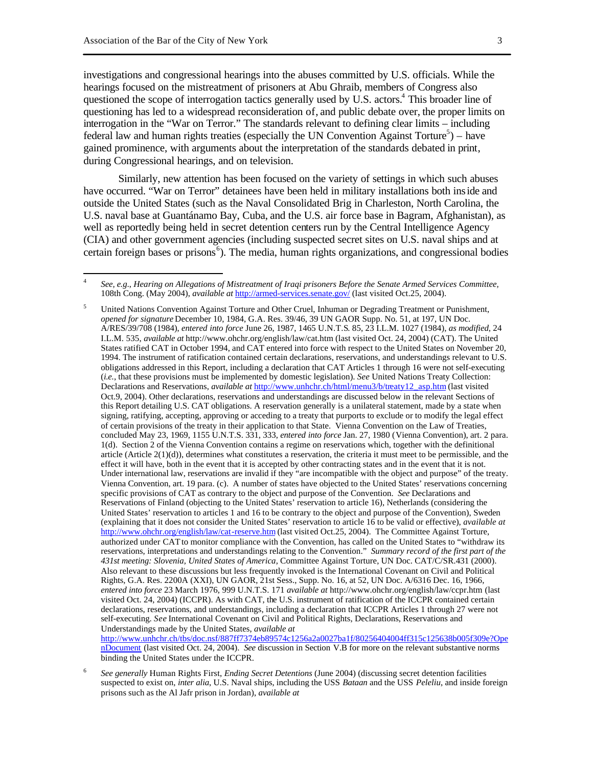$\overline{a}$ 

investigations and congressional hearings into the abuses committed by U.S. officials. While the hearings focused on the mistreatment of prisoners at Abu Ghraib, members of Congress also questioned the scope of interrogation tactics generally used by U.S. actors.<sup>4</sup> This broader line of questioning has led to a widespread reconsideration of, and public debate over, the proper limits on interrogation in the "War on Terror." The standards relevant to defining clear limits – including federal law and human rights treaties (especially the UN Convention Against Torture<sup>5</sup>) – have gained prominence, with arguments about the interpretation of the standards debated in print, during Congressional hearings, and on television.

Similarly, new attention has been focused on the variety of settings in which such abuses have occurred. "War on Terror" detainees have been held in military installations both inside and outside the United States (such as the Naval Consolidated Brig in Charleston, North Carolina, the U.S. naval base at Guantánamo Bay, Cuba, and the U.S. air force base in Bagram, Afghanistan), as well as reportedly being held in secret detention centers run by the Central Intelligence Agency (CIA) and other government agencies (including suspected secret sites on U.S. naval ships and at certain foreign bases or prisons $<sup>6</sup>$ ). The media, human rights organizations, and congressional bodies</sup>

<sup>4</sup> *See, e.g*., *Hearing on Allegations of Mistreatment of Iraqi prisoners Before the Senate Armed Services Committee,*  108th Cong. (May 2004), *available at* http://armed-services.senate.gov/ (last visited Oct.25, 2004).

<sup>5</sup> United Nations Convention Against Torture and Other Cruel, Inhuman or Degrading Treatment or Punishment, *opened for signature* December 10, 1984, G.A. Res. 39/46, 39 UN GAOR Supp. No. 51, at 197, UN Doc. A/RES/39/708 (1984), *entered into force* June 26, 1987, 1465 U.N.T.S. 85, 23 I.L.M. 1027 (1984), *as modified*, 24 I.L.M. 535, *available at* http://www.ohchr.org/english/law/cat.htm (last visited Oct. 24, 2004) (CAT). The United States ratified CAT in October 1994, and CAT entered into force with respect to the United States on November 20, 1994. The instrument of ratification contained certain declarations, reservations, and understandings relevant to U.S. obligations addressed in this Report, including a declaration that CAT Articles 1 through 16 were not self-executing (*i.e.*, that these provisions must be implemented by domestic legislation). *See* United Nations Treaty Collection: Declarations and Reservations, *available at* http://www.unhchr.ch/html/menu3/b/treaty12\_asp.htm (last visited Oct.9, 2004). Other declarations, reservations and understandings are discussed below in the relevant Sections of this Report detailing U.S. CAT obligations. A reservation generally is a unilateral statement, made by a state when signing, ratifying, accepting, approving or acceding to a treaty that purports to exclude or to modify the legal effect of certain provisions of the treaty in their application to that State. Vienna Convention on the Law of Treaties, concluded May 23, 1969, 1155 U.N.T.S. 331, 333, *entered into force* Jan. 27, 1980 (Vienna Convention), art. 2 para. 1(d). Section 2 of the Vienna Convention contains a regime on reservations which, together with the definitional article (Article  $2(1)(d)$ ), determines what constitutes a reservation, the criteria it must meet to be permissible, and the effect it will have, both in the event that it is accepted by other contracting states and in the event that it is not. Under international law, reservations are invalid if they "are incompatible with the object and purpose" of the treaty. Vienna Convention, art. 19 para. (c). A number of states have objected to the United States' reservations concerning specific provisions of CAT as contrary to the object and purpose of the Convention. *See* Declarations and Reservations of Finland (objecting to the United States' reservation to article 16), Netherlands (considering the United States' reservation to articles 1 and 16 to be contrary to the object and purpose of the Convention), Sweden (explaining that it does not consider the United States' reservation to article 16 to be valid or effective), *available at* http://www.ohchr.org/english/law/cat-reserve.htm (last visited Oct.25, 2004). The Committee Against Torture, authorized under CAT to monitor compliance with the Convention, has called on the United States to "withdraw its reservations, interpretations and understandings relating to the Convention." *Summary record of the first part of the 431st meeting: Slovenia, United States of America*, Committee Against Torture, UN Doc. CAT/C/SR.431 (2000). Also relevant to these discussions but less frequently invoked is the International Covenant on Civil and Political Rights, G.A. Res. 2200A (XXI), UN GAOR, 21st Sess., Supp. No. 16, at 52, UN Doc. A/6316 Dec. 16, 1966, *entered into force* 23 March 1976, 999 U.N.T.S. 171 *available at* http://www.ohchr.org/english/law/ccpr.htm (last visited Oct. 24, 2004) (ICCPR). As with CAT, the U.S. instrument of ratification of the ICCPR contained certain declarations, reservations, and understandings, including a declaration that ICCPR Articles 1 through 27 were not self-executing. *See* International Covenant on Civil and Political Rights, Declarations, Reservations and Understandings made by the United States, *available at* http://www.unhchr.ch/tbs/doc.nsf/887ff7374eb89574c1256a2a0027ba1f/80256404004ff315c125638b005f309e?Ope nDocument (last visited Oct. 24, 2004). *See* discussion in Section V.B for more on the relevant substantive norms binding the United States under the ICCPR.

<sup>6</sup> *See generally* Human Rights First, *Ending Secret Detentions* (June 2004) (discussing secret detention facilities suspected to exist on, *inter alia*, U.S. Naval ships, including the USS *Bataan* and the USS *Peleliu*, and inside foreign prisons such as the Al Jafr prison in Jordan), *available at*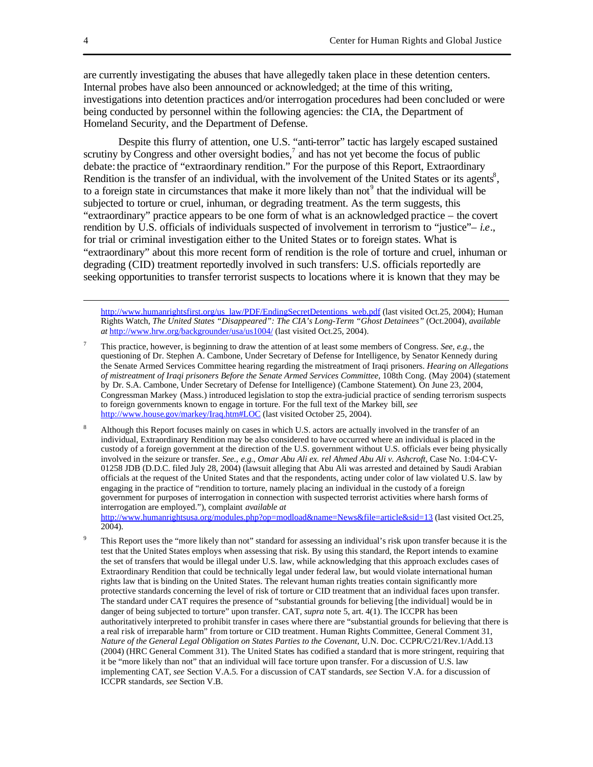are currently investigating the abuses that have allegedly taken place in these detention centers. Internal probes have also been announced or acknowledged; at the time of this writing, investigations into detention practices and/or interrogation procedures had been concluded or were being conducted by personnel within the following agencies: the CIA, the Department of Homeland Security, and the Department of Defense.

Despite this flurry of attention, one U.S. "anti-terror" tactic has largely escaped sustained scrutiny by Congress and other oversight bodies, $^7$  and has not yet become the focus of public debate: the practice of "extraordinary rendition." For the purpose of this Report, Extraordinary Rendition is the transfer of an individual, with the involvement of the United States or its agents $\delta$ , to a foreign state in circumstances that make it more likely than not $\degree$  that the individual will be subjected to torture or cruel, inhuman, or degrading treatment. As the term suggests, this "extraordinary" practice appears to be one form of what is an acknowledged practice – the covert rendition by U.S. officials of individuals suspected of involvement in terrorism to "justice"– *i.e*., for trial or criminal investigation either to the United States or to foreign states. What is "extraordinary" about this more recent form of rendition is the role of torture and cruel, inhuman or degrading (CID) treatment reportedly involved in such transfers: U.S. officials reportedly are seeking opportunities to transfer terrorist suspects to locations where it is known that they may be

http://www.humanrightsfirst.org/us\_law/PDF/EndingSecretDetentions\_web.pdf (last visited Oct.25, 2004); Human Rights Watch, *The United States "Disappeared": The CIA's Long-Term "Ghost Detainees"* (Oct.2004), *available at* http://www.hrw.org/backgrounder/usa/us1004/ (last visited Oct.25, 2004).

- <sup>7</sup> This practice, however, is beginning to draw the attention of at least some members of Congress. *See, e.g.,* the questioning of Dr. Stephen A. Cambone, Under Secretary of Defense for Intelligence, by Senator Kennedy during the Senate Armed Services Committee hearing regarding the mistreatment of Iraqi prisoners. *Hearing on Allegations of mistreatment of Iraqi prisoners Before the Senate Armed Services Committee,* 108th Cong. (May 2004) (statement by Dr. S.A. Cambone, Under Secretary of Defense for Intelligence) (Cambone Statement). On June 23, 2004, Congressman Markey (Mass.) introduced legislation to stop the extra-judicial practice of sending terrorism suspects to foreign governments known to engage in torture. For the full text of the Markey bill, *see* http://www.house.gov/markey/Iraq.htm#LOC (last visited October 25, 2004).
- <sup>8</sup> Although this Report focuses mainly on cases in which U.S. actors are actually involved in the transfer of an individual, Extraordinary Rendition may be also considered to have occurred where an individual is placed in the custody of a foreign government at the direction of the U.S. government without U.S. officials ever being physically involved in the seizure or transfer. *See., e.g.*, *Omar Abu Ali ex. rel Ahmed Abu Ali v. Ashcroft*, Case No. 1:04-CV-01258 JDB (D.D.C. filed July 28, 2004) (lawsuit alleging that Abu Ali was arrested and detained by Saudi Arabian officials at the request of the United States and that the respondents, acting under color of law violated U.S. law by engaging in the practice of "rendition to torture, namely placing an individual in the custody of a foreign government for purposes of interrogation in connection with suspected terrorist activities where harsh forms of interrogation are employed."), complaint *available at*

http://www.humanrightsusa.org/modules.php?op=modload&name=News&file=article&sid=13 (last visited Oct.25, 2004).

This Report uses the "more likely than not" standard for assessing an individual's risk upon transfer because it is the test that the United States employs when assessing that risk. By using this standard, the Report intends to examine the set of transfers that would be illegal under U.S. law, while acknowledging that this approach excludes cases of Extraordinary Rendition that could be technically legal under federal law, but would violate international human rights law that is binding on the United States. The relevant human rights treaties contain significantly more protective standards concerning the level of risk of torture or CID treatment that an individual faces upon transfer. The standard under CAT requires the presence of "substantial grounds for believing [the individual] would be in danger of being subjected to torture" upon transfer. CAT, *supra* note 5, art. 4(1). The ICCPR has been authoritatively interpreted to prohibit transfer in cases where there are "substantial grounds for believing that there is a real risk of irreparable harm" from torture or CID treatment. Human Rights Committee, General Comment 31, *Nature of the General Legal Obligation on States Parties to the Covenant*, U.N. Doc. CCPR/C/21/Rev.1/Add.13 (2004) (HRC General Comment 31). The United States has codified a standard that is more stringent, requiring that it be "more likely than not" that an individual will face torture upon transfer. For a discussion of U.S. law implementing CAT, *see* Section V.A.5. For a discussion of CAT standards, *see* Section V.A. for a discussion of ICCPR standards, *see* Section V.B.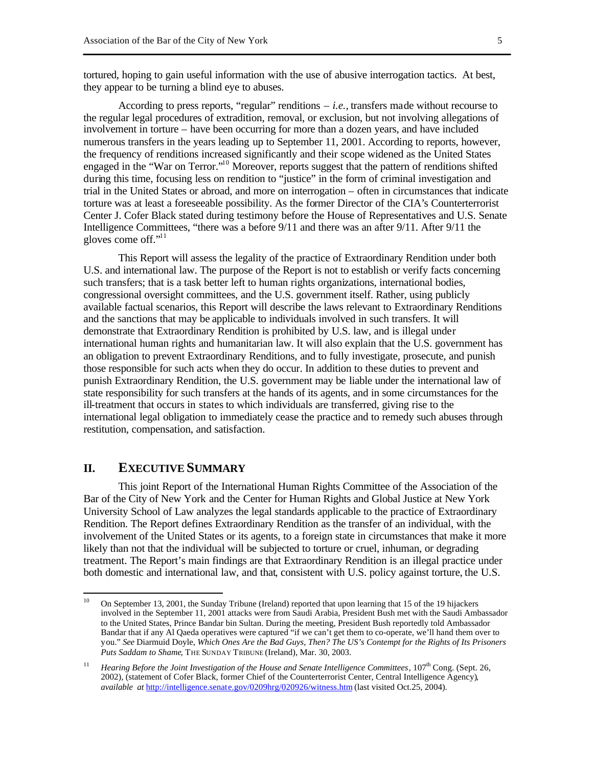tortured, hoping to gain useful information with the use of abusive interrogation tactics. At best, they appear to be turning a blind eye to abuses.

According to press reports, "regular" renditions  $-i.e.,$  transfers made without recourse to the regular legal procedures of extradition, removal, or exclusion, but not involving allegations of involvement in torture – have been occurring for more than a dozen years, and have included numerous transfers in the years leading up to September 11, 2001. According to reports, however, the frequency of renditions increased significantly and their scope widened as the United States engaged in the "War on Terror."<sup>10</sup> Moreover, reports suggest that the pattern of renditions shifted during this time, focusing less on rendition to "justice" in the form of criminal investigation and trial in the United States or abroad, and more on interrogation – often in circumstances that indicate torture was at least a foreseeable possibility. As the former Director of the CIA's Counterterrorist Center J. Cofer Black stated during testimony before the House of Representatives and U.S. Senate Intelligence Committees, "there was a before 9/11 and there was an after 9/11. After 9/11 the gloves come off."<sup>11</sup>

This Report will assess the legality of the practice of Extraordinary Rendition under both U.S. and international law. The purpose of the Report is not to establish or verify facts concerning such transfers; that is a task better left to human rights organizations, international bodies, congressional oversight committees, and the U.S. government itself. Rather, using publicly available factual scenarios, this Report will describe the laws relevant to Extraordinary Renditions and the sanctions that may be applicable to individuals involved in such transfers. It will demonstrate that Extraordinary Rendition is prohibited by U.S. law, and is illegal under international human rights and humanitarian law. It will also explain that the U.S. government has an obligation to prevent Extraordinary Renditions, and to fully investigate, prosecute, and punish those responsible for such acts when they do occur. In addition to these duties to prevent and punish Extraordinary Rendition, the U.S. government may be liable under the international law of state responsibility for such transfers at the hands of its agents, and in some circumstances for the ill-treatment that occurs in states to which individuals are transferred, giving rise to the international legal obligation to immediately cease the practice and to remedy such abuses through restitution, compensation, and satisfaction.

# **II. EXECUTIVE SUMMARY**

This joint Report of the International Human Rights Committee of the Association of the Bar of the City of New York and the Center for Human Rights and Global Justice at New York University School of Law analyzes the legal standards applicable to the practice of Extraordinary Rendition. The Report defines Extraordinary Rendition as the transfer of an individual, with the involvement of the United States or its agents, to a foreign state in circumstances that make it more likely than not that the individual will be subjected to torture or cruel, inhuman, or degrading treatment. The Report's main findings are that Extraordinary Rendition is an illegal practice under both domestic and international law, and that, consistent with U.S. policy against torture, the U.S.

<sup>10</sup> <sup>10</sup> On September 13, 2001, the Sunday Tribune (Ireland) reported that upon learning that 15 of the 19 hijackers involved in the September 11, 2001 attacks were from Saudi Arabia, President Bush met with the Saudi Ambassador to the United States, Prince Bandar bin Sultan. During the meeting, President Bush reportedly told Ambassador Bandar that if any Al Qaeda operatives were captured "if we can't get them to co-operate, we'll hand them over to you." *See* Diarmuid Doyle, *Which Ones Are the Bad Guys, Then? The US's Contempt for the Rights of Its Prisoners Puts Saddam to Shame*, THE SUNDAY TRIBUNE (Ireland), Mar. 30, 2003.

<sup>&</sup>lt;sup>11</sup> *Hearing Before the Joint Investigation of the House and Senate Intelligence Committees*, 107<sup>th</sup> Cong. (Sept. 26, 2002), (statement of Cofer Black, former Chief of the Counterterrorist Center, Central Intelligence Agency), *available at* http://intelligence.senate.gov/0209hrg/020926/witness.htm (last visited Oct.25, 2004).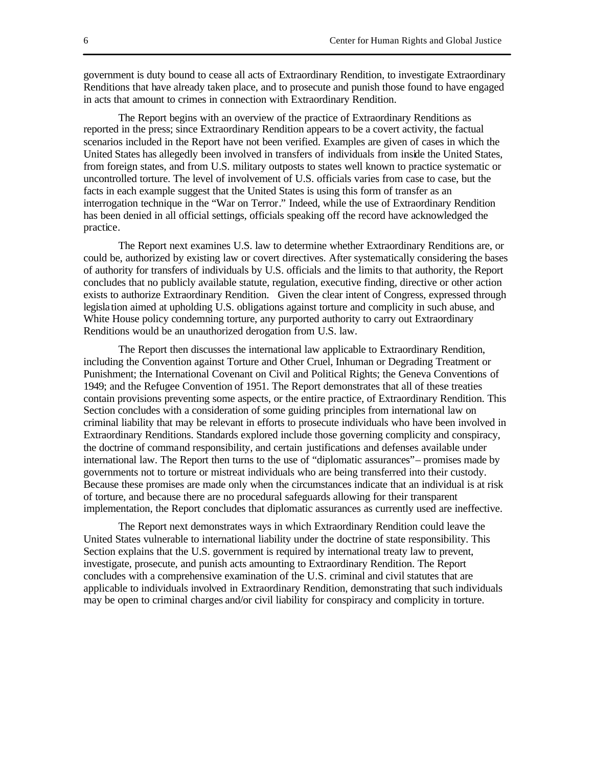government is duty bound to cease all acts of Extraordinary Rendition, to investigate Extraordinary Renditions that have already taken place, and to prosecute and punish those found to have engaged in acts that amount to crimes in connection with Extraordinary Rendition.

The Report begins with an overview of the practice of Extraordinary Renditions as reported in the press; since Extraordinary Rendition appears to be a covert activity, the factual scenarios included in the Report have not been verified. Examples are given of cases in which the United States has allegedly been involved in transfers of individuals from inside the United States, from foreign states, and from U.S. military outposts to states well known to practice systematic or uncontrolled torture. The level of involvement of U.S. officials varies from case to case, but the facts in each example suggest that the United States is using this form of transfer as an interrogation technique in the "War on Terror." Indeed, while the use of Extraordinary Rendition has been denied in all official settings, officials speaking off the record have acknowledged the practice.

The Report next examines U.S. law to determine whether Extraordinary Renditions are, or could be, authorized by existing law or covert directives. After systematically considering the bases of authority for transfers of individuals by U.S. officials and the limits to that authority, the Report concludes that no publicly available statute, regulation, executive finding, directive or other action exists to authorize Extraordinary Rendition. Given the clear intent of Congress, expressed through legislation aimed at upholding U.S. obligations against torture and complicity in such abuse, and White House policy condemning torture, any purported authority to carry out Extraordinary Renditions would be an unauthorized derogation from U.S. law.

The Report then discusses the international law applicable to Extraordinary Rendition, including the Convention against Torture and Other Cruel, Inhuman or Degrading Treatment or Punishment; the International Covenant on Civil and Political Rights; the Geneva Conventions of 1949; and the Refugee Convention of 1951. The Report demonstrates that all of these treaties contain provisions preventing some aspects, or the entire practice, of Extraordinary Rendition. This Section concludes with a consideration of some guiding principles from international law on criminal liability that may be relevant in efforts to prosecute individuals who have been involved in Extraordinary Renditions. Standards explored include those governing complicity and conspiracy, the doctrine of command responsibility, and certain justifications and defenses available under international law. The Report then turns to the use of "diplomatic assurances"– promises made by governments not to torture or mistreat individuals who are being transferred into their custody. Because these promises are made only when the circumstances indicate that an individual is at risk of torture, and because there are no procedural safeguards allowing for their transparent implementation, the Report concludes that diplomatic assurances as currently used are ineffective.

The Report next demonstrates ways in which Extraordinary Rendition could leave the United States vulnerable to international liability under the doctrine of state responsibility. This Section explains that the U.S. government is required by international treaty law to prevent, investigate, prosecute, and punish acts amounting to Extraordinary Rendition. The Report concludes with a comprehensive examination of the U.S. criminal and civil statutes that are applicable to individuals involved in Extraordinary Rendition, demonstrating that such individuals may be open to criminal charges and/or civil liability for conspiracy and complicity in torture.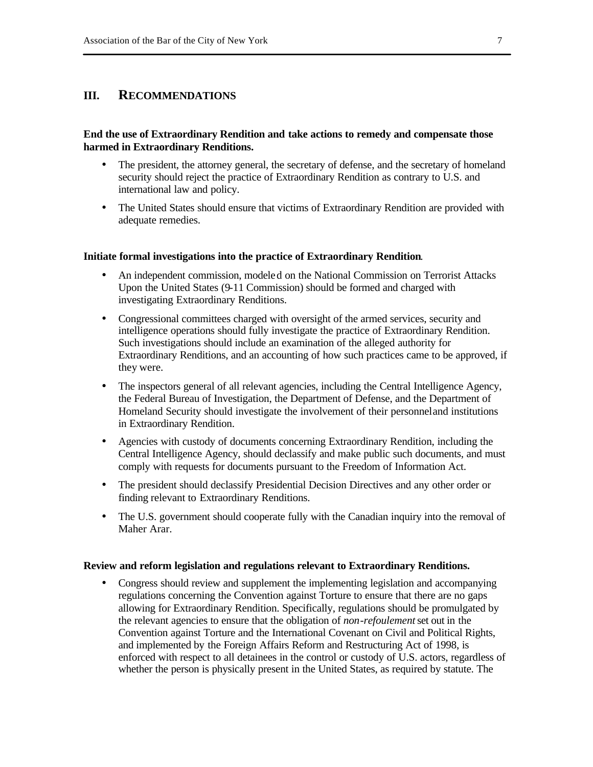# **III. RECOMMENDATIONS**

# **End the use of Extraordinary Rendition and take actions to remedy and compensate those harmed in Extraordinary Renditions.**

- The president, the attorney general, the secretary of defense, and the secretary of homeland security should reject the practice of Extraordinary Rendition as contrary to U.S. and international law and policy.
- The United States should ensure that victims of Extraordinary Rendition are provided with adequate remedies.

#### **Initiate formal investigations into the practice of Extraordinary Rendition**.

- An independent commission, modeled on the National Commission on Terrorist Attacks Upon the United States (9-11 Commission) should be formed and charged with investigating Extraordinary Renditions.
- Congressional committees charged with oversight of the armed services, security and intelligence operations should fully investigate the practice of Extraordinary Rendition. Such investigations should include an examination of the alleged authority for Extraordinary Renditions, and an accounting of how such practices came to be approved, if they were.
- The inspectors general of all relevant agencies, including the Central Intelligence Agency, the Federal Bureau of Investigation, the Department of Defense, and the Department of Homeland Security should investigate the involvement of their personnel and institutions in Extraordinary Rendition.
- Agencies with custody of documents concerning Extraordinary Rendition, including the Central Intelligence Agency, should declassify and make public such documents, and must comply with requests for documents pursuant to the Freedom of Information Act.
- The president should declassify Presidential Decision Directives and any other order or finding relevant to Extraordinary Renditions.
- The U.S. government should cooperate fully with the Canadian inquiry into the removal of Maher Arar.

#### **Review and reform legislation and regulations relevant to Extraordinary Renditions.**

• Congress should review and supplement the implementing legislation and accompanying regulations concerning the Convention against Torture to ensure that there are no gaps allowing for Extraordinary Rendition. Specifically, regulations should be promulgated by the relevant agencies to ensure that the obligation of *non-refoulement* set out in the Convention against Torture and the International Covenant on Civil and Political Rights, and implemented by the Foreign Affairs Reform and Restructuring Act of 1998, is enforced with respect to all detainees in the control or custody of U.S. actors, regardless of whether the person is physically present in the United States, as required by statute. The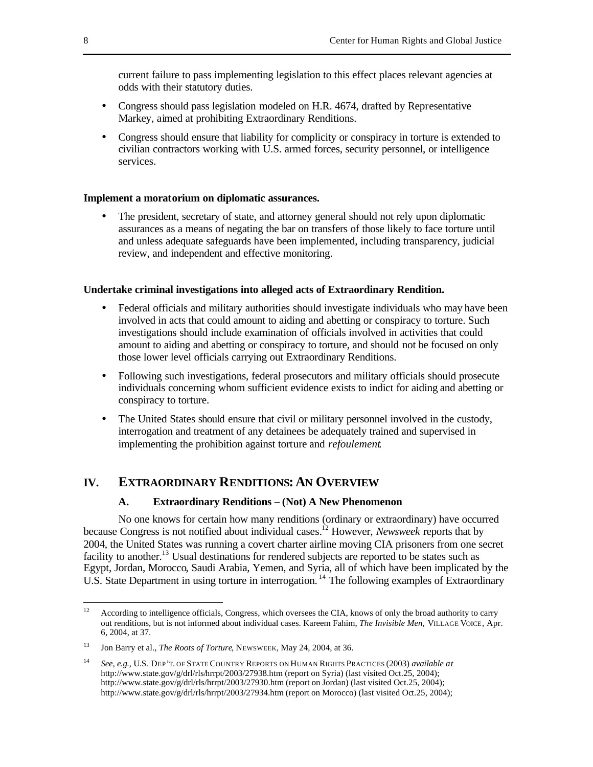current failure to pass implementing legislation to this effect places relevant agencies at odds with their statutory duties.

- Congress should pass legislation modeled on H.R. 4674, drafted by Representative Markey, aimed at prohibiting Extraordinary Renditions.
- Congress should ensure that liability for complicity or conspiracy in torture is extended to civilian contractors working with U.S. armed forces, security personnel, or intelligence services.

#### **Implement a moratorium on diplomatic assurances.**

• The president, secretary of state, and attorney general should not rely upon diplomatic assurances as a means of negating the bar on transfers of those likely to face torture until and unless adequate safeguards have been implemented, including transparency, judicial review, and independent and effective monitoring.

#### **Undertake criminal investigations into alleged acts of Extraordinary Rendition.**

- Federal officials and military authorities should investigate individuals who may have been involved in acts that could amount to aiding and abetting or conspiracy to torture. Such investigations should include examination of officials involved in activities that could amount to aiding and abetting or conspiracy to torture, and should not be focused on only those lower level officials carrying out Extraordinary Renditions.
- Following such investigations, federal prosecutors and military officials should prosecute individuals concerning whom sufficient evidence exists to indict for aiding and abetting or conspiracy to torture.
- The United States should ensure that civil or military personnel involved in the custody, interrogation and treatment of any detainees be adequately trained and supervised in implementing the prohibition against torture and *refoulement*.

# **IV. EXTRAORDINARY RENDITIONS:AN OVERVIEW**

#### **A. Extraordinary Renditions – (Not) A New Phenomenon**

No one knows for certain how many renditions (ordinary or extraordinary) have occurred because Congress is not notified about individual cases. <sup>12</sup> However, *Newsweek* reports that by 2004, the United States was running a covert charter airline moving CIA prisoners from one secret facility to another.<sup>13</sup> Usual destinations for rendered subjects are reported to be states such as Egypt, Jordan, Morocco, Saudi Arabia, Yemen, and Syria, all of which have been implicated by the U.S. State Department in using torture in interrogation.<sup>14</sup> The following examples of Extraordinary

<sup>&</sup>lt;sup>12</sup> According to intelligence officials, Congress, which oversees the CIA, knows of only the broad authority to carry out renditions, but is not informed about individual cases. Kareem Fahim, *The Invisible Men*, VILLAGE VOICE, Apr. 6, 2004, at 37.

<sup>13</sup> Jon Barry et al., *The Roots of Torture*, NEWSWEEK, May 24, 2004, at 36.

<sup>14</sup> *See, e.g.,* U.S. DEP'T. OF STATE COUNTRY REPORTS ON HUMAN RIGHTS PRACTICES (2003) *available at* http://www.state.gov/g/drl/rls/hrrpt/2003/27938.htm (report on Syria) (last visited Oct.25, 2004); http://www.state.gov/g/drl/rls/hrrpt/2003/27930.htm (report on Jordan) (last visited Oct.25, 2004); http://www.state.gov/g/drl/rls/hrrpt/2003/27934.htm (report on Morocco) (last visited Oct.25, 2004);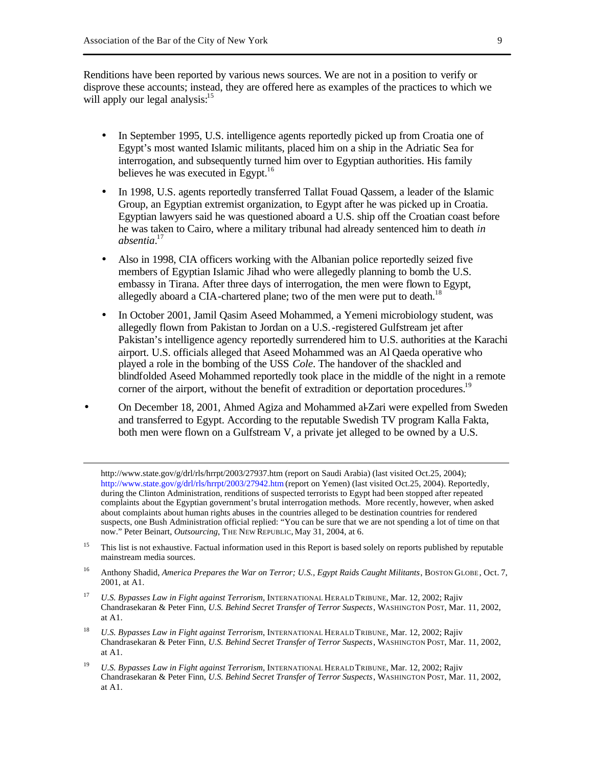$\overline{a}$ 

Renditions have been reported by various news sources. We are not in a position to verify or disprove these accounts; instead, they are offered here as examples of the practices to which we will apply our legal analysis: $15$ 

- In September 1995, U.S. intelligence agents reportedly picked up from Croatia one of Egypt's most wanted Islamic militants, placed him on a ship in the Adriatic Sea for interrogation, and subsequently turned him over to Egyptian authorities. His family believes he was executed in Egypt.<sup>16</sup>
- In 1998, U.S. agents reportedly transferred Tallat Fouad Qassem, a leader of the Islamic Group, an Egyptian extremist organization, to Egypt after he was picked up in Croatia. Egyptian lawyers said he was questioned aboard a U.S. ship off the Croatian coast before he was taken to Cairo, where a military tribunal had already sentenced him to death *in absentia*. 17
- Also in 1998, CIA officers working with the Albanian police reportedly seized five members of Egyptian Islamic Jihad who were allegedly planning to bomb the U.S. embassy in Tirana. After three days of interrogation, the men were flown to Egypt, allegedly aboard a CIA-chartered plane; two of the men were put to death.<sup>18</sup>
- In October 2001, Jamil Qasim Aseed Mohammed, a Yemeni microbiology student, was allegedly flown from Pakistan to Jordan on a U.S.-registered Gulfstream jet after Pakistan's intelligence agency reportedly surrendered him to U.S. authorities at the Karachi airport. U.S. officials alleged that Aseed Mohammed was an Al Qaeda operative who played a role in the bombing of the USS *Cole*. The handover of the shackled and blindfolded Aseed Mohammed reportedly took place in the middle of the night in a remote corner of the airport, without the benefit of extradition or deportation procedures.<sup>19</sup>
- On December 18, 2001, Ahmed Agiza and Mohammed al-Zari were expelled from Sweden and transferred to Egypt. According to the reputable Swedish TV program Kalla Fakta, both men were flown on a Gulfstream V, a private jet alleged to be owned by a U.S.

- <sup>15</sup> This list is not exhaustive. Factual information used in this Report is based solely on reports published by reputable mainstream media sources.
- <sup>16</sup> Anthony Shadid, *America Prepares the War on Terror; U.S., Egypt Raids Caught Militants*, BOSTON GLOBE, Oct. 7, 2001, at A1.
- <sup>17</sup> *U.S. Bypasses Law in Fight against Terrorism*, INTERNATIONAL HERALD TRIBUNE, Mar. 12, 2002; Rajiv Chandrasekaran & Peter Finn, *U.S. Behind Secret Transfer of Terror Suspects*, WASHINGTON POST, Mar. 11, 2002, at A1.
- <sup>18</sup> *U.S. Bypasses Law in Fight against Terrorism*, INTERNATIONAL HERALD TRIBUNE, Mar. 12, 2002; Rajiv Chandrasekaran & Peter Finn, *U.S. Behind Secret Transfer of Terror Suspects*, WASHINGTON POST, Mar. 11, 2002, at A1.
- <sup>19</sup> *U.S. Bypasses Law in Fight against Terrorism*, INTERNATIONAL HERALD TRIBUNE, Mar. 12, 2002; Rajiv Chandrasekaran & Peter Finn, *U.S. Behind Secret Transfer of Terror Suspects*, WASHINGTON POST, Mar. 11, 2002, at A1.

http://www.state.gov/g/drl/rls/hrrpt/2003/27937.htm (report on Saudi Arabia) (last visited Oct.25, 2004); http://www.state.gov/g/drl/rls/hrrpt/2003/27942.htm (report on Yemen) (last visited Oct.25, 2004). Reportedly, during the Clinton Administration, renditions of suspected terrorists to Egypt had been stopped after repeated complaints about the Egyptian government's brutal interrogation methods. More recently, however, when asked about complaints about human rights abuses in the countries alleged to be destination countries for rendered suspects, one Bush Administration official replied: "You can be sure that we are not spending a lot of time on that now." Peter Beinart, *Outsourcing*, THE NEW REPUBLIC, May 31, 2004, at 6.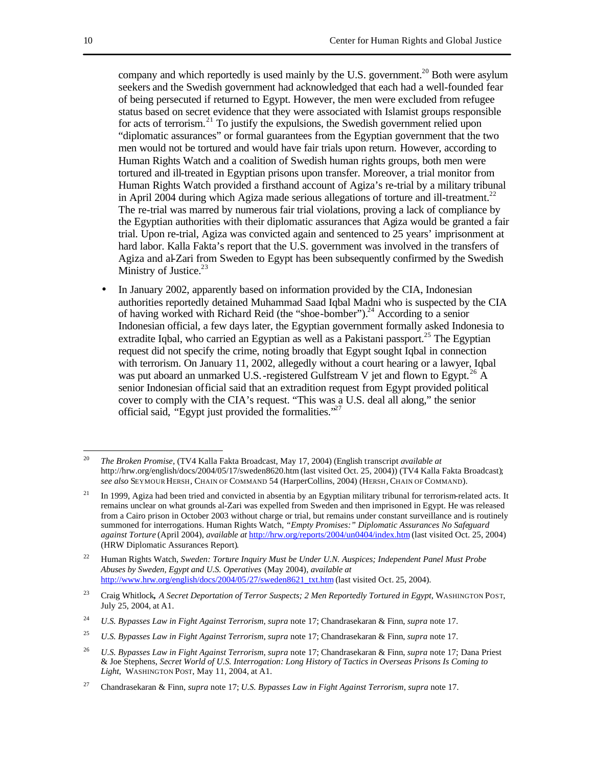company and which reportedly is used mainly by the U.S. government.<sup>20</sup> Both were asylum seekers and the Swedish government had acknowledged that each had a well-founded fear of being persecuted if returned to Egypt. However, the men were excluded from refugee status based on secret evidence that they were associated with Islamist groups responsible for acts of terrorism.<sup>21</sup> To justify the expulsions, the Swedish government relied upon "diplomatic assurances" or formal guarantees from the Egyptian government that the two men would not be tortured and would have fair trials upon return. However, according to Human Rights Watch and a coalition of Swedish human rights groups, both men were tortured and ill-treated in Egyptian prisons upon transfer. Moreover, a trial monitor from Human Rights Watch provided a firsthand account of Agiza's re-trial by a military tribunal in April 2004 during which Agiza made serious allegations of torture and ill-treatment.<sup>22</sup> The re-trial was marred by numerous fair trial violations, proving a lack of compliance by the Egyptian authorities with their diplomatic assurances that Agiza would be granted a fair trial. Upon re-trial, Agiza was convicted again and sentenced to 25 years' imprisonment at hard labor. Kalla Fakta's report that the U.S. government was involved in the transfers of Agiza and al-Zari from Sweden to Egypt has been subsequently confirmed by the Swedish Ministry of Justice. $23$ 

• In January 2002, apparently based on information provided by the CIA, Indonesian authorities reportedly detained Muhammad Saad Iqbal Madni who is suspected by the CIA of having worked with Richard Reid (the "shoe-bomber").<sup>24</sup> According to a senior Indonesian official, a few days later, the Egyptian government formally asked Indonesia to extradite Iqbal, who carried an Egyptian as well as a Pakistani passport.<sup>25</sup> The Egyptian request did not specify the crime, noting broadly that Egypt sought Iqbal in connection with terrorism. On January 11, 2002, allegedly without a court hearing or a lawyer, Iqbal was put aboard an unmarked U.S.-registered Gulfstream V jet and flown to Egypt.<sup>26</sup> A senior Indonesian official said that an extradition request from Egypt provided political cover to comply with the CIA's request. "This was a U.S. deal all along," the senior official said, "Egypt just provided the formalities."<sup>27</sup>

<sup>20</sup> <sup>20</sup> *The Broken Promise,* (TV4 Kalla Fakta Broadcast, May 17, 2004) (English transcript *available at* http://hrw.org/english/docs/2004/05/17/sweden8620.htm (last visited Oct. 25, 2004)) (TV4 Kalla Fakta Broadcast); *see also* SEYMOURHERSH, CHAIN OF COMMAND 54 (HarperCollins, 2004) (HERSH,CHAIN OF COMMAND).

 $21$  In 1999, Agiza had been tried and convicted in absentia by an Egyptian military tribunal for terrorism-related acts. It remains unclear on what grounds al-Zari was expelled from Sweden and then imprisoned in Egypt. He was released from a Cairo prison in October 2003 without charge or trial, but remains under constant surveillance and is routinely summoned for interrogations. Human Rights Watch, *"Empty Promises:" Diplomatic Assurances No Safeguard against Torture* (April 2004), *available at* http://hrw.org/reports/2004/un0404/index.htm (last visited Oct. 25, 2004) (HRW Diplomatic Assurances Report).

<sup>22</sup> Human Rights Watch, *Sweden: Torture Inquiry Must be Under U.N. Auspices; Independent Panel Must Probe Abuses by Sweden, Egypt and U.S. Operatives* (May 2004), *available at* http://www.hrw.org/english/docs/2004/05/27/sweden8621\_txt.htm (last visited Oct. 25, 2004).

<sup>23</sup> Craig Whitlock*, A Secret Deportation of Terror Suspects; 2 Men Reportedly Tortured in Egypt*, WASHINGTON POST, July 25, 2004, at A1.

<sup>24</sup> *U.S. Bypasses Law in Fight Against Terrorism*, *supra* note 17; Chandrasekaran & Finn, *supra* note 17.

<sup>25</sup> *U.S. Bypasses Law in Fight Against Terrorism*, *supra* note 17; Chandrasekaran & Finn, *supra* note 17.

<sup>26</sup> *U.S. Bypasses Law in Fight Against Terrorism*, *supra* note 17; Chandrasekaran & Finn, *supra* note 17; Dana Priest & Joe Stephens, *Secret World of U.S. Interrogation: Long History of Tactics in Overseas Prisons Is Coming to Light*, WASHINGTON POST, May 11, 2004, at A1.

<sup>27</sup> Chandrasekaran & Finn, *supra* note 17; *U.S. Bypasses Law in Fight Against Terrorism*, *supra* note 17.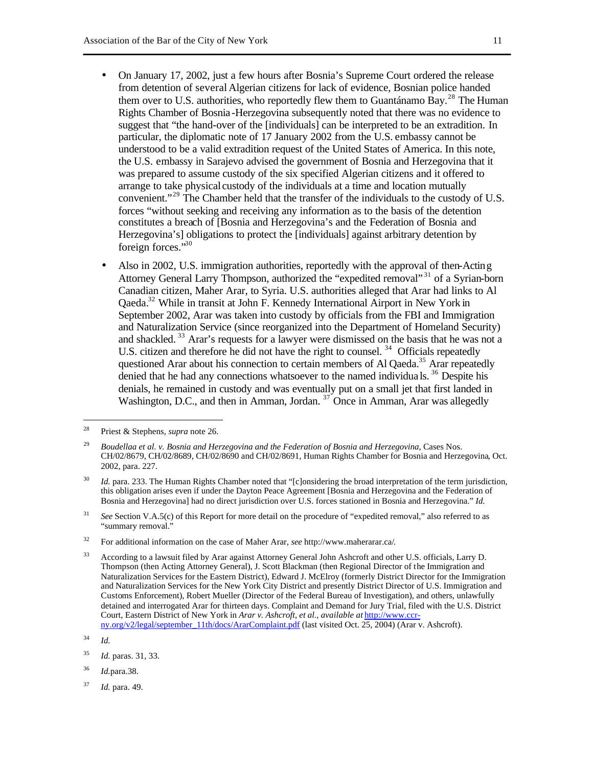- On January 17, 2002, just a few hours after Bosnia's Supreme Court ordered the release from detention of several Algerian citizens for lack of evidence, Bosnian police handed them over to U.S. authorities, who reportedly flew them to Guantánamo Bay.<sup>28</sup> The Human Rights Chamber of Bosnia -Herzegovina subsequently noted that there was no evidence to suggest that "the hand-over of the [individuals] can be interpreted to be an extradition. In particular, the diplomatic note of 17 January 2002 from the U.S. embassy cannot be understood to be a valid extradition request of the United States of America. In this note, the U.S. embassy in Sarajevo advised the government of Bosnia and Herzegovina that it was prepared to assume custody of the six specified Algerian citizens and it offered to arrange to take physical custody of the individuals at a time and location mutually convenient."<sup>29</sup> The Chamber held that the transfer of the individuals to the custody of U.S. forces "without seeking and receiving any information as to the basis of the detention constitutes a breach of [Bosnia and Herzegovina's and the Federation of Bosnia and Herzegovina's] obligations to protect the [individuals] against arbitrary detention by foreign forces."<sup>30</sup>
- Also in 2002, U.S. immigration authorities, reportedly with the approval of then-Acting Attorney General Larry Thompson, authorized the "expedited removal"<sup>31</sup> of a Syrian-born Canadian citizen, Maher Arar, to Syria. U.S. authorities alleged that Arar had links to Al Qaeda.<sup>32</sup> While in transit at John F. Kennedy International Airport in New York in September 2002, Arar was taken into custody by officials from the FBI and Immigration and Naturalization Service (since reorganized into the Department of Homeland Security) and shackled.<sup>33</sup> Arar's requests for a lawyer were dismissed on the basis that he was not a U.S. citizen and therefore he did not have the right to counsel.<sup>34</sup> Officials repeatedly questioned Arar about his connection to certain members of Al Qaeda.<sup>35</sup> Arar repeatedly denied that he had any connections whatsoever to the named individuals.<sup>36</sup> Despite his denials, he remained in custody and was eventually put on a small jet that first landed in Washington, D.C., and then in Amman, Jordan.<sup>37</sup> Once in Amman, Arar was allegedly

<sup>31</sup> *See* Section V.A.5(c) of this Report for more detail on the procedure of "expedited removal," also referred to as "summary removal."

<sup>32</sup> For additional information on the case of Maher Arar, *see* http://www.maherarar.ca/.

<sup>28</sup> Priest & Stephens, *supra* note 26.

<sup>&</sup>lt;sup>29</sup> *Boudellaa et al. v. Bosnia and Herzegovina and the Federation of Bosnia and Herzegovina*, Cases Nos. CH/02/8679, CH/02/8689, CH/02/8690 and CH/02/8691, Human Rights Chamber for Bosnia and Herzegovina, Oct. 2002, para. 227.

<sup>&</sup>lt;sup>30</sup> *Id.* para. 233. The Human Rights Chamber noted that "[c]onsidering the broad interpretation of the term jurisdiction, this obligation arises even if under the Dayton Peace Agreement [Bosnia and Herzegovina and the Federation of Bosnia and Herzegovina] had no direct jurisdiction over U.S. forces stationed in Bosnia and Herzegovina." *Id.*

<sup>&</sup>lt;sup>33</sup> According to a lawsuit filed by Arar against Attorney General John Ashcroft and other U.S. officials, Larry D. Thompson (then Acting Attorney General), J. Scott Blackman (then Regional Director of the Immigration and Naturalization Services for the Eastern District), Edward J. McElroy (formerly District Director for the Immigration and Naturalization Services for the New York City District and presently District Director of U.S. Immigration and Customs Enforcement), Robert Mueller (Director of the Federal Bureau of Investigation), and others, unlawfully detained and interrogated Arar for thirteen days. Complaint and Demand for Jury Trial, filed with the U.S. District Court, Eastern District of New York in *Arar v. Ashcroft, et al., available at* http://www.ccrny.org/v2/legal/september\_11th/docs/ArarComplaint.pdf (last visited Oct. 25, 2004) (Arar v. Ashcroft).

<sup>34</sup> *Id.*

<sup>35</sup> *Id.* paras. 31, 33.

<sup>36</sup> *Id.*para.38.

<sup>37</sup> *Id.* para. 49.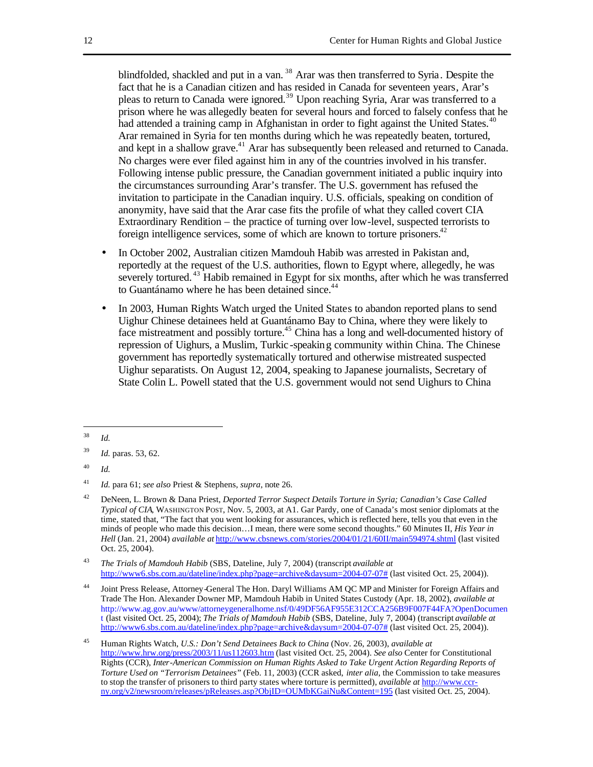blindfolded, shackled and put in a van.<sup>38</sup> Arar was then transferred to Syria. Despite the fact that he is a Canadian citizen and has resided in Canada for seventeen years, Arar's pleas to return to Canada were ignored.<sup>39</sup> Upon reaching Syria, Arar was transferred to a prison where he was allegedly beaten for several hours and forced to falsely confess that he had attended a training camp in Afghanistan in order to fight against the United States.<sup>40</sup> Arar remained in Syria for ten months during which he was repeatedly beaten, tortured, and kept in a shallow grave.<sup>41</sup> Arar has subsequently been released and returned to Canada. No charges were ever filed against him in any of the countries involved in his transfer. Following intense public pressure, the Canadian government initiated a public inquiry into the circumstances surrounding Arar's transfer. The U.S. government has refused the invitation to participate in the Canadian inquiry. U.S. officials, speaking on condition of anonymity, have said that the Arar case fits the profile of what they called covert CIA Extraordinary Rendition – the practice of turning over low-level, suspected terrorists to foreign intelligence services, some of which are known to torture prisoners.<sup>42</sup>

- In October 2002, Australian citizen Mamdouh Habib was arrested in Pakistan and, reportedly at the request of the U.S. authorities, flown to Egypt where, allegedly, he was severely tortured.<sup>43</sup> Habib remained in Egypt for six months, after which he was transferred to Guantánamo where he has been detained since.<sup>44</sup>
- In 2003, Human Rights Watch urged the United States to abandon reported plans to send Uighur Chinese detainees held at Guantánamo Bay to China, where they were likely to face mistreatment and possibly torture.<sup>45</sup> China has a long and well-documented history of repression of Uighurs, a Muslim, Turkic -speaking community within China. The Chinese government has reportedly systematically tortured and otherwise mistreated suspected Uighur separatists. On August 12, 2004, speaking to Japanese journalists, Secretary of State Colin L. Powell stated that the U.S. government would not send Uighurs to China

<sup>38</sup> *Id.*

<sup>39</sup> *Id.* paras. 53, 62.

<sup>40</sup> *Id.*

<sup>41</sup> *Id.* para 61; *see also* Priest & Stephens, *supra*, note 26.

<sup>42</sup> DeNeen, L. Brown & Dana Priest, *Deported Terror Suspect Details Torture in Syria; Canadian's Case Called Typical of CIA*, WASHINGTON POST, Nov. 5, 2003, at A1. Gar Pardy, one of Canada's most senior diplomats at the time, stated that, "The fact that you went looking for assurances, which is reflected here, tells you that even in the minds of people who made this decision…I mean, there were some second thoughts." 60 Minutes II, *His Year in Hell* (Jan. 21, 2004) *available at* http://www.cbsnews.com/stories/2004/01/21/60II/main594974.shtml (last visited Oct. 25, 2004).

<sup>43</sup> *The Trials of Mamdouh Habib* (SBS, Dateline, July 7, 2004) (transcript *available at* http://www6.sbs.com.au/dateline/index.php?page=archive&daysum=2004-07-07# (last visited Oct. 25, 2004)).

<sup>44</sup> Joint Press Release, Attorney-General The Hon. Daryl Williams AM QC MP and Minister for Foreign Affairs and Trade The Hon. Alexander Downer MP, Mamdouh Habib in United States Custody (Apr. 18, 2002), *available at* http://www.ag.gov.au/www/attorneygeneralhome.nsf/0/49DF56AF955E312CCA256B9F007F44FA?OpenDocumen t (last visited Oct. 25, 2004); *The Trials of Mamdouh Habib* (SBS, Dateline, July 7, 2004) (transcript *available at* http://www6.sbs.com.au/dateline/index.php?page=archive&daysum=2004-07-07# (last visited Oct. 25, 2004)).

<sup>45</sup> Human Rights Watch, *U.S.: Don't Send Detainees Back to China* (Nov. 26, 2003), *available at* http://www.hrw.org/press/2003/11/us112603.htm (last visited Oct. 25, 2004). *See also* Center for Constitutional Rights (CCR), *Inter-American Commission on Human Rights Asked to Take Urgent Action Regarding Reports of Torture Used on "Terrorism Detainees*" (Feb. 11, 2003) (CCR asked, *inter alia*, the Commission to take measures to stop the transfer of prisoners to third party states where torture is permitted), *available at* http://www.ccrny.org/v2/newsroom/releases/pReleases.asp?ObjID=OUMbKGaiNu&Content=195 (last visited Oct. 25, 2004).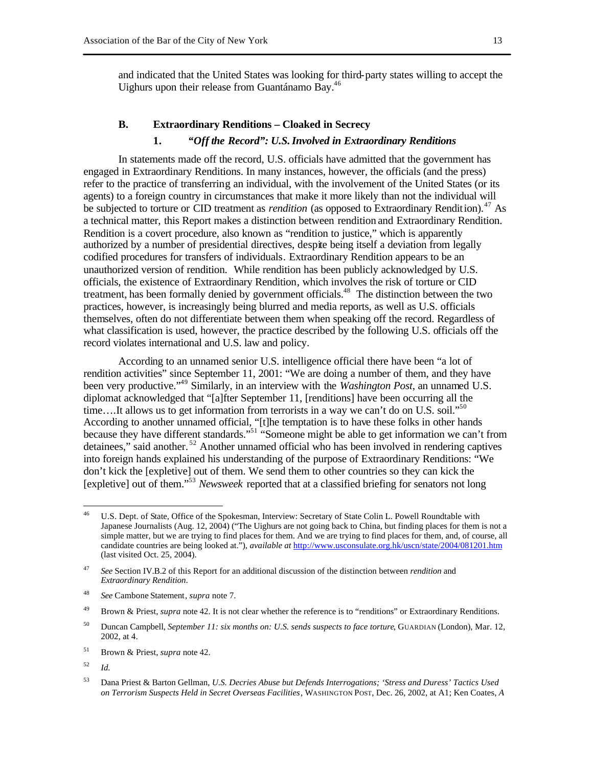and indicated that the United States was looking for third-party states willing to accept the Uighurs upon their release from Guantánamo Bay.<sup>46</sup>

#### **B. Extraordinary Renditions – Cloaked in Secrecy**

#### **1.** *"Off the Record": U.S. Involved in Extraordinary Renditions*

In statements made off the record, U.S. officials have admitted that the government has engaged in Extraordinary Renditions. In many instances, however, the officials (and the press) refer to the practice of transferring an individual, with the involvement of the United States (or its agents) to a foreign country in circumstances that make it more likely than not the individual will be subjected to torture or CID treatment as *rendition* (as opposed to Extraordinary Rendition).<sup>47</sup> As a technical matter, this Report makes a distinction between rendition and Extraordinary Rendition. Rendition is a covert procedure, also known as "rendition to justice," which is apparently authorized by a number of presidential directives, despite being itself a deviation from legally codified procedures for transfers of individuals. Extraordinary Rendition appears to be an unauthorized version of rendition. While rendition has been publicly acknowledged by U.S. officials, the existence of Extraordinary Rendition, which involves the risk of torture or CID treatment, has been formally denied by government officials.<sup>48</sup> The distinction between the two practices, however, is increasingly being blurred and media reports, as well as U.S. officials themselves, often do not differentiate between them when speaking off the record. Regardless of what classification is used, however, the practice described by the following U.S. officials off the record violates international and U.S. law and policy.

According to an unnamed senior U.S. intelligence official there have been "a lot of rendition activities" since September 11, 2001: "We are doing a number of them, and they have been very productive."<sup>49</sup> Similarly, in an interview with the *Washington Post*, an unnamed U.S. diplomat acknowledged that "[a]fter September 11, [renditions] have been occurring all the time....It allows us to get information from terrorists in a way we can't do on U.S. soil."<sup>50</sup> According to another unnamed official, "[t]he temptation is to have these folks in other hands because they have different standards."<sup>51</sup> "Someone might be able to get information we can't from detainees," said another.<sup>52</sup> Another unnamed official who has been involved in rendering captives into foreign hands explained his understanding of the purpose of Extraordinary Renditions: "We don't kick the [expletive] out of them. We send them to other countries so they can kick the [expletive] out of them."<sup>53</sup> *Newsweek* reported that at a classified briefing for senators not long

<sup>46</sup> U.S. Dept. of State, Office of the Spokesman, Interview: Secretary of State Colin L. Powell Roundtable with Japanese Journalists (Aug. 12, 2004) ("The Uighurs are not going back to China, but finding places for them is not a simple matter, but we are trying to find places for them. And we are trying to find places for them, and, of course, all candidate countries are being looked at."), *available at* http://www.usconsulate.org.hk/uscn/state/2004/081201.htm (last visited Oct. 25, 2004).

<sup>47</sup> *See* Section IV.B.2 of this Report for an additional discussion of the distinction between *rendition* and *Extraordinary Rendition*.

<sup>48</sup> *See* Cambone Statement, *supra* note 7.

<sup>49</sup> Brown & Priest, *supra* note 42. It is not clear whether the reference is to "renditions" or Extraordinary Renditions.

<sup>50</sup> Duncan Campbell, *September 11: six months on: U.S. sends suspects to face torture*, GUARDIAN (London), Mar. 12, 2002, at 4.

<sup>51</sup> Brown & Priest, *supra* note 42.

<sup>52</sup> *Id.*

<sup>53</sup> Dana Priest & Barton Gellman, *U.S. Decries Abuse but Defends Interrogations; 'Stress and Duress' Tactics Used on Terrorism Suspects Held in Secret Overseas Facilities*, WASHINGTON POST, Dec. 26, 2002, at A1; Ken Coates, *A*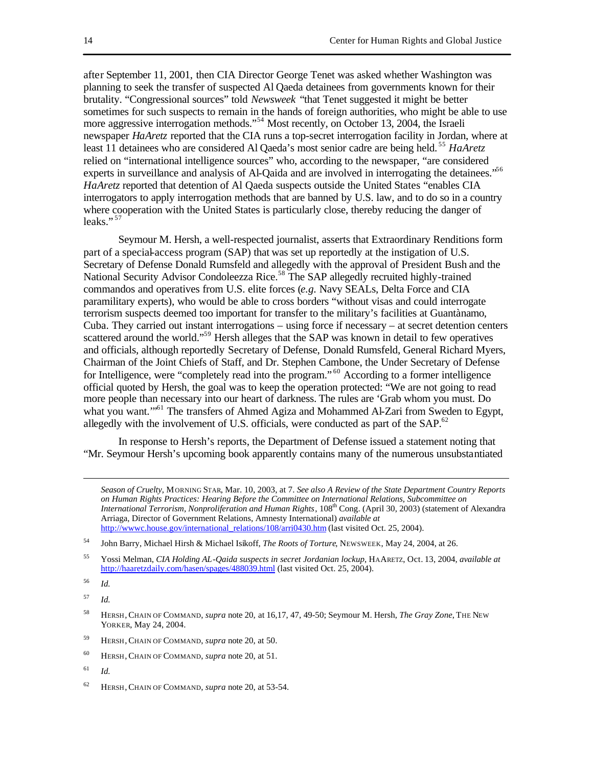after September 11, 2001, then CIA Director George Tenet was asked whether Washington was planning to seek the transfer of suspected Al Qaeda detainees from governments known for their brutality. "Congressional sources" told *Newsweek* "that Tenet suggested it might be better sometimes for such suspects to remain in the hands of foreign authorities, who might be able to use more aggressive interrogation methods."<sup>54</sup> Most recently, on October 13, 2004, the Israeli newspaper *HaAretz* reported that the CIA runs a top-secret interrogation facility in Jordan, where at least 11 detainees who are considered Al Qaeda's most senior cadre are being held. <sup>55</sup> *HaAretz* relied on "international intelligence sources" who, according to the newspaper, "are considered experts in surveillance and analysis of Al-Qaida and are involved in interrogating the detainees."<sup>56</sup> *HaAretz* reported that detention of Al Qaeda suspects outside the United States "enables CIA interrogators to apply interrogation methods that are banned by U.S. law, and to do so in a country where cooperation with the United States is particularly close, thereby reducing the danger of leaks." $57$ 

Seymour M. Hersh, a well-respected journalist, asserts that Extraordinary Renditions form part of a special-access program (SAP) that was set up reportedly at the instigation of U.S. Secretary of Defense Donald Rumsfeld and allegedly with the approval of President Bush and the National Security Advisor Condoleezza Rice.<sup>58</sup> The SAP allegedly recruited highly-trained commandos and operatives from U.S. elite forces (*e.g.* Navy SEALs, Delta Force and CIA paramilitary experts), who would be able to cross borders "without visas and could interrogate terrorism suspects deemed too important for transfer to the military's facilities at Guantànamo, Cuba. They carried out instant interrogations – using force if necessary – at secret detention centers scattered around the world."<sup>59</sup> Hersh alleges that the SAP was known in detail to few operatives and officials, although reportedly Secretary of Defense, Donald Rumsfeld, General Richard Myers, Chairman of the Joint Chiefs of Staff, and Dr. Stephen Cambone, the Under Secretary of Defense for Intelligence, were "completely read into the program."<sup>60</sup> According to a former intelligence official quoted by Hersh, the goal was to keep the operation protected: "We are not going to read more people than necessary into our heart of darkness. The rules are 'Grab whom you must. Do what you want."<sup>51</sup> The transfers of Ahmed Agiza and Mohammed Al-Zari from Sweden to Egypt, allegedly with the involvement of U.S. officials, were conducted as part of the SAP.<sup>62</sup>

In response to Hersh's reports, the Department of Defense issued a statement noting that "Mr. Seymour Hersh's upcoming book apparently contains many of the numerous unsubstantiated

*Season of Cruelty*, MORNING STAR, Mar. 10, 2003, at 7. *See also A Review of the State Department Country Reports on Human Rights Practices: Hearing Before the Committee on International Relations, Subcommittee on International Terrorism, Nonproliferation and Human Rights*, 108<sup>th</sup> Cong. (April 30, 2003) (statement of Alexandra Arriaga, Director of Government Relations, Amnesty International) *available at* http://wwwc.house.gov/international\_relations/108/arri0430.htm (last visited Oct. 25, 2004).

- <sup>60</sup> HERSH,CHAIN OF COMMAND, *supra* note 20, at 51.
- <sup>61</sup> *Id.*

<sup>54</sup> John Barry, Michael Hirsh & Michael Isikoff, *The Roots of Torture*, NEWSWEEK, May 24, 2004, at 26.

<sup>55</sup> Yossi Melman, *CIA Holding AL-Qaida suspects in secret Jordanian lockup*, HAARETZ, Oct. 13, 2004, *available at* http://haaretzdaily.com/hasen/spages/488039.html (last visited Oct. 25, 2004).

<sup>56</sup> *Id.*

<sup>57</sup> *Id.*

<sup>58</sup> HERSH,CHAIN OF COMMAND, *supra* note 20, at 16,17, 47, 49-50; Seymour M. Hersh, *The Gray Zone*, THE NEW YORKER, May 24, 2004.

<sup>59</sup> HERSH,CHAIN OF COMMAND, *supra* note 20, at 50.

<sup>62</sup> HERSH,CHAIN OF COMMAND, *supra* note 20, at 53-54.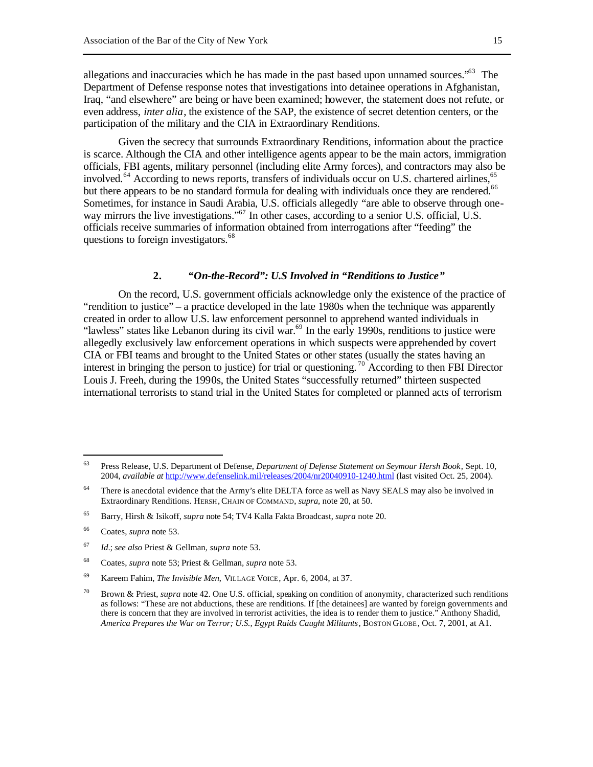allegations and inaccuracies which he has made in the past based upon unnamed sources.<sup> $55$ </sup> The Department of Defense response notes that investigations into detainee operations in Afghanistan, Iraq, "and elsewhere" are being or have been examined; however, the statement does not refute, or even address, *inter alia*, the existence of the SAP, the existence of secret detention centers, or the participation of the military and the CIA in Extraordinary Renditions.

Given the secrecy that surrounds Extraordinary Renditions, information about the practice is scarce. Although the CIA and other intelligence agents appear to be the main actors, immigration officials, FBI agents, military personnel (including elite Army forces), and contractors may also be involved.<sup>64</sup> According to news reports, transfers of individuals occur on U.S. chartered airlines,<sup>65</sup> but there appears to be no standard formula for dealing with individuals once they are rendered.<sup>66</sup> Sometimes, for instance in Saudi Arabia, U.S. officials allegedly "are able to observe through oneway mirrors the live investigations."<sup>67</sup> In other cases, according to a senior U.S. official, U.S. officials receive summaries of information obtained from interrogations after "feeding" the questions to foreign investigators.<sup>68</sup>

# **2.** *"On-the-Record": U.S Involved in "Renditions to Justice"*

On the record, U.S. government officials acknowledge only the existence of the practice of "rendition to justice" – a practice developed in the late 1980s when the technique was apparently created in order to allow U.S. law enforcement personnel to apprehend wanted individuals in "lawless" states like Lebanon during its civil war.<sup>69</sup> In the early 1990s, renditions to justice were allegedly exclusively law enforcement operations in which suspects were apprehended by covert CIA or FBI teams and brought to the United States or other states (usually the states having an interest in bringing the person to justice) for trial or questioning. <sup>70</sup> According to then FBI Director Louis J. Freeh, during the 1990s, the United States "successfully returned" thirteen suspected international terrorists to stand trial in the United States for completed or planned acts of terrorism

<sup>63</sup> Press Release, U.S. Department of Defense, *Department of Defense Statement on Seymour Hersh Book*, Sept. 10, 2004, *available at* http://www.defenselink.mil/releases/2004/nr20040910-1240.html (last visited Oct. 25, 2004).

 $64$  There is anecdotal evidence that the Army's elite DELTA force as well as Navy SEALS may also be involved in Extraordinary Renditions. HERSH,CHAIN OF COMMAND, *supra,* note 20, at 50.

<sup>65</sup> Barry, Hirsh & Isikoff, *supra* note 54; TV4 Kalla Fakta Broadcast, *supra* note 20.

<sup>66</sup> Coates, *supra* note 53.

<sup>67</sup> *Id*.; *see also* Priest & Gellman*, supra* note 53.

<sup>68</sup> Coates, *supra* note 53; Priest & Gellman*, supra* note 53.

<sup>69</sup> Kareem Fahim, *The Invisible Men*, VILLAGE VOICE, Apr. 6, 2004, at 37.

<sup>70</sup> Brown & Priest, *supra* note 42. One U.S. official, speaking on condition of anonymity, characterized such renditions as follows: "These are not abductions, these are renditions. If [the detainees] are wanted by foreign governments and there is concern that they are involved in terrorist activities, the idea is to render them to justice." Anthony Shadid, *America Prepares the War on Terror; U.S., Egypt Raids Caught Militants*, BOSTON GLOBE, Oct. 7, 2001, at A1.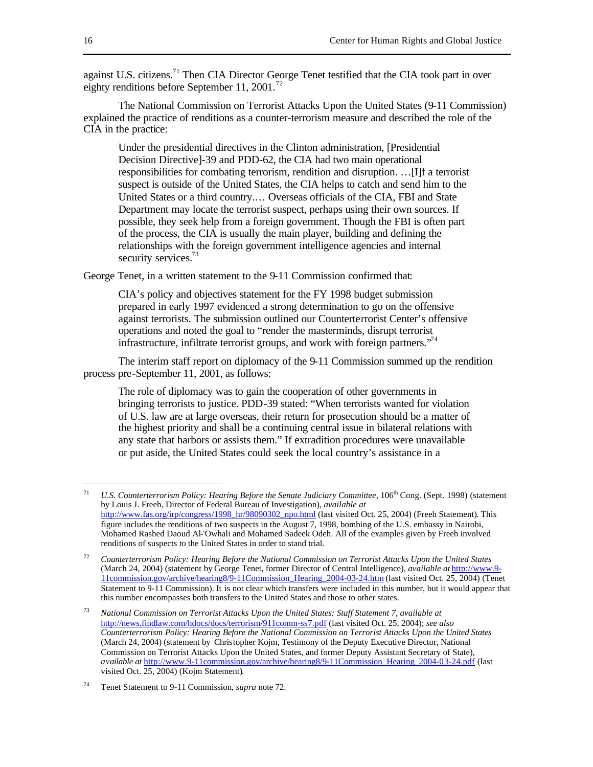against U.S. citizens.<sup>71</sup> Then CIA Director George Tenet testified that the CIA took part in over eighty renditions before September 11, 2001.<sup>72</sup>

The National Commission on Terrorist Attacks Upon the United States (9-11 Commission) explained the practice of renditions as a counter-terrorism measure and described the role of the CIA in the practice:

Under the presidential directives in the Clinton administration, [Presidential Decision Directive]-39 and PDD-62, the CIA had two main operational responsibilities for combating terrorism, rendition and disruption. …[I]f a terrorist suspect is outside of the United States, the CIA helps to catch and send him to the United States or a third country.… Overseas officials of the CIA, FBI and State Department may locate the terrorist suspect, perhaps using their own sources. If possible, they seek help from a foreign government. Though the FBI is often part of the process, the CIA is usually the main player, building and defining the relationships with the foreign government intelligence agencies and internal security services.<sup>73</sup>

George Tenet, in a written statement to the 9-11 Commission confirmed that:

CIA's policy and objectives statement for the FY 1998 budget submission prepared in early 1997 evidenced a strong determination to go on the offensive against terrorists. The submission outlined our Counterterrorist Center's offensive operations and noted the goal to "render the masterminds, disrupt terrorist infrastructure, infiltrate terrorist groups, and work with foreign partners."<sup>74</sup>

The interim staff report on diplomacy of the 9-11 Commission summed up the rendition process pre-September 11, 2001, as follows:

The role of diplomacy was to gain the cooperation of other governments in bringing terrorists to justice. PDD-39 stated: "When terrorists wanted for violation of U.S. law are at large overseas, their return for prosecution should be a matter of the highest priority and shall be a continuing central issue in bilateral relations with any state that harbors or assists them." If extradition procedures were unavailable or put aside, the United States could seek the local country's assistance in a

<sup>71</sup> *U.S. Counterterrorism Policy: Hearing Before the Senate Judiciary Committee*, 106th Cong. (Sept. 1998) (statement by Louis J. Freeh, Director of Federal Bureau of Investigation), *available at* http://www.fas.org/irp/congress/1998\_hr/98090302\_npo.html (last visited Oct. 25, 2004) (Freeh Statement). This figure includes the renditions of two suspects in the August 7, 1998, bombing of the U.S. embassy in Nairobi, Mohamed Rashed Daoud Al-'Owhali and Mohamed Sadeek Odeh. All of the examples given by Freeh involved renditions of suspects *to* the United States in order to stand trial.

<sup>72</sup> *Counterterrorism Policy: Hearing Before the National Commission on Terrorist Attacks Upon the United States* (March 24, 2004) (statement by George Tenet, former Director of Central Intelligence), *available at* http://www.9- 11commission.gov/archive/hearing8/9-11Commission\_Hearing\_2004-03-24.htm (last visited Oct. 25, 2004) (Tenet Statement to 9-11 Commission). It is not clear which transfers were included in this number, but it would appear that this number encompasses both transfers to the United States and those to other states.

<sup>73</sup> *National Commission on Terrorist Attacks Upon the United States: Staff Statement 7*, *available at*  http://news.findlaw.com/hdocs/docs/terrorism/911comm-ss7.pdf (last visited Oct. 25, 2004); *see also Counterterrorism Policy: Hearing Before the National Commission on Terrorist Attacks Upon the United States* (March 24, 2004) (statement by Christopher Kojm, Testimony of the Deputy Executive Director, National Commission on Terrorist Attacks Upon the United States, and former Deputy Assistant Secretary of State), *available at* http://www.9-11commission.gov/archive/hearing8/9-11Commission\_Hearing\_2004-03-24.pdf (last visited Oct. 25, 2004) (Kojm Statement).

Tenet Statement to 9-11 Commission, *supra* note 72.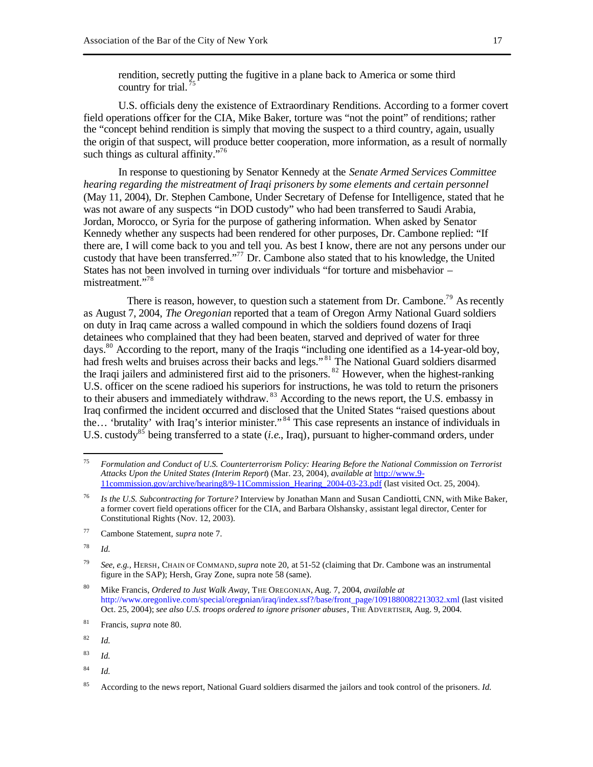rendition, secretly putting the fugitive in a plane back to America or some third country for trial. $\frac{5}{3}$ 

U.S. officials deny the existence of Extraordinary Renditions. According to a former covert field operations officer for the CIA, Mike Baker, torture was "not the point" of renditions; rather the "concept behind rendition is simply that moving the suspect to a third country, again, usually the origin of that suspect, will produce better cooperation, more information, as a result of normally such things as cultural affinity."<sup>76</sup>

In response to questioning by Senator Kennedy at the *Senate Armed Services Committee hearing regarding the mistreatment of Iraqi prisoners by some elements and certain personnel* (May 11, 2004), Dr. Stephen Cambone, Under Secretary of Defense for Intelligence, stated that he was not aware of any suspects "in DOD custody" who had been transferred to Saudi Arabia, Jordan, Morocco, or Syria for the purpose of gathering information. When asked by Senator Kennedy whether any suspects had been rendered for other purposes, Dr. Cambone replied: "If there are, I will come back to you and tell you. As best I know, there are not any persons under our custody that have been transferred."<sup>77</sup> Dr. Cambone also stated that to his knowledge, the United States has not been involved in turning over individuals "for torture and misbehavior – mistreatment."<sup>78</sup>

There is reason, however, to question such a statement from Dr. Cambone.<sup>79</sup> As recently as August 7, 2004, *The Oregonian* reported that a team of Oregon Army National Guard soldiers on duty in Iraq came across a walled compound in which the soldiers found dozens of Iraqi detainees who complained that they had been beaten, starved and deprived of water for three days.<sup>80</sup> According to the report, many of the Iraqis "including one identified as a 14-year-old boy, had fresh welts and bruises across their backs and legs."<sup>81</sup> The National Guard soldiers disarmed the Iraqi jailers and administered first aid to the prisoners.  $82$  However, when the highest-ranking U.S. officer on the scene radioed his superiors for instructions, he was told to return the prisoners to their abusers and immediately withdraw. <sup>83</sup> According to the news report, the U.S. embassy in Iraq confirmed the incident occurred and disclosed that the United States "raised questions about the… 'brutality' with Iraq's interior minister." <sup>84</sup> This case represents an instance of individuals in U.S. custody<sup>85</sup> being transferred to a state (*i.e.*, Iraq), pursuant to higher-command orders, under

<sup>80</sup> Mike Francis, *Ordered to Just Walk Away*, THE OREGONIAN, Aug. 7, 2004, *available at* http://www.oregonlive.com/special/oregonian/iraq/index.ssf?/base/front\_page/1091880082213032.xml (last visited Oct. 25, 2004); *see also U.S. troops ordered to ignore prisoner abuses*, THE ADVERTISER, Aug. 9, 2004.

- <sup>83</sup> *Id.*
- <sup>84</sup> *Id.*

<sup>75</sup> <sup>75</sup> *Formulation and Conduct of U.S. Counterterrorism Policy: Hearing Before the National Commission on Terrorist Attacks Upon the United States (Interim Report*) (Mar. 23, 2004), *available at* http://www.9- 11commission.gov/archive/hearing8/9-11Commission\_Hearing\_2004-03-23.pdf (last visited Oct. 25, 2004).

<sup>76</sup> *Is the U.S. Subcontracting for Torture?* Interview by Jonathan Mann and Susan Candiotti, CNN, with Mike Baker, a former covert field operations officer for the CIA, and Barbara Olshansky, assistant legal director, Center for Constitutional Rights (Nov. 12, 2003).

<sup>77</sup> Cambone Statement, *supra* note 7.

<sup>78</sup> *Id.*

<sup>79</sup> *See*, *e.g.*, HERSH, CHAIN OF COMMAND,*supra* note 20, at 51-52 (claiming that Dr. Cambone was an instrumental figure in the SAP); Hersh, Gray Zone, supra note 58 (same).

<sup>81</sup> Francis, *supra* note 80.

<sup>82</sup> *Id.*

<sup>85</sup> According to the news report, National Guard soldiers disarmed the jailors and took control of the prisoners. *Id.*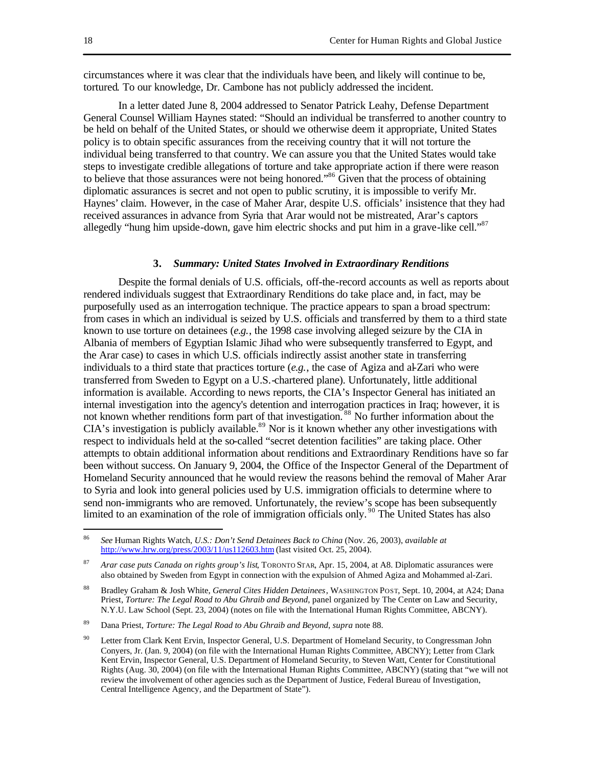circumstances where it was clear that the individuals have been, and likely will continue to be, tortured. To our knowledge, Dr. Cambone has not publicly addressed the incident.

In a letter dated June 8, 2004 addressed to Senator Patrick Leahy, Defense Department General Counsel William Haynes stated: "Should an individual be transferred to another country to be held on behalf of the United States, or should we otherwise deem it appropriate, United States policy is to obtain specific assurances from the receiving country that it will not torture the individual being transferred to that country. We can assure you that the United States would take steps to investigate credible allegations of torture and take appropriate action if there were reason to believe that those assurances were not being honored.<sup>886</sup> Given that the process of obtaining diplomatic assurances is secret and not open to public scrutiny, it is impossible to verify Mr. Haynes' claim. However, in the case of Maher Arar, despite U.S. officials' insistence that they had received assurances in advance from Syria that Arar would not be mistreated, Arar's captors allegedly "hung him upside-down, gave him electric shocks and put him in a grave-like cell."<sup>87</sup>

#### **3.** *Summary: United States Involved in Extraordinary Renditions*

Despite the formal denials of U.S. officials, off-the-record accounts as well as reports about rendered individuals suggest that Extraordinary Renditions do take place and, in fact, may be purposefully used as an interrogation technique. The practice appears to span a broad spectrum: from cases in which an individual is seized by U.S. officials and transferred by them to a third state known to use torture on detainees (*e.g.*, the 1998 case involving alleged seizure by the CIA in Albania of members of Egyptian Islamic Jihad who were subsequently transferred to Egypt, and the Arar case) to cases in which U.S. officials indirectly assist another state in transferring individuals to a third state that practices torture  $(e.g.,$  the case of Agiza and al-Zari who were transferred from Sweden to Egypt on a U.S.-chartered plane). Unfortunately, little additional information is available. According to news reports, the CIA's Inspector General has initiated an internal investigation into the agency's detention and interrogation practices in Iraq; however, it is not known whether renditions form part of that investigation.<sup>88</sup> No further information about the CIA's investigation is publicly available.<sup>89</sup> Nor is it known whether any other investigations with respect to individuals held at the so-called "secret detention facilities" are taking place. Other attempts to obtain additional information about renditions and Extraordinary Renditions have so far been without success. On January 9, 2004, the Office of the Inspector General of the Department of Homeland Security announced that he would review the reasons behind the removal of Maher Arar to Syria and look into general policies used by U.S. immigration officials to determine where to send non-immigrants who are removed. Unfortunately, the review's scope has been subsequently limited to an examination of the role of immigration officials only.<sup>90</sup> The United States has also

<sup>86</sup> *See* Human Rights Watch, *U.S.: Don't Send Detainees Back to China* (Nov. 26, 2003), *available at* http://www.hrw.org/press/2003/11/us112603.htm (last visited Oct. 25, 2004).

<sup>87</sup> *Arar case puts Canada on rights group's list*, TORONTO STAR, Apr. 15, 2004, at A8. Diplomatic assurances were also obtained by Sweden from Egypt in connection with the expulsion of Ahmed Agiza and Mohammed al-Zari.

<sup>88</sup> Bradley Graham & Josh White, *General Cites Hidden Detainees*, WASHINGTON POST, Sept. 10, 2004, at A24; Dana Priest, *Torture: The Legal Road to Abu Ghraib and Beyond*, panel organized by The Center on Law and Security, N.Y.U. Law School (Sept. 23, 2004) (notes on file with the International Human Rights Committee, ABCNY).

<sup>89</sup> Dana Priest, *Torture: The Legal Road to Abu Ghraib and Beyond*, *supra* note 88.

<sup>&</sup>lt;sup>90</sup> Letter from Clark Kent Ervin, Inspector General, U.S. Department of Homeland Security, to Congressman John Conyers, Jr. (Jan. 9, 2004) (on file with the International Human Rights Committee, ABCNY); Letter from Clark Kent Ervin, Inspector General, U.S. Department of Homeland Security, to Steven Watt, Center for Constitutional Rights (Aug. 30, 2004) (on file with the International Human Rights Committee, ABCNY) (stating that "we will not review the involvement of other agencies such as the Department of Justice, Federal Bureau of Investigation, Central Intelligence Agency, and the Department of State").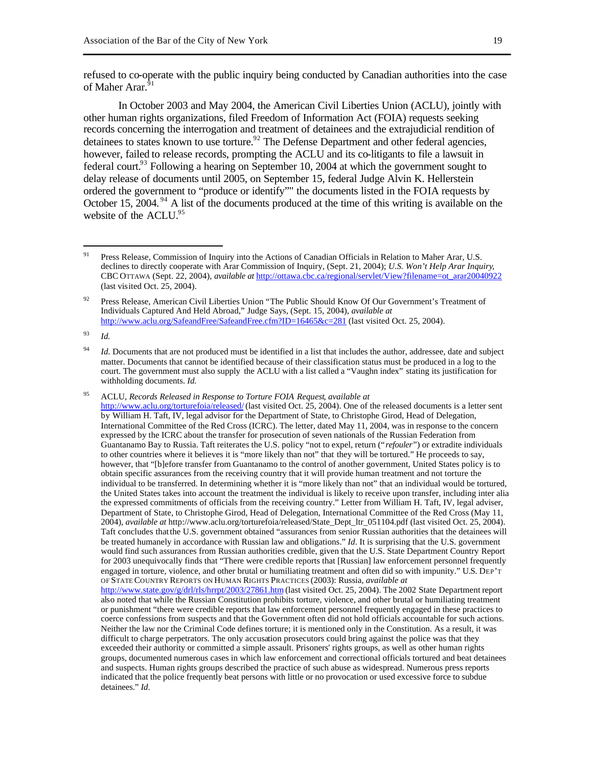refused to co-operate with the public inquiry being conducted by Canadian authorities into the case of Maher Arar.<sup>91</sup>

In October 2003 and May 2004, the American Civil Liberties Union (ACLU), jointly with other human rights organizations, filed Freedom of Information Act (FOIA) requests seeking records concerning the interrogation and treatment of detainees and the extrajudicial rendition of detainees to states known to use torture.<sup>92</sup> The Defense Department and other federal agencies, however, failed to release records, prompting the ACLU and its co-litigants to file a lawsuit in federal court.<sup>93</sup> Following a hearing on September 10, 2004 at which the government sought to delay release of documents until 2005, on September 15, federal Judge Alvin K. Hellerstein ordered the government to "produce or identify"" the documents listed in the FOIA requests by October 15, 2004.<sup>94</sup> A list of the documents produced at the time of this writing is available on the website of the ACLU.<sup>95</sup>

 $\overline{a}$ 

also noted that while the Russian Constitution prohibits torture, violence, and other brutal or humiliating treatment or punishment "there were credible reports that law enforcement personnel frequently engaged in these practices to coerce confessions from suspects and that the Government often did not hold officials accountable for such actions. Neither the law nor the Criminal Code defines torture; it is mentioned only in the Constitution. As a result, it was difficult to charge perpetrators. The only accusation prosecutors could bring against the police was that they exceeded their authority or committed a simple assault. Prisoners' rights groups, as well as other human rights groups, documented numerous cases in which law enforcement and correctional officials tortured and beat detainees and suspects. Human rights groups described the practice of such abuse as widespread. Numerous press reports indicated that the police frequently beat persons with little or no provocation or used excessive force to subdue detainees." *Id.*

<sup>&</sup>lt;sup>91</sup> Press Release, Commission of Inquiry into the Actions of Canadian Officials in Relation to Maher Arar, U.S. declines to directly cooperate with Arar Commission of Inquiry, (Sept. 21, 2004); *U.S. Won't Help Arar Inquiry*, CBC OTTAWA (Sept. 22, 2004), *available at* http://ottawa.cbc.ca/regional/servlet/View?filename=ot\_arar20040922 (last visited Oct. 25, 2004).

Press Release, American Civil Liberties Union "The Public Should Know Of Our Government's Treatment of Individuals Captured And Held Abroad," Judge Says, (Sept. 15, 2004), *available at* http://www.aclu.org/SafeandFree/SafeandFree.cfm?ID=16465&c=281 (last visited Oct. 25, 2004).

<sup>93</sup> *Id.*

<sup>&</sup>lt;sup>94</sup> *Id.* Documents that are not produced must be identified in a list that includes the author, addressee, date and subject matter. Documents that cannot be identified because of their classification status must be produced in a log to the court. The government must also supply the ACLU with a list called a "Vaughn index" stating its justification for withholding documents. *Id.*

<sup>95</sup> ACLU, *Records Released in Response to Torture FOIA Request*, *available at*  http://www.aclu.org/torturefoia/released/ (last visited Oct. 25, 2004). One of the released documents is a letter sent by William H. Taft, IV, legal advisor for the Department of State, to Christophe Girod, Head of Delegation, International Committee of the Red Cross (ICRC). The letter, dated May 11, 2004, was in response to the concern expressed by the ICRC about the transfer for prosecution of seven nationals of the Russian Federation from Guantanamo Bay to Russia. Taft reiterates the U.S. policy "not to expel, return ("*refouler*") or extradite individuals to other countries where it believes it is "more likely than not" that they will be tortured." He proceeds to say, however, that "[b]efore transfer from Guantanamo to the control of another government, United States policy is to obtain specific assurances from the receiving country that it will provide human treatment and not torture the individual to be transferred. In determining whether it is "more likely than not" that an individual would be tortured, the United States takes into account the treatment the individual is likely to receive upon transfer, including inter alia the expressed commitments of officials from the receiving country." Letter from William H. Taft, IV, legal adviser, Department of State, to Christophe Girod, Head of Delegation, International Committee of the Red Cross (May 11, 2004), *available at* http://www.aclu.org/torturefoia/released/State\_Dept\_ltr\_051104.pdf (last visited Oct. 25, 2004). Taft concludes that the U.S. government obtained "assurances from senior Russian authorities that the detainees will be treated humanely in accordance with Russian law and obligations." *Id*. It is surprising that the U.S. government would find such assurances from Russian authorities credible, given that the U.S. State Department Country Report for 2003 unequivocally finds that "There were credible reports that [Russian] law enforcement personnel frequently engaged in torture, violence, and other brutal or humiliating treatment and often did so with impunity." U.S. DEP'T OF STATE COUNTRY REPORTS ON HUMAN RIGHTS PRACTICES (2003): Russia, *available at*  http://www.state.gov/g/drl/rls/hrrpt/2003/27861.htm (last visited Oct. 25, 2004). The 2002 State Department report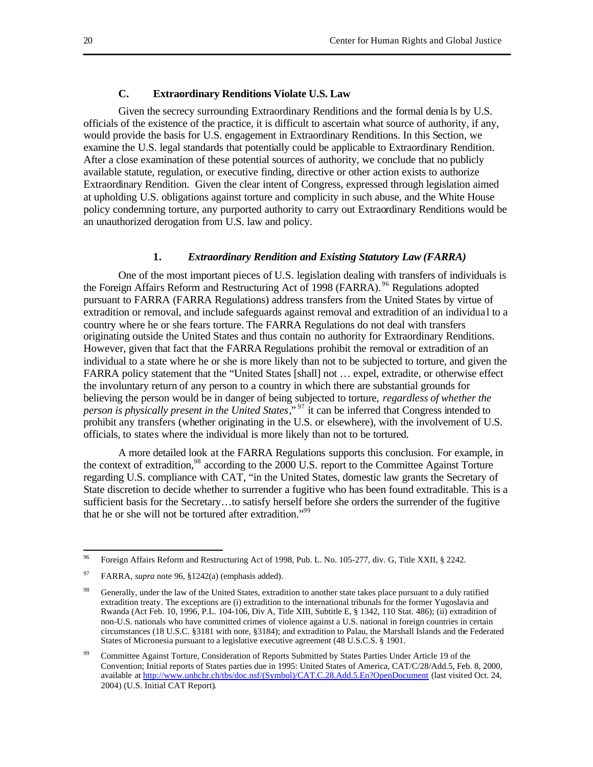# **C. Extraordinary Renditions Violate U.S. Law**

Given the secrecy surrounding Extraordinary Renditions and the formal denia ls by U.S. officials of the existence of the practice, it is difficult to ascertain what source of authority, if any, would provide the basis for U.S. engagement in Extraordinary Renditions. In this Section, we examine the U.S. legal standards that potentially could be applicable to Extraordinary Rendition. After a close examination of these potential sources of authority, we conclude that no publicly available statute, regulation, or executive finding, directive or other action exists to authorize Extraordinary Rendition. Given the clear intent of Congress, expressed through legislation aimed at upholding U.S. obligations against torture and complicity in such abuse, and the White House policy condemning torture, any purported authority to carry out Extraordinary Renditions would be an unauthorized derogation from U.S. law and policy.

#### **1.** *Extraordinary Rendition and Existing Statutory Law (FARRA)*

One of the most important pieces of U.S. legislation dealing with transfers of individuals is the Foreign Affairs Reform and Restructuring Act of 1998 (FARRA).<sup>96</sup> Regulations adopted pursuant to FARRA (FARRA Regulations) address transfers from the United States by virtue of extradition or removal, and include safeguards against removal and extradition of an individua l to a country where he or she fears torture. The FARRA Regulations do not deal with transfers originating outside the United States and thus contain no authority for Extraordinary Renditions. However, given that fact that the FARRA Regulations prohibit the removal or extradition of an individual to a state where he or she is more likely than not to be subjected to torture, and given the FARRA policy statement that the "United States [shall] not … expel, extradite, or otherwise effect the involuntary return of any person to a country in which there are substantial grounds for believing the person would be in danger of being subjected to torture, *regardless of whether the person is physically present in the United States*,<sup>"97</sup> it can be inferred that Congress intended to prohibit any transfers (whether originating in the U.S. or elsewhere), with the involvement of U.S. officials, to states where the individual is more likely than not to be tortured.

A more detailed look at the FARRA Regulations supports this conclusion. For example, in the context of extradition,<sup>98</sup> according to the 2000 U.S. report to the Committee Against Torture regarding U.S. compliance with CAT, "in the United States, domestic law grants the Secretary of State discretion to decide whether to surrender a fugitive who has been found extraditable. This is a sufficient basis for the Secretary…to satisfy herself before she orders the surrender of the fugitive that he or she will not be tortured after extradition."<sup>99</sup>

<sup>96</sup> <sup>96</sup> Foreign Affairs Reform and Restructuring Act of 1998, Pub. L. No. 105-277, div. G, Title XXII, § 2242.

<sup>97</sup> FARRA, *supra* note 96, §1242(a) (emphasis added).

Generally, under the law of the United States, extradition to another state takes place pursuant to a duly ratified extradition treaty. The exceptions are (i) extradition to the international tribunals for the former Yugoslavia and Rwanda (Act Feb. 10, 1996, P.L. 104-106, Div A, Title XIII, Subtitle E, § 1342, 110 Stat. 486); (ii) extradition of non-U.S. nationals who have committed crimes of violence against a U.S. national in foreign countries in certain circumstances (18 U.S.C. §3181 with note, §3184); and extradition to Palau, the Marshall Islands and the Federated States of Micronesia pursuant to a legislative executive agreement (48 U.S.C.S. § 1901.

Committee Against Torture, Consideration of Reports Submitted by States Parties Under Article 19 of the Convention; Initial reports of States parties due in 1995: United States of America, CAT/C/28/Add.5, Feb. 8, 2000, available at http://www.unhchr.ch/tbs/doc.nsf/(Symbol)/CAT.C.28.Add.5.En?OpenDocument (last visited Oct. 24, 2004) (U.S. Initial CAT Report).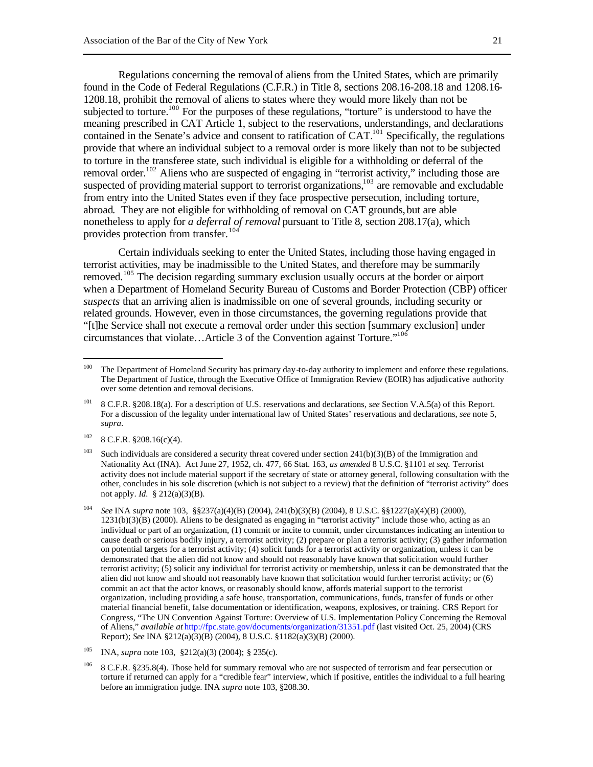Regulations concerning the removal of aliens from the United States, which are primarily found in the Code of Federal Regulations (C.F.R.) in Title 8, sections 208.16-208.18 and 1208.16- 1208.18, prohibit the removal of aliens to states where they would more likely than not be subjected to torture.<sup>100</sup> For the purposes of these regulations, "torture" is understood to have the meaning prescribed in CAT Article 1, subject to the reservations, understandings, and declarations contained in the Senate's advice and consent to ratification of  $CAT<sup>.101</sup>$  Specifically, the regulations provide that where an individual subject to a removal order is more likely than not to be subjected to torture in the transferee state, such individual is eligible for a withholding or deferral of the removal order.<sup>102</sup> Aliens who are suspected of engaging in "terrorist activity," including those are suspected of providing material support to terrorist organizations, $103$  are removable and excludable from entry into the United States even if they face prospective persecution, including torture, abroad. They are not eligible for withholding of removal on CAT grounds, but are able nonetheless to apply for *a deferral of removal* pursuant to Title 8, section 208.17(a), which provides protection from transfer.<sup>104</sup>

Certain individuals seeking to enter the United States, including those having engaged in terrorist activities, may be inadmissible to the United States, and therefore may be summarily removed.<sup>105</sup> The decision regarding summary exclusion usually occurs at the border or airport when a Department of Homeland Security Bureau of Customs and Border Protection (CBP) officer *suspects* that an arriving alien is inadmissible on one of several grounds, including security or related grounds. However, even in those circumstances, the governing regulations provide that "[t]he Service shall not execute a removal order under this section [summary exclusion] under circumstances that violate…Article 3 of the Convention against Torture."<sup>106</sup>

<sup>&</sup>lt;sup>100</sup> The Department of Homeland Security has primary day-to-day authority to implement and enforce these regulations. The Department of Justice, through the Executive Office of Immigration Review (EOIR) has adjudicative authority over some detention and removal decisions.

<sup>101</sup> 8 C.F.R. §208.18(a). For a description of U.S. reservations and declarations, *see* Section V.A.5(a) of this Report. For a discussion of the legality under international law of United States' reservations and declarations, *see* note 5, *supra*.

 $102 \quad 8 \text{ C.F.R. }$ \$208.16(c)(4).

<sup>&</sup>lt;sup>103</sup> Such individuals are considered a security threat covered under section  $241(b)(3)(B)$  of the Immigration and Nationality Act (INA). Act June 27, 1952, ch. 477, 66 Stat. 163, *as amended* 8 U.S.C. §1101 *et seq.* Terrorist activity does not include material support if the secretary of state or attorney general, following consultation with the other, concludes in his sole discretion (which is not subject to a review) that the definition of "terrorist activity" does not apply. *Id.* § 212(a)(3)(B).

<sup>104</sup> *See* INA *supra* note 103, §§237(a)(4)(B) (2004), 241(b)(3)(B) (2004), 8 U.S.C. §§1227(a)(4)(B) (2000), 1231(b)(3)(B) (2000). Aliens to be designated as engaging in "terrorist activity" include those who, acting as an individual or part of an organization, (1) commit or incite to commit, under circumstances indicating an intention to cause death or serious bodily injury, a terrorist activity; (2) prepare or plan a terrorist activity; (3) gather information on potential targets for a terrorist activity; (4) solicit funds for a terrorist activity or organization, unless it can be demonstrated that the alien did not know and should not reasonably have known that solicitation would further terrorist activity; (5) solicit any individual for terrorist activity or membership, unless it can be demonstrated that the alien did not know and should not reasonably have known that solicitation would further terrorist activity; or (6) commit an act that the actor knows, or reasonably should know, affords material support to the terrorist organization, including providing a safe house, transportation, communications, funds, transfer of funds or other material financial benefit, false documentation or identification, weapons, explosives, or training. CRS Report for Congress, "The UN Convention Against Torture: Overview of U.S. Implementation Policy Concerning the Removal of Aliens," *available at* http://fpc.state.gov/documents/organization/31351.pdf (last visited Oct. 25, 2004) (CRS Report); *See* INA §212(a)(3)(B) (2004), 8 U.S.C. §1182(a)(3)(B) (2000).

<sup>105</sup> INA, *supra* note 103, §212(a)(3) (2004); § 235(c).

<sup>&</sup>lt;sup>106</sup> 8 C.F.R. §235.8(4). Those held for summary removal who are not suspected of terrorism and fear persecution or torture if returned can apply for a "credible fear" interview, which if positive, entitles the individual to a full hearing before an immigration judge. INA *supra* note 103, §208.30.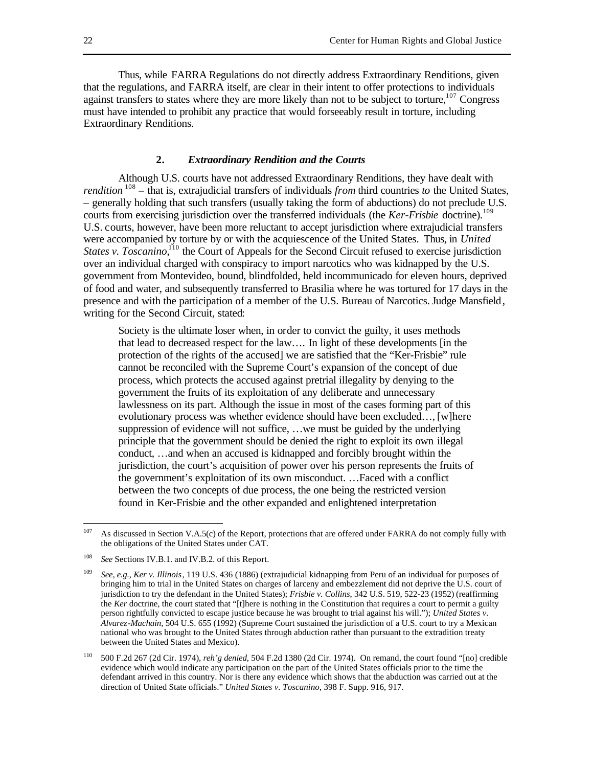Thus, while FARRA Regulations do not directly address Extraordinary Renditions, given that the regulations, and FARRA itself, are clear in their intent to offer protections to individuals against transfers to states where they are more likely than not to be subject to torture,<sup>107</sup> Congress must have intended to prohibit any practice that would forseeably result in torture, including Extraordinary Renditions.

#### **2.** *Extraordinary Rendition and the Courts*

Although U.S. courts have not addressed Extraordinary Renditions, they have dealt with *rendition* <sup>108</sup> – that is, extrajudicial transfers of individuals *from* third countries *to* the United States, – generally holding that such transfers (usually taking the form of abductions) do not preclude U.S. courts from exercising jurisdiction over the transferred individuals (the *Ker-Frisbie* doctrine). 109 U.S. courts, however, have been more reluctant to accept jurisdiction where extrajudicial transfers were accompanied by torture by or with the acquiescence of the United States. Thus, in *United*  States v. Toscanino,<sup>110</sup> the Court of Appeals for the Second Circuit refused to exercise jurisdiction over an individual charged with conspiracy to import narcotics who was kidnapped by the U.S. government from Montevideo, bound, blindfolded, held incommunicado for eleven hours, deprived of food and water, and subsequently transferred to Brasilia where he was tortured for 17 days in the presence and with the participation of a member of the U.S. Bureau of Narcotics.Judge Mansfield, writing for the Second Circuit, stated:

Society is the ultimate loser when, in order to convict the guilty, it uses methods that lead to decreased respect for the law…. In light of these developments [in the protection of the rights of the accused] we are satisfied that the "Ker-Frisbie" rule cannot be reconciled with the Supreme Court's expansion of the concept of due process, which protects the accused against pretrial illegality by denying to the government the fruits of its exploitation of any deliberate and unnecessary lawlessness on its part. Although the issue in most of the cases forming part of this evolutionary process was whether evidence should have been excluded…, [w]here suppression of evidence will not suffice, …we must be guided by the underlying principle that the government should be denied the right to exploit its own illegal conduct, …and when an accused is kidnapped and forcibly brought within the jurisdiction, the court's acquisition of power over his person represents the fruits of the government's exploitation of its own misconduct. …Faced with a conflict between the two concepts of due process, the one being the restricted version found in Ker-Frisbie and the other expanded and enlightened interpretation

<sup>107</sup> As discussed in Section V.A.5(c) of the Report, protections that are offered under FARRA do not comply fully with the obligations of the United States under CAT.

<sup>&</sup>lt;sup>108</sup> *See* Sections IV.B.1. and IV.B.2. of this Report.

<sup>109</sup> *See, e.g.*, *Ker v. Illinois*, 119 U.S. 436 (1886) (extrajudicial kidnapping from Peru of an individual for purposes of bringing him to trial in the United States on charges of larceny and embezzlement did not deprive the U.S. court of jurisdiction to try the defendant in the United States); *Frisbie v. Collins*, 342 U.S. 519, 522-23 (1952) (reaffirming the *Ker* doctrine, the court stated that "[t]here is nothing in the Constitution that requires a court to permit a guilty person rightfully convicted to escape justice because he was brought to trial against his will."); *United States v. Alvarez-Machain*, 504 U.S. 655 (1992) (Supreme Court sustained the jurisdiction of a U.S. court to try a Mexican national who was brought to the United States through abduction rather than pursuant to the extradition treaty between the United States and Mexico).

<sup>110</sup> 500 F.2d 267 (2d Cir. 1974), *reh'g denied*, 504 F.2d 1380 (2d Cir. 1974). On remand, the court found "[no] credible evidence which would indicate any participation on the part of the United States officials prior to the time the defendant arrived in this country. Nor is there any evidence which shows that the abduction was carried out at the direction of United State officials." *United States v. Toscanino*, 398 F. Supp. 916, 917.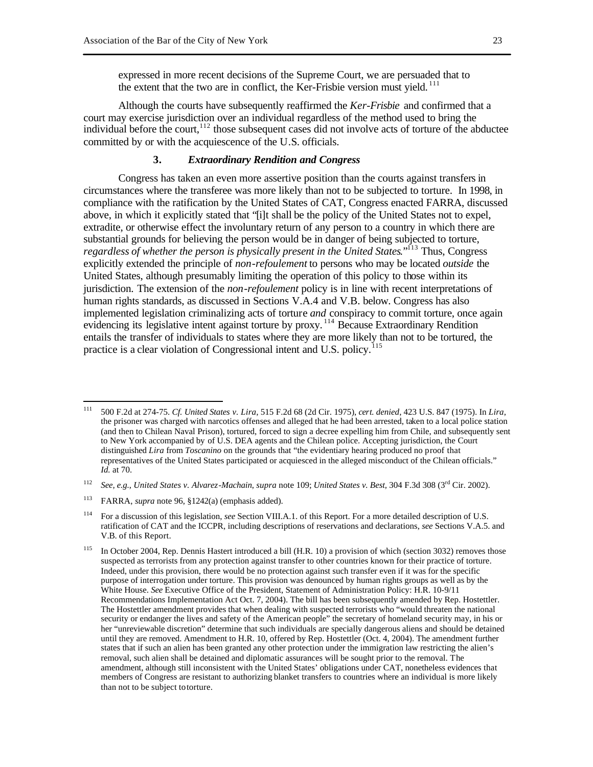expressed in more recent decisions of the Supreme Court, we are persuaded that to the extent that the two are in conflict, the Ker-Frisbie version must vield.  $111$ 

Although the courts have subsequently reaffirmed the *Ker-Frisbie* and confirmed that a court may exercise jurisdiction over an individual regardless of the method used to bring the individual before the court, <sup>112</sup> those subsequent cases did not involve acts of torture of the abductee committed by or with the acquiescence of the U.S. officials.

#### **3.** *Extraordinary Rendition and Congress*

Congress has taken an even more assertive position than the courts against transfers in circumstances where the transferee was more likely than not to be subjected to torture. In 1998, in compliance with the ratification by the United States of CAT, Congress enacted FARRA, discussed above, in which it explicitly stated that "[i]t shall be the policy of the United States not to expel, extradite, or otherwise effect the involuntary return of any person to a country in which there are substantial grounds for believing the person would be in danger of being subjected to torture, *regardless of whether the person is physically present in the United States*."<sup>113</sup> Thus, Congress explicitly extended the principle of *non-refoulement* to persons who may be located *outside* the United States, although presumably limiting the operation of this policy to those within its jurisdiction. The extension of the *non-refoulement* policy is in line with recent interpretations of human rights standards, as discussed in Sections V.A.4 and V.B. below. Congress has also implemented legislation criminalizing acts of torture *and* conspiracy to commit torture, once again evidencing its legislative intent against torture by proxy.<sup>114</sup> Because Extraordinary Rendition entails the transfer of individuals to states where they are more likely than not to be tortured, the practice is a clear violation of Congressional intent and U.S. policy.<sup>115</sup>

<sup>111</sup> <sup>111</sup> 500 F.2d at 274-75. *Cf. United States v. Lira*, 515 F.2d 68 (2d Cir. 1975), *cert. denied*, 423 U.S. 847 (1975). In *Lira*, the prisoner was charged with narcotics offenses and alleged that he had been arrested, taken to a local police station (and then to Chilean Naval Prison), tortured, forced to sign a decree expelling him from Chile, and subsequently sent to New York accompanied by of U.S. DEA agents and the Chilean police. Accepting jurisdiction, the Court distinguished *Lira* from *Toscanino* on the grounds that "the evidentiary hearing produced no proof that representatives of the United States participated or acquiesced in the alleged misconduct of the Chilean officials." *Id.* at 70.

<sup>112</sup> *See, e.g.*, *United States v. Alvarez-Machain*, *supra* note 109; *United States v. Best,* 304 F.3d 308 (3rd Cir. 2002).

<sup>113</sup> FARRA, *supra* note 96, §1242(a) (emphasis added).

<sup>114</sup> For a discussion of this legislation, *see* Section VIII.A.1. of this Report. For a more detailed description of U.S. ratification of CAT and the ICCPR, including descriptions of reservations and declarations, *see* Sections V.A.5. and V.B. of this Report.

<sup>&</sup>lt;sup>115</sup> In October 2004, Rep. Dennis Hastert introduced a bill (H.R. 10) a provision of which (section 3032) removes those suspected as terrorists from any protection against transfer to other countries known for their practice of torture. Indeed, under this provision, there would be no protection against such transfer even if it was for the specific purpose of interrogation under torture. This provision was denounced by human rights groups as well as by the White House. *See* Executive Office of the President, Statement of Administration Policy: H.R. 10-9/11 Recommendations Implementation Act Oct. 7, 2004). The bill has been subsequently amended by Rep. Hostettler. The Hostettler amendment provides that when dealing with suspected terrorists who "would threaten the national security or endanger the lives and safety of the American people" the secretary of homeland security may, in his or her "unreviewable discretion" determine that such individuals are specially dangerous aliens and should be detained until they are removed. Amendment to H.R. 10, offered by Rep. Hostettler (Oct. 4, 2004). The amendment further states that if such an alien has been granted any other protection under the immigration law restricting the alien's removal, such alien shall be detained and diplomatic assurances will be sought prior to the removal. The amendment, although still inconsistent with the United States' obligations under CAT, nonetheless evidences that members of Congress are resistant to authorizing blanket transfers to countries where an individual is more likely than not to be subject to torture.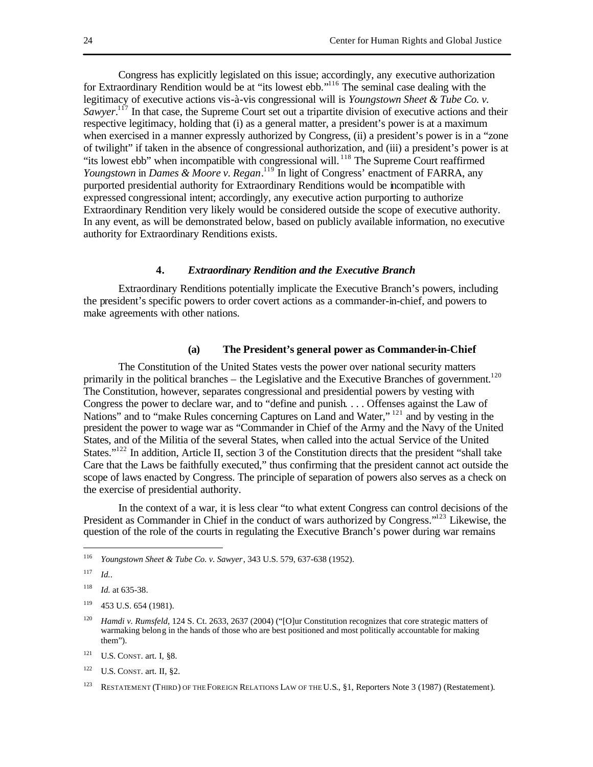Congress has explicitly legislated on this issue; accordingly, any executive authorization for Extraordinary Rendition would be at "its lowest ebb."<sup>116</sup> The seminal case dealing with the legitimacy of executive actions vis-à-vis congressional will is *Youngstown Sheet & Tube Co. v.*  Sawyer.<sup>117</sup> In that case, the Supreme Court set out a tripartite division of executive actions and their respective legitimacy, holding that (i) as a general matter, a president's power is at a maximum when exercised in a manner expressly authorized by Congress, (ii) a president's power is in a "zone of twilight" if taken in the absence of congressional authorization, and (iii) a president's power is at "its lowest ebb" when incompatible with congressional will.<sup>118</sup> The Supreme Court reaffirmed Youngstown in *Dames & Moore v. Regan*.<sup>119</sup> In light of Congress' enactment of FARRA, any purported presidential authority for Extraordinary Renditions would be incompatible with expressed congressional intent; accordingly, any executive action purporting to authorize Extraordinary Rendition very likely would be considered outside the scope of executive authority. In any event, as will be demonstrated below, based on publicly available information, no executive authority for Extraordinary Renditions exists.

#### **4.** *Extraordinary Rendition and the Executive Branch*

Extraordinary Renditions potentially implicate the Executive Branch's powers, including the president's specific powers to order covert actions as a commander-in-chief, and powers to make agreements with other nations.

#### **(a) The President's general power as Commander-in-Chief**

The Constitution of the United States vests the power over national security matters primarily in the political branches – the Legislative and the Executive Branches of government.<sup>120</sup> The Constitution, however, separates congressional and presidential powers by vesting with Congress the power to declare war, and to "define and punish. . . . Offenses against the Law of Nations" and to "make Rules concerning Captures on Land and Water,"<sup>121</sup> and by vesting in the president the power to wage war as "Commander in Chief of the Army and the Navy of the United States, and of the Militia of the several States, when called into the actual Service of the United States."<sup>122</sup> In addition, Article II, section 3 of the Constitution directs that the president "shall take Care that the Laws be faithfully executed," thus confirming that the president cannot act outside the scope of laws enacted by Congress. The principle of separation of powers also serves as a check on the exercise of presidential authority.

In the context of a war, it is less clear "to what extent Congress can control decisions of the President as Commander in Chief in the conduct of wars authorized by Congress."<sup>123</sup> Likewise, the question of the role of the courts in regulating the Executive Branch's power during war remains

<sup>116</sup> *Youngstown Sheet & Tube Co. v. Sawyer*, 343 U.S. 579, 637-638 (1952).

<sup>117</sup> *Id.*.

<sup>118</sup> *Id.* at 635-38.

<sup>119</sup> 453 U.S. 654 (1981).

<sup>&</sup>lt;sup>120</sup> *Hamdi v. Rumsfeld*, 124 S. Ct. 2633, 2637 (2004) ("[O]ur Constitution recognizes that core strategic matters of warmaking belong in the hands of those who are best positioned and most politically accountable for making them").

<sup>121</sup> U.S. CONST. art. I, §8.

 $122$  U.S. CONST. art. II, §2.

<sup>123</sup> RESTATEMENT (THIRD) OF THE FOREIGN RELATIONS LAW OF THE U.S., §1, Reporters Note 3 (1987) (Restatement).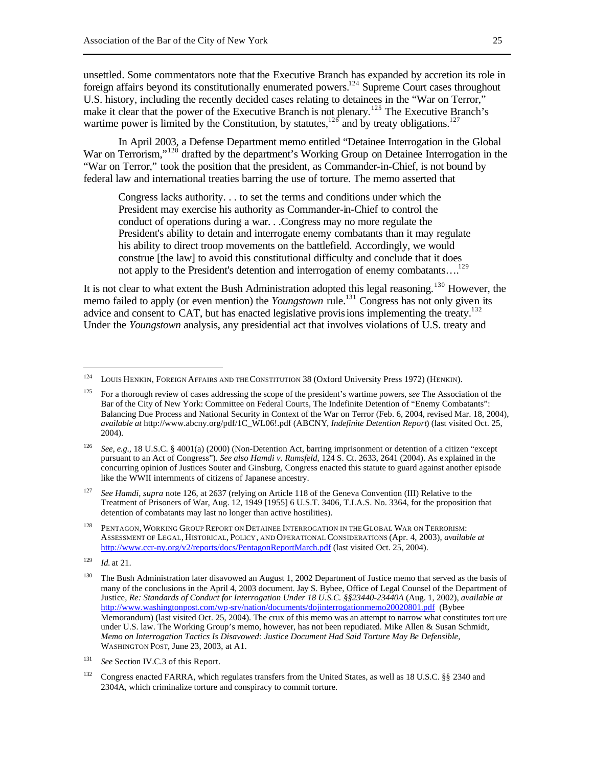unsettled. Some commentators note that the Executive Branch has expanded by accretion its role in foreign affairs beyond its constitutionally enumerated powers.<sup>124</sup> Supreme Court cases throughout U.S. history, including the recently decided cases relating to detainees in the "War on Terror," make it clear that the power of the Executive Branch is not plenary.<sup>125</sup> The Executive Branch's wartime power is limited by the Constitution, by statutes, $126$  and by treaty obligations.<sup>127</sup>

In April 2003, a Defense Department memo entitled "Detainee Interrogation in the Global War on Terrorism,"<sup>128</sup> drafted by the department's Working Group on Detainee Interrogation in the "War on Terror," took the position that the president, as Commander-in-Chief, is not bound by federal law and international treaties barring the use of torture. The memo asserted that

Congress lacks authority. . . to set the terms and conditions under which the President may exercise his authority as Commander-in-Chief to control the conduct of operations during a war. . .Congress may no more regulate the President's ability to detain and interrogate enemy combatants than it may regulate his ability to direct troop movements on the battlefield. Accordingly, we would construe [the law] to avoid this constitutional difficulty and conclude that it does not apply to the President's detention and interrogation of enemy combatants....<sup>129</sup>

It is not clear to what extent the Bush Administration adopted this legal reasoning.<sup>130</sup> However, the memo failed to apply (or even mention) the *Youngstown* rule.<sup>131</sup> Congress has not only given its advice and consent to CAT, but has enacted legislative provisions implementing the treaty.<sup>132</sup> Under the *Youngstown* analysis, any presidential act that involves violations of U.S. treaty and

<sup>127</sup> *See Hamdi*, *supra* note 126, at 2637 (relying on Article 118 of the Geneva Convention (III) Relative to the Treatment of Prisoners of War, Aug. 12, 1949 [1955] 6 U.S.T. 3406, T.I.A.S. No. 3364, for the proposition that detention of combatants may last no longer than active hostilities).

<sup>128</sup> PENTAGON, WORKING GROUP REPORT ON DETAINEE INTERROGATION IN THE GLOBAL WAR ON TERRORISM: ASSESSMENT OF LEGAL, HISTORICAL, POLICY, AND OPERATIONAL CONSIDERATIONS (Apr. 4, 2003), *available at* http://www.ccr-ny.org/v2/reports/docs/PentagonReportMarch.pdf (last visited Oct. 25, 2004).

<sup>&</sup>lt;sup>124</sup> LOUIS HENKIN, FOREIGN AFFAIRS AND THE CONSTITUTION 38 (Oxford University Press 1972) (HENKIN).

<sup>125</sup> For a thorough review of cases addressing the scope of the president's wartime powers, *see* The Association of the Bar of the City of New York: Committee on Federal Courts, The Indefinite Detention of "Enemy Combatants": Balancing Due Process and National Security in Context of the War on Terror (Feb. 6, 2004, revised Mar. 18, 2004), *available at* http://www.abcny.org/pdf/1C\_WL06!.pdf (ABCNY*, Indefinite Detention Report*) (last visited Oct. 25, 2004).

<sup>126</sup> *See, e.g*.*,* 18 U.S.C. § 4001(a) (2000) (Non-Detention Act, barring imprisonment or detention of a citizen "except pursuant to an Act of Congress"). *See also Hamdi v. Rumsfeld*, 124 S. Ct. 2633, 2641 (2004). As explained in the concurring opinion of Justices Souter and Ginsburg, Congress enacted this statute to guard against another episode like the WWII internments of citizens of Japanese ancestry.

<sup>129</sup> *Id.* at 21.

<sup>&</sup>lt;sup>130</sup> The Bush Administration later disavowed an August 1, 2002 Department of Justice memo that served as the basis of many of the conclusions in the April 4, 2003 document. Jay S. Bybee, Office of Legal Counsel of the Department of Justice, *Re: Standards of Conduct for Interrogation Under 18 U.S.C. §§23440-23440A* (Aug. 1, 2002), *available at* http://www.washingtonpost.com/wp-srv/nation/documents/dojinterrogationmemo20020801.pdf (Bybee Memorandum) (last visited Oct. 25, 2004). The crux of this memo was an attempt to narrow what constitutes tort ure under U.S. law. The Working Group's memo, however, has not been repudiated. Mike Allen & Susan Schmidt, *Memo on Interrogation Tactics Is Disavowed: Justice Document Had Said Torture May Be Defensible*, WASHINGTON POST, June 23, 2003, at A1.

<sup>&</sup>lt;sup>131</sup> *See* Section IV.C.3 of this Report.

<sup>&</sup>lt;sup>132</sup> Congress enacted FARRA, which regulates transfers from the United States, as well as 18 U.S.C. §§ 2340 and 2304A, which criminalize torture and conspiracy to commit torture.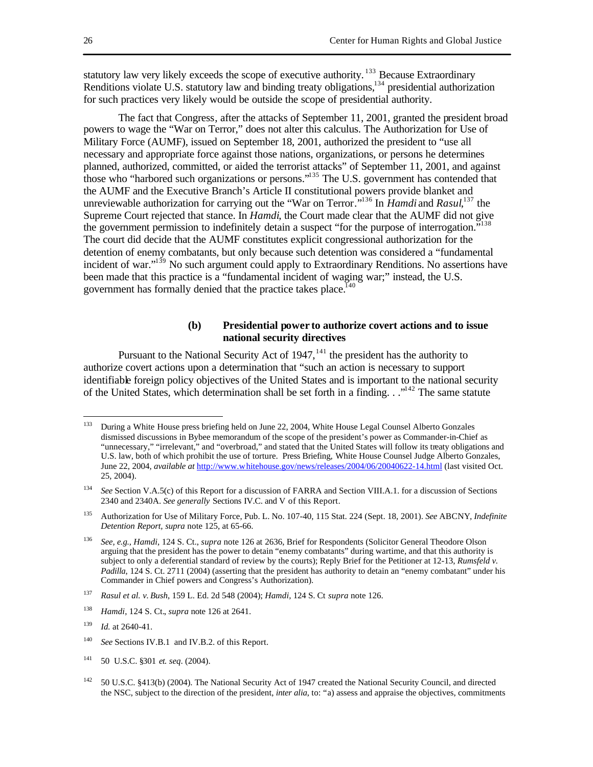statutory law very likely exceeds the scope of executive authority.<sup>133</sup> Because Extraordinary Renditions violate U.S. statutory law and binding treaty obligations,<sup>134</sup> presidential authorization for such practices very likely would be outside the scope of presidential authority.

The fact that Congress, after the attacks of September 11, 2001, granted the president broad powers to wage the "War on Terror," does not alter this calculus. The Authorization for Use of Military Force (AUMF), issued on September 18, 2001, authorized the president to "use all necessary and appropriate force against those nations, organizations, or persons he determines planned, authorized, committed, or aided the terrorist attacks" of September 11, 2001, and against those who "harbored such organizations or persons."<sup>135</sup> The U.S. government has contended that the AUMF and the Executive Branch's Article II constitutional powers provide blanket and unreviewable authorization for carrying out the "War on Terror.<sup>"
<sup>136</sup> In *Hamdi* and *Rasul*<sup>137</sup> the</sup> Supreme Court rejected that stance. In *Hamdi*, the Court made clear that the AUMF did not give the government permission to indefinitely detain a suspect "for the purpose of interrogation."<sup>138</sup> The court did decide that the AUMF constitutes explicit congressional authorization for the detention of enemy combatants, but only because such detention was considered a "fundamental incident of war."<sup>139</sup> No such argument could apply to Extraordinary Renditions. No assertions have been made that this practice is a "fundamental incident of waging war;" instead, the U.S. government has formally denied that the practice takes place.<sup> $140$ </sup>

# **(b) Presidential power to authorize covert actions and to issue national security directives**

Pursuant to the National Security Act of  $1947$ ,  $^{141}$  the president has the authority to authorize covert actions upon a determination that "such an action is necessary to support identifiable foreign policy objectives of the United States and is important to the national security of the United States, which determination shall be set forth in a finding. . ."<sup>142</sup> The same statute

<sup>133</sup> <sup>133</sup> During a White House press briefing held on June 22, 2004, White House Legal Counsel Alberto Gonzales dismissed discussions in Bybee memorandum of the scope of the president's power as Commander-in-Chief as "unnecessary," "irrelevant," and "overbroad," and stated that the United States will follow its treaty obligations and U.S. law, both of which prohibit the use of torture. Press Briefing, White House Counsel Judge Alberto Gonzales, June 22, 2004, *available at* http://www.whitehouse.gov/news/releases/2004/06/20040622-14.html (last visited Oct. 25, 2004).

<sup>134</sup> *See* Section V.A.5(c) of this Report for a discussion of FARRA and Section VIII.A.1. for a discussion of Sections 2340 and 2340A. *See generally* Sections IV.C. and V of this Report.

<sup>135</sup> Authorization for Use of Military Force, Pub. L. No. 107-40, 115 Stat. 224 (Sept. 18, 2001). *See* ABCNY*, Indefinite Detention Report, supra* note 125*,* at 65-66.

<sup>136</sup> *See, e.g., Hamdi*, 124 S. Ct., *supra* note 126 at 2636, Brief for Respondents (Solicitor General Theodore Olson arguing that the president has the power to detain "enemy combatants" during wartime, and that this authority is subject to only a deferential standard of review by the courts); Reply Brief for the Petitioner at 12-13, *Rumsfeld v. Padilla*, 124 S. Ct. 2711 (2004) (asserting that the president has authority to detain an "enemy combatant" under his Commander in Chief powers and Congress's Authorization).

<sup>137</sup> *Rasul et al. v. Bush*, 159 L. Ed. 2d 548 (2004); *Hamdi,* 124 S. Ct *supra* note 126.

<sup>138</sup> *Hamdi*, 124 S. Ct., *supra* note 126 at 2641.

<sup>139</sup> *Id.* at 2640-41.

<sup>140</sup> *See* Sections IV.B.1 and IV.B.2. of this Report.

<sup>141</sup> 50 U.S.C. §301 *et. seq*. (2004).

<sup>&</sup>lt;sup>142</sup> 50 U.S.C. §413(b) (2004). The National Security Act of 1947 created the National Security Council, and directed the NSC, subject to the direction of the president, *inter alia*, to: "a) assess and appraise the objectives, commitments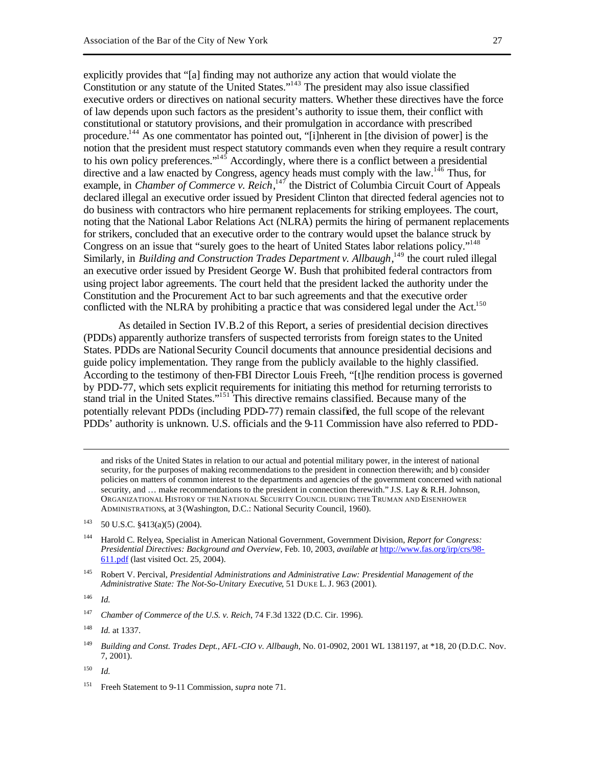explicitly provides that "[a] finding may not authorize any action that would violate the Constitution or any statute of the United States."<sup>143</sup> The president may also issue classified executive orders or directives on national security matters. Whether these directives have the force of law depends upon such factors as the president's authority to issue them, their conflict with constitutional or statutory provisions, and their promulgation in accordance with prescribed procedure.<sup>144</sup> As one commentator has pointed out, "[i]nherent in [the division of power] is the notion that the president must respect statutory commands even when they require a result contrary to his own policy preferences." $145$  Accordingly, where there is a conflict between a presidential directive and a law enacted by Congress, agency heads must comply with the law.<sup>146</sup> Thus, for example, in *Chamber of Commerce v. Reich*,<sup>147</sup> the District of Columbia Circuit Court of Appeals declared illegal an executive order issued by President Clinton that directed federal agencies not to do business with contractors who hire permanent replacements for striking employees. The court, noting that the National Labor Relations Act (NLRA) permits the hiring of permanent replacements for strikers, concluded that an executive order to the contrary would upset the balance struck by Congress on an issue that "surely goes to the heart of United States labor relations policy."<sup>148</sup> Similarly, in *Building and Construction Trades Department v. Allbaugh*,<sup>149</sup> the court ruled illegal an executive order issued by President George W. Bush that prohibited federal contractors from using project labor agreements. The court held that the president lacked the authority under the Constitution and the Procurement Act to bar such agreements and that the executive order conflicted with the NLRA by prohibiting a practice that was considered legal under the Act.<sup>150</sup>

As detailed in Section IV.B.2 of this Report, a series of presidential decision directives (PDDs) apparently authorize transfers of suspected terrorists from foreign states to the United States. PDDs are National Security Council documents that announce presidential decisions and guide policy implementation. They range from the publicly available to the highly classified. According to the testimony of then-FBI Director Louis Freeh, "[t]he rendition process is governed by PDD-77, which sets explicit requirements for initiating this method for returning terrorists to stand trial in the United States."<sup>151</sup> This directive remains classified. Because many of the potentially relevant PDDs (including PDD-77) remain classified, the full scope of the relevant PDDs' authority is unknown. U.S. officials and the 9-11 Commission have also referred to PDD-

and risks of the United States in relation to our actual and potential military power, in the interest of national security, for the purposes of making recommendations to the president in connection therewith; and b) consider policies on matters of common interest to the departments and agencies of the government concerned with national security, and ... make recommendations to the president in connection therewith." J.S. Lay & R.H. Johnson, ORGANIZATIONAL HISTORY OF THE NATIONAL SECURITY COUNCIL DURING THE TRUMAN AND EISENHOWER ADMINISTRATIONS, at 3 (Washington, D.C.: National Security Council, 1960).

<sup>145</sup> Robert V. Percival, *Presidential Administrations and Administrative Law: Presidential Management of the Administrative State: The Not-So-Unitary Executive*, 51 DUKE L.J. 963 (2001).

<sup>146</sup> *Id.*

 $\overline{a}$ 

<sup>150</sup> *Id.*

 $143$  50 U.S.C.  $\S 413(a)(5)$  (2004).

<sup>144</sup> Harold C. Relyea, Specialist in American National Government, Government Division, *Report for Congress: Presidential Directives: Background and Overview*, Feb. 10, 2003, *available at* http://www.fas.org/irp/crs/98- 611.pdf (last visited Oct. 25, 2004).

<sup>147</sup> *Chamber of Commerce of the U.S. v. Reich*, 74 F.3d 1322 (D.C. Cir. 1996).

<sup>148</sup> *Id.* at 1337.

<sup>149</sup> *Building and Const. Trades Dept., AFL-CIO v. Allbaugh*, No. 01-0902, 2001 WL 1381197, at \*18, 20 (D.D.C. Nov. 7, 2001).

<sup>151</sup> Freeh Statement to 9-11 Commission, *supra* note 71.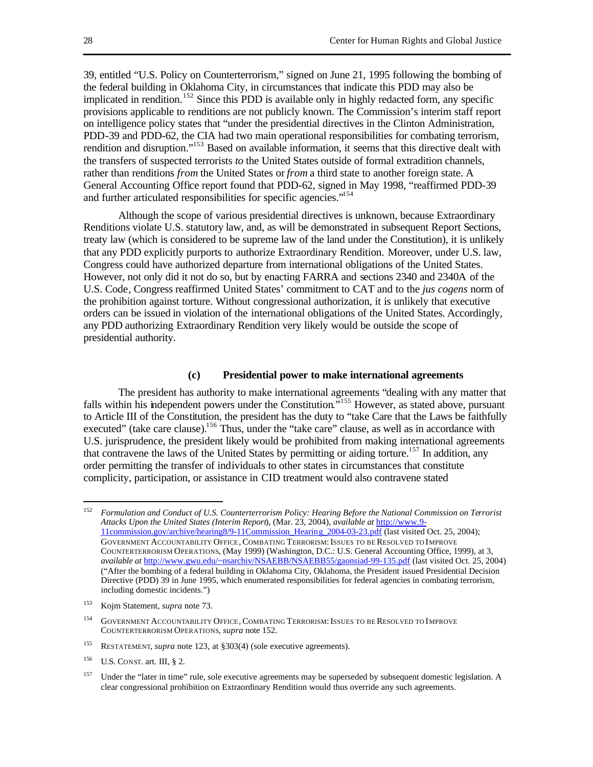39, entitled "U.S. Policy on Counterterrorism," signed on June 21, 1995 following the bombing of the federal building in Oklahoma City, in circumstances that indicate this PDD may also be implicated in rendition.<sup>152</sup> Since this PDD is available only in highly redacted form, any specific provisions applicable to renditions are not publicly known. The Commission's interim staff report on intelligence policy states that "under the presidential directives in the Clinton Administration, PDD-39 and PDD-62, the CIA had two main operational responsibilities for combating terrorism, rendition and disruption."<sup>153</sup> Based on available information, it seems that this directive dealt with the transfers of suspected terrorists *to* the United States outside of formal extradition channels, rather than renditions *from* the United States or *from* a third state to another foreign state. A General Accounting Office report found that PDD-62, signed in May 1998, "reaffirmed PDD-39 and further articulated responsibilities for specific agencies."<sup>154</sup>

Although the scope of various presidential directives is unknown, because Extraordinary Renditions violate U.S. statutory law, and, as will be demonstrated in subsequent Report Sections, treaty law (which is considered to be supreme law of the land under the Constitution), it is unlikely that any PDD explicitly purports to authorize Extraordinary Rendition. Moreover, under U.S. law, Congress could have authorized departure from international obligations of the United States. However, not only did it not do so, but by enacting FARRA and sections 2340 and 2340A of the U.S. Code, Congress reaffirmed United States' commitment to CAT and to the *jus cogens* norm of the prohibition against torture. Without congressional authorization, it is unlikely that executive orders can be issued in violation of the international obligations of the United States. Accordingly, any PDD authorizing Extraordinary Rendition very likely would be outside the scope of presidential authority.

### **(c) Presidential power to make international agreements**

The president has authority to make international agreements "dealing with any matter that falls within his independent powers under the Constitution.<sup>"155</sup> However, as stated above, pursuant to Article III of the Constitution, the president has the duty to "take Care that the Laws be faithfully executed" (take care clause).<sup>156</sup> Thus, under the "take care" clause, as well as in accordance with U.S. jurisprudence, the president likely would be prohibited from making international agreements that contravene the laws of the United States by permitting or aiding torture.<sup>157</sup> In addition, any order permitting the transfer of individuals to other states in circumstances that constitute complicity, participation, or assistance in CID treatment would also contravene stated

<sup>152</sup> *Formulation and Conduct of U.S. Counterterrorism Policy: Hearing Before the National Commission on Terrorist Attacks Upon the United States (Interim Report*), (Mar. 23, 2004), *available at* http://www.9- 11commission.gov/archive/hearing8/9-11Commission\_Hearing\_2004-03-23.pdf (last visited Oct. 25, 2004); GOVERNMENT ACCOUNTABILITY OFFICE,COMBATING TERRORISM:ISSUES TO BE RESOLVED TO IMPROVE COUNTERTERRORISM OPERATIONS, (May 1999) (Washington, D.C.: U.S. General Accounting Office, 1999), at 3, *available at* http://www.gwu.edu/~nsarchiv/NSAEBB/NSAEBB55/gaonsiad-99-135.pdf (last visited Oct. 25, 2004) ("After the bombing of a federal building in Oklahoma City, Oklahoma, the President issued Presidential Decision Directive (PDD) 39 in June 1995, which enumerated responsibilities for federal agencies in combating terrorism, including domestic incidents.")

<sup>153</sup> Kojm Statement, *supra* note 73.

<sup>154</sup> GOVERNMENT ACCOUNTABILITY OFFICE,COMBATING TERRORISM:ISSUES TO BE RESOLVED TO IMPROVE COUNTERTERRORISM OPERATIONS, *supra* note 152.

<sup>155</sup> RESTATEMENT, *supra* note 123, at §303(4) (sole executive agreements).

<sup>156</sup> U.S. CONST. art. III, § 2.

<sup>&</sup>lt;sup>157</sup> Under the "later in time" rule, sole executive agreements may be superseded by subsequent domestic legislation. A clear congressional prohibition on Extraordinary Rendition would thus override any such agreements.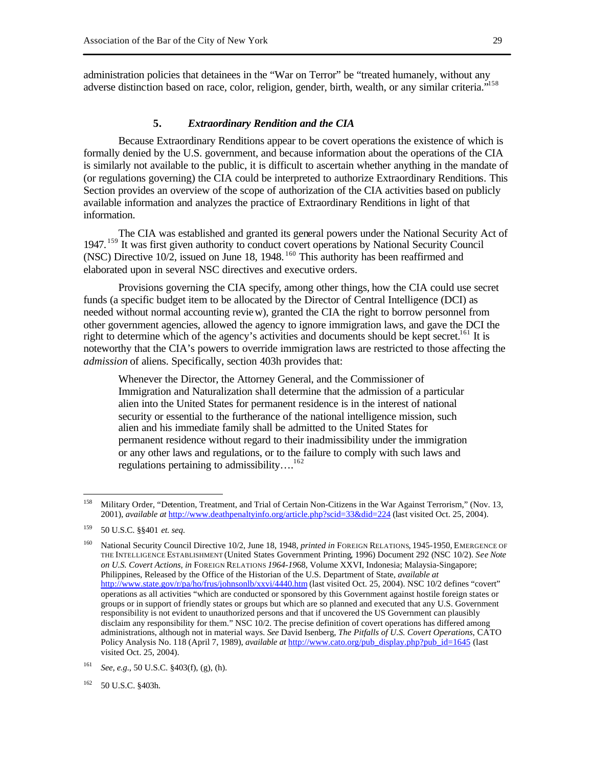administration policies that detainees in the "War on Terror" be "treated humanely, without any adverse distinction based on race, color, religion, gender, birth, wealth, or any similar criteria."<sup>158</sup>

## **5.** *Extraordinary Rendition and the CIA*

Because Extraordinary Renditions appear to be covert operations the existence of which is formally denied by the U.S. government, and because information about the operations of the CIA is similarly not available to the public, it is difficult to ascertain whether anything in the mandate of (or regulations governing) the CIA could be interpreted to authorize Extraordinary Renditions. This Section provides an overview of the scope of authorization of the CIA activities based on publicly available information and analyzes the practice of Extraordinary Renditions in light of that information.

The CIA was established and granted its general powers under the National Security Act of 1947.<sup>159</sup> It was first given authority to conduct covert operations by National Security Council (NSC) Directive  $10/2$ , issued on June 18, 1948. <sup>160</sup> This authority has been reaffirmed and elaborated upon in several NSC directives and executive orders.

Provisions governing the CIA specify, among other things, how the CIA could use secret funds (a specific budget item to be allocated by the Director of Central Intelligence (DCI) as needed without normal accounting review), granted the CIA the right to borrow personnel from other government agencies, allowed the agency to ignore immigration laws, and gave the DCI the right to determine which of the agency's activities and documents should be kept secret.<sup>161</sup> It is noteworthy that the CIA's powers to override immigration laws are restricted to those affecting the *admission* of aliens. Specifically, section 403h provides that:

Whenever the Director, the Attorney General, and the Commissioner of Immigration and Naturalization shall determine that the admission of a particular alien into the United States for permanent residence is in the interest of national security or essential to the furtherance of the national intelligence mission, such alien and his immediate family shall be admitted to the United States for permanent residence without regard to their inadmissibility under the immigration or any other laws and regulations, or to the failure to comply with such laws and regulations pertaining to admissibility....<sup>162</sup>

 $\overline{a}$ 

<sup>162</sup> 50 U.S.C. §403h.

<sup>&</sup>lt;sup>158</sup> Military Order, "Detention, Treatment, and Trial of Certain Non-Citizens in the War Against Terrorism," (Nov. 13, 2001), *available at* http://www.deathpenaltyinfo.org/article.php?scid=33&did=224 (last visited Oct. 25, 2004).

<sup>159</sup> 50 U.S.C. §§401 *et. seq*.

<sup>160</sup> National Security Council Directive 10/2, June 18, 1948, *printed in* FOREIGN RELATIONS, 1945-1950, EMERGENCE OF THE INTELLIGENCE ESTABLISHMENT (United States Government Printing, 1996) Document 292 (NSC 10/2). *See Note on U.S. Covert Actions, in* FOREIGN RELATIONS *1964-19*68, Volume XXVI, Indonesia; Malaysia-Singapore; Philippines, Released by the Office of the Historian of the U.S. Department of State, *available at* http://www.state.gov/r/pa/ho/frus/johnsonlb/xxvi/4440.htm (last visited Oct. 25, 2004). NSC 10/2 defines "covert" operations as all activities "which are conducted or sponsored by this Government against hostile foreign states or groups or in support of friendly states or groups but which are so planned and executed that any U.S. Government responsibility is not evident to unauthorized persons and that if uncovered the US Government can plausibly disclaim any responsibility for them." NSC 10/2. The precise definition of covert operations has differed among administrations, although not in material ways. *See* David Isenberg, *The Pitfalls of U.S. Covert Operations*, CATO Policy Analysis No. 118 (April 7, 1989), *available at* http://www.cato.org/pub\_display.php?pub\_id=1645 (last visited Oct. 25, 2004).

<sup>161</sup> *See, e.g*., 50 U.S.C. §403(f), (g), (h).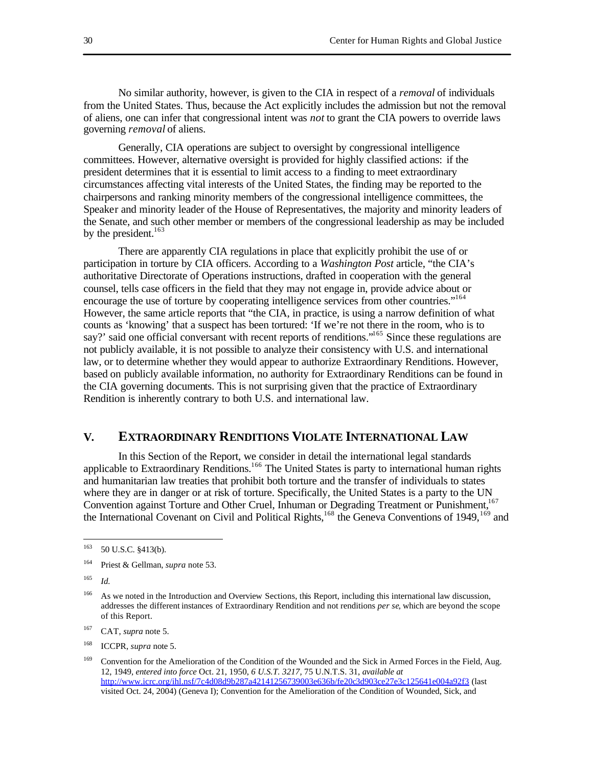No similar authority, however, is given to the CIA in respect of a *removal* of individuals from the United States. Thus, because the Act explicitly includes the admission but not the removal of aliens, one can infer that congressional intent was *not* to grant the CIA powers to override laws governing *removal* of aliens.

Generally, CIA operations are subject to oversight by congressional intelligence committees. However, alternative oversight is provided for highly classified actions: if the president determines that it is essential to limit access to a finding to meet extraordinary circumstances affecting vital interests of the United States, the finding may be reported to the chairpersons and ranking minority members of the congressional intelligence committees, the Speaker and minority leader of the House of Representatives, the majority and minority leaders of the Senate, and such other member or members of the congressional leadership as may be included by the president. $163$ 

There are apparently CIA regulations in place that explicitly prohibit the use of or participation in torture by CIA officers. According to a *Washington Post* article, "the CIA's authoritative Directorate of Operations instructions, drafted in cooperation with the general counsel, tells case officers in the field that they may not engage in, provide advice about or encourage the use of torture by cooperating intelligence services from other countries."<sup>164</sup> However, the same article reports that "the CIA, in practice, is using a narrow definition of what counts as 'knowing' that a suspect has been tortured: 'If we're not there in the room, who is to say?' said one official conversant with recent reports of renditions."<sup>165</sup> Since these regulations are not publicly available, it is not possible to analyze their consistency with U.S. and international law, or to determine whether they would appear to authorize Extraordinary Renditions. However, based on publicly available information, no authority for Extraordinary Renditions can be found in the CIA governing documents. This is not surprising given that the practice of Extraordinary Rendition is inherently contrary to both U.S. and international law.

# **V. EXTRAORDINARY RENDITIONS VIOLATE INTERNATIONAL LAW**

In this Section of the Report, we consider in detail the international legal standards applicable to Extraordinary Renditions.<sup>166</sup> The United States is party to international human rights and humanitarian law treaties that prohibit both torture and the transfer of individuals to states where they are in danger or at risk of torture. Specifically, the United States is a party to the UN Convention against Torture and Other Cruel, Inhuman or Degrading Treatment or Punishment,<sup>167</sup> the International Covenant on Civil and Political Rights,<sup>168</sup> the Geneva Conventions of 1949,<sup>169</sup> and

<sup>163</sup> 50 U.S.C. §413(b).

<sup>164</sup> Priest & Gellman, *supra* note 53.

<sup>165</sup> *Id.*

<sup>166</sup> As we noted in the Introduction and Overview Sections, this Report, including this international law discussion, addresses the different instances of Extraordinary Rendition and not renditions *per se*, which are beyond the scope of this Report.

<sup>167</sup> CAT, *supra* note 5.

<sup>168</sup> ICCPR, *supra* note 5.

<sup>&</sup>lt;sup>169</sup> Convention for the Amelioration of the Condition of the Wounded and the Sick in Armed Forces in the Field, Aug. 12, 1949, *entered into force* Oct. 21, 1950, *6 U.S.T. 3217,* 75 U.N.T.S. 31, *available at* http://www.icrc.org/ihl.nsf/7c4d08d9b287a42141256739003e636b/fe20c3d903ce27e3c125641e004a92f3 (last visited Oct. 24, 2004) (Geneva I); Convention for the Amelioration of the Condition of Wounded, Sick, and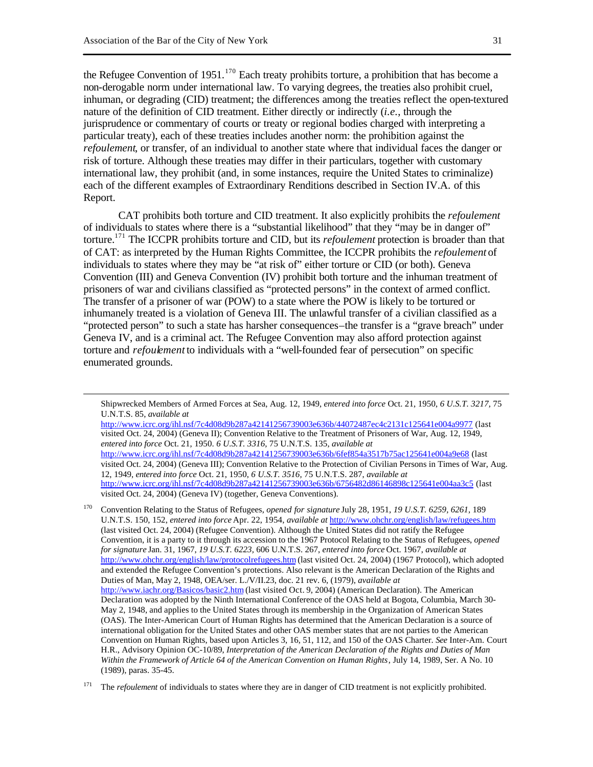$\overline{a}$ 

the Refugee Convention of 1951.<sup>170</sup> Each treaty prohibits torture, a prohibition that has become a non-derogable norm under international law. To varying degrees, the treaties also prohibit cruel, inhuman, or degrading (CID) treatment; the differences among the treaties reflect the open-textured nature of the definition of CID treatment. Either directly or indirectly (*i.e.*, through the jurisprudence or commentary of courts or treaty or regional bodies charged with interpreting a particular treaty), each of these treaties includes another norm: the prohibition against the *refoulement*, or transfer, of an individual to another state where that individual faces the danger or risk of torture. Although these treaties may differ in their particulars, together with customary international law, they prohibit (and, in some instances, require the United States to criminalize) each of the different examples of Extraordinary Renditions described in Section IV.A. of this Report.

CAT prohibits both torture and CID treatment. It also explicitly prohibits the *refoulement* of individuals to states where there is a "substantial likelihood" that they "may be in danger of" torture.<sup>171</sup> The ICCPR prohibits torture and CID, but its *refoulement* protection is broader than that of CAT: as interpreted by the Human Rights Committee, the ICCPR prohibits the *refoulement* of individuals to states where they may be "at risk of" either torture or CID (or both). Geneva Convention (III) and Geneva Convention (IV) prohibit both torture and the inhuman treatment of prisoners of war and civilians classified as "protected persons" in the context of armed conflict. The transfer of a prisoner of war (POW) to a state where the POW is likely to be tortured or inhumanely treated is a violation of Geneva III. The unlawful transfer of a civilian classified as a "protected person" to such a state has harsher consequences–the transfer is a "grave breach" under Geneva IV, and is a criminal act. The Refugee Convention may also afford protection against torture and *refoulement* to individuals with a "well-founded fear of persecution" on specific enumerated grounds.

Shipwrecked Members of Armed Forces at Sea, Aug. 12, 1949, *entered into force* Oct. 21, 1950, *6 U.S.T. 3217,* 75 U.N.T.S. 85, *available at*

http://www.icrc.org/ihl.nsf/7c4d08d9b287a42141256739003e636b/44072487ec4c2131c125641e004a9977 (last visited Oct. 24, 2004) (Geneva II); Convention Relative to the Treatment of Prisoners of War, Aug. 12, 1949, *entered into force* Oct. 21, 1950. *6 U.S.T. 3316,* 75 U.N.T.S. 135, *available at* http://www.icrc.org/ihl.nsf/7c4d08d9b287a42141256739003e636b/6fef854a3517b75ac125641e004a9e68 (last visited Oct. 24, 2004) (Geneva III); Convention Relative to the Protection of Civilian Persons in Times of War, Aug. 12, 1949, *entered into force* Oct. 21, 1950, *6 U.S.T. 3516,* 75 U.N.T.S. 287, *available at* http://www.icrc.org/ihl.nsf/7c4d08d9b287a42141256739003e636b/6756482d86146898c125641e004aa3c5 (last visited Oct. 24, 2004) (Geneva IV) (together, Geneva Conventions).

<sup>170</sup> Convention Relating to the Status of Refugees, *opened for signature* July 28, 1951, *19 U.S.T. 6259, 6261,* 189 U.N.T.S. 150, 152, *entered into force* Apr. 22, 1954, *available at* http://www.ohchr.org/english/law/refugees.htm (last visited Oct. 24, 2004) (Refugee Convention). Although the United States did not ratify the Refugee Convention, it is a party to it through its accession to the 1967 Protocol Relating to the Status of Refugees, *opened for signature* Jan. 31, 1967, *19 U.S.T. 6223,* 606 U.N.T.S. 267, *entered into force* Oct. 1967, *available at* http://www.ohchr.org/english/law/protocolrefugees.htm (last visited Oct. 24, 2004) (1967 Protocol), which adopted and extended the Refugee Convention's protections. Also relevant is the American Declaration of the Rights and Duties of Man, May 2, 1948, OEA/ser. L./V/II.23, doc. 21 rev. 6, (1979), *available at* http://www.iachr.org/Basicos/basic2.htm (last visited Oct. 9, 2004) (American Declaration). The American Declaration was adopted by the Ninth International Conference of the OAS held at Bogota, Columbia, March 30- May 2, 1948, and applies to the United States through its membership in the Organization of American States (OAS). The Inter-American Court of Human Rights has determined that the American Declaration is a source of international obligation for the United States and other OAS member states that are not parties to the American Convention on Human Rights, based upon Articles 3, 16, 51, 112, and 150 of the OAS Charter. *See* Inter-Am. Court H.R., Advisory Opinion OC-10/89, *Interpretation of the American Declaration of the Rights and Duties of Man Within the Framework of Article 64 of the American Convention on Human Rights*, July 14, 1989, Ser. A No. 10 (1989), paras. 35-45.

<sup>171</sup> The *refoulement* of individuals to states where they are in danger of CID treatment is not explicitly prohibited.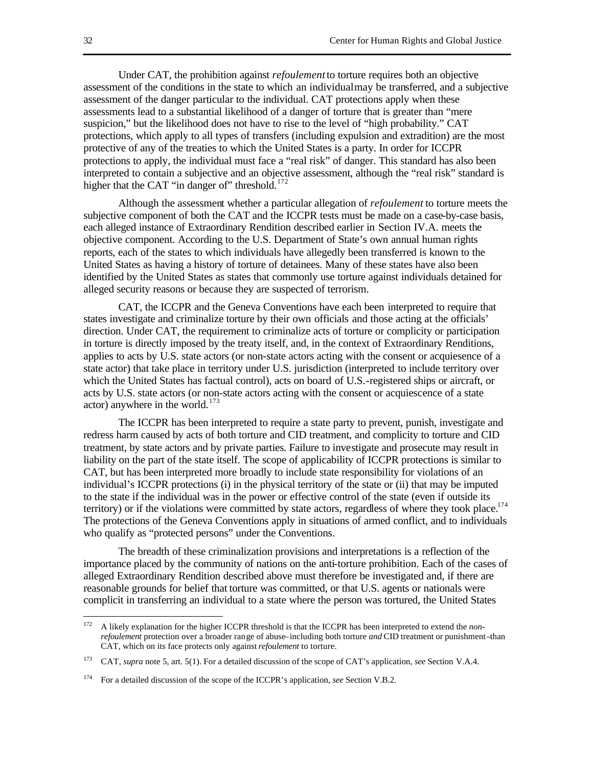Under CAT, the prohibition against *refoulement* to torture requires both an objective assessment of the conditions in the state to which an individual may be transferred, and a subjective assessment of the danger particular to the individual. CAT protections apply when these assessments lead to a substantial likelihood of a danger of torture that is greater than "mere suspicion," but the likelihood does not have to rise to the level of "high probability." CAT protections, which apply to all types of transfers (including expulsion and extradition) are the most protective of any of the treaties to which the United States is a party. In order for ICCPR protections to apply, the individual must face a "real risk" of danger. This standard has also been interpreted to contain a subjective and an objective assessment, although the "real risk" standard is higher that the CAT "in danger of" threshold.<sup>172</sup>

Although the assessment whether a particular allegation of *refoulement* to torture meets the subjective component of both the CAT and the ICCPR tests must be made on a case-by-case basis, each alleged instance of Extraordinary Rendition described earlier in Section IV.A. meets the objective component. According to the U.S. Department of State's own annual human rights reports, each of the states to which individuals have allegedly been transferred is known to the United States as having a history of torture of detainees. Many of these states have also been identified by the United States as states that commonly use torture against individuals detained for alleged security reasons or because they are suspected of terrorism.

CAT, the ICCPR and the Geneva Conventions have each been interpreted to require that states investigate and criminalize torture by their own officials and those acting at the officials' direction. Under CAT, the requirement to criminalize acts of torture or complicity or participation in torture is directly imposed by the treaty itself, and, in the context of Extraordinary Renditions, applies to acts by U.S. state actors (or non-state actors acting with the consent or acquiesence of a state actor) that take place in territory under U.S. jurisdiction (interpreted to include territory over which the United States has factual control), acts on board of U.S.-registered ships or aircraft, or acts by U.S. state actors (or non-state actors acting with the consent or acquiescence of a state actor) anywhere in the world. $173$ 

The ICCPR has been interpreted to require a state party to prevent, punish, investigate and redress harm caused by acts of both torture and CID treatment, and complicity to torture and CID treatment, by state actors and by private parties. Failure to investigate and prosecute may result in liability on the part of the state itself. The scope of applicability of ICCPR protections is similar to CAT, but has been interpreted more broadly to include state responsibility for violations of an individual's ICCPR protections (i) in the physical territory of the state or (ii) that may be imputed to the state if the individual was in the power or effective control of the state (even if outside its territory) or if the violations were committed by state actors, regardless of where they took place.<sup>174</sup> The protections of the Geneva Conventions apply in situations of armed conflict, and to individuals who qualify as "protected persons" under the Conventions.

The breadth of these criminalization provisions and interpretations is a reflection of the importance placed by the community of nations on the anti-torture prohibition. Each of the cases of alleged Extraordinary Rendition described above must therefore be investigated and, if there are reasonable grounds for belief that torture was committed, or that U.S. agents or nationals were complicit in transferring an individual to a state where the person was tortured, the United States

<sup>172</sup> <sup>172</sup> A likely explanation for the higher ICCPR threshold is that the ICCPR has been interpreted to extend the *nonrefoulement* protection over a broader range of abuse–including both torture *and* CID treatment or punishment–than CAT, which on its face protects only against *refoulement* to torture.

<sup>173</sup> CAT, *supra* note 5, art. 5(1). For a detailed discussion of the scope of CAT's application, *see* Section V.A.4.

<sup>174</sup> For a detailed discussion of the scope of the ICCPR's application, *see* Section V.B.2.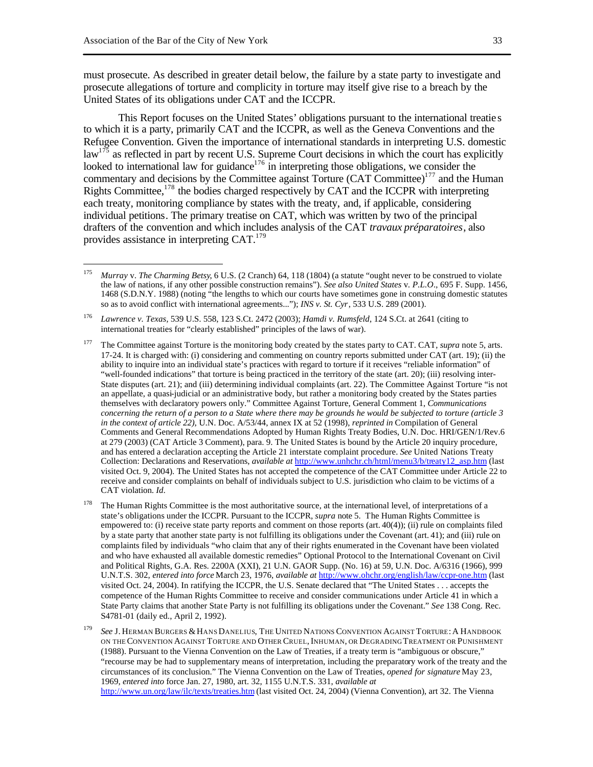$\overline{a}$ 

must prosecute. As described in greater detail below, the failure by a state party to investigate and prosecute allegations of torture and complicity in torture may itself give rise to a breach by the United States of its obligations under CAT and the ICCPR.

This Report focuses on the United States' obligations pursuant to the international treatie s to which it is a party, primarily CAT and the ICCPR, as well as the Geneva Conventions and the Refugee Convention. Given the importance of international standards in interpreting U.S. domestic  $\text{law}^{175}$  as reflected in part by recent U.S. Supreme Court decisions in which the court has explicitly looked to international law for guidance<sup>176</sup> in interpreting those obligations, we consider the commentary and decisions by the Committee against Torture (CAT Committee)<sup>177</sup> and the Human Rights Committee, $1^{78}$  the bodies charged respectively by CAT and the ICCPR with interpreting each treaty, monitoring compliance by states with the treaty, and, if applicable, considering individual petitions. The primary treatise on CAT, which was written by two of the principal drafters of the convention and which includes analysis of the CAT *travaux préparatoires*, also provides assistance in interpreting CAT.<sup>179</sup>

<sup>175</sup> *Murray* v. *The Charming Betsy*, 6 U.S. (2 Cranch) 64, 118 (1804) (a statute "ought never to be construed to violate the law of nations, if any other possible construction remains"). *See also United States* v*. P.L.O*., 695 F. Supp. 1456, 1468 (S.D.N.Y. 1988) (noting "the lengths to which our courts have sometimes gone in construing domestic statutes so as to avoid conflict with international agreements..."); *INS v. St. Cyr*, 533 U.S. 289 (2001).

<sup>176</sup> *Lawrence v. Texas,* 539 U.S. 558, 123 S.Ct. 2472 (2003); *Hamdi v. Rumsfeld*, 124 S.Ct. at 2641 (citing to international treaties for "clearly established" principles of the laws of war).

<sup>177</sup> The Committee against Torture is the monitoring body created by the states party to CAT. CAT, *supra* note 5, arts. 17-24. It is charged with: (i) considering and commenting on country reports submitted under CAT (art. 19); (ii) the ability to inquire into an individual state's practices with regard to torture if it receives "reliable information" of "well-founded indications" that torture is being practiced in the territory of the state (art. 20); (iii) resolving inter-State disputes (art. 21); and (iii) determining individual complaints (art. 22). The Committee Against Torture "is not an appellate, a quasi-judicial or an administrative body, but rather a monitoring body created by the States parties themselves with declaratory powers only." Committee Against Torture, General Comment 1, *Communications concerning the return of a person to a State where there may be grounds he would be subjected to torture (article 3 in the context of article 22)*, U.N. Doc. A/53/44, annex IX at 52 (1998), *reprinted in* Compilation of General Comments and General Recommendations Adopted by Human Rights Treaty Bodies, U.N. Doc. HRI/GEN/1/Rev.6 at 279 (2003) (CAT Article 3 Comment), para. 9. The United States is bound by the Article 20 inquiry procedure, and has entered a declaration accepting the Article 21 interstate complaint procedure. *See* United Nations Treaty Collection: Declarations and Reservations, *available at* http://www.unhchr.ch/html/menu3/b/treaty12\_asp.htm (last visited Oct. 9, 2004). The United States has not accepted the competence of the CAT Committee under Article 22 to receive and consider complaints on behalf of individuals subject to U.S. jurisdiction who claim to be victims of a CAT violation. *Id*.

<sup>&</sup>lt;sup>178</sup> The Human Rights Committee is the most authoritative source, at the international level, of interpretations of a state's obligations under the ICCPR. Pursuant to the ICCPR, *supra* note 5. The Human Rights Committee is empowered to: (i) receive state party reports and comment on those reports (art. 40(4)); (ii) rule on complaints filed by a state party that another state party is not fulfilling its obligations under the Covenant (art. 41); and (iii) rule on complaints filed by individuals "who claim that any of their rights enumerated in the Covenant have been violated and who have exhausted all available domestic remedies" Optional Protocol to the International Covenant on Civil and Political Rights, G.A. Res. 2200A (XXI), 21 U.N. GAOR Supp. (No. 16) at 59, U.N. Doc. A/6316 (1966), 999 U.N.T.S. 302, *entered into force* March 23, 1976, *available at* http://www.ohchr.org/english/law/ccpr-one.htm (last visited Oct. 24, 2004). In ratifying the ICCPR, the U.S. Senate declared that "The United States . . . accepts the competence of the Human Rights Committee to receive and consider communications under Article 41 in which a State Party claims that another State Party is not fulfilling its obligations under the Covenant." *See* 138 Cong. Rec. S4781-01 (daily ed., April 2, 1992).

See J. HERMAN BURGERS & HANS DANELIUS, THE UNITED NATIONS CONVENTION AGAINST TORTURE: A HANDBOOK ON THE CONVENTION AGAINST TORTURE AND OTHER CRUEL, INHUMAN, OR DEGRADING TREATMENT OR PUNISHMENT (1988). Pursuant to the Vienna Convention on the Law of Treaties, if a treaty term is "ambiguous or obscure," "recourse may be had to supplementary means of interpretation, including the preparatory work of the treaty and the circumstances of its conclusion." The Vienna Convention on the Law of Treaties, *opened for signature* May 23, 1969, *entered into* force Jan. 27, 1980, art. 32, 1155 U.N.T.S. 331, *available at* http://www.un.org/law/ilc/texts/treaties.htm (last visited Oct. 24, 2004) (Vienna Convention), art 32. The Vienna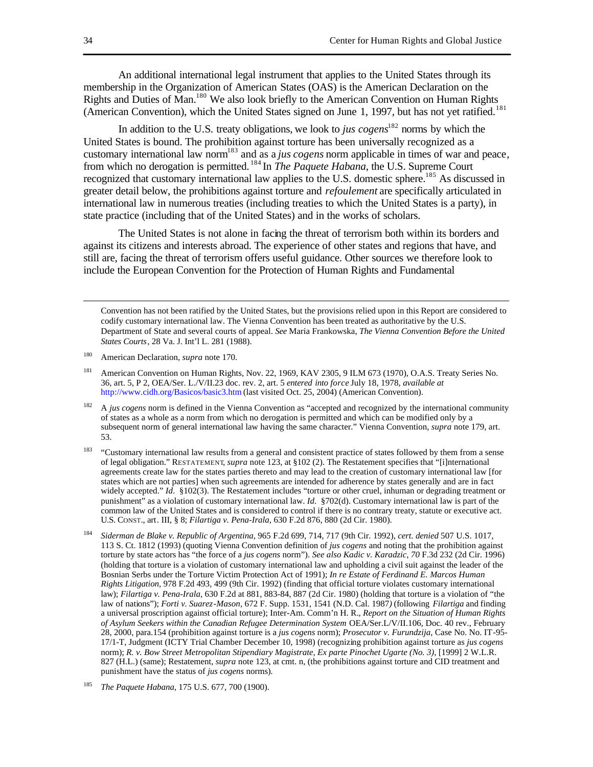An additional international legal instrument that applies to the United States through its membership in the Organization of American States (OAS) is the American Declaration on the Rights and Duties of Man.<sup>180</sup> We also look briefly to the American Convention on Human Rights (American Convention), which the United States signed on June 1, 1997, but has not yet ratified.<sup>181</sup>

In addition to the U.S. treaty obligations, we look to *jus cogens*<sup>182</sup> norms by which the United States is bound. The prohibition against torture has been universally recognized as a customary international law norm<sup>183</sup> and as a *jus cogens* norm applicable in times of war and peace, from which no derogation is permitted. <sup>184</sup> In *The Paquete Habana*, the U.S. Supreme Court recognized that customary international law applies to the U.S. domestic sphere.<sup>185</sup> As discussed in greater detail below, the prohibitions against torture and *refoulement* are specifically articulated in international law in numerous treaties (including treaties to which the United States is a party), in state practice (including that of the United States) and in the works of scholars.

The United States is not alone in facing the threat of terrorism both within its borders and against its citizens and interests abroad. The experience of other states and regions that have, and still are, facing the threat of terrorism offers useful guidance. Other sources we therefore look to include the European Convention for the Protection of Human Rights and Fundamental

Convention has not been ratified by the United States, but the provisions relied upon in this Report are considered to codify customary international law. The Vienna Convention has been treated as authoritative by the U.S. Department of State and several courts of appeal. *See* Maria Frankowska, *The Vienna Convention Before the United States Courts*, 28 Va. J. Int'l L. 281 (1988).

<sup>181</sup> American Convention on Human Rights, Nov. 22, 1969, KAV 2305, 9 ILM 673 (1970), O.A.S. Treaty Series No. 36, art. 5, P 2, OEA/Ser. L./V/II.23 doc. rev. 2, art. 5 *entered into force* July 18, 1978, *available at* http://www.cidh.org/Basicos/basic3.htm (last visited Oct. 25, 2004) (American Convention).

<sup>182</sup> A *jus cogens* norm is defined in the Vienna Convention as "accepted and recognized by the international community of states as a whole as a norm from which no derogation is permitted and which can be modified only by a subsequent norm of general international law having the same character." Vienna Convention, *supra* note 179, art. 53.

<sup>183</sup> "Customary international law results from a general and consistent practice of states followed by them from a sense of legal obligation." RESTATEMENT, *supra* note 123, at §102 (2). The Restatement specifies that "[i]nternational agreements create law for the states parties thereto and may lead to the creation of customary international law [for states which are not parties] when such agreements are intended for adherence by states generally and are in fact widely accepted." *Id.* §102(3). The Restatement includes "torture or other cruel, inhuman or degrading treatment or punishment" as a violation of customary international law. *Id*. §702(d). Customary international law is part of the common law of the United States and is considered to control if there is no contrary treaty, statute or executive act. U.S. CONST., art. III, § 8; *Filartiga v. Pena-Irala*, 630 F.2d 876, 880 (2d Cir. 1980).

<sup>184</sup> *Siderman de Blake v. Republic of Argentina,* 965 F.2d 699, 714, 717 (9th Cir. 1992), *cert. denied* 507 U.S. 1017, 113 S. Ct. 1812 (1993) (quoting Vienna Convention definition of *jus cogens* and noting that the prohibition against torture by state actors has "the force of a *jus cogens* norm"). *See also Kadic v. Karadzic, 70* F.3d 232 (2d Cir. 1996) (holding that torture is a violation of customary international law and upholding a civil suit against the leader of the Bosnian Serbs under the Torture Victim Protection Act of 1991); *In re Estate of Ferdinand E. Marcos Human Rights Litigation,* 978 F.2d 493, 499 (9th Cir. 1992) (finding that official torture violates customary international law); *Filartiga v. Pena-Irala,* 630 F.2d at 881, 883-84, 887 (2d Cir. 1980) (holding that torture is a violation of "the law of nations"); *Forti v. Suarez-Mason,* 672 F. Supp. 1531, 1541 (N.D. Cal. 1987*)* (following *Filartiga* and finding a universal proscription against official torture); Inter-Am. Comm'n H. R., *Report on the Situation of Human Rights of Asylum Seekers within the Canadian Refugee Determination System* OEA/Ser.L/V/II.106, Doc. 40 rev., February 28, 2000, para.154 (prohibition against torture is a *jus cogens* norm); *Prosecutor v. Furundzija*, Case No. No. IT-95- 17/1-T, Judgment (ICTY Trial Chamber December 10, 1998) (recognizing prohibition against torture as *jus cogens* norm); *R. v. Bow Street Metropolitan Stipendiary Magistrate, Ex parte Pinochet Ugarte (No. 3)*, [1999] 2 W.L.R. 827 (H.L.) (same); Restatement, *supra* note 123, at cmt. n, (the prohibitions against torture and CID treatment and punishment have the status of *jus cogens* norms)*.*

<sup>185</sup> *The Paquete Habana,* 175 U.S. 677, 700 (1900).

<sup>180</sup> American Declaration, *supra* note 170.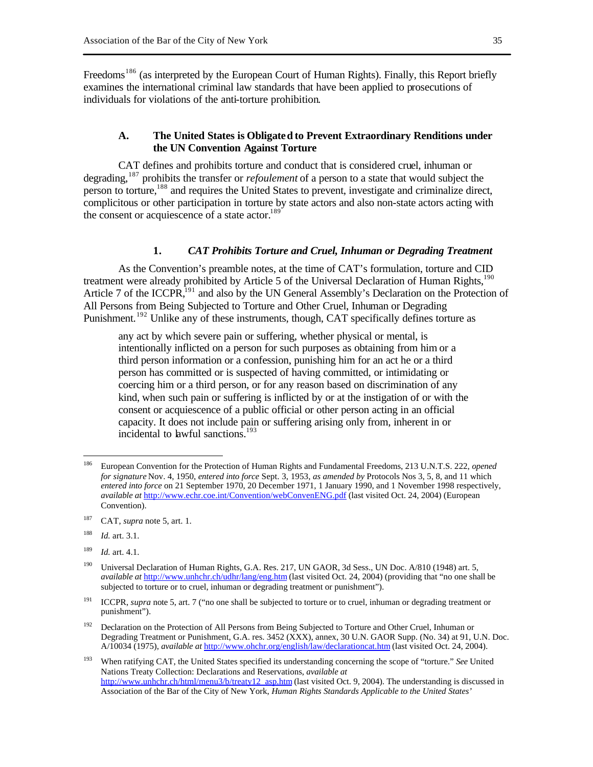Freedoms<sup>186</sup> (as interpreted by the European Court of Human Rights). Finally, this Report briefly examines the international criminal law standards that have been applied to prosecutions of individuals for violations of the anti-torture prohibition.

## **A. The United States is Obligated to Prevent Extraordinary Renditions under the UN Convention Against Torture**

CAT defines and prohibits torture and conduct that is considered cruel, inhuman or degrading,<sup>187</sup> prohibits the transfer or *refoulement* of a person to a state that would subject the person to torture,<sup>188</sup> and requires the United States to prevent, investigate and criminalize direct, complicitous or other participation in torture by state actors and also non-state actors acting with the consent or acquiescence of a state actor.<sup>189</sup>

## **1.** *CAT Prohibits Torture and Cruel, Inhuman or Degrading Treatment*

As the Convention's preamble notes, at the time of CAT's formulation, torture and CID treatment were already prohibited by Article 5 of the Universal Declaration of Human Rights,<sup>190</sup> Article 7 of the ICCPR,<sup>191</sup> and also by the UN General Assembly's Declaration on the Protection of All Persons from Being Subjected to Torture and Other Cruel, Inhuman or Degrading Punishment.<sup>192</sup> Unlike any of these instruments, though, CAT specifically defines torture as

any act by which severe pain or suffering, whether physical or mental, is intentionally inflicted on a person for such purposes as obtaining from him or a third person information or a confession, punishing him for an act he or a third person has committed or is suspected of having committed, or intimidating or coercing him or a third person, or for any reason based on discrimination of any kind, when such pain or suffering is inflicted by or at the instigation of or with the consent or acquiescence of a public official or other person acting in an official capacity. It does not include pain or suffering arising only from, inherent in or incidental to lawful sanctions.<sup>193</sup>

<sup>186</sup> <sup>186</sup> European Convention for the Protection of Human Rights and Fundamental Freedoms, 213 U.N.T.S. 222, *opened for signature* Nov. 4, 1950, *entered into force* Sept. 3, 1953, *as amended by* Protocols Nos 3, 5, 8, and 11 which *entered into force* on 21 September 1970, 20 December 1971, 1 January 1990, and 1 November 1998 respectively, *available at* http://www.echr.coe.int/Convention/webConvenENG.pdf (last visited Oct. 24, 2004) (European Convention).

<sup>187</sup> CAT, *supra* note 5, art. 1.

<sup>188</sup> *Id.* art. 3.1.

<sup>189</sup> *Id.* art. 4.1.

<sup>&</sup>lt;sup>190</sup> Universal Declaration of Human Rights, G.A. Res. 217, UN GAOR, 3d Sess., UN Doc. A/810 (1948) art. 5, *available at* http://www.unhchr.ch/udhr/lang/eng.htm (last visited Oct. 24, 2004) (providing that "no one shall be subjected to torture or to cruel, inhuman or degrading treatment or punishment").

<sup>191</sup> ICCPR, *supra* note 5, art. 7 ("no one shall be subjected to torture or to cruel, inhuman or degrading treatment or punishment").

<sup>&</sup>lt;sup>192</sup> Declaration on the Protection of All Persons from Being Subjected to Torture and Other Cruel, Inhuman or Degrading Treatment or Punishment, G.A. res. 3452 (XXX), annex, 30 U.N. GAOR Supp. (No. 34) at 91, U.N. Doc. A/10034 (1975), *available at* http://www.ohchr.org/english/law/declarationcat.htm (last visited Oct. 24, 2004).

<sup>193</sup> When ratifying CAT, the United States specified its understanding concerning the scope of "torture." *See* United Nations Treaty Collection: Declarations and Reservations, *available at* http://www.unhchr.ch/html/menu3/b/treaty12\_asp.htm (last visited Oct. 9, 2004). The understanding is discussed in Association of the Bar of the City of New York, *Human Rights Standards Applicable to the United States'*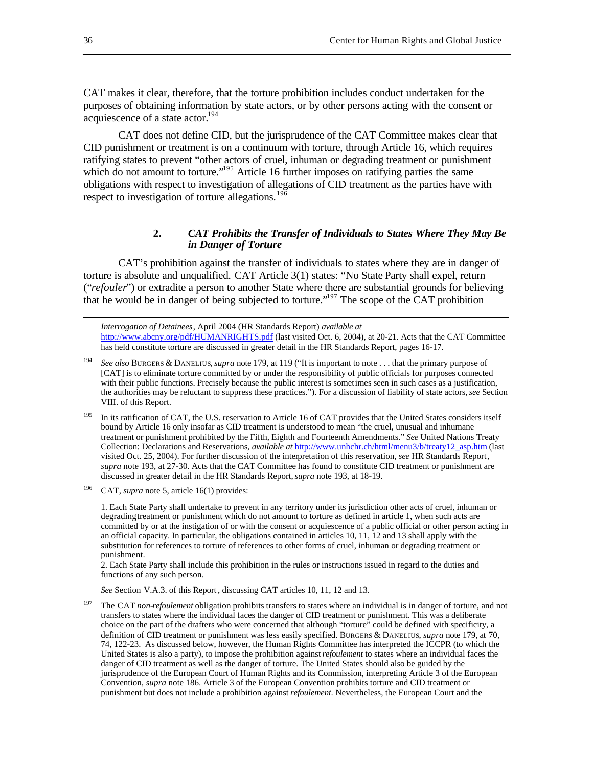CAT makes it clear, therefore, that the torture prohibition includes conduct undertaken for the purposes of obtaining information by state actors, or by other persons acting with the consent or acquiescence of a state actor.<sup>194</sup>

CAT does not define CID, but the jurisprudence of the CAT Committee makes clear that CID punishment or treatment is on a continuum with torture, through Article 16, which requires ratifying states to prevent "other actors of cruel, inhuman or degrading treatment or punishment which do not amount to torture."<sup>195</sup> Article 16 further imposes on ratifying parties the same obligations with respect to investigation of allegations of CID treatment as the parties have with respect to investigation of torture allegations.<sup>196</sup>

## **2.** *CAT Prohibits the Transfer of Individuals to States Where They May Be in Danger of Torture*

CAT's prohibition against the transfer of individuals to states where they are in danger of torture is absolute and unqualified. CAT Article 3(1) states: "No State Party shall expel, return ("*refouler*") or extradite a person to another State where there are substantial grounds for believing that he would be in danger of being subjected to torture."<sup>197</sup> The scope of the CAT prohibition

*Interrogation of Detainees*, April 2004 (HR Standards Report) *available at* http://www.abcny.org/pdf/HUMANRIGHTS.pdf (last visited Oct. 6, 2004), at 20-21. Acts that the CAT Committee has held constitute torture are discussed in greater detail in the HR Standards Report, pages 16-17.

CAT, *supra* note 5, article 16(1) provides:

1. Each State Party shall undertake to prevent in any territory under its jurisdiction other acts of cruel, inhuman or degrading treatment or punishment which do not amount to torture as defined in article 1, when such acts are committed by or at the instigation of or with the consent or acquiescence of a public official or other person acting in an official capacity. In particular, the obligations contained in articles 10, 11, 12 and 13 shall apply with the substitution for references to torture of references to other forms of cruel, inhuman or degrading treatment or punishment.

2. Each State Party shall include this prohibition in the rules or instructions issued in regard to the duties and functions of any such person.

*See* Section V.A.3. of this Report , discussing CAT articles 10, 11, 12 and 13.

<sup>197</sup> The CAT *non-refoulement* obligation prohibits transfers to states where an individual is in danger of torture, and not transfers to states where the individual faces the danger of CID treatment or punishment. This was a deliberate choice on the part of the drafters who were concerned that although "torture" could be defined with specificity, a definition of CID treatment or punishment was less easily specified. BURGERS & DANELIUS, *supra* note 179, at 70, 74, 122-23. As discussed below, however, the Human Rights Committee has interpreted the ICCPR (to which the United States is also a party), to impose the prohibition against *refoulement* to states where an individual faces the danger of CID treatment as well as the danger of torture. The United States should also be guided by the jurisprudence of the European Court of Human Rights and its Commission, interpreting Article 3 of the European Convention, *supra* note 186. Article 3 of the European Convention prohibits torture and CID treatment or punishment but does not include a prohibition against *refoulement*. Nevertheless, the European Court and the

<sup>194</sup> *See also* BURGERS & DANELIUS,*supra* note 179, at 119 ("It is important to note . . . that the primary purpose of [CAT] is to eliminate torture committed by or under the responsibility of public officials for purposes connected with their public functions. Precisely because the public interest is sometimes seen in such cases as a justification, the authorities may be reluctant to suppress these practices."). For a discussion of liability of state actors, *see* Section VIII. of this Report.

<sup>&</sup>lt;sup>195</sup> In its ratification of CAT, the U.S. reservation to Article 16 of CAT provides that the United States considers itself bound by Article 16 only insofar as CID treatment is understood to mean "the cruel, unusual and inhumane treatment or punishment prohibited by the Fifth, Eighth and Fourteenth Amendments." *See* United Nations Treaty Collection: Declarations and Reservations, *available at* http://www.unhchr.ch/html/menu3/b/treaty12\_asp.htm (last visited Oct. 25, 2004). For further discussion of the interpretation of this reservation, *see* HR Standards Report, *supra* note 193, at 27-30. Acts that the CAT Committee has found to constitute CID treatment or punishment are discussed in greater detail in the HR Standards Report,*supra* note 193, at 18-19.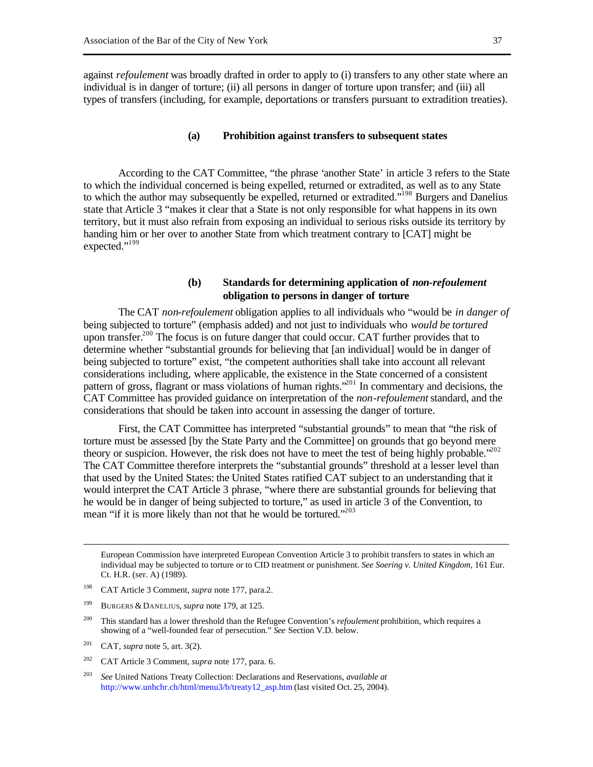against *refoulement* was broadly drafted in order to apply to (i) transfers to any other state where an individual is in danger of torture; (ii) all persons in danger of torture upon transfer; and (iii) all types of transfers (including, for example, deportations or transfers pursuant to extradition treaties).

### **(a) Prohibition against transfers to subsequent states**

According to the CAT Committee, "the phrase 'another State' in article 3 refers to the State to which the individual concerned is being expelled, returned or extradited, as well as to any State to which the author may subsequently be expelled, returned or extradited."<sup>198</sup> Burgers and Danelius state that Article 3 "makes it clear that a State is not only responsible for what happens in its own territory, but it must also refrain from exposing an individual to serious risks outside its territory by handing him or her over to another State from which treatment contrary to [CAT] might be expected."<sup>199</sup>

## **(b) Standards for determining application of** *non-refoulement* **obligation to persons in danger of torture**

The CAT *non-refoulement* obligation applies to all individuals who "would be *in danger of*  being subjected to torture" (emphasis added) and not just to individuals who *would be tortured*  upon transfer.<sup>200</sup> The focus is on future danger that could occur. CAT further provides that to determine whether "substantial grounds for believing that [an individual] would be in danger of being subjected to torture" exist, "the competent authorities shall take into account all relevant considerations including, where applicable, the existence in the State concerned of a consistent pattern of gross, flagrant or mass violations of human rights.<sup>"201</sup> In commentary and decisions, the CAT Committee has provided guidance on interpretation of the *non-refoulement* standard, and the considerations that should be taken into account in assessing the danger of torture.

First, the CAT Committee has interpreted "substantial grounds" to mean that "the risk of torture must be assessed [by the State Party and the Committee] on grounds that go beyond mere theory or suspicion. However, the risk does not have to meet the test of being highly probable.<sup>202</sup> The CAT Committee therefore interprets the "substantial grounds" threshold at a lesser level than that used by the United States: the United States ratified CAT subject to an understanding that it would interpret the CAT Article 3 phrase, "where there are substantial grounds for believing that he would be in danger of being subjected to torture," as used in article 3 of the Convention, to mean "if it is more likely than not that he would be tortured."<sup>203</sup>

- <sup>198</sup> CAT Article 3 Comment, *supra* note 177, para.2.
- <sup>199</sup> BURGERS &DANELIUS, *supra* note 179, at 125.

<sup>201</sup> CAT, *supra* note 5, art. 3(2).

- <sup>202</sup> CAT Article 3 Comment, *supra* note 177, para. 6.
- <sup>203</sup> *See* United Nations Treaty Collection: Declarations and Reservations, *available at* http://www.unhchr.ch/html/menu3/b/treaty12\_asp.htm (last visited Oct. 25, 2004).

European Commission have interpreted European Convention Article 3 to prohibit transfers to states in which an individual may be subjected to torture or to CID treatment or punishment. *See Soering v. United Kingdom*, 161 Eur. Ct. H.R. (ser. A) (1989).

<sup>200</sup> This standard has a lower threshold than the Refugee Convention's *refoulement* prohibition, which requires a showing of a "well-founded fear of persecution." *See* Section V.D. below.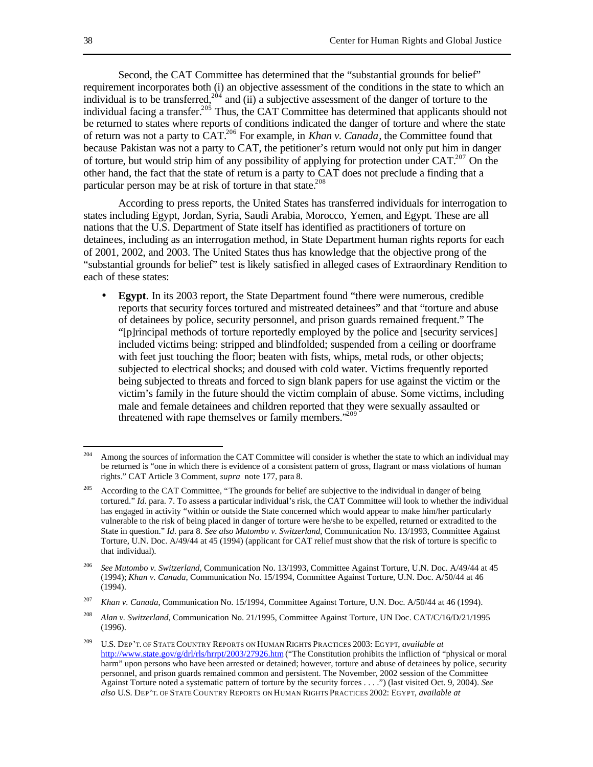Second, the CAT Committee has determined that the "substantial grounds for belief" requirement incorporates both (i) an objective assessment of the conditions in the state to which an individual is to be transferred,<sup>204</sup> and (ii) a subjective assessment of the danger of torture to the individual facing a transfer.<sup>205</sup> Thus, the CAT Committee has determined that applicants should not be returned to states where reports of conditions indicated the danger of torture and where the state of return was not a party to CAT.<sup>206</sup> For example, in *Khan v. Canada*, the Committee found that because Pakistan was not a party to CAT, the petitioner's return would not only put him in danger of torture, but would strip him of any possibility of applying for protection under  $CAT<sup>207</sup>$ . On the other hand, the fact that the state of return is a party to CAT does not preclude a finding that a particular person may be at risk of torture in that state.<sup>208</sup>

According to press reports, the United States has transferred individuals for interrogation to states including Egypt, Jordan, Syria, Saudi Arabia, Morocco, Yemen, and Egypt. These are all nations that the U.S. Department of State itself has identified as practitioners of torture on detainees, including as an interrogation method, in State Department human rights reports for each of 2001, 2002, and 2003. The United States thus has knowledge that the objective prong of the "substantial grounds for belief" test is likely satisfied in alleged cases of Extraordinary Rendition to each of these states:

• **Egypt**. In its 2003 report, the State Department found "there were numerous, credible reports that security forces tortured and mistreated detainees" and that "torture and abuse of detainees by police, security personnel, and prison guards remained frequent." The "[p]rincipal methods of torture reportedly employed by the police and [security services] included victims being: stripped and blindfolded; suspended from a ceiling or doorframe with feet just touching the floor; beaten with fists, whips, metal rods, or other objects; subjected to electrical shocks; and doused with cold water. Victims frequently reported being subjected to threats and forced to sign blank papers for use against the victim or the victim's family in the future should the victim complain of abuse. Some victims, including male and female detainees and children reported that they were sexually assaulted or threatened with rape themselves or family members.<sup>209</sup>

<sup>&</sup>lt;sup>204</sup> Among the sources of information the CAT Committee will consider is whether the state to which an individual may be returned is "one in which there is evidence of a consistent pattern of gross, flagrant or mass violations of human rights." CAT Article 3 Comment, *supra* note 177, para 8.

According to the CAT Committee, "The grounds for belief are subjective to the individual in danger of being tortured." *Id*. para. 7. To assess a particular individual's risk, the CAT Committee will look to whether the individual has engaged in activity "within or outside the State concerned which would appear to make him/her particularly vulnerable to the risk of being placed in danger of torture were he/she to be expelled, returned or extradited to the State in question." *Id*. para 8. *See also Mutombo v. Switzerland*, Communication No. 13/1993, Committee Against Torture, U.N. Doc. A/49/44 at 45 (1994) (applicant for CAT relief must show that the risk of torture is specific to that individual).

<sup>206</sup> *See Mutombo v. Switzerland*, Communication No. 13/1993, Committee Against Torture, U.N. Doc. A/49/44 at 45 (1994); *Khan v. Canada*, Communication No. 15/1994, Committee Against Torture, U.N. Doc. A/50/44 at 46 (1994).

<sup>207</sup> *Khan v. Canada*, Communication No. 15/1994, Committee Against Torture, U.N. Doc. A/50/44 at 46 (1994).

<sup>208</sup> *Alan v. Switzerland*, Communication No. 21/1995, Committee Against Torture, UN Doc. CAT/C/16/D/21/1995 (1996).

<sup>209</sup> U.S. DEP'T. OF STATE COUNTRY REPORTS ON HUMAN RIGHTS PRACTICES 2003: EGYPT, *available at* http://www.state.gov/g/drl/rls/hrrpt/2003/27926.htm ("The Constitution prohibits the infliction of "physical or moral harm" upon persons who have been arrested or detained; however, torture and abuse of detainees by police, security personnel, and prison guards remained common and persistent. The November, 2002 session of the Committee Against Torture noted a systematic pattern of torture by the security forces . . . .") (last visited Oct. 9, 2004). *See also* U.S. DEP'T. OF STATE COUNTRY REPORTS ON HUMAN RIGHTS PRACTICES 2002: EGYPT, *available at*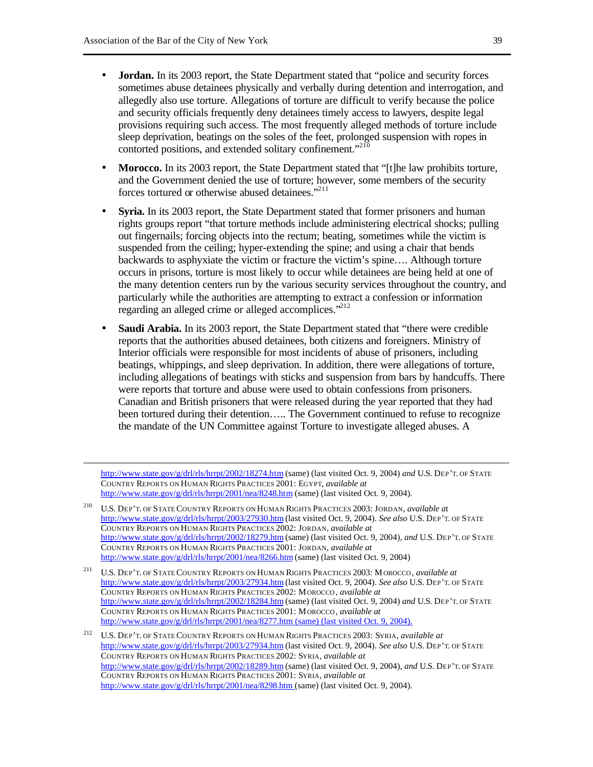$\overline{a}$ 

- **Jordan.** In its 2003 report, the State Department stated that "police and security forces sometimes abuse detainees physically and verbally during detention and interrogation, and allegedly also use torture. Allegations of torture are difficult to verify because the police and security officials frequently deny detainees timely access to lawyers, despite legal provisions requiring such access. The most frequently alleged methods of torture include sleep deprivation, beatings on the soles of the feet, prolonged suspension with ropes in contorted positions, and extended solitary confinement."<sup>210</sup>
- **Morocco.** In its 2003 report, the State Department stated that "[t]he law prohibits torture, and the Government denied the use of torture; however, some members of the security forces tortured or otherwise abused detainees."<sup>211</sup>
- **Syria.** In its 2003 report, the State Department stated that former prisoners and human rights groups report "that torture methods include administering electrical shocks; pulling out fingernails; forcing objects into the rectum; beating, sometimes while the victim is suspended from the ceiling; hyper-extending the spine; and using a chair that bends backwards to asphyxiate the victim or fracture the victim's spine…. Although torture occurs in prisons, torture is most likely to occur while detainees are being held at one of the many detention centers run by the various security services throughout the country, and particularly while the authorities are attempting to extract a confession or information regarding an alleged crime or alleged accomplices."<sup>212</sup>
- **Saudi Arabia.** In its 2003 report, the State Department stated that "there were credible" reports that the authorities abused detainees, both citizens and foreigners. Ministry of Interior officials were responsible for most incidents of abuse of prisoners, including beatings, whippings, and sleep deprivation. In addition, there were allegations of torture, including allegations of beatings with sticks and suspension from bars by handcuffs. There were reports that torture and abuse were used to obtain confessions from prisoners. Canadian and British prisoners that were released during the year reported that they had been tortured during their detention….. The Government continued to refuse to recognize the mandate of the UN Committee against Torture to investigate alleged abuses. A

http://www.state.gov/g/drl/rls/hrrpt/2002/18274.htm (same) (last visited Oct. 9, 2004) *and* U.S. DEP'T. OF STATE COUNTRY REPORTS ON HUMAN RIGHTS PRACTICES 2001: EGYPT, *available at* http://www.state.gov/g/drl/rls/hrrpt/2001/nea/8248.htm (same) (last visited Oct. 9, 2004).

<sup>210</sup> U.S. DEP'T. OF STATE COUNTRY REPORTS ON HUMAN RIGHTS PRACTICES 2003: JORDAN, *available a*t http://www.state.gov/g/drl/rls/hrrpt/2003/27930.htm (last visited Oct. 9, 2004). *See also* U.S. DEP'T. OF STATE COUNTRY REPORTS ON HUMAN RIGHTS PRACTICES 2002: JORDAN, *available at* http://www.state.gov/g/drl/rls/hrrpt/2002/18279.htm (same) (last visited Oct. 9, 2004), *and* U.S. DEP'T. OF STATE COUNTRY REPORTS ON HUMAN RIGHTS PRACTICES 2001: JORDAN, *available at*  http://www.state.gov/g/drl/rls/hrrpt/2001/nea/8266.htm (same) (last visited Oct. 9, 2004)

<sup>211</sup> U.S. DEP'T. OF STATE COUNTRY REPORTS ON HUMAN RIGHTS PRACTICES 2003: MOROCCO, *available at* http://www.state.gov/g/drl/rls/hrrpt/2003/27934.htm (last visited Oct. 9, 2004). *See also* U.S. DEP'T. OF STATE COUNTRY REPORTS ON HUMAN RIGHTS PRACTICES 2002: MOROCCO, *available at* http://www.state.gov/g/drl/rls/hrrpt/2002/18284.htm (same) (last visited Oct. 9, 2004) *and* U.S. DEP'T. OF STATE COUNTRY REPORTS ON HUMAN RIGHTS PRACTICES 2001: MOROCCO, *available at*  http://www.state.gov/g/drl/rls/hrrpt/2001/nea/8277.htm (same) (last visited Oct. 9, 2004).

<sup>212</sup> U.S. DEP'T. OF STATE COUNTRY REPORTS ON HUMAN RIGHTS PRACTICES 2003: SYRIA, *available at* http://www.state.gov/g/drl/rls/hrrpt/2003/27934.htm (last visited Oct. 9, 2004). *See also* U.S. DEP'T. OF STATE COUNTRY REPORTS ON HUMAN RIGHTS PRACTICES 2002: SYRIA, *available at* http://www.state.gov/g/drl/rls/hrrpt/2002/18289.htm (same) (last visited Oct. 9, 2004), *and* U.S. DEP'T. OF STATE COUNTRY REPORTS ON HUMAN RIGHTS PRACTICES 2001: SYRIA, *available at*  http://www.state.gov/g/drl/rls/hrrpt/2001/nea/8298.htm (same) (last visited Oct. 9, 2004).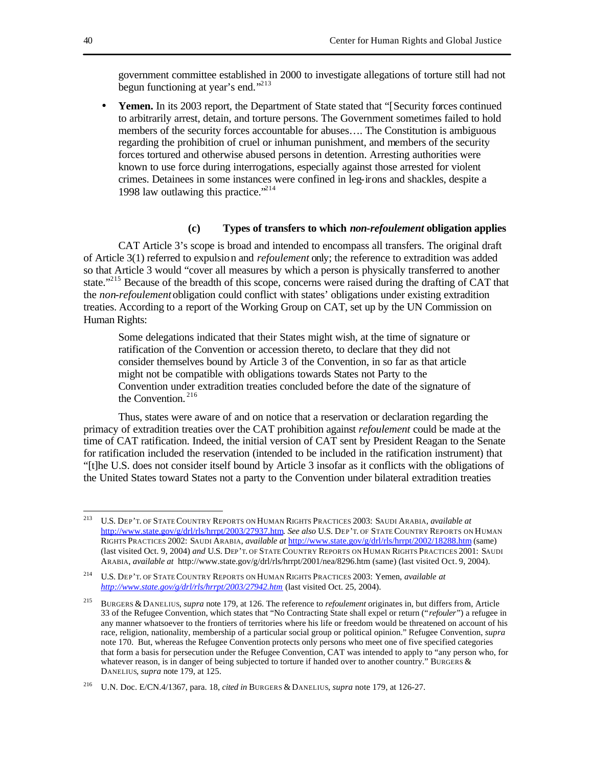government committee established in 2000 to investigate allegations of torture still had not begun functioning at year's end."<sup>213</sup>

• Yemen. In its 2003 report, the Department of State stated that "[Security forces continued to arbitrarily arrest, detain, and torture persons. The Government sometimes failed to hold members of the security forces accountable for abuses…. The Constitution is ambiguous regarding the prohibition of cruel or inhuman punishment, and members of the security forces tortured and otherwise abused persons in detention. Arresting authorities were known to use force during interrogations, especially against those arrested for violent crimes. Detainees in some instances were confined in leg-irons and shackles, despite a 1998 law outlawing this practice." $2^{14}$ 

## **(c) Types of transfers to which** *non-refoulement* **obligation applies**

CAT Article 3's scope is broad and intended to encompass all transfers. The original draft of Article 3(1) referred to expulsion and *refoulement* only; the reference to extradition was added so that Article 3 would "cover all measures by which a person is physically transferred to another state."<sup>215</sup> Because of the breadth of this scope, concerns were raised during the drafting of CAT that the *non-refoulement* obligation could conflict with states' obligations under existing extradition treaties. According to a report of the Working Group on CAT, set up by the UN Commission on Human Rights:

Some delegations indicated that their States might wish, at the time of signature or ratification of the Convention or accession thereto, to declare that they did not consider themselves bound by Article 3 of the Convention, in so far as that article might not be compatible with obligations towards States not Party to the Convention under extradition treaties concluded before the date of the signature of the Convention.<sup>216</sup>

Thus, states were aware of and on notice that a reservation or declaration regarding the primacy of extradition treaties over the CAT prohibition against *refoulement* could be made at the time of CAT ratification. Indeed, the initial version of CAT sent by President Reagan to the Senate for ratification included the reservation (intended to be included in the ratification instrument) that "[t]he U.S. does not consider itself bound by Article 3 insofar as it conflicts with the obligations of the United States toward States not a party to the Convention under bilateral extradition treaties

<sup>213</sup> <sup>213</sup> U.S. DEP'T. OF STATE COUNTRY REPORTS ON HUMAN RIGHTS PRACTICES 2003: SAUDI ARABIA, *available at* http://www.state.gov/g/drl/rls/hrrpt/2003/27937.htm. *See also* U.S. DEP'T. OF STATE COUNTRY REPORTS ON HUMAN RIGHTS PRACTICES 2002: SAUDI ARABIA, *available at* http://www.state.gov/g/drl/rls/hrrpt/2002/18288.htm (same) (last visited Oct. 9, 2004) *and* U.S. DEP'T. OF STATE COUNTRY REPORTS ON HUMAN RIGHTS PRACTICES 2001: SAUDI ARABIA, *available at* http://www.state.gov/g/drl/rls/hrrpt/2001/nea/8296.htm (same) (last visited Oct. 9, 2004).

<sup>214</sup> U.S. DEP'T. OF STATE COUNTRY REPORTS ON HUMAN RIGHTS PRACTICES 2003: Yemen, *available at http://www.state.gov/g/drl/rls/hrrpt/2003/27942.htm* (last visited Oct. 25, 2004).

<sup>215</sup> BURGERS &DANELIUS, *supra* note 179, at 126. The reference to *refoulement* originates in, but differs from, Article 33 of the Refugee Convention, which states that "No Contracting State shall expel or return ("*refouler*") a refugee in any manner whatsoever to the frontiers of territories where his life or freedom would be threatened on account of his race, religion, nationality, membership of a particular social group or political opinion." Refugee Convention, *supra*  note 170. But, whereas the Refugee Convention protects only persons who meet one of five specified categories that form a basis for persecution under the Refugee Convention, CAT was intended to apply to "any person who, for whatever reason, is in danger of being subjected to torture if handed over to another country." BURGERS & DANELIUS, *supra* note 179, at 125.

<sup>216</sup> U.N. Doc. E/CN.4/1367, para. 18, *cited in* BURGERS &DANELIUS, *supra* note 179, at 126-27.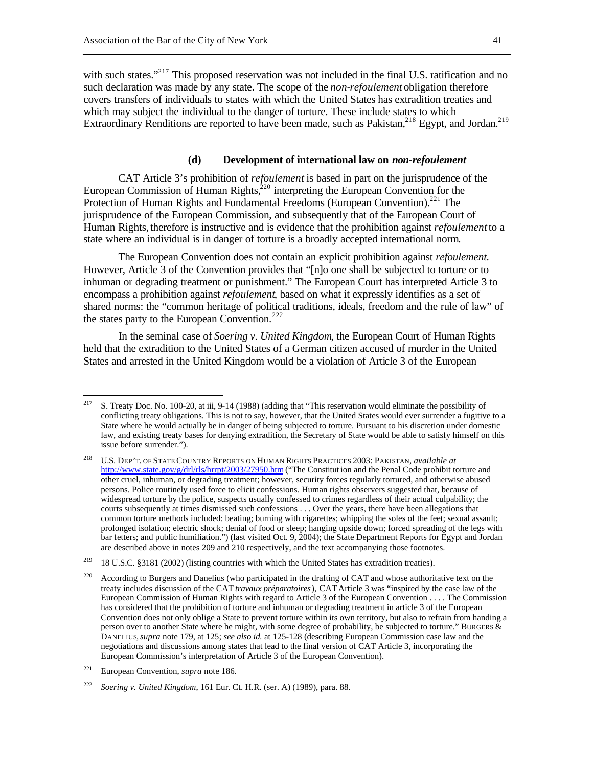with such states."<sup>217</sup> This proposed reservation was not included in the final U.S. ratification and no such declaration was made by any state. The scope of the *non-refoulement* obligation therefore covers transfers of individuals to states with which the United States has extradition treaties and which may subject the individual to the danger of torture. These include states to which Extraordinary Renditions are reported to have been made, such as Pakistan,<sup>218</sup> Egypt, and Jordan.<sup>219</sup>

### **(d) Development of international law on** *non-refoulement*

CAT Article 3's prohibition of *refoulement* is based in part on the jurisprudence of the European Commission of Human Rights,<sup>220</sup> interpreting the European Convention for the Protection of Human Rights and Fundamental Freedoms (European Convention).<sup>221</sup> The jurisprudence of the European Commission, and subsequently that of the European Court of Human Rights, therefore is instructive and is evidence that the prohibition against *refoulement* to a state where an individual is in danger of torture is a broadly accepted international norm.

The European Convention does not contain an explicit prohibition against *refoulement.* However, Article 3 of the Convention provides that "[n]o one shall be subjected to torture or to inhuman or degrading treatment or punishment." The European Court has interpreted Article 3 to encompass a prohibition against *refoulement*, based on what it expressly identifies as a set of shared norms: the "common heritage of political traditions, ideals, freedom and the rule of law" of the states party to the European Convention.<sup>222</sup>

In the seminal case of *Soering v. United Kingdom*, the European Court of Human Rights held that the extradition to the United States of a German citizen accused of murder in the United States and arrested in the United Kingdom would be a violation of Article 3 of the European

<sup>217</sup> <sup>217</sup> S. Treaty Doc. No. 100-20, at iii, 9-14 (1988) (adding that "This reservation would eliminate the possibility of conflicting treaty obligations. This is not to say, however, that the United States would ever surrender a fugitive to a State where he would actually be in danger of being subjected to torture. Pursuant to his discretion under domestic law, and existing treaty bases for denying extradition, the Secretary of State would be able to satisfy himself on this issue before surrender.").

<sup>218</sup> U.S. DEP'T. OF STATE COUNTRY REPORTS ON HUMAN RIGHTS PRACTICES 2003: PAKISTAN, *available at* http://www.state.gov/g/drl/rls/hrrpt/2003/27950.htm ("The Constitut ion and the Penal Code prohibit torture and other cruel, inhuman, or degrading treatment; however, security forces regularly tortured, and otherwise abused persons. Police routinely used force to elicit confessions. Human rights observers suggested that, because of widespread torture by the police, suspects usually confessed to crimes regardless of their actual culpability; the courts subsequently at times dismissed such confessions . . . Over the years, there have been allegations that common torture methods included: beating; burning with cigarettes; whipping the soles of the feet; sexual assault; prolonged isolation; electric shock; denial of food or sleep; hanging upside down; forced spreading of the legs with bar fetters; and public humiliation.") (last visited Oct. 9, 2004); the State Department Reports for Egypt and Jordan are described above in notes 209 and 210 respectively, and the text accompanying those footnotes.

<sup>219</sup> 18 U.S.C. §3181 (2002) (listing countries with which the United States has extradition treaties).

<sup>&</sup>lt;sup>220</sup> According to Burgers and Danelius (who participated in the drafting of CAT and whose authoritative text on the treaty includes discussion of the CAT *travaux préparatoires*), CAT Article 3 was "inspired by the case law of the European Commission of Human Rights with regard to Article 3 of the European Convention . . . . The Commission has considered that the prohibition of torture and inhuman or degrading treatment in article 3 of the European Convention does not only oblige a State to prevent torture within its own territory, but also to refrain from handing a person over to another State where he might, with some degree of probability, be subjected to torture." BURGERS & DANELIUS,*supra* note 179, at 125; *see also id.* at 125-128 (describing European Commission case law and the negotiations and discussions among states that lead to the final version of CAT Article 3, incorporating the European Commission's interpretation of Article 3 of the European Convention).

<sup>221</sup> European Convention, *supra* note 186.

<sup>222</sup> *Soering v. United Kingdom*, 161 Eur. Ct. H.R. (ser. A) (1989), para. 88.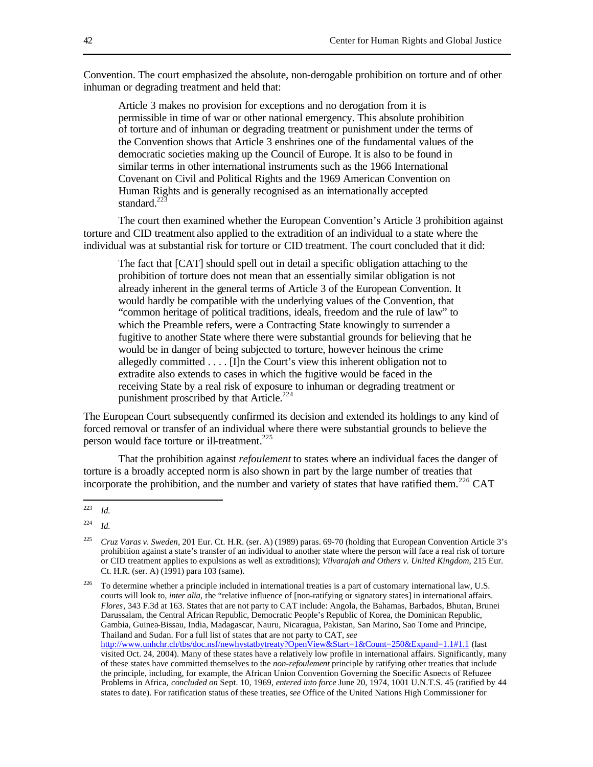Convention. The court emphasized the absolute, non-derogable prohibition on torture and of other inhuman or degrading treatment and held that:

Article 3 makes no provision for exceptions and no derogation from it is permissible in time of war or other national emergency. This absolute prohibition of torture and of inhuman or degrading treatment or punishment under the terms of the Convention shows that Article 3 enshrines one of the fundamental values of the democratic societies making up the Council of Europe. It is also to be found in similar terms in other international instruments such as the 1966 International Covenant on Civil and Political Rights and the 1969 American Convention on Human Rights and is generally recognised as an internationally accepted standard. $^{22\bar{3}}$ 

The court then examined whether the European Convention's Article 3 prohibition against torture and CID treatment also applied to the extradition of an individual to a state where the individual was at substantial risk for torture or CID treatment. The court concluded that it did:

The fact that [CAT] should spell out in detail a specific obligation attaching to the prohibition of torture does not mean that an essentially similar obligation is not already inherent in the general terms of Article 3 of the European Convention. It would hardly be compatible with the underlying values of the Convention, that "common heritage of political traditions, ideals, freedom and the rule of law" to which the Preamble refers, were a Contracting State knowingly to surrender a fugitive to another State where there were substantial grounds for believing that he would be in danger of being subjected to torture, however heinous the crime allegedly committed . . . . [I]n the Court's view this inherent obligation not to extradite also extends to cases in which the fugitive would be faced in the receiving State by a real risk of exposure to inhuman or degrading treatment or punishment proscribed by that Article.<sup>224</sup>

The European Court subsequently confirmed its decision and extended its holdings to any kind of forced removal or transfer of an individual where there were substantial grounds to believe the person would face torture or ill-treatment.<sup>225</sup>

That the prohibition against *refoulement* to states where an individual faces the danger of torture is a broadly accepted norm is also shown in part by the large number of treaties that incorporate the prohibition, and the number and variety of states that have ratified them.<sup>226</sup> CAT

<sup>223</sup> *Id.*

<sup>224</sup> *Id.*

<sup>225</sup> *Cruz Varas v. Sweden*, 201 Eur. Ct. H.R. (ser. A) (1989) paras. 69-70 (holding that European Convention Article 3's prohibition against a state's transfer of an individual to another state where the person will face a real risk of torture or CID treatment applies to expulsions as well as extraditions); *Vilvarajah and Others v. United Kingdom*, 215 Eur. Ct. H.R. (ser. A) (1991) para 103 (same).

 $226$  To determine whether a principle included in international treaties is a part of customary international law, U.S. courts will look to, *inter alia*, the "relative influence of [non-ratifying or signatory states] in international affairs. *Flores*, 343 F.3d at 163. States that are not party to CAT include: Angola, the Bahamas, Barbados, Bhutan, Brunei Darussalam, the Central African Republic, Democratic People's Republic of Korea, the Dominican Republic, Gambia, Guinea-Bissau, India, Madagascar, Nauru, Nicaragua, Pakistan, San Marino, Sao Tome and Principe, Thailand and Sudan. For a full list of states that are not party to CAT, *see* http://www.unhchr.ch/tbs/doc.nsf/newhvstatbytreaty?OpenView&Start=1&Count=250&Expand=1.1#1.1 (last visited Oct. 24, 2004). Many of these states have a relatively low profile in international affairs. Significantly, many of these states have committed themselves to the *non-refoulement* principle by ratifying other treaties that include the principle, including, for example, the African Union Convention Governing the Specific Aspects of Refugee Problems in Africa, *concluded on* Sept. 10, 1969, *entered into force* June 20, 1974, 1001 U.N.T.S. 45 (ratified by 44 states to date). For ratification status of these treaties, *see* Office of the United Nations High Commissioner for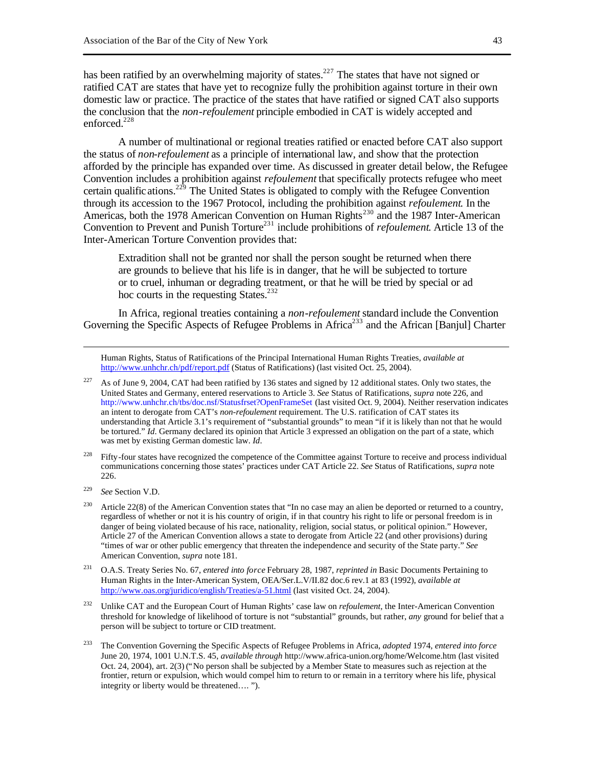has been ratified by an overwhelming majority of states.<sup>227</sup> The states that have not signed or ratified CAT are states that have yet to recognize fully the prohibition against torture in their own domestic law or practice. The practice of the states that have ratified or signed CAT also supports the conclusion that the *non-refoulement* principle embodied in CAT is widely accepted and enforced.<sup>228</sup>

A number of multinational or regional treaties ratified or enacted before CAT also support the status of *non-refoulement* as a principle of international law, and show that the protection afforded by the principle has expanded over time. As discussed in greater detail below, the Refugee Convention includes a prohibition against *refoulement* that specifically protects refugee who meet certain qualific ations.<sup>229</sup> The United States is obligated to comply with the Refugee Convention through its accession to the 1967 Protocol, including the prohibition against *refoulement*. In the Americas, both the 1978 American Convention on Human Rights<sup>230</sup> and the 1987 Inter-American Convention to Prevent and Punish Torture<sup>231</sup> include prohibitions of *refoulement*. Article 13 of the Inter-American Torture Convention provides that:

Extradition shall not be granted nor shall the person sought be returned when there are grounds to believe that his life is in danger, that he will be subjected to torture or to cruel, inhuman or degrading treatment, or that he will be tried by special or ad hoc courts in the requesting States.<sup>232</sup>

In Africa, regional treaties containing a *non-refoulement* standard include the Convention Governing the Specific Aspects of Refugee Problems in Africa<sup>233</sup> and the African [Banjul] Charter

Human Rights, Status of Ratifications of the Principal International Human Rights Treaties, *available at* http://www.unhchr.ch/pdf/report.pdf (Status of Ratifications) (last visited Oct. 25, 2004).

<sup>228</sup> Fifty-four states have recognized the competence of the Committee against Torture to receive and process individual communications concerning those states' practices under CAT Article 22. *See* Status of Ratifications, *supra* note 226.

<sup>229</sup> *See* Section V.D.

 $\overline{a}$ 

<sup>230</sup> Article 22(8) of the American Convention states that "In no case may an alien be deported or returned to a country, regardless of whether or not it is his country of origin, if in that country his right to life or personal freedom is in danger of being violated because of his race, nationality, religion, social status, or political opinion." However, Article 27 of the American Convention allows a state to derogate from Article 22 (and other provisions) during "times of war or other public emergency that threaten the independence and security of the State party." *See* American Convention, *supra* note 181.

<sup>231</sup> O.A.S. Treaty Series No. 67, *entered into force* February 28, 1987, *reprinted in* Basic Documents Pertaining to Human Rights in the Inter-American System, OEA/Ser.L.V/II.82 doc.6 rev.1 at 83 (1992), *available at* http://www.oas.org/juridico/english/Treaties/a-51.html (last visited Oct. 24, 2004).

<sup>232</sup> Unlike CAT and the European Court of Human Rights' case law on *refoulement*, the Inter-American Convention threshold for knowledge of likelihood of torture is not "substantial" grounds, but rather, *any* ground for belief that a person will be subject to torture or CID treatment.

<sup>233</sup> The Convention Governing the Specific Aspects of Refugee Problems in Africa, *adopted* 1974, *entered into force* June 20, 1974, 1001 U.N.T.S. 45, *available through* http://www.africa-union.org/home/Welcome.htm (last visited Oct. 24, 2004), art. 2(3) ("No person shall be subjected by a Member State to measures such as rejection at the frontier, return or expulsion, which would compel him to return to or remain in a territory where his life, physical integrity or liberty would be threatened…. ").

<sup>&</sup>lt;sup>227</sup> As of June 9, 2004, CAT had been ratified by 136 states and signed by 12 additional states. Only two states, the United States and Germany, entered reservations to Article 3. *See* Status of Ratifications, *supra* note 226, and http://www.unhchr.ch/tbs/doc.nsf/Statusfrset?OpenFrameSet (last visited Oct. 9, 2004). Neither reservation indicates an intent to derogate from CAT's *non-refoulement* requirement. The U.S. ratification of CAT states its understanding that Article 3.1's requirement of "substantial grounds" to mean "if it is likely than not that he would be tortured." *Id*. Germany declared its opinion that Article 3 expressed an obligation on the part of a state, which was met by existing German domestic law. *Id*.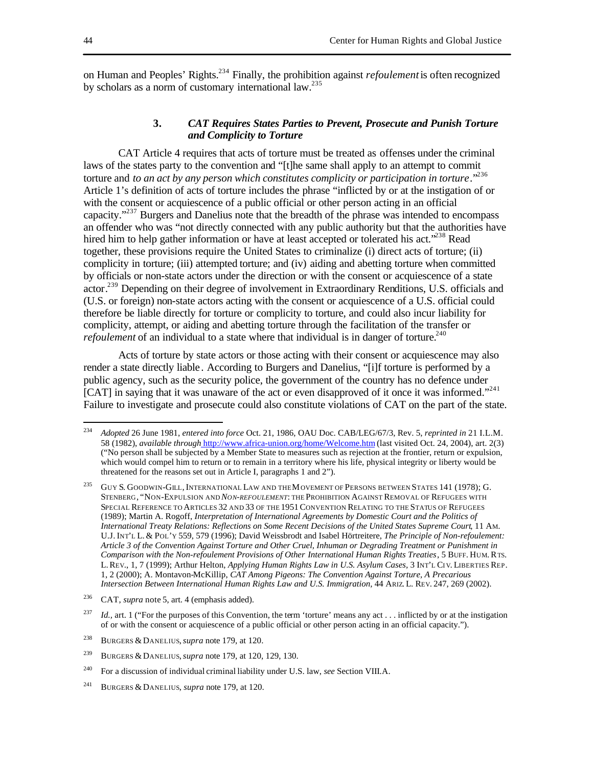on Human and Peoples' Rights.<sup>234</sup> Finally, the prohibition against *refoulement* is often recognized by scholars as a norm of customary international law.<sup>235</sup>

### **3.** *CAT Requires States Parties to Prevent, Prosecute and Punish Torture and Complicity to Torture*

CAT Article 4 requires that acts of torture must be treated as offenses under the criminal laws of the states party to the convention and "[t]he same shall apply to an attempt to commit torture and *to an act by any person which constitutes complicity or participation in torture*."<sup>236</sup> Article 1's definition of acts of torture includes the phrase "inflicted by or at the instigation of or with the consent or acquiescence of a public official or other person acting in an official capacity."<sup>237</sup> Burgers and Danelius note that the breadth of the phrase was intended to encompass an offender who was "not directly connected with any public authority but that the authorities have hired him to help gather information or have at least accepted or tolerated his act."<sup>238</sup> Read together, these provisions require the United States to criminalize (i) direct acts of torture; (ii) complicity in torture; (iii) attempted torture; and (iv) aiding and abetting torture when committed by officials or non-state actors under the direction or with the consent or acquiescence of a state actor.<sup>239</sup> Depending on their degree of involvement in Extraordinary Renditions, U.S. officials and (U.S. or foreign) non-state actors acting with the consent or acquiescence of a U.S. official could therefore be liable directly for torture or complicity to torture, and could also incur liability for complicity, attempt, or aiding and abetting torture through the facilitation of the transfer or *refoulement* of an individual to a state where that individual is in danger of torture.<sup>240</sup>

Acts of torture by state actors or those acting with their consent or acquiescence may also render a state directly liable . According to Burgers and Danelius, "[i]f torture is performed by a public agency, such as the security police, the government of the country has no defence under [CAT] in saying that it was unaware of the act or even disapproved of it once it was informed."<sup>241</sup> Failure to investigate and prosecute could also constitute violations of CAT on the part of the state.

<sup>234</sup> <sup>234</sup> *Adopted* 26 June 1981, *entered into force* Oct. 21, 1986, OAU Doc. CAB/LEG/67/3, Rev. 5, *reprinted in* 21 I.L.M. 58 (1982), *available through* http://www.africa-union.org/home/Welcome.htm (last visited Oct. 24, 2004), art. 2(3) ("No person shall be subjected by a Member State to measures such as rejection at the frontier, return or expulsion, which would compel him to return or to remain in a territory where his life, physical integrity or liberty would be threatened for the reasons set out in Article I, paragraphs 1 and 2").

<sup>&</sup>lt;sup>235</sup> GUY S. GOODWIN-GILL, INTERNATIONAL LAW AND THE MOVEMENT OF PERSONS BETWEEN STATES 141 (1978); G. STENBERG, "NON-EXPULSION AND *NON-REFOULEMENT*: THE PROHIBITION AGAINST REMOVAL OF REFUGEES WITH SPECIAL REFERENCE TO ARTICLES 32 AND 33 OF THE 1951 CONVENTION RELATING TO THE STATUS OF REFUGEES (1989); Martin A. Rogoff, *Interpretation of International Agreements by Domestic Court and the Politics of International Treaty Relations: Reflections on Some Recent Decisions of the United States Supreme Court*, 11 AM. U.J. INT'L L.& POL'Y 559, 579 (1996); David Weissbrodt and Isabel Hörtreitere, *The Principle of Non-refoulement: Article 3 of the Convention Against Torture and Other Cruel, Inhuman or Degrading Treatment or Punishment in Comparison with the Non-refoulement Provisions of Other International Human Rights Treaties*, 5 BUFF. HUM.RTS. L. REV., 1, 7 (1999); Arthur Helton, *Applying Human Rights Law in U.S. Asylum Cases*, 3 INT'L CIV. LIBERTIES REP. 1, 2 (2000); A. Montavon-McKillip, *CAT Among Pigeons: The Convention Against Torture, A Precarious Intersection Between International Human Rights Law and U.S. Immigration,* 44 ARIZ. L. REV. 247, 269 (2002).

<sup>236</sup> CAT, *supra* note 5, art. 4 (emphasis added).

<sup>&</sup>lt;sup>237</sup> *Id.*, art. 1 ("For the purposes of this Convention, the term 'torture' means any act . . . inflicted by or at the instigation of or with the consent or acquiescence of a public official or other person acting in an official capacity.").

<sup>238</sup> BURGERS &DANELIUS,*supra* note 179, at 120.

<sup>239</sup> BURGERS &DANELIUS,*supra* note 179, at 120, 129, 130.

<sup>240</sup> For a discussion of individual criminal liability under U.S. law, *see* Section VIII*.*A.

<sup>241</sup> BURGERS &DANELIUS, *supra* note 179, at 120.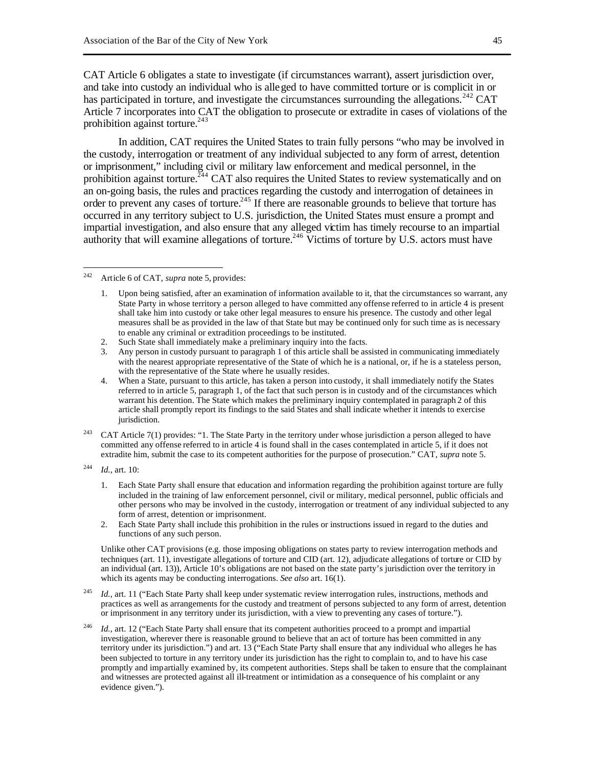CAT Article 6 obligates a state to investigate (if circumstances warrant), assert jurisdiction over, and take into custody an individual who is alleged to have committed torture or is complicit in or has participated in torture, and investigate the circumstances surrounding the allegations.<sup>242</sup> CAT Article 7 incorporates into CAT the obligation to prosecute or extradite in cases of violations of the prohibition against torture.<sup>243</sup>

In addition, CAT requires the United States to train fully persons "who may be involved in the custody, interrogation or treatment of any individual subjected to any form of arrest, detention or imprisonment," including civil or military law enforcement and medical personnel, in the prohibition against torture.<sup>244</sup> CAT also requires the United States to review systematically and on an on-going basis, the rules and practices regarding the custody and interrogation of detainees in order to prevent any cases of torture.<sup>245</sup> If there are reasonable grounds to believe that torture has occurred in any territory subject to U.S. jurisdiction, the United States must ensure a prompt and impartial investigation, and also ensure that any alleged victim has timely recourse to an impartial authority that will examine allegations of torture.<sup>246</sup> Victims of torture by U.S. actors must have

2. Such State shall immediately make a preliminary inquiry into the facts.

<sup>243</sup> CAT Article 7(1) provides: "1. The State Party in the territory under whose jurisdiction a person alleged to have committed any offense referred to in article 4 is found shall in the cases contemplated in article 5, if it does not extradite him, submit the case to its competent authorities for the purpose of prosecution." CAT, *supra* note 5.

<sup>244</sup> *Id.,* art. 10:

- 1. Each State Party shall ensure that education and information regarding the prohibition against torture are fully included in the training of law enforcement personnel, civil or military, medical personnel, public officials and other persons who may be involved in the custody, interrogation or treatment of any individual subjected to any form of arrest, detention or imprisonment.
- 2. Each State Party shall include this prohibition in the rules or instructions issued in regard to the duties and functions of any such person.

Unlike other CAT provisions (e.g. those imposing obligations on states party to review interrogation methods and techniques (art. 11), investigate allegations of torture and CID (art. 12), adjudicate allegations of torture or CID by an individual (art. 13)), Article 10's obligations are not based on the state party's jurisdiction over the territory in which its agents may be conducting interrogations. *See also* art. 16(1).

- <sup>245</sup> *Id.,* art. 11 ("Each State Party shall keep under systematic review interrogation rules, instructions, methods and practices as well as arrangements for the custody and treatment of persons subjected to any form of arrest, detention or imprisonment in any territory under its jurisdiction, with a view to preventing any cases of torture.").
- Id., art. 12 ("Each State Party shall ensure that its competent authorities proceed to a prompt and impartial investigation, wherever there is reasonable ground to believe that an act of torture has been committed in any territory under its jurisdiction.") and art. 13 ("Each State Party shall ensure that any individual who alleges he has been subjected to torture in any territory under its jurisdiction has the right to complain to, and to have his case promptly and impartially examined by, its competent authorities. Steps shall be taken to ensure that the complainant and witnesses are protected against all ill-treatment or intimidation as a consequence of his complaint or any evidence given.").

 $242\,$ Article 6 of CAT, *supra* note 5, provides:

<sup>1.</sup> Upon being satisfied, after an examination of information available to it, that the circumstances so warrant, any State Party in whose territory a person alleged to have committed any offense referred to in article 4 is present shall take him into custody or take other legal measures to ensure his presence. The custody and other legal measures shall be as provided in the law of that State but may be continued only for such time as is necessary to enable any criminal or extradition proceedings to be instituted.

<sup>3.</sup> Any person in custody pursuant to paragraph 1 of this article shall be assisted in communicating immediately with the nearest appropriate representative of the State of which he is a national, or, if he is a stateless person, with the representative of the State where he usually resides.

<sup>4.</sup> When a State, pursuant to this article, has taken a person into custody, it shall immediately notify the States referred to in article 5, paragraph 1, of the fact that such person is in custody and of the circumstances which warrant his detention. The State which makes the preliminary inquiry contemplated in paragraph 2 of this article shall promptly report its findings to the said States and shall indicate whether it intends to exercise jurisdiction.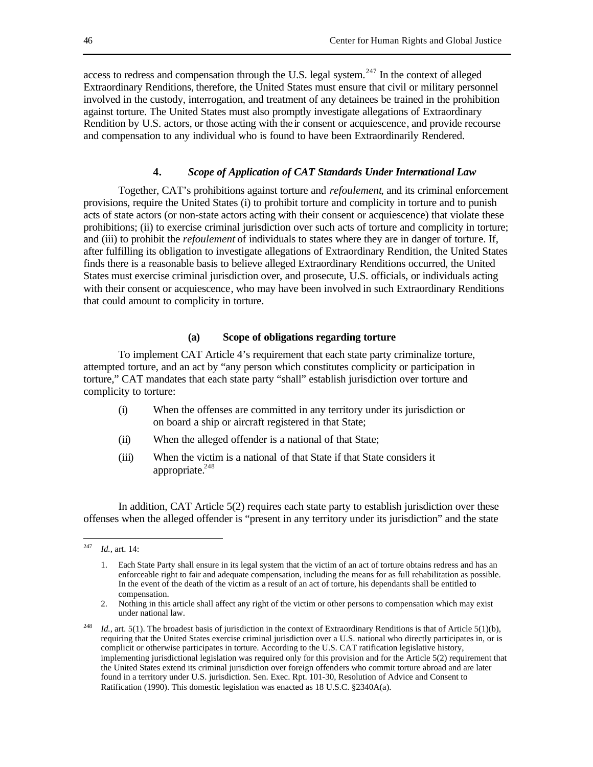access to redress and compensation through the U.S. legal system.<sup>247</sup> In the context of alleged Extraordinary Renditions, therefore, the United States must ensure that civil or military personnel involved in the custody, interrogation, and treatment of any detainees be trained in the prohibition against torture. The United States must also promptly investigate allegations of Extraordinary Rendition by U.S. actors, or those acting with the ir consent or acquiescence, and provide recourse and compensation to any individual who is found to have been Extraordinarily Rendered.

### **4.** *Scope of Application of CAT Standards Under International Law*

Together, CAT's prohibitions against torture and *refoulement*, and its criminal enforcement provisions, require the United States (i) to prohibit torture and complicity in torture and to punish acts of state actors (or non-state actors acting with their consent or acquiescence) that violate these prohibitions; (ii) to exercise criminal jurisdiction over such acts of torture and complicity in torture; and (iii) to prohibit the *refoulement* of individuals to states where they are in danger of torture. If, after fulfilling its obligation to investigate allegations of Extraordinary Rendition, the United States finds there is a reasonable basis to believe alleged Extraordinary Renditions occurred, the United States must exercise criminal jurisdiction over, and prosecute, U.S. officials, or individuals acting with their consent or acquiescence, who may have been involved in such Extraordinary Renditions that could amount to complicity in torture.

### **(a) Scope of obligations regarding torture**

To implement CAT Article 4's requirement that each state party criminalize torture, attempted torture, and an act by "any person which constitutes complicity or participation in torture," CAT mandates that each state party "shall" establish jurisdiction over torture and complicity to torture:

- (i) When the offenses are committed in any territory under its jurisdiction or on board a ship or aircraft registered in that State;
- (ii) When the alleged offender is a national of that State;
- (iii) When the victim is a national of that State if that State considers it appropriate. $248$

In addition, CAT Article 5(2) requires each state party to establish jurisdiction over these offenses when the alleged offender is "present in any territory under its jurisdiction" and the state

<sup>247</sup> *Id.*, art. 14:

<sup>1.</sup> Each State Party shall ensure in its legal system that the victim of an act of torture obtains redress and has an enforceable right to fair and adequate compensation, including the means for as full rehabilitation as possible. In the event of the death of the victim as a result of an act of torture, his dependants shall be entitled to compensation.

<sup>2.</sup> Nothing in this article shall affect any right of the victim or other persons to compensation which may exist under national law.

<sup>&</sup>lt;sup>248</sup> *Id.*, art. 5(1). The broadest basis of jurisdiction in the context of Extraordinary Renditions is that of Article 5(1)(b), requiring that the United States exercise criminal jurisdiction over a U.S. national who directly participates in, or is complicit or otherwise participates in torture. According to the U.S. CAT ratification legislative history, implementing jurisdictional legislation was required only for this provision and for the Article 5(2) requirement that the United States extend its criminal jurisdiction over foreign offenders who commit torture abroad and are later found in a territory under U.S. jurisdiction. Sen. Exec. Rpt. 101-30, Resolution of Advice and Consent to Ratification (1990). This domestic legislation was enacted as 18 U.S.C. §2340A(a).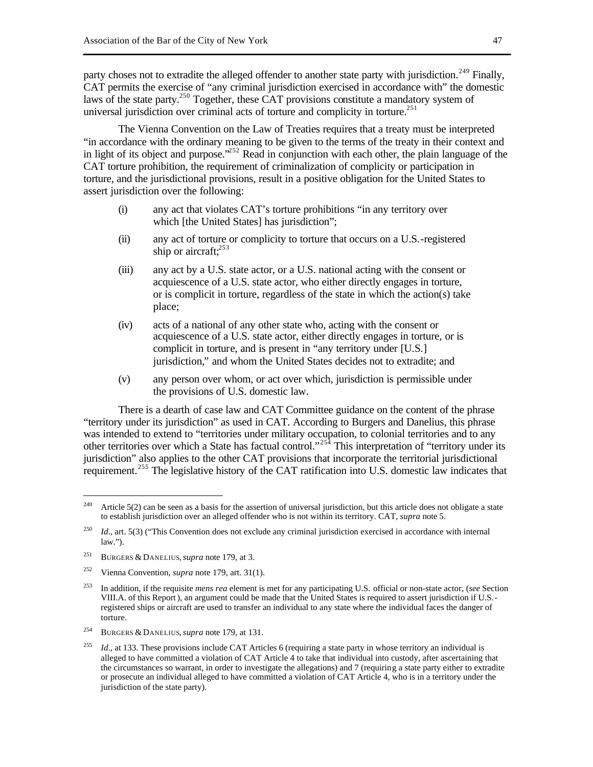party choses not to extradite the alleged offender to another state party with jurisdiction.<sup>249</sup> Finally, CAT permits the exercise of "any criminal jurisdiction exercised in accordance with" the domestic laws of the state party.<sup>250</sup> Together, these CAT provisions constitute a mandatory system of universal jurisdiction over criminal acts of torture and complicity in torture.<sup>251</sup>

The Vienna Convention on the Law of Treaties requires that a treaty must be interpreted "in accordance with the ordinary meaning to be given to the terms of the treaty in their context and in light of its object and purpose.<sup> $252$ </sup> Read in conjunction with each other, the plain language of the CAT torture prohibition, the requirement of criminalization of complicity or participation in torture, and the jurisdictional provisions, result in a positive obligation for the United States to assert jurisdiction over the following:

- (i) any act that violates CAT's torture prohibitions "in any territory over which [the United States] has jurisdiction";
- (ii) any act of torture or complicity to torture that occurs on a U.S.-registered ship or aircraft; $253$
- (iii) any act by a U.S. state actor, or a U.S. national acting with the consent or acquiescence of a U.S. state actor, who either directly engages in torture, or is complicit in torture, regardless of the state in which the action(s) take place;
- (iv) acts of a national of any other state who, acting with the consent or acquiescence of a U.S. state actor, either directly engages in torture*,* or is complicit in torture, and is present in "any territory under [U.S.] jurisdiction," and whom the United States decides not to extradite; and
- (v) any person over whom, or act over which, jurisdiction is permissible under the provisions of U.S. domestic law.

There is a dearth of case law and CAT Committee guidance on the content of the phrase "territory under its jurisdiction" as used in CAT. According to Burgers and Danelius, this phrase was intended to extend to "territories under military occupation, to colonial territories and to any other territories over which a State has factual control."<sup>254</sup> This interpretation of "territory under its jurisdiction" also applies to the other CAT provisions that incorporate the territorial jurisdictional requirement.<sup>255</sup> The legislative history of the CAT ratification into U.S. domestic law indicates that

 $\overline{a}$ 

<sup>254</sup> BURGERS &DANELIUS,*supra* note 179, at 131.

<sup>&</sup>lt;sup>249</sup> Article 5(2) can be seen as a basis for the assertion of universal jurisdiction, but this article does not obligate a state to establish jurisdiction over an alleged offender who is not within its territory. CAT, *supra* note 5.

<sup>&</sup>lt;sup>250</sup> *Id.*, art. 5(3) ("This Convention does not exclude any criminal jurisdiction exercised in accordance with internal law.").

<sup>251</sup> BURGERS &DANELIUS,*supra* note 179, at 3.

<sup>252</sup> Vienna Convention, *supra* note 179, art. 31(1).

<sup>253</sup> In addition, if the requisite *mens rea* element is met for any participating U.S. official or non-state actor, (*see* Section VIII.A. of this Report), an argument could be made that the United States is required to assert jurisdiction if U.S. registered ships or aircraft are used to transfer an individual to any state where the individual faces the danger of torture.

<sup>&</sup>lt;sup>255</sup> *Id.*, at 133. These provisions include CAT Articles 6 (requiring a state party in whose territory an individual is alleged to have committed a violation of CAT Article 4 to take that individual into custody, after ascertaining that the circumstances so warrant, in order to investigate the allegations) and 7 (requiring a state party either to extradite or prosecute an individual alleged to have committed a violation of CAT Article 4, who is in a territory under the jurisdiction of the state party).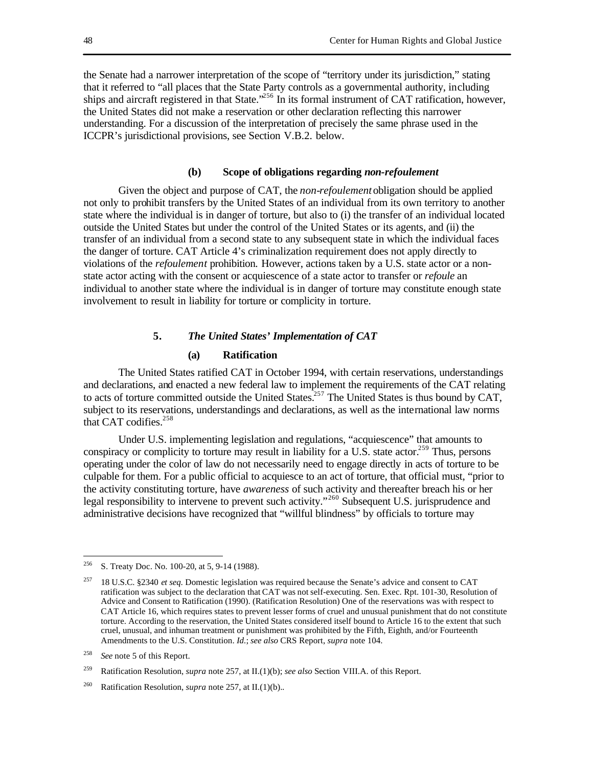the Senate had a narrower interpretation of the scope of "territory under its jurisdiction," stating that it referred to "all places that the State Party controls as a governmental authority, including ships and aircraft registered in that State.<sup>256</sup> In its formal instrument of CAT ratification, however, the United States did not make a reservation or other declaration reflecting this narrower understanding. For a discussion of the interpretation of precisely the same phrase used in the ICCPR's jurisdictional provisions, see Section V.B.2. below.

### **(b) Scope of obligations regarding** *non-refoulement*

Given the object and purpose of CAT, the *non-refoulement* obligation should be applied not only to prohibit transfers by the United States of an individual from its own territory to another state where the individual is in danger of torture, but also to (i) the transfer of an individual located outside the United States but under the control of the United States or its agents, and (ii) the transfer of an individual from a second state to any subsequent state in which the individual faces the danger of torture. CAT Article 4's criminalization requirement does not apply directly to violations of the *refoulement* prohibition. However, actions taken by a U.S. state actor or a nonstate actor acting with the consent or acquiescence of a state actor to transfer or *refoule* an individual to another state where the individual is in danger of torture may constitute enough state involvement to result in liability for torture or complicity in torture.

## **5.** *The United States' Implementation of CAT*

### **(a) Ratification**

The United States ratified CAT in October 1994, with certain reservations, understandings and declarations, and enacted a new federal law to implement the requirements of the CAT relating to acts of torture committed outside the United States.<sup>257</sup> The United States is thus bound by CAT, subject to its reservations, understandings and declarations, as well as the international law norms that CAT codifies. $258$ 

Under U.S. implementing legislation and regulations, "acquiescence" that amounts to conspiracy or complicity to torture may result in liability for a U.S. state actor.<sup>259</sup> Thus, persons operating under the color of law do not necessarily need to engage directly in acts of torture to be culpable for them. For a public official to acquiesce to an act of torture, that official must, "prior to the activity constituting torture, have *awareness* of such activity and thereafter breach his or her legal responsibility to intervene to prevent such activity."<sup>260</sup> Subsequent U.S. jurisprudence and administrative decisions have recognized that "willful blindness" by officials to torture may

<sup>256</sup> S. Treaty Doc. No. 100-20, at 5, 9-14 (1988).

<sup>257</sup> 18 U.S.C. §2340 *et seq*. Domestic legislation was required because the Senate's advice and consent to CAT ratification was subject to the declaration that CAT was not self-executing. Sen. Exec. Rpt. 101-30, Resolution of Advice and Consent to Ratification (1990). (Ratification Resolution) One of the reservations was with respect to CAT Article 16, which requires states to prevent lesser forms of cruel and unusual punishment that do not constitute torture. According to the reservation, the United States considered itself bound to Article 16 to the extent that such cruel, unusual, and inhuman treatment or punishment was prohibited by the Fifth, Eighth, and/or Fourteenth Amendments to the U.S. Constitution. *Id.*; *see also* CRS Report, *supra* note 104.

<sup>258</sup> *See* note 5 of this Report.

<sup>259</sup> Ratification Resolution, *supra* note 257, at II.(1)(b); *see also* Section VIII.A. of this Report.

<sup>260</sup> Ratification Resolution, *supra* note 257, at II.(1)(b).*.*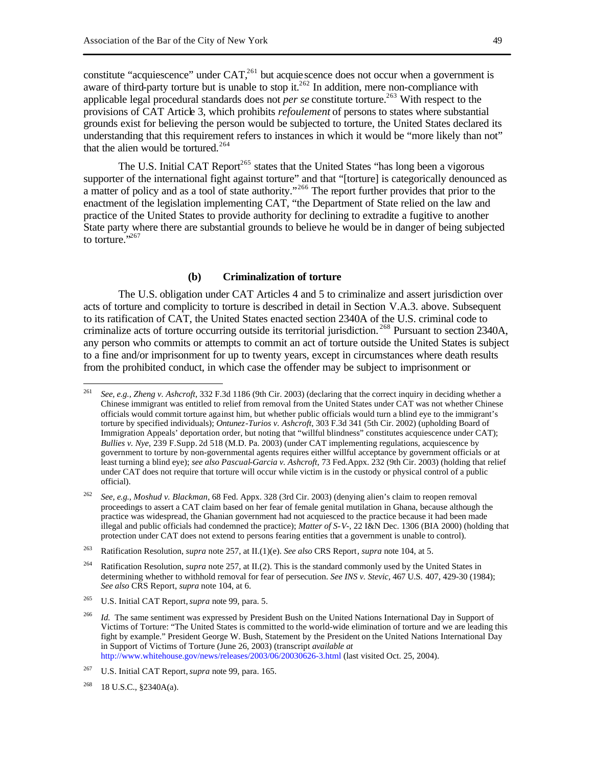constitute "acquiescence" under  $CAT<sub>1</sub><sup>261</sup>$  but acquiescence does not occur when a government is aware of third-party torture but is unable to stop it.<sup>262</sup> In addition, mere non-compliance with applicable legal procedural standards does not *per se* constitute torture.<sup>263</sup> With respect to the provisions of CAT Article 3, which prohibits *refoulement* of persons to states where substantial grounds exist for believing the person would be subjected to torture, the United States declared its understanding that this requirement refers to instances in which it would be "more likely than not" that the alien would be tortured.<sup>264</sup>

The U.S. Initial CAT Report<sup>265</sup> states that the United States "has long been a vigorous supporter of the international fight against torture" and that "[torture] is categorically denounced as a matter of policy and as a tool of state authority."<sup>266</sup> The report further provides that prior to the enactment of the legislation implementing CAT, "the Department of State relied on the law and practice of the United States to provide authority for declining to extradite a fugitive to another State party where there are substantial grounds to believe he would be in danger of being subjected to torture."267

### **(b) Criminalization of torture**

The U.S. obligation under CAT Articles 4 and 5 to criminalize and assert jurisdiction over acts of torture and complicity to torture is described in detail in Section V.A.3. above. Subsequent to its ratification of CAT, the United States enacted section 2340A of the U.S. criminal code to criminalize acts of torture occurring outside its territorial jurisdiction.<sup>268</sup> Pursuant to section 2340A, any person who commits or attempts to commit an act of torture outside the United States is subject to a fine and/or imprisonment for up to twenty years, except in circumstances where death results from the prohibited conduct, in which case the offender may be subject to imprisonment or

<sup>261</sup> <sup>261</sup> *See, e.g., Zheng v. Ashcroft*, 332 F.3d 1186 (9th Cir. 2003) (declaring that the correct inquiry in deciding whether a Chinese immigrant was entitled to relief from removal from the United States under CAT was not whether Chinese officials would commit torture against him, but whether public officials would turn a blind eye to the immigrant's torture by specified individuals); *Ontunez-Turios v. Ashcroft*, 303 F.3d 341 (5th Cir. 2002) (upholding Board of Immigration Appeals' deportation order, but noting that "willful blindness" constitutes acquiescence under CAT); *Bullies v. Nye*, 239 F.Supp. 2d 518 (M.D. Pa. 2003) (under CAT implementing regulations, acquiescence by government to torture by non-governmental agents requires either willful acceptance by government officials or at least turning a blind eye); *see also Pascual-Garcia v. Ashcroft*, 73 Fed.Appx. 232 (9th Cir. 2003) (holding that relief under CAT does not require that torture will occur while victim is in the custody or physical control of a public official).

<sup>262</sup> *See, e.g., Moshud v. Blackman*, 68 Fed. Appx. 328 (3rd Cir. 2003) (denying alien's claim to reopen removal proceedings to assert a CAT claim based on her fear of female genital mutilation in Ghana, because although the practice was widespread, the Ghanian government had not acquiesced to the practice because it had been made illegal and public officials had condemned the practice); *Matter of S-V-,* 22 I&N Dec. 1306 (BIA 2000) (holding that protection under CAT does not extend to persons fearing entities that a government is unable to control).

<sup>263</sup> Ratification Resolution, *supra* note 257, at II.(1)(e). *See also* CRS Report, *supra* note 104, at 5.

<sup>264</sup> Ratification Resolution, *supra* note 257, at II.(2). This is the standard commonly used by the United States in determining whether to withhold removal for fear of persecution. *See INS v. Stevic*, 467 U.S. 407, 429-30 (1984); *See also* CRS Report, *supra* note 104, at 6.

<sup>265</sup> U.S. Initial CAT Report, *supra* note 99, para. 5.

<sup>266</sup> *Id.* The same sentiment was expressed by President Bush on the United Nations International Day in Support of Victims of Torture: "The United States is committed to the world-wide elimination of torture and we are leading this fight by example." President George W. Bush, Statement by the President on the United Nations International Day in Support of Victims of Torture (June 26, 2003) (transcript *available at* http://www.whitehouse.gov/news/releases/2003/06/20030626-3.html (last visited Oct. 25, 2004).

<sup>267</sup> U.S. Initial CAT Report, *supra* note 99, para. 165.

 $268$  18 U.S.C., §2340A(a).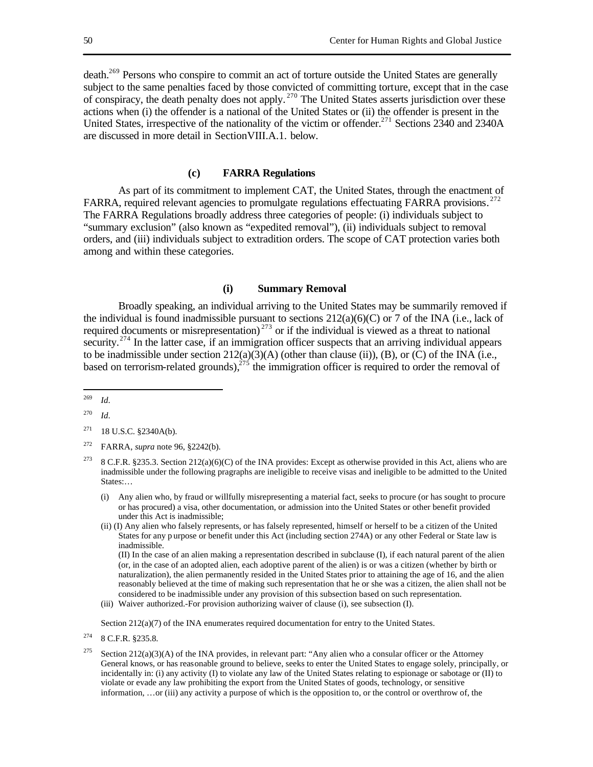death.<sup>269</sup> Persons who conspire to commit an act of torture outside the United States are generally subject to the same penalties faced by those convicted of committing torture, except that in the case of conspiracy, the death penalty does not apply. <sup>270</sup> The United States asserts jurisdiction over these actions when (i) the offender is a national of the United States or (ii) the offender is present in the United States, irrespective of the nationality of the victim or offender.<sup>271</sup> Sections 2340 and 2340A are discussed in more detail in SectionVIII.A.1. below.

#### **(c) FARRA Regulations**

As part of its commitment to implement CAT, the United States, through the enactment of FARRA, required relevant agencies to promulgate regulations effectuating FARRA provisions.<sup>272</sup> The FARRA Regulations broadly address three categories of people: (i) individuals subject to "summary exclusion" (also known as "expedited removal"), (ii) individuals subject to removal orders, and (iii) individuals subject to extradition orders. The scope of CAT protection varies both among and within these categories.

#### **(i) Summary Removal**

Broadly speaking, an individual arriving to the United States may be summarily removed if the individual is found inadmissible pursuant to sections  $212(a)(6)(C)$  or 7 of the INA (i.e., lack of required documents or misrepresentation)<sup>273</sup> or if the individual is viewed as a threat to national security.<sup>274</sup> In the latter case, if an immigration officer suspects that an arriving individual appears to be inadmissible under section  $212(a)(3)(A)$  (other than clause (ii)), (B), or (C) of the INA (i.e., based on terrorism-related grounds), $^{275}$  the immigration officer is required to order the removal of

<sup>269</sup> *Id*.

 $\overline{a}$ 

<sup>270</sup> *Id*.

- (i) Any alien who, by fraud or willfully misrepresenting a material fact, seeks to procure (or has sought to procure or has procured) a visa, other documentation, or admission into the United States or other benefit provided under this Act is inadmissible;
- (ii) (I) Any alien who falsely represents, or has falsely represented, himself or herself to be a citizen of the United States for any p urpose or benefit under this Act (including section 274A) or any other Federal or State law is inadmissible.

 (II) In the case of an alien making a representation described in subclause (I), if each natural parent of the alien (or, in the case of an adopted alien, each adoptive parent of the alien) is or was a citizen (whether by birth or naturalization), the alien permanently resided in the United States prior to attaining the age of 16, and the alien reasonably believed at the time of making such representation that he or she was a citizen, the alien shall not be considered to be inadmissible under any provision of this subsection based on such representation.

Section 212(a)(7) of the INA enumerates required documentation for entry to the United States.

<sup>275</sup> Section 212(a)(3)(A) of the INA provides, in relevant part: "Any alien who a consular officer or the Attorney General knows, or has reasonable ground to believe, seeks to enter the United States to engage solely, principally, or incidentally in: (i) any activity (I) to violate any law of the United States relating to espionage or sabotage or (II) to violate or evade any law prohibiting the export from the United States of goods, technology, or sensitive information, …or (iii) any activity a purpose of which is the opposition to, or the control or overthrow of, the

 $271$  18 U.S.C. §2340A(b).

<sup>272</sup> FARRA, *supra* note 96, §2242(b).

<sup>&</sup>lt;sup>273</sup> 8 C.F.R. §235.3. Section 212(a)(6)(C) of the INA provides: Except as otherwise provided in this Act, aliens who are inadmissible under the following pragraphs are ineligible to receive visas and ineligible to be admitted to the United States:…

<sup>(</sup>iii) Waiver authorized.-For provision authorizing waiver of clause (i), see subsection (I).

<sup>274</sup> 8 C.F.R. §235.8.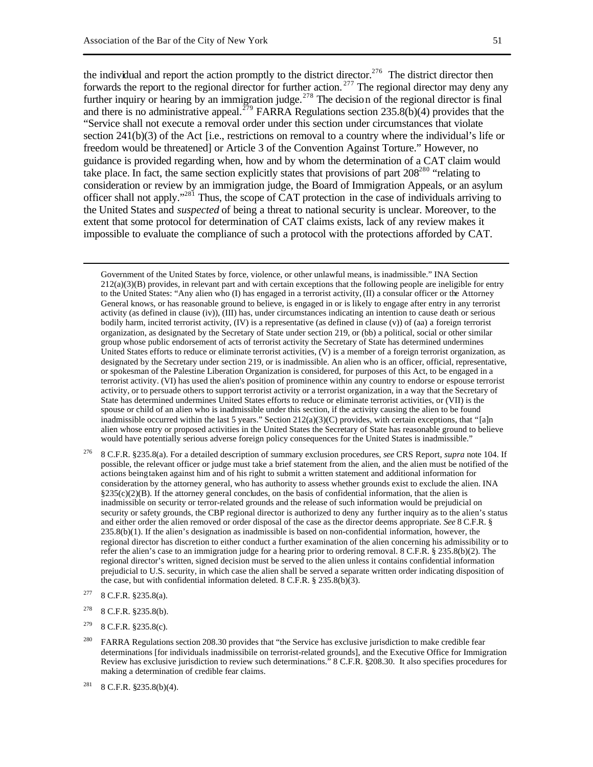the individual and report the action promptly to the district director.<sup>276</sup> The district director then forwards the report to the regional director for further action.<sup>277</sup> The regional director may deny any further inquiry or hearing by an immigration judge.<sup>278</sup> The decision of the regional director is final and there is no administrative appeal.<sup>279</sup> FARRA Regulations section 235.8(b)(4) provides that the "Service shall not execute a removal order under this section under circumstances that violate section 241(b)(3) of the Act [i.e., restrictions on removal to a country where the individual's life or freedom would be threatened] or Article 3 of the Convention Against Torture." However, no guidance is provided regarding when, how and by whom the determination of a CAT claim would take place. In fact, the same section explicitly states that provisions of part  $208^{280}$  "relating to consideration or review by an immigration judge, the Board of Immigration Appeals, or an asylum officer shall not apply."<sup>281</sup> Thus, the scope of CAT protection in the case of individuals arriving to the United States and *suspected* of being a threat to national security is unclear. Moreover, to the extent that some protocol for determination of CAT claims exists, lack of any review makes it impossible to evaluate the compliance of such a protocol with the protections afforded by CAT.

Government of the United States by force, violence, or other unlawful means, is inadmissible." INA Section  $212(a)(3)(B)$  provides, in relevant part and with certain exceptions that the following people are ineligible for entry to the United States: "Any alien who (I) has engaged in a terrorist activity, (II) a consular officer or the Attorney General knows, or has reasonable ground to believe, is engaged in or is likely to engage after entry in any terrorist activity (as defined in clause (iv)), (III) has, under circumstances indicating an intention to cause death or serious bodily harm, incited terrorist activity, (IV) is a representative (as defined in clause (v)) of (aa) a foreign terrorist organization, as designated by the Secretary of State under section 219, or (bb) a political, social or other similar group whose public endorsement of acts of terrorist activity the Secretary of State has determined undermines United States efforts to reduce or eliminate terrorist activities, (V) is a member of a foreign terrorist organization, as designated by the Secretary under section 219, or is inadmissible. An alien who is an officer, official, representative, or spokesman of the Palestine Liberation Organization is considered, for purposes of this Act, to be engaged in a terrorist activity. (VI) has used the alien's position of prominence within any country to endorse or espouse terrorist activity, or to persuade others to support terrorist activity or a terrorist organization, in a way that the Secretary of State has determined undermines United States efforts to reduce or eliminate terrorist activities, or (VII) is the spouse or child of an alien who is inadmissible under this section, if the activity causing the alien to be found inadmissible occurred within the last 5 years." Section 212(a)(3)(C) provides, with certain exceptions, that "[a]n alien whose entry or proposed activities in the United States the Secretary of State has reasonable ground to believe would have potentially serious adverse foreign policy consequences for the United States is inadmissible."

- <sup>276</sup> 8 C.F.R. §235.8(a). For a detailed description of summary exclusion procedures, *see* CRS Report, *supra* note 104. If possible, the relevant officer or judge must take a brief statement from the alien, and the alien must be notified of the actions being taken against him and of his right to submit a written statement and additional information for consideration by the attorney general, who has authority to assess whether grounds exist to exclude the alien. INA  $\S235(c)(2)(B)$ . If the attorney general concludes, on the basis of confidential information, that the alien is inadmissible on security or terror-related grounds and the release of such information would be prejudicial on security or safety grounds, the CBP regional director is authorized to deny any further inquiry as to the alien's status and either order the alien removed or order disposal of the case as the director deems appropriate. *See* 8 C.F.R. § 235.8(b)(1). If the alien's designation as inadmissible is based on non-confidential information, however, the regional director has discretion to either conduct a further examination of the alien concerning his admissibility or to refer the alien's case to an immigration judge for a hearing prior to ordering removal. 8 C.F.R. § 235.8(b)(2). The regional director's written, signed decision must be served to the alien unless it contains confidential information prejudicial to U.S. security, in which case the alien shall be served a separate written order indicating disposition of the case, but with confidential information deleted. 8 C.F.R. § 235.8(b)(3).
- $277$  8 C.F.R. §235.8(a).

- <sup>278</sup> 8 C.F.R. §235.8(b).
- $279$  8 C.F.R. §235.8(c).
- <sup>280</sup> FARRA Regulations section 208.30 provides that "the Service has exclusive jurisdiction to make credible fear determinations [for individuals inadmissibile on terrorist-related grounds], and the Executive Office for Immigration Review has exclusive jurisdiction to review such determinations." 8 C.F.R. §208.30. It also specifies procedures for making a determination of credible fear claims.
- $281$  8 C.F.R. §235.8(b)(4).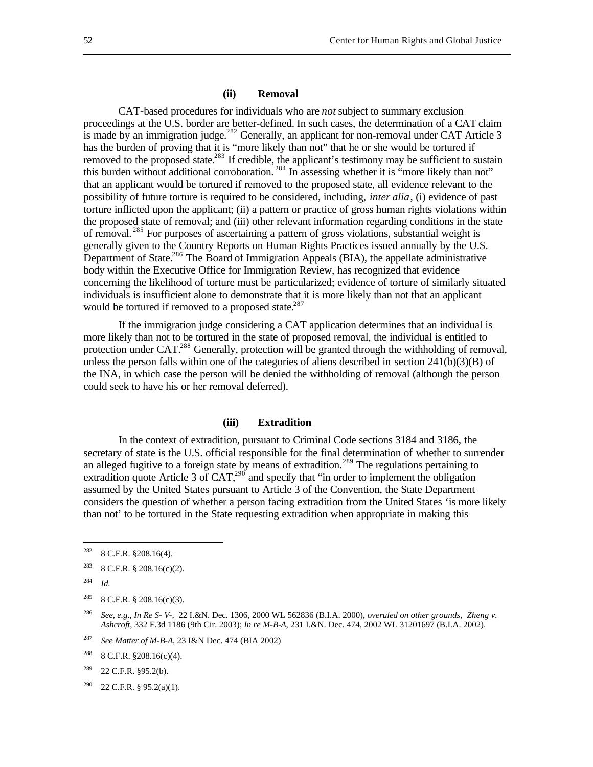#### **(ii) Removal**

CAT-based procedures for individuals who are *not* subject to summary exclusion proceedings at the U.S. border are better-defined. In such cases, the determination of a CAT claim is made by an immigration judge.<sup>282</sup> Generally, an applicant for non-removal under CAT Article 3 has the burden of proving that it is "more likely than not" that he or she would be tortured if removed to the proposed state.<sup>283</sup> If credible, the applicant's testimony may be sufficient to sustain this burden without additional corroboration.<sup>284</sup> In assessing whether it is "more likely than not" that an applicant would be tortured if removed to the proposed state, all evidence relevant to the possibility of future torture is required to be considered, including, *inter alia*, (i) evidence of past torture inflicted upon the applicant; (ii) a pattern or practice of gross human rights violations within the proposed state of removal; and (iii) other relevant information regarding conditions in the state of removal. <sup>285</sup> For purposes of ascertaining a pattern of gross violations, substantial weight is generally given to the Country Reports on Human Rights Practices issued annually by the U.S. Department of State.<sup>286</sup> The Board of Immigration Appeals (BIA), the appellate administrative body within the Executive Office for Immigration Review, has recognized that evidence concerning the likelihood of torture must be particularized; evidence of torture of similarly situated individuals is insufficient alone to demonstrate that it is more likely than not that an applicant would be tortured if removed to a proposed state.<sup>287</sup>

If the immigration judge considering a CAT application determines that an individual is more likely than not to be tortured in the state of proposed removal, the individual is entitled to protection under CAT.<sup>288</sup> Generally, protection will be granted through the withholding of removal, unless the person falls within one of the categories of aliens described in section 241(b)(3)(B) of the INA, in which case the person will be denied the withholding of removal (although the person could seek to have his or her removal deferred).

#### **(iii) Extradition**

In the context of extradition, pursuant to Criminal Code sections 3184 and 3186, the secretary of state is the U.S. official responsible for the final determination of whether to surrender an alleged fugitive to a foreign state by means of extradition.<sup>289</sup> The regulations pertaining to extradition quote Article 3 of  $CAT<sub>2</sub><sup>290</sup>$  and specify that "in order to implement the obligation" assumed by the United States pursuant to Article 3 of the Convention, the State Department considers the question of whether a person facing extradition from the United States 'is more likely than not' to be tortured in the State requesting extradition when appropriate in making this

 $\overline{a}$ 

<sup>290</sup> 22 C.F.R. § 95.2(a)(1).

 $282$  8 C.F.R. § 208.16(4).

<sup>&</sup>lt;sup>283</sup> 8 C.F.R. § 208.16(c)(2).

<sup>284</sup> *Id.*

<sup>&</sup>lt;sup>285</sup> 8 C.F.R. § 208.16(c)(3).

<sup>286</sup> *See, e.g., In Re S- V-,* 22 I.&N. Dec. 1306, 2000 WL 562836 (B.I.A. 2000), *overuled on other grounds, Zheng v. Ashcroft*, 332 F.3d 1186 (9th Cir. 2003); *In re M-B-A*, 231 I.&N. Dec. 474, 2002 WL 31201697 (B.I.A. 2002).

<sup>287</sup> *See Matter of M-B-A*, 23 I&N Dec. 474 (BIA 2002)

<sup>&</sup>lt;sup>288</sup> 8 C.F.R.  $$208.16(c)(4)$ .

<sup>289</sup> 22 C.F.R. §95.2(b).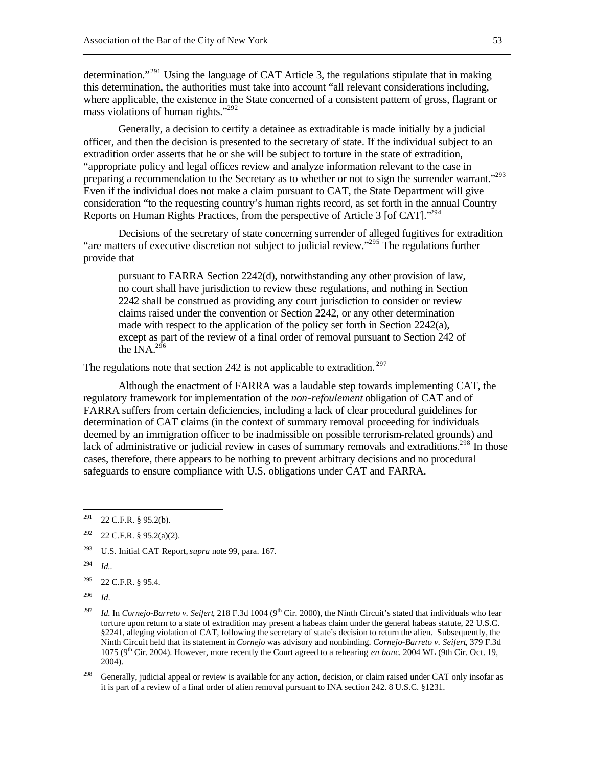determination."<sup>291</sup> Using the language of CAT Article 3, the regulations stipulate that in making this determination, the authorities must take into account "all relevant considerations including, where applicable, the existence in the State concerned of a consistent pattern of gross, flagrant or mass violations of human rights."<sup>292</sup>

Generally, a decision to certify a detainee as extraditable is made initially by a judicial officer, and then the decision is presented to the secretary of state. If the individual subject to an extradition order asserts that he or she will be subject to torture in the state of extradition, "appropriate policy and legal offices review and analyze information relevant to the case in preparing a recommendation to the Secretary as to whether or not to sign the surrender warrant."<sup>293</sup> Even if the individual does not make a claim pursuant to CAT, the State Department will give consideration "to the requesting country's human rights record, as set forth in the annual Country Reports on Human Rights Practices, from the perspective of Article 3 [of CAT]."<sup>294</sup>

Decisions of the secretary of state concerning surrender of alleged fugitives for extradition "are matters of executive discretion not subject to judicial review."<sup>295</sup> The regulations further provide that

pursuant to FARRA Section 2242(d), notwithstanding any other provision of law, no court shall have jurisdiction to review these regulations, and nothing in Section 2242 shall be construed as providing any court jurisdiction to consider or review claims raised under the convention or Section 2242, or any other determination made with respect to the application of the policy set forth in Section 2242(a), except as part of the review of a final order of removal pursuant to Section 242 of the INA. $^{296}$ 

The regulations note that section 242 is not applicable to extradition.<sup>297</sup>

Although the enactment of FARRA was a laudable step towards implementing CAT, the regulatory framework for implementation of the *non-refoulement* obligation of CAT and of FARRA suffers from certain deficiencies, including a lack of clear procedural guidelines for determination of CAT claims (in the context of summary removal proceeding for individuals deemed by an immigration officer to be inadmissible on possible terrorism-related grounds) and lack of administrative or judicial review in cases of summary removals and extraditions.<sup>298</sup> In those cases, therefore, there appears to be nothing to prevent arbitrary decisions and no procedural safeguards to ensure compliance with U.S. obligations under CAT and FARRA.

- <sup>294</sup> *Id..*
- <sup>295</sup> 22 C.F.R. § 95.4.
- <sup>296</sup> *Id*.

<sup>298</sup> Generally, judicial appeal or review is available for any action, decision, or claim raised under CAT only insofar as it is part of a review of a final order of alien removal pursuant to INA section 242. 8 U.S.C. §1231.

<sup>291</sup> 22 C.F.R. § 95.2(b).

 $292$  22 C.F.R. § 95.2(a)(2).

<sup>293</sup> U.S. Initial CAT Report, *supra* note 99, para. 167.

<sup>&</sup>lt;sup>297</sup> *Id.* In *Cornejo-Barreto v. Seifert*, 218 F.3d 1004 (9<sup>th</sup> Cir. 2000), the Ninth Circuit's stated that individuals who fear torture upon return to a state of extradition may present a habeas claim under the general habeas statute, 22 U.S.C. §2241, alleging violation of CAT, following the secretary of state's decision to return the alien. Subsequently, the Ninth Circuit held that its statement in *Cornejo* was advisory and nonbinding. *Cornejo-Barreto v. Seifert*, 379 F.3d 1075 (9th Cir. 2004). However, more recently the Court agreed to a rehearing *en banc*. 2004 WL (9th Cir. Oct. 19, 2004).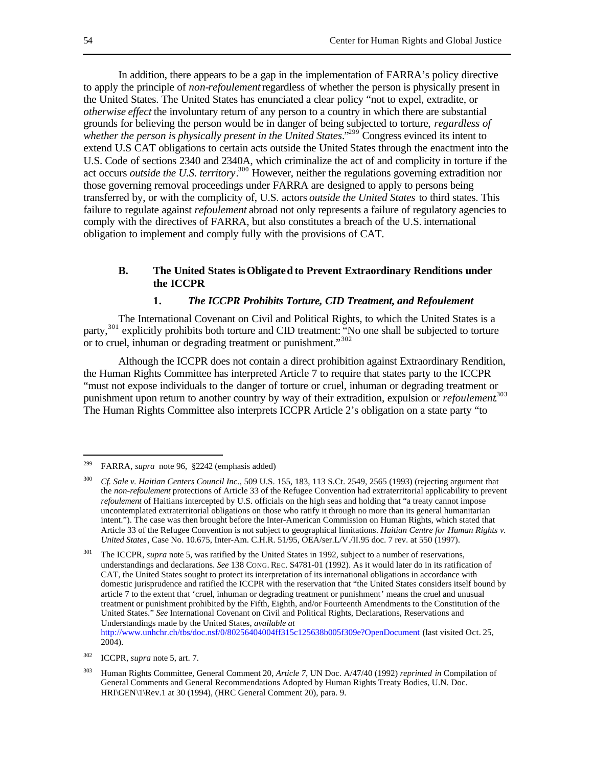In addition, there appears to be a gap in the implementation of FARRA's policy directive to apply the principle of *non-refoulement* regardless of whether the person is physically present in the United States. The United States has enunciated a clear policy "not to expel, extradite, or *otherwise effect* the involuntary return of any person to a country in which there are substantial grounds for believing the person would be in danger of being subjected to torture, *regardless of whether the person is physically present in the United States*." <sup>299</sup> Congress evinced its intent to extend U.S CAT obligations to certain acts outside the United States through the enactment into the U.S. Code of sections 2340 and 2340A, which criminalize the act of and complicity in torture if the act occurs *outside the U.S. territory*. <sup>300</sup> However, neither the regulations governing extradition nor those governing removal proceedings under FARRA are designed to apply to persons being transferred by, or with the complicity of, U.S. actors *outside the United States* to third states. This failure to regulate against *refoulement* abroad not only represents a failure of regulatory agencies to comply with the directives of FARRA, but also constitutes a breach of the U.S. international obligation to implement and comply fully with the provisions of CAT.

# **B. The United States is Obligated to Prevent Extraordinary Renditions under the ICCPR**

# **1.** *The ICCPR Prohibits Torture, CID Treatment, and Refoulement*

The International Covenant on Civil and Political Rights, to which the United States is a party,<sup>301</sup> explicitly prohibits both torture and CID treatment: "No one shall be subjected to torture or to cruel, inhuman or degrading treatment or punishment."<sup>302</sup>

Although the ICCPR does not contain a direct prohibition against Extraordinary Rendition, the Human Rights Committee has interpreted Article 7 to require that states party to the ICCPR "must not expose individuals to the danger of torture or cruel, inhuman or degrading treatment or punishment upon return to another country by way of their extradition, expulsion or *refoulement*. 303 The Human Rights Committee also interprets ICCPR Article 2's obligation on a state party "to

http://www.unhchr.ch/tbs/doc.nsf/0/80256404004ff315c125638b005f309e?OpenDocument (last visited Oct. 25, 2004).

<sup>299</sup> FARRA, *supra* note 96, §2242 (emphasis added)

<sup>300</sup> *Cf. Sale v. Haitian Centers Council Inc.*, 509 U.S. 155, 183, 113 S.Ct. 2549, 2565 (1993) (rejecting argument that the *non-refoulement* protections of Article 33 of the Refugee Convention had extraterritorial applicability to prevent *refoulement* of Haitians intercepted by U.S. officials on the high seas and holding that "a treaty cannot impose uncontemplated extraterritorial obligations on those who ratify it through no more than its general humanitarian intent."). The case was then brought before the Inter-American Commission on Human Rights, which stated that Article 33 of the Refugee Convention is not subject to geographical limitations. *Haitian Centre for Human Rights v. United States*, Case No. 10.675, Inter-Am. C.H.R. 51/95, OEA/ser.L/V./II.95 doc. 7 rev. at 550 (1997).

<sup>&</sup>lt;sup>301</sup> The ICCPR, *supra* note 5, was ratified by the United States in 1992, subject to a number of reservations, understandings and declarations. *See* 138 CONG.REC. S4781-01 (1992). As it would later do in its ratification of CAT, the United States sought to protect its interpretation of its international obligations in accordance with domestic jurisprudence and ratified the ICCPR with the reservation that "the United States considers itself bound by article 7 to the extent that 'cruel, inhuman or degrading treatment or punishment' means the cruel and unusual treatment or punishment prohibited by the Fifth, Eighth, and/or Fourteenth Amendments to the Constitution of the United States." *See* International Covenant on Civil and Political Rights, Declarations, Reservations and Understandings made by the United States, *available at*

<sup>302</sup> ICCPR, *supra* note 5, art. 7.

<sup>303</sup> Human Rights Committee, General Comment 20, *Article 7*, UN Doc. A/47/40 (1992) *reprinted in* Compilation of General Comments and General Recommendations Adopted by Human Rights Treaty Bodies, U.N. Doc. HRI\GEN\1\Rev.1 at 30 (1994), (HRC General Comment 20), para. 9.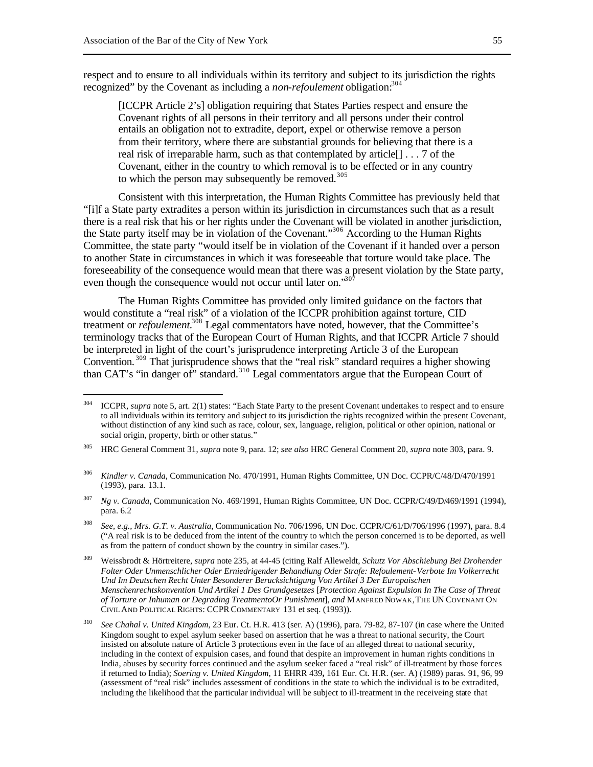$\overline{a}$ 

respect and to ensure to all individuals within its territory and subject to its jurisdiction the rights recognized" by the Covenant as including a *non-refoulement* obligation:<sup>304</sup>

[ICCPR Article 2's] obligation requiring that States Parties respect and ensure the Covenant rights of all persons in their territory and all persons under their control entails an obligation not to extradite, deport, expel or otherwise remove a person from their territory, where there are substantial grounds for believing that there is a real risk of irreparable harm, such as that contemplated by article[] . . . 7 of the Covenant, either in the country to which removal is to be effected or in any country to which the person may subsequently be removed. $305$ 

Consistent with this interpretation, the Human Rights Committee has previously held that "[i]f a State party extradites a person within its jurisdiction in circumstances such that as a result there is a real risk that his or her rights under the Covenant will be violated in another jurisdiction, the State party itself may be in violation of the Covenant."<sup>306</sup> According to the Human Rights Committee, the state party "would itself be in violation of the Covenant if it handed over a person to another State in circumstances in which it was foreseeable that torture would take place. The foreseeability of the consequence would mean that there was a present violation by the State party, even though the consequence would not occur until later on."307

The Human Rights Committee has provided only limited guidance on the factors that would constitute a "real risk" of a violation of the ICCPR prohibition against torture, CID treatment or *refoulement.*<sup>308</sup> Legal commentators have noted, however, that the Committee's terminology tracks that of the European Court of Human Rights, and that ICCPR Article 7 should be interpreted in light of the court's jurisprudence interpreting Article 3 of the European Convention.<sup>309</sup> That jurisprudence shows that the "real risk" standard requires a higher showing than CAT's "in danger of" standard.<sup>310</sup> Legal commentators argue that the European Court of

<sup>307</sup> *Ng v. Canada*, Communication No. 469/1991, Human Rights Committee, UN Doc. CCPR/C/49/D/469/1991 (1994), para. 6.2

<sup>308</sup> *See, e.g., Mrs. G.T. v. Australia*, Communication No. 706/1996, UN Doc. CCPR/C/61/D/706/1996 (1997), para. 8.4 ("A real risk is to be deduced from the intent of the country to which the person concerned is to be deported, as well as from the pattern of conduct shown by the country in similar cases.").

<sup>309</sup> Weissbrodt & Hörtreitere, *supra* note 235, at 44-45 (citing Ralf Alleweldt, *Schutz Vor Abschiebung Bei Drohender Folter Oder Unmenschlicher Oder Erniedrigender Behandlung Oder Strafe: Refoulement-Verbote Im Volkerrecht Und Im Deutschen Recht Unter Besonderer Berucksichtigung Von Artikel 3 Der Europaischen Menschenrechtskonvention Und Artikel 1 Des Grundgesetzes* [*Protection Against Expulsion In The Case of Threat of Torture or Inhuman or Degrading TreatmentoOr Punishment*], *and* MANFRED NOWAK,THE UN COVENANT ON CIVIL AND POLITICAL RIGHTS: CCPR COMMENTARY 131 et seq. (1993)).

<sup>310</sup> *See Chahal v. United Kingdom*, 23 Eur. Ct. H.R. 413 (ser. A) (1996), para. 79-82, 87-107 (in case where the United Kingdom sought to expel asylum seeker based on assertion that he was a threat to national security, the Court insisted on absolute nature of Article 3 protections even in the face of an alleged threat to national security, including in the context of expulsion cases, and found that despite an improvement in human rights conditions in India, abuses by security forces continued and the asylum seeker faced a "real risk" of ill-treatment by those forces if returned to India); *Soering v. United Kingdom*, 11 EHRR 439**,** 161 Eur. Ct. H.R. (ser. A) (1989) paras. 91, 96, 99 (assessment of "real risk" includes assessment of conditions in the state to which the individual is to be extradited, including the likelihood that the particular individual will be subject to ill-treatment in the receiveing state that

<sup>304</sup> ICCPR, *supra* note 5, art. 2(1) states: "Each State Party to the present Covenant undertakes to respect and to ensure to all individuals within its territory and subject to its jurisdiction the rights recognized within the present Covenant, without distinction of any kind such as race, colour, sex, language, religion, political or other opinion, national or social origin, property, birth or other status."

<sup>305</sup> HRC General Comment 31, *supra* note 9, para. 12; *see also* HRC General Comment 20, *supra* note 303, para. 9.

<sup>306</sup> *Kindler v. Canada*, Communication No. 470/1991, Human Rights Committee, UN Doc. CCPR/C/48/D/470/1991 (1993), para. 13.1.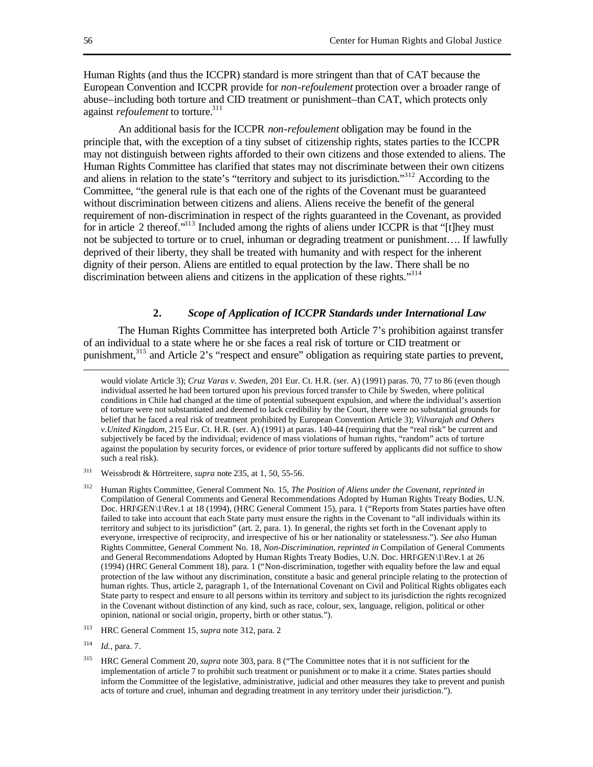Human Rights (and thus the ICCPR) standard is more stringent than that of CAT because the European Convention and ICCPR provide for *non-refoulement* protection over a broader range of abuse–including both torture and CID treatment or punishment–than CAT, which protects only against *refoulement* to torture.<sup>311</sup>

An additional basis for the ICCPR *non-refoulement* obligation may be found in the principle that, with the exception of a tiny subset of citizenship rights, states parties to the ICCPR may not distinguish between rights afforded to their own citizens and those extended to aliens. The Human Rights Committee has clarified that states may not discriminate between their own citizens and aliens in relation to the state's "territory and subject to its jurisdiction."<sup>312</sup> According to the Committee, "the general rule is that each one of the rights of the Covenant must be guaranteed without discrimination between citizens and aliens. Aliens receive the benefit of the general requirement of non-discrimination in respect of the rights guaranteed in the Covenant, as provided for in article 2 thereof."<sup>313</sup> Included among the rights of aliens under ICCPR is that "[t]hey must not be subjected to torture or to cruel, inhuman or degrading treatment or punishment…. If lawfully deprived of their liberty, they shall be treated with humanity and with respect for the inherent dignity of their person. Aliens are entitled to equal protection by the law. There shall be no discrimination between aliens and citizens in the application of these rights."<sup>314</sup>

### **2.** *Scope of Application of ICCPR Standards under International Law*

The Human Rights Committee has interpreted both Article 7's prohibition against transfer of an individual to a state where he or she faces a real risk of torture or CID treatment or punishment,<sup>315</sup> and Article 2's "respect and ensure" obligation as requiring state parties to prevent,

<sup>311</sup> Weissbrodt & Hörtreitere, *supra* note 235, at 1, 50, 55-56.

would violate Article 3); *Cruz Varas v. Sweden*, 201 Eur. Ct. H.R. (ser. A) (1991) paras. 70, 77 to 86 (even though individual asserted he had been tortured upon his previous forced transfer to Chile by Sweden, where political conditions in Chile had changed at the time of potential subsequent expulsion, and where the individual's assertion of torture were not substantiated and deemed to lack credibility by the Court, there were no substantial grounds for belief that he faced a real risk of treatment prohibited by European Convention Article 3); *Vilvarajah and Others v.United Kingdom*, 215 Eur. Ct. H.R. (ser. A) (1991) at paras. 140-44 (requiring that the "real risk" be current and subjectively be faced by the individual; evidence of mass violations of human rights, "random" acts of torture against the population by security forces, or evidence of prior torture suffered by applicants did not suffice to show such a real risk).

<sup>312</sup> Human Rights Committee, General Comment No. 15, *The Position of Aliens under the Covenant*, *reprinted in* Compilation of General Comments and General Recommendations Adopted by Human Rights Treaty Bodies, U.N. Doc. HRI\GEN\1\Rev.1 at 18 (1994), (HRC General Comment 15), para. 1 ("Reports from States parties have often failed to take into account that each State party must ensure the rights in the Covenant to "all individuals within its territory and subject to its jurisdiction" (art. 2, para. 1). In general, the rights set forth in the Covenant apply to everyone, irrespective of reciprocity, and irrespective of his or her nationality or statelessness."). *See also* Human Rights Committee, General Comment No. 18, *Non-Discrimination*, *reprinted in* Compilation of General Comments and General Recommendations Adopted by Human Rights Treaty Bodies, U.N. Doc. HRI\GEN\1\Rev.1 at 26 (1994) (HRC General Comment 18), para. 1 ("Non-discrimination, together with equality before the law and equal protection of the law without any discrimination, constitute a basic and general principle relating to the protection of human rights. Thus, article 2, paragraph 1, of the International Covenant on Civil and Political Rights obligates each State party to respect and ensure to all persons within its territory and subject to its jurisdiction the rights recognized in the Covenant without distinction of any kind, such as race, colour, sex, language, religion, political or other opinion, national or social origin, property, birth or other status.").

<sup>313</sup> HRC General Comment 15, *supra* note 312, para. 2

<sup>314</sup> *Id.*, para. 7.

<sup>315</sup> HRC General Comment 20, *supra* note 303, para. 8 ("The Committee notes that it is not sufficient for the implementation of article 7 to prohibit such treatment or punishment or to make it a crime. States parties should inform the Committee of the legislative, administrative, judicial and other measures they take to prevent and punish acts of torture and cruel, inhuman and degrading treatment in any territory under their jurisdiction.").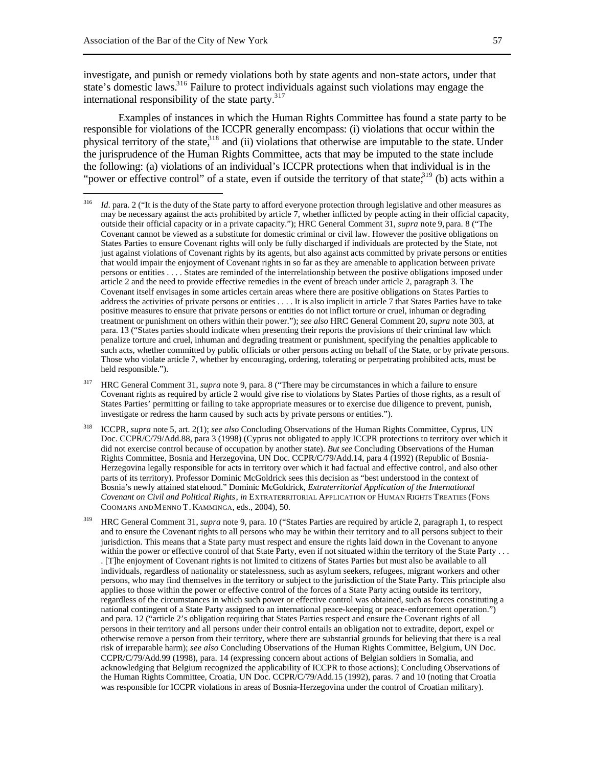$\overline{a}$ 

investigate, and punish or remedy violations both by state agents and non-state actors, under that state's domestic laws.<sup>316</sup> Failure to protect individuals against such violations may engage the international responsibility of the state party. $317$ 

Examples of instances in which the Human Rights Committee has found a state party to be responsible for violations of the ICCPR generally encompass: (i) violations that occur within the physical territory of the state,<sup>318</sup> and (ii) violations that otherwise are imputable to the state. Under the jurisprudence of the Human Rights Committee, acts that may be imputed to the state include the following: (a) violations of an individual's ICCPR protections when that individual is in the "power or effective control" of a state, even if outside the territory of that state; (b) acts within a

<sup>316</sup> *Id*. para. 2 ("It is the duty of the State party to afford everyone protection through legislative and other measures as may be necessary against the acts prohibited by article 7, whether inflicted by people acting in their official capacity, outside their official capacity or in a private capacity."); HRC General Comment 31, *supra* note 9, para. 8 ("The Covenant cannot be viewed as a substitute for domestic criminal or civil law. However the positive obligations on States Parties to ensure Covenant rights will only be fully discharged if individuals are protected by the State, not just against violations of Covenant rights by its agents, but also against acts committed by private persons or entities that would impair the enjoyment of Covenant rights in so far as they are amenable to application between private persons or entities . . . . States are reminded of the interrelationship between the positive obligations imposed under article 2 and the need to provide effective remedies in the event of breach under article 2, paragraph 3. The Covenant itself envisages in some articles certain areas where there are positive obligations on States Parties to address the activities of private persons or entities . . . . It is also implicit in article 7 that States Parties have to take positive measures to ensure that private persons or entities do not inflict torture or cruel, inhuman or degrading treatment or punishment on others within their power."); *see also* HRC General Comment 20, *supra* note 303, at para. 13 ("States parties should indicate when presenting their reports the provisions of their criminal law which penalize torture and cruel, inhuman and degrading treatment or punishment, specifying the penalties applicable to such acts, whether committed by public officials or other persons acting on behalf of the State, or by private persons. Those who violate article 7, whether by encouraging, ordering, tolerating or perpetrating prohibited acts, must be held responsible.").

<sup>317</sup> HRC General Comment 31, *supra* note 9, para. 8 ("There may be circumstances in which a failure to ensure Covenant rights as required by article 2 would give rise to violations by States Parties of those rights, as a result of States Parties' permitting or failing to take appropriate measures or to exercise due diligence to prevent, punish, investigate or redress the harm caused by such acts by private persons or entities.").

<sup>318</sup> ICCPR, *supra* note 5, art. 2(1); *see also* Concluding Observations of the Human Rights Committee, Cyprus, UN Doc. CCPR/C/79/Add.88, para 3 (1998) (Cyprus not obligated to apply ICCPR protections to territory over which it did not exercise control because of occupation by another state). *But see* Concluding Observations of the Human Rights Committee, Bosnia and Herzegovina, UN Doc. CCPR/C/79/Add.14, para 4 (1992) (Republic of Bosnia-Herzegovina legally responsible for acts in territory over which it had factual and effective control, and also other parts of its territory). Professor Dominic McGoldrick sees this decision as "best understood in the context of Bosnia's newly attained statehood." Dominic McGoldrick, *Extraterritorial Application of the International Covenant on Civil and Political Rights*, *in* EXTRATERRITORIAL APPLICATION OF HUMAN RIGHTS TREATIES (FONS COOMANS AND MENNO T. KAMMINGA, eds., 2004), 50.

<sup>319</sup> HRC General Comment 31, *supra* note 9, para. 10 ("States Parties are required by article 2, paragraph 1, to respect and to ensure the Covenant rights to all persons who may be within their territory and to all persons subject to their jurisdiction. This means that a State party must respect and ensure the rights laid down in the Covenant to anyone within the power or effective control of that State Party, even if not situated within the territory of the State Party . . [T]he enjoyment of Covenant rights is not limited to citizens of States Parties but must also be available to all individuals, regardless of nationality or statelessness, such as asylum seekers, refugees, migrant workers and other persons, who may find themselves in the territory or subject to the jurisdiction of the State Party. This principle also applies to those within the power or effective control of the forces of a State Party acting outside its territory, regardless of the circumstances in which such power or effective control was obtained, such as forces constituting a national contingent of a State Party assigned to an international peace-keeping or peace-enforcement operation.") and para. 12 ("article 2's obligation requiring that States Parties respect and ensure the Covenant rights of all persons in their territory and all persons under their control entails an obligation not to extradite, deport, expel or otherwise remove a person from their territory, where there are substantial grounds for believing that there is a real risk of irreparable harm); *see also* Concluding Observations of the Human Rights Committee, Belgium, UN Doc. CCPR/C/79/Add.99 (1998), para. 14 (expressing concern about actions of Belgian soldiers in Somalia, and acknowledging that Belgium recognized the applicability of ICCPR to those actions); Concluding Observations of the Human Rights Committee, Croatia, UN Doc. CCPR/C/79/Add.15 (1992), paras. 7 and 10 (noting that Croatia was responsible for ICCPR violations in areas of Bosnia-Herzegovina under the control of Croatian military).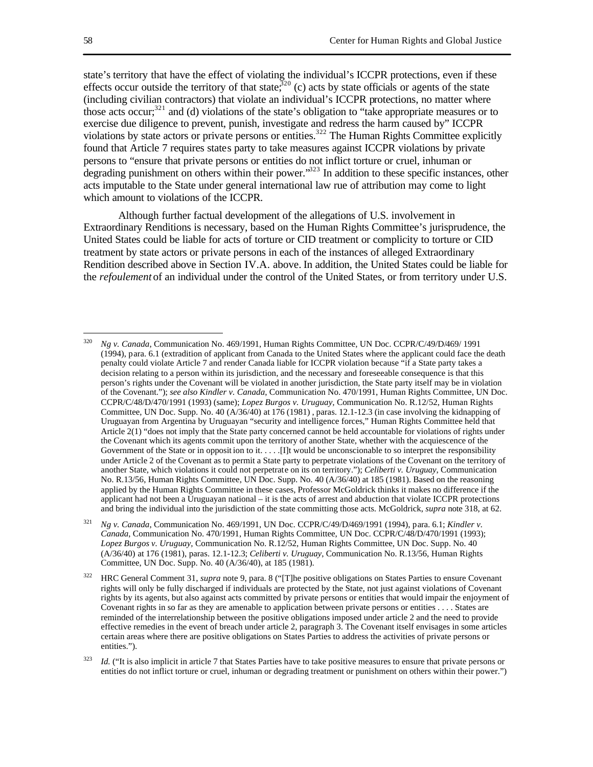state's territory that have the effect of violating the individual's ICCPR protections, even if these effects occur outside the territory of that state; $320$  (c) acts by state officials or agents of the state (including civilian contractors) that violate an individual's ICCPR protections, no matter where those acts occur; $321$  and (d) violations of the state's obligation to "take appropriate measures or to exercise due diligence to prevent, punish, investigate and redress the harm caused by" ICCPR violations by state actors or private persons or entities.<sup>322</sup> The Human Rights Committee explicitly found that Article 7 requires states party to take measures against ICCPR violations by private persons to "ensure that private persons or entities do not inflict torture or cruel, inhuman or degrading punishment on others within their power.<sup>323</sup> In addition to these specific instances, other acts imputable to the State under general international law rue of attribution may come to light which amount to violations of the ICCPR.

Although further factual development of the allegations of U.S. involvement in Extraordinary Renditions is necessary, based on the Human Rights Committee's jurisprudence, the United States could be liable for acts of torture or CID treatment or complicity to torture or CID treatment by state actors or private persons in each of the instances of alleged Extraordinary Rendition described above in Section IV.A. above. In addition, the United States could be liable for the *refoulement* of an individual under the control of the United States, or from territory under U.S.

<sup>320</sup> *Ng v. Canada*, Communication No. 469/1991, Human Rights Committee, UN Doc. CCPR/C/49/D/469/ 1991 (1994), para. 6.1 (extradition of applicant from Canada to the United States where the applicant could face the death penalty could violate Article 7 and render Canada liable for ICCPR violation because "if a State party takes a decision relating to a person within its jurisdiction, and the necessary and foreseeable consequence is that this person's rights under the Covenant will be violated in another jurisdiction, the State party itself may be in violation of the Covenant."); *see also Kindler v. Canada*, Communication No. 470/1991, Human Rights Committee, UN Doc. CCPR/C/48/D/470/1991 (1993) (same); *Lopez Burgos v. Uruguay,* Communication No. R.12/52, Human Rights Committee, UN Doc. Supp. No. 40 (A/36/40) at 176 (1981) , paras. 12.1-12.3 (in case involving the kidnapping of Uruguayan from Argentina by Uruguayan "security and intelligence forces," Human Rights Committee held that Article 2(1) "does not imply that the State party concerned cannot be held accountable for violations of rights under the Covenant which its agents commit upon the territory of another State, whether with the acquiescence of the Government of the State or in opposit ion to it. . . . .[I]t would be unconscionable to so interpret the responsibility under Article 2 of the Covenant as to permit a State party to perpetrate violations of the Covenant on the territory of another State, which violations it could not perpetrate on its on territory."); *Celiberti v. Uruguay*, Communication No. R.13/56, Human Rights Committee, UN Doc. Supp. No. 40 (A/36/40) at 185 (1981). Based on the reasoning applied by the Human Rights Committee in these cases, Professor McGoldrick thinks it makes no difference if the applicant had not been a Uruguayan national – it is the acts of arrest and abduction that violate ICCPR protections and bring the individual into the jurisdiction of the state committing those acts. McGoldrick, *supra* note 318, at 62.

<sup>321</sup> *Ng v. Canada*, Communication No. 469/1991, UN Doc. CCPR/C/49/D/469/1991 (1994), para. 6.1; *Kindler v. Canada*, Communication No. 470/1991, Human Rights Committee, UN Doc. CCPR/C/48/D/470/1991 (1993); *Lopez Burgos v. Uruguay,* Communication No. R.12/52, Human Rights Committee, UN Doc. Supp. No. 40 (A/36/40) at 176 (1981), paras. 12.1-12.3; *Celiberti v. Uruguay*, Communication No. R.13/56, Human Rights Committee, UN Doc. Supp. No. 40 (A/36/40), at 185 (1981).

<sup>322</sup> HRC General Comment 31, *supra* note 9, para. 8 ("[T]he positive obligations on States Parties to ensure Covenant rights will only be fully discharged if individuals are protected by the State, not just against violations of Covenant rights by its agents, but also against acts committed by private persons or entities that would impair the enjoyment of Covenant rights in so far as they are amenable to application between private persons or entities . . . . States are reminded of the interrelationship between the positive obligations imposed under article 2 and the need to provide effective remedies in the event of breach under article 2, paragraph 3. The Covenant itself envisages in some articles certain areas where there are positive obligations on States Parties to address the activities of private persons or entities.").

<sup>&</sup>lt;sup>323</sup> *Id.* ("It is also implicit in article 7 that States Parties have to take positive measures to ensure that private persons or entities do not inflict torture or cruel, inhuman or degrading treatment or punishment on others within their power.")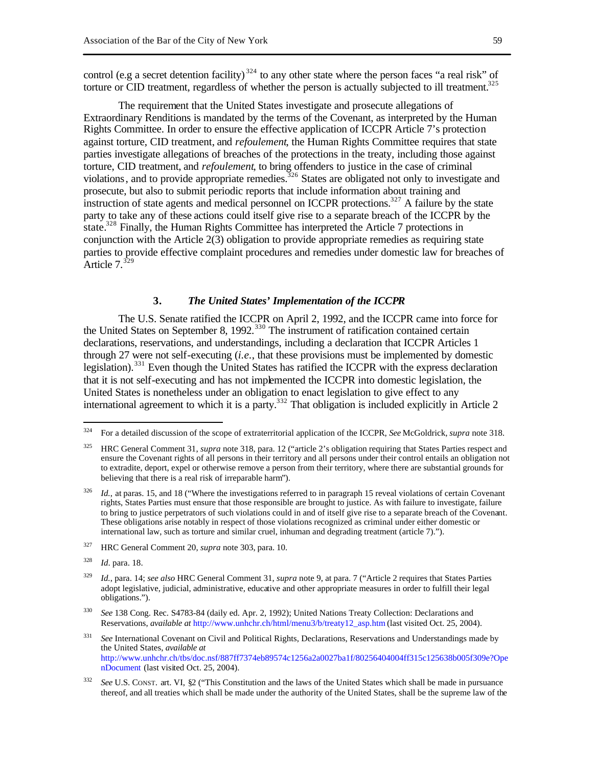control (e.g a secret detention facility)<sup>324</sup> to any other state where the person faces "a real risk" of torture or CID treatment, regardless of whether the person is actually subjected to ill treatment.<sup>325</sup>

The requirement that the United States investigate and prosecute allegations of Extraordinary Renditions is mandated by the terms of the Covenant, as interpreted by the Human Rights Committee. In order to ensure the effective application of ICCPR Article 7's protection against torture, CID treatment, and *refoulement*, the Human Rights Committee requires that state parties investigate allegations of breaches of the protections in the treaty, including those against torture, CID treatment, and *refoulement*, to bring offenders to justice in the case of criminal violations, and to provide appropriate remedies.<sup>326</sup> States are obligated not only to investigate and prosecute, but also to submit periodic reports that include information about training and instruction of state agents and medical personnel on ICCPR protections.<sup>327</sup> A failure by the state party to take any of these actions could itself give rise to a separate breach of the ICCPR by the state.<sup>328</sup> Finally, the Human Rights Committee has interpreted the Article 7 protections in conjunction with the Article 2(3) obligation to provide appropriate remedies as requiring state parties to provide effective complaint procedures and remedies under domestic law for breaches of Article  $7^{329}$ 

## **3.** *The United States' Implementation of the ICCPR*

The U.S. Senate ratified the ICCPR on April 2, 1992, and the ICCPR came into force for the United States on September 8, 1992.<sup>330</sup> The instrument of ratification contained certain declarations, reservations, and understandings, including a declaration that ICCPR Articles 1 through 27 were not self-executing (*i.e.*, that these provisions must be implemented by domestic legislation).<sup>331</sup> Even though the United States has ratified the ICCPR with the express declaration that it is not self-executing and has not implemented the ICCPR into domestic legislation, the United States is nonetheless under an obligation to enact legislation to give effect to any international agreement to which it is a party.<sup>332</sup> That obligation is included explicitly in Article 2

<sup>328</sup> *Id*. para. 18.

<sup>324</sup> <sup>324</sup> For a detailed discussion of the scope of extraterritorial application of the ICCPR, *See* McGoldrick, *supra* note 318.

<sup>325</sup> HRC General Comment 31, *supra* note 318, para. 12 ("article 2's obligation requiring that States Parties respect and ensure the Covenant rights of all persons in their territory and all persons under their control entails an obligation not to extradite, deport, expel or otherwise remove a person from their territory, where there are substantial grounds for believing that there is a real risk of irreparable harm").

<sup>&</sup>lt;sup>326</sup> *Id.*, at paras. 15, and 18 ("Where the investigations referred to in paragraph 15 reveal violations of certain Covenant rights, States Parties must ensure that those responsible are brought to justice. As with failure to investigate, failure to bring to justice perpetrators of such violations could in and of itself give rise to a separate breach of the Covenant. These obligations arise notably in respect of those violations recognized as criminal under either domestic or international law, such as torture and similar cruel, inhuman and degrading treatment (article 7).").

<sup>327</sup> HRC General Comment 20, *supra* note 303, para. 10.

<sup>329</sup> *Id.*, para. 14; *see also* HRC General Comment 31, *supra* note 9, at para. 7 ("Article 2 requires that States Parties adopt legislative, judicial, administrative, educative and other appropriate measures in order to fulfill their legal obligations.").

<sup>330</sup> *See* 138 Cong. Rec. S4783-84 (daily ed. Apr. 2, 1992); United Nations Treaty Collection: Declarations and Reservations, *available at* http://www.unhchr.ch/html/menu3/b/treaty12\_asp.htm (last visited Oct. 25, 2004).

<sup>&</sup>lt;sup>331</sup> *See* International Covenant on Civil and Political Rights, Declarations, Reservations and Understandings made by the United States, *available at* http://www.unhchr.ch/tbs/doc.nsf/887ff7374eb89574c1256a2a0027ba1f/80256404004ff315c125638b005f309e?Ope nDocument (last visited Oct. 25, 2004).

<sup>332</sup> *See* U.S. CONST. art. VI, §2 ("This Constitution and the laws of the United States which shall be made in pursuance thereof, and all treaties which shall be made under the authority of the United States, shall be the supreme law of the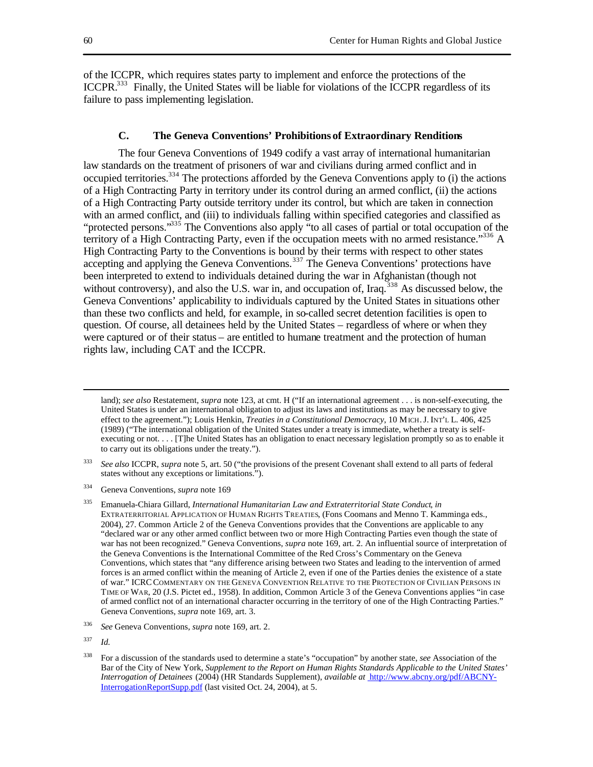of the ICCPR, which requires states party to implement and enforce the protections of the ICCPR.<sup>333</sup> Finally, the United States will be liable for violations of the ICCPR regardless of its failure to pass implementing legislation.

#### **C. The Geneva Conventions' Prohibitions of Extraordinary Renditions**

The four Geneva Conventions of 1949 codify a vast array of international humanitarian law standards on the treatment of prisoners of war and civilians during armed conflict and in occupied territories.<sup>334</sup> The protections afforded by the Geneva Conventions apply to (i) the actions of a High Contracting Party in territory under its control during an armed conflict, (ii) the actions of a High Contracting Party outside territory under its control, but which are taken in connection with an armed conflict, and (iii) to individuals falling within specified categories and classified as "protected persons."<sup>335</sup> The Conventions also apply "to all cases of partial or total occupation of the territory of a High Contracting Party, even if the occupation meets with no armed resistance."<sup>336</sup> A High Contracting Party to the Conventions is bound by their terms with respect to other states accepting and applying the Geneva Conventions.<sup>337</sup> The Geneva Conventions' protections have been interpreted to extend to individuals detained during the war in Afghanistan (though not without controversy), and also the U.S. war in, and occupation of, Iraq.<sup>338</sup> As discussed below, the Geneva Conventions' applicability to individuals captured by the United States in situations other than these two conflicts and held, for example, in so-called secret detention facilities is open to question. Of course, all detainees held by the United States – regardless of where or when they were captured or of their status – are entitled to humane treatment and the protection of human rights law, including CAT and the ICCPR.

land); *see also* Restatement, *supra* note 123, at cmt. H ("If an international agreement . . . is non-self-executing, the United States is under an international obligation to adjust its laws and institutions as may be necessary to give effect to the agreement."); Louis Henkin, *Treaties in a Constitutional Democracy*, 10 MICH.J. INT'L L. 406, 425 (1989) ("The international obligation of the United States under a treaty is immediate, whether a treaty is selfexecuting or not. . . . [T]he United States has an obligation to enact necessary legislation promptly so as to enable it to carry out its obligations under the treaty.").

<sup>333</sup> *See also* ICCPR, *supra* note 5, art. 50 ("the provisions of the present Covenant shall extend to all parts of federal states without any exceptions or limitations.").

<sup>334</sup> Geneva Conventions, *supra* note 169

<sup>335</sup> Emanuela-Chiara Gillard, *International Humanitarian Law and Extraterritorial State Conduct*, *in* EXTRATERRITORIAL APPLICATION OF HUMAN RIGHTS TREATIES, (Fons Coomans and Menno T. Kamminga eds., 2004), 27. Common Article 2 of the Geneva Conventions provides that the Conventions are applicable to any "declared war or any other armed conflict between two or more High Contracting Parties even though the state of war has not been recognized." Geneva Conventions, *supra* note 169, art. 2. An influential source of interpretation of the Geneva Conventions is the International Committee of the Red Cross's Commentary on the Geneva Conventions, which states that "any difference arising between two States and leading to the intervention of armed forces is an armed conflict within the meaning of Article 2, even if one of the Parties denies the existence of a state of war." ICRCCOMMENTARY ON THE GENEVA CONVENTION RELATIVE TO THE PROTECTION OF CIVILIAN PERSONS IN TIME OF WAR, 20 (J.S. Pictet ed., 1958). In addition, Common Article 3 of the Geneva Conventions applies "in case of armed conflict not of an international character occurring in the territory of one of the High Contracting Parties." Geneva Conventions, *supra* note 169, art. 3.

<sup>336</sup> *See* Geneva Conventions, *supra* note 169, art. 2.

<sup>337</sup> *Id.*

<sup>338</sup> For a discussion of the standards used to determine a state's "occupation" by another state, *see* Association of the Bar of the City of New York, *Supplement to the Report on Human Rights Standards Applicable to the United States' Interrogation of Detainees* (2004) (HR Standards Supplement), *available at* http://www.abcny.org/pdf/ABCNY-InterrogationReportSupp.pdf (last visited Oct. 24, 2004), at 5.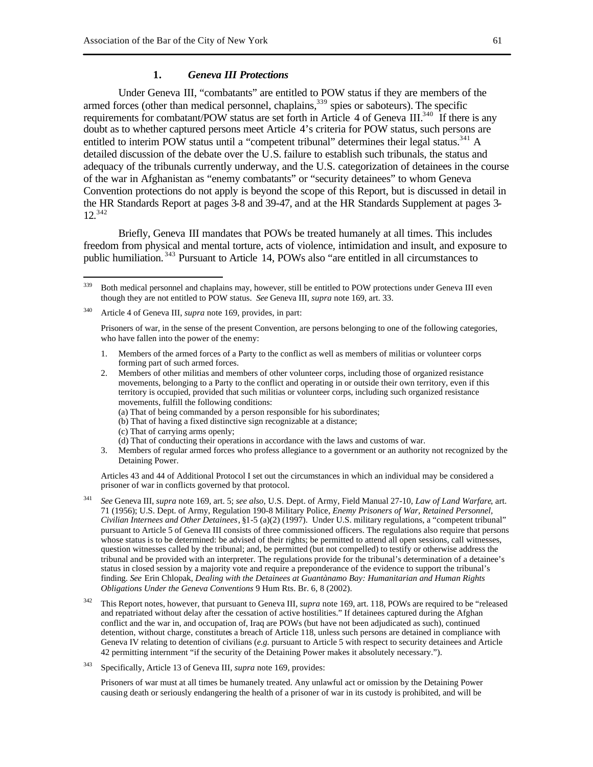### **1.** *Geneva III Protections*

Under Geneva III, "combatants" are entitled to POW status if they are members of the armed forces (other than medical personnel, chaplains,<sup>339</sup> spies or saboteurs). The specific requirements for combatant/POW status are set forth in Article 4 of Geneva  $III.^{340}$  If there is any doubt as to whether captured persons meet Article 4's criteria for POW status, such persons are entitled to interim POW status until a "competent tribunal" determines their legal status.<sup>341</sup> A detailed discussion of the debate over the U.S. failure to establish such tribunals, the status and adequacy of the tribunals currently underway, and the U.S. categorization of detainees in the course of the war in Afghanistan as "enemy combatants" or "security detainees" to whom Geneva Convention protections do not apply is beyond the scope of this Report, but is discussed in detail in the HR Standards Report at pages 3-8 and 39-47, and at the HR Standards Supplement at pages 3- 12. 342

Briefly, Geneva III mandates that POWs be treated humanely at all times. This includes freedom from physical and mental torture, acts of violence, intimidation and insult, and exposure to public humiliation. <sup>343</sup> Pursuant to Article 14, POWs also "are entitled in all circumstances to

Prisoners of war, in the sense of the present Convention, are persons belonging to one of the following categories, who have fallen into the power of the enemy:

- 1. Members of the armed forces of a Party to the conflict as well as members of militias or volunteer corps forming part of such armed forces.
- 2. Members of other militias and members of other volunteer corps, including those of organized resistance movements, belonging to a Party to the conflict and operating in or outside their own territory, even if this territory is occupied, provided that such militias or volunteer corps, including such organized resistance movements, fulfill the following conditions:
	- (a) That of being commanded by a person responsible for his subordinates;
	- (b) That of having a fixed distinctive sign recognizable at a distance;
	- (c) That of carrying arms openly;
	- (d) That of conducting their operations in accordance with the laws and customs of war.
- 3. Members of regular armed forces who profess allegiance to a government or an authority not recognized by the Detaining Power.

Articles 43 and 44 of Additional Protocol I set out the circumstances in which an individual may be considered a prisoner of war in conflicts governed by that protocol.

- <sup>341</sup> *See* Geneva III, *supra* note 169, art. 5; *see also*, U.S. Dept. of Army, Field Manual 27-10, *Law of Land Warfare*, art. 71 (1956); U.S. Dept. of Army, Regulation 190-8 Military Police, *Enemy Prisoners of War, Retained Personnel, Civilian Internees and Other Detainees*, §1-5 (a)(2) (1997). Under U.S. military regulations, a "competent tribunal" pursuant to Article 5 of Geneva III consists of three commissioned officers. The regulations also require that persons whose status is to be determined: be advised of their rights; be permitted to attend all open sessions, call witnesses, question witnesses called by the tribunal; and, be permitted (but not compelled) to testify or otherwise address the tribunal and be provided with an interpreter. The regulations provide for the tribunal's determination of a detainee's status in closed session by a majority vote and require a preponderance of the evidence to support the tribunal's finding. *See* Erin Chlopak, *Dealing with the Detainees at Guantànamo Bay: Humanitarian and Human Rights Obligations Under the Geneva Conventions* 9 Hum Rts. Br. 6, 8 (2002).
- <sup>342</sup> This Report notes, however, that pursuant to Geneva III, *supra* note 169, art. 118, POWs are required to be "released and repatriated without delay after the cessation of active hostilities." If detainees captured during the Afghan conflict and the war in, and occupation of, Iraq are POWs (but have not been adjudicated as such), continued detention, without charge, constitutes a breach of Article 118, unless such persons are detained in compliance with Geneva IV relating to detention of civilians (*e.g.* pursuant to Article 5 with respect to security detainees and Article 42 permitting internment "if the security of the Detaining Power makes it absolutely necessary.").
- <sup>343</sup> Specifically, Article 13 of Geneva III, *supra* note 169, provides:

Prisoners of war must at all times be humanely treated. Any unlawful act or omission by the Detaining Power causing death or seriously endangering the health of a prisoner of war in its custody is prohibited, and will be

<sup>339</sup> <sup>339</sup> Both medical personnel and chaplains may, however, still be entitled to POW protections under Geneva III even though they are not entitled to POW status. *See* Geneva III, *supra* note 169, art. 33.

<sup>340</sup> Article 4 of Geneva III, *supra* note 169, provides, in part: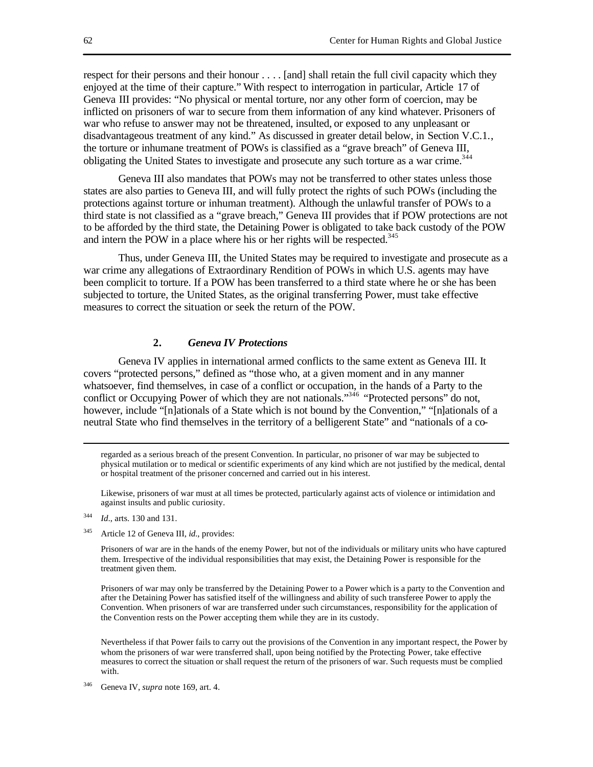respect for their persons and their honour . . . . [and] shall retain the full civil capacity which they enjoyed at the time of their capture." With respect to interrogation in particular, Article 17 of Geneva III provides: "No physical or mental torture, nor any other form of coercion, may be inflicted on prisoners of war to secure from them information of any kind whatever. Prisoners of war who refuse to answer may not be threatened, insulted, or exposed to any unpleasant or disadvantageous treatment of any kind." As discussed in greater detail below, in Section V.C.1., the torture or inhumane treatment of POWs is classified as a "grave breach" of Geneva III, obligating the United States to investigate and prosecute any such torture as a war crime.<sup>344</sup>

Geneva III also mandates that POWs may not be transferred to other states unless those states are also parties to Geneva III, and will fully protect the rights of such POWs (including the protections against torture or inhuman treatment). Although the unlawful transfer of POWs to a third state is not classified as a "grave breach," Geneva III provides that if POW protections are not to be afforded by the third state, the Detaining Power is obligated to take back custody of the POW and intern the POW in a place where his or her rights will be respected.<sup>345</sup>

Thus, under Geneva III, the United States may be required to investigate and prosecute as a war crime any allegations of Extraordinary Rendition of POWs in which U.S. agents may have been complicit to torture. If a POW has been transferred to a third state where he or she has been subjected to torture, the United States, as the original transferring Power, must take effective measures to correct the situation or seek the return of the POW.

### **2.** *Geneva IV Protections*

Geneva IV applies in international armed conflicts to the same extent as Geneva III. It covers "protected persons," defined as "those who, at a given moment and in any manner whatsoever, find themselves, in case of a conflict or occupation, in the hands of a Party to the conflict or Occupying Power of which they are not nationals."<sup>346</sup> "Protected persons" do not, however, include "[n]ationals of a State which is not bound by the Convention," "[n]ationals of a neutral State who find themselves in the territory of a belligerent State" and "nationals of a co-

regarded as a serious breach of the present Convention. In particular, no prisoner of war may be subjected to physical mutilation or to medical or scientific experiments of any kind which are not justified by the medical, dental or hospital treatment of the prisoner concerned and carried out in his interest.

Likewise, prisoners of war must at all times be protected, particularly against acts of violence or intimidation and against insults and public curiosity.

<sup>344</sup> *Id*., arts. 130 and 131.

 $\overline{a}$ 

<sup>345</sup> Article 12 of Geneva III, *id*., provides:

Prisoners of war are in the hands of the enemy Power, but not of the individuals or military units who have captured them. Irrespective of the individual responsibilities that may exist, the Detaining Power is responsible for the treatment given them.

Prisoners of war may only be transferred by the Detaining Power to a Power which is a party to the Convention and after the Detaining Power has satisfied itself of the willingness and ability of such transferee Power to apply the Convention. When prisoners of war are transferred under such circumstances, responsibility for the application of the Convention rests on the Power accepting them while they are in its custody.

Nevertheless if that Power fails to carry out the provisions of the Convention in any important respect, the Power by whom the prisoners of war were transferred shall, upon being notified by the Protecting Power, take effective measures to correct the situation or shall request the return of the prisoners of war. Such requests must be complied with.

<sup>346</sup> Geneva IV, *supra* note 169, art. 4.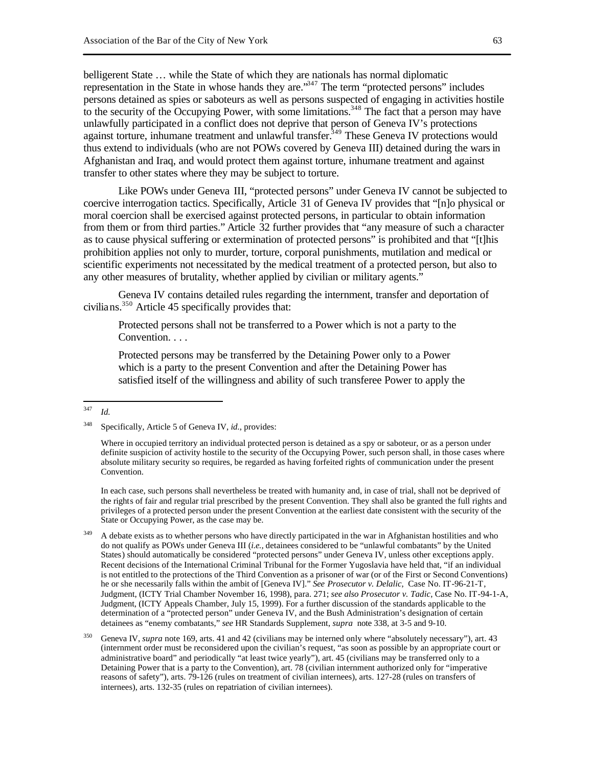belligerent State … while the State of which they are nationals has normal diplomatic representation in the State in whose hands they are."<sup>347</sup> The term "protected persons" includes persons detained as spies or saboteurs as well as persons suspected of engaging in activities hostile to the security of the Occupying Power, with some limitations.<sup>348</sup> The fact that a person may have unlawfully participated in a conflict does not deprive that person of Geneva IV's protections against torture, inhumane treatment and unlawful transfer.<sup>349</sup> These Geneva IV protections would thus extend to individuals (who are not POWs covered by Geneva III) detained during the wars in Afghanistan and Iraq, and would protect them against torture, inhumane treatment and against transfer to other states where they may be subject to torture.

Like POWs under Geneva III, "protected persons" under Geneva IV cannot be subjected to coercive interrogation tactics. Specifically, Article 31 of Geneva IV provides that "[n]o physical or moral coercion shall be exercised against protected persons, in particular to obtain information from them or from third parties." Article 32 further provides that "any measure of such a character as to cause physical suffering or extermination of protected persons" is prohibited and that "[t]his prohibition applies not only to murder, torture, corporal punishments, mutilation and medical or scientific experiments not necessitated by the medical treatment of a protected person, but also to any other measures of brutality, whether applied by civilian or military agents."

Geneva IV contains detailed rules regarding the internment, transfer and deportation of civilians. <sup>350</sup> Article 45 specifically provides that:

Protected persons shall not be transferred to a Power which is not a party to the Convention. . . .

Protected persons may be transferred by the Detaining Power only to a Power which is a party to the present Convention and after the Detaining Power has satisfied itself of the willingness and ability of such transferee Power to apply the

In each case, such persons shall nevertheless be treated with humanity and, in case of trial, shall not be deprived of the rights of fair and regular trial prescribed by the present Convention. They shall also be granted the full rights and privileges of a protected person under the present Convention at the earliest date consistent with the security of the State or Occupying Power, as the case may be.

<sup>349</sup> A debate exists as to whether persons who have directly participated in the war in Afghanistan hostilities and who do not qualify as POWs under Geneva III (*i.e.,* detainees considered to be "unlawful combatants" by the United States) should automatically be considered "protected persons" under Geneva IV, unless other exceptions apply. Recent decisions of the International Criminal Tribunal for the Former Yugoslavia have held that, "if an individual is not entitled to the protections of the Third Convention as a prisoner of war (or of the First or Second Conventions) he or she necessarily falls within the ambit of [Geneva IV]." *See Prosecutor v. Delalic*, Case No. IT-96-21-T, Judgment, (ICTY Trial Chamber November 16, 1998), para. 271; *see also Prosecutor v. Tadic*, Case No. IT-94-1-A, Judgment, (ICTY Appeals Chamber, July 15, 1999). For a further discussion of the standards applicable to the determination of a "protected person" under Geneva IV, and the Bush Administration's designation of certain detainees as "enemy combatants," *see* HR Standards Supplement, *supra* note 338, at 3-5 and 9-10.

<sup>350</sup> Geneva IV, *supra* note 169, arts. 41 and 42 (civilians may be interned only where "absolutely necessary"), art. 43 (internment order must be reconsidered upon the civilian's request, "as soon as possible by an appropriate court or administrative board" and periodically "at least twice yearly"), art. 45 (civilians may be transferred only to a Detaining Power that is a party to the Convention), art. 78 (civilian internment authorized only for "imperative reasons of safety"), arts. 79-126 (rules on treatment of civilian internees), arts. 127-28 (rules on transfers of internees), arts. 132-35 (rules on repatriation of civilian internees).

<sup>347</sup> *Id.* 

<sup>348</sup> Specifically, Article 5 of Geneva IV, *id*., provides:

Where in occupied territory an individual protected person is detained as a spy or saboteur, or as a person under definite suspicion of activity hostile to the security of the Occupying Power, such person shall, in those cases where absolute military security so requires, be regarded as having forfeited rights of communication under the present Convention.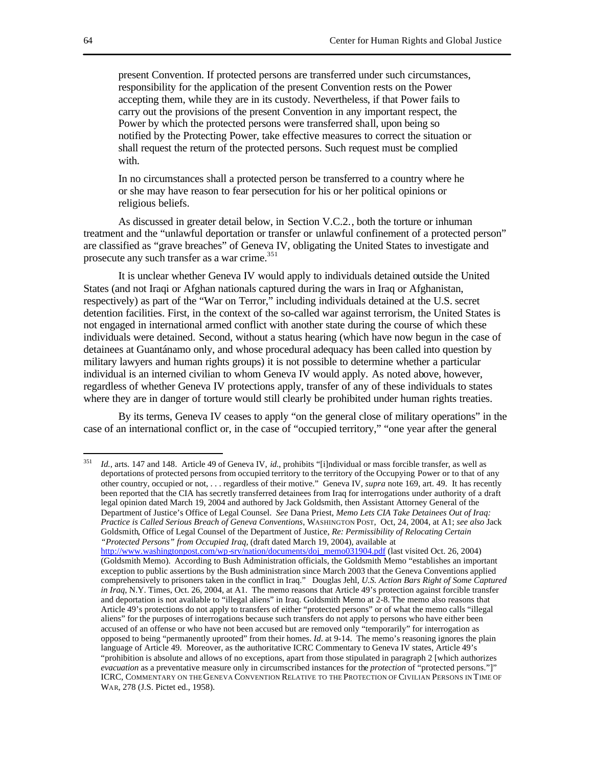present Convention. If protected persons are transferred under such circumstances, responsibility for the application of the present Convention rests on the Power accepting them, while they are in its custody. Nevertheless, if that Power fails to carry out the provisions of the present Convention in any important respect, the Power by which the protected persons were transferred shall, upon being so notified by the Protecting Power, take effective measures to correct the situation or shall request the return of the protected persons. Such request must be complied with.

In no circumstances shall a protected person be transferred to a country where he or she may have reason to fear persecution for his or her political opinions or religious beliefs.

As discussed in greater detail below, in Section V.C.2., both the torture or inhuman treatment and the "unlawful deportation or transfer or unlawful confinement of a protected person" are classified as "grave breaches" of Geneva IV, obligating the United States to investigate and prosecute any such transfer as a war crime.<sup>351</sup>

It is unclear whether Geneva IV would apply to individuals detained outside the United States (and not Iraqi or Afghan nationals captured during the wars in Iraq or Afghanistan, respectively) as part of the "War on Terror," including individuals detained at the U.S. secret detention facilities. First, in the context of the so-called war against terrorism, the United States is not engaged in international armed conflict with another state during the course of which these individuals were detained. Second, without a status hearing (which have now begun in the case of detainees at Guantánamo only, and whose procedural adequacy has been called into question by military lawyers and human rights groups) it is not possible to determine whether a particular individual is an interned civilian to whom Geneva IV would apply. As noted above, however, regardless of whether Geneva IV protections apply, transfer of any of these individuals to states where they are in danger of torture would still clearly be prohibited under human rights treaties.

By its terms, Geneva IV ceases to apply "on the general close of military operations" in the case of an international conflict or, in the case of "occupied territory," "one year after the general

Id., arts. 147 and 148. Article 49 of Geneva IV, *id.*, prohibits "[i]ndividual or mass forcible transfer, as well as deportations of protected persons from occupied territory to the territory of the Occupying Power or to that of any other country, occupied or not, . . . regardless of their motive." Geneva IV, *supra* note 169, art. 49. It has recently been reported that the CIA has secretly transferred detainees from Iraq for interrogations under authority of a draft legal opinion dated March 19, 2004 and authored by Jack Goldsmith, then Assistant Attorney General of the Department of Justice's Office of Legal Counsel. *See* Dana Priest, *Memo Lets CIA Take Detainees Out of Iraq: Practice is Called Serious Breach of Geneva Conventions*, WASHINGTON POST, Oct, 24, 2004, at A1; *see also* Jack Goldsmith, Office of Legal Counsel of the Department of Justice, *Re: Permissibility of Relocating Certain "Protected Persons" from Occupied Iraq*, (draft dated March 19, 2004), available at http://www.washingtonpost.com/wp-srv/nation/documents/doj\_memo031904.pdf (last visited Oct. 26, 2004) (Goldsmith Memo). According to Bush Administration officials, the Goldsmith Memo "establishes an important exception to public assertions by the Bush administration since March 2003 that the Geneva Conventions applied comprehensively to prisoners taken in the conflict in Iraq." Douglas Jehl, *U.S. Action Bars Right of Some Captured in Iraq*, N.Y. Times, Oct. 26, 2004, at A1. The memo reasons that Article 49's protection against forcible transfer and deportation is not available to "illegal aliens" in Iraq. Goldsmith Memo at 2-8. The memo also reasons that Article 49's protections do not apply to transfers of either "protected persons" or of what the memo calls "illegal aliens" for the purposes of interrogations because such transfers do not apply to persons who have either been accused of an offense or who have not been accused but are removed only "temporarily" for interrogation as opposed to being "permanently uprooted" from their homes. *Id*. at 9-14. The memo's reasoning ignores the plain language of Article 49. Moreover, as the authoritative ICRC Commentary to Geneva IV states, Article 49's "prohibition is absolute and allows of no exceptions, apart from those stipulated in paragraph 2 [which authorizes *evacuation* as a preventative measure only in circumscribed instances for the *protection* of "protected persons."]" ICRC, COMMENTARY ON THE GENEVA CONVENTION RELATIVE TO THE PROTECTION OF CIVILIAN PERSONS IN TIME OF WAR, 278 (J.S. Pictet ed., 1958).

351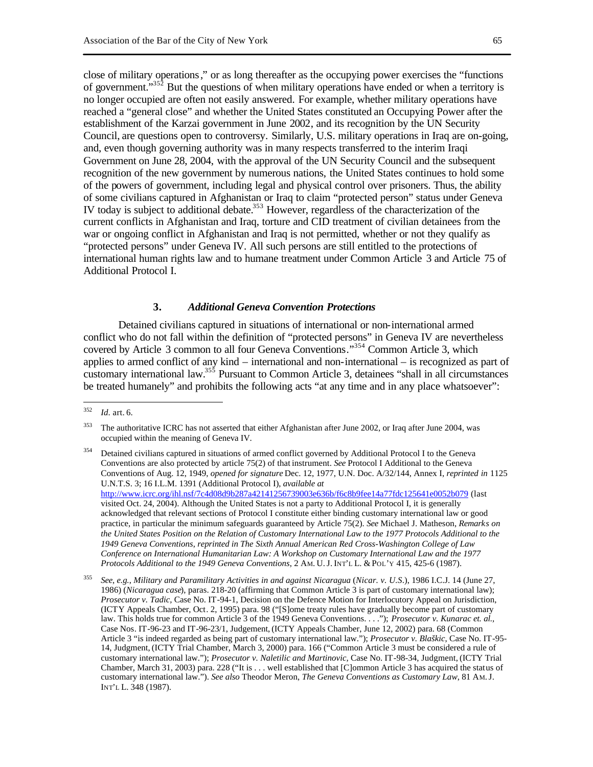close of military operations," or as long thereafter as the occupying power exercises the "functions of government." $35\frac{2}{3}$  But the questions of when military operations have ended or when a territory is no longer occupied are often not easily answered. For example, whether military operations have reached a "general close" and whether the United States constituted an Occupying Power after the establishment of the Karzai government in June 2002, and its recognition by the UN Security Council, are questions open to controversy. Similarly, U.S. military operations in Iraq are on-going, and, even though governing authority was in many respects transferred to the interim Iraqi Government on June 28, 2004, with the approval of the UN Security Council and the subsequent recognition of the new government by numerous nations, the United States continues to hold some of the powers of government, including legal and physical control over prisoners. Thus, the ability of some civilians captured in Afghanistan or Iraq to claim "protected person" status under Geneva IV today is subject to additional debate.<sup>353</sup> However, regardless of the characterization of the current conflicts in Afghanistan and Iraq, torture and CID treatment of civilian detainees from the war or ongoing conflict in Afghanistan and Iraq is not permitted, whether or not they qualify as "protected persons" under Geneva IV. All such persons are still entitled to the protections of international human rights law and to humane treatment under Common Article 3 and Article 75 of Additional Protocol I.

### **3.** *Additional Geneva Convention Protections*

Detained civilians captured in situations of international or non-international armed conflict who do not fall within the definition of "protected persons" in Geneva IV are nevertheless covered by Article 3 common to all four Geneva Conventions."<sup>354</sup> Common Article 3, which applies to armed conflict of any kind – international and non-international – is recognized as part of customary international law.<sup>355</sup> Pursuant to Common Article 3, detainees "shall in all circumstances be treated humanely" and prohibits the following acts "at any time and in any place whatsoever":

<sup>355</sup> *See*, *e.g.*, *Military and Paramilitary Activities in and against Nicaragua* (*Nicar. v. U.S*.), 1986 I.C.J. 14 (June 27, 1986) (*Nicaragua case*), paras. 218-20 (affirming that Common Article 3 is part of customary international law); *Prosecutor v. Tadic,* Case No. IT-94-1, Decision on the Defence Motion for Interlocutory Appeal on Jurisdiction, (ICTY Appeals Chamber, Oct. 2, 1995) para. 98 ("[S]ome treaty rules have gradually become part of customary law. This holds true for common Article 3 of the 1949 Geneva Conventions. . . ."); *Prosecutor v. Kunarac et. al.,*  Case Nos. IT-96-23 and IT-96-23/1, Judgement, (ICTY Appeals Chamber, June 12, 2002) para. 68 (Common Article 3 "is indeed regarded as being part of customary international law."); *Prosecutor v. Blaškic*, Case No. IT-95- 14, Judgment, (ICTY Trial Chamber, March 3, 2000) para. 166 ("Common Article 3 must be considered a rule of customary international law."); *Prosecutor v. Naletilic and Martinovic,* Case No. IT-98-34, Judgment, (ICTY Trial Chamber, March 31, 2003) para. 228 ("It is . . . well established that [C]ommon Article 3 has acquired the status of customary international law."). *See also* Theodor Meron, *The Geneva Conventions as Customary Law*, 81 AM.J. INT'L L. 348 (1987).

<sup>352</sup> *Id.* art. 6.

<sup>&</sup>lt;sup>353</sup> The authoritative ICRC has not asserted that either Afghanistan after June 2002, or Iraq after June 2004, was occupied within the meaning of Geneva IV.

<sup>&</sup>lt;sup>354</sup> Detained civilians captured in situations of armed conflict governed by Additional Protocol I to the Geneva Conventions are also protected by article 75(2) of that instrument. *See* Protocol I Additional to the Geneva Conventions of Aug. 12, 1949, *opened for signature* Dec. 12, 1977, U.N. Doc. A/32/144, Annex I, *reprinted in* 1125 U.N.T.S. 3; 16 I.L.M. 1391 (Additional Protocol I), *available at*  http://www.icrc.org/ihl.nsf/7c4d08d9b287a42141256739003e636b/f6c8b9fee14a77fdc125641e0052b079 (last visited Oct. 24, 2004). Although the United States is not a party to Additional Protocol I, it is generally acknowledged that relevant sections of Protocol I constitute either binding customary international law or good practice, in particular the minimum safeguards guaranteed by Article 75(2). *See* Michael J. Matheson, *Remarks on the United States Position on the Relation of Customary International Law to the 1977 Protocols Additional to the 1949 Geneva Conventions*, *reprinted in The Sixth Annual American Red Cross-Washington College of Law Conference on International Humanitarian Law: A Workshop on Customary International Law and the 1977 Protocols Additional to the 1949 Geneva Conventions*, 2 AM. U.J. INT'L L. &POL'Y 415, 425-6 (1987).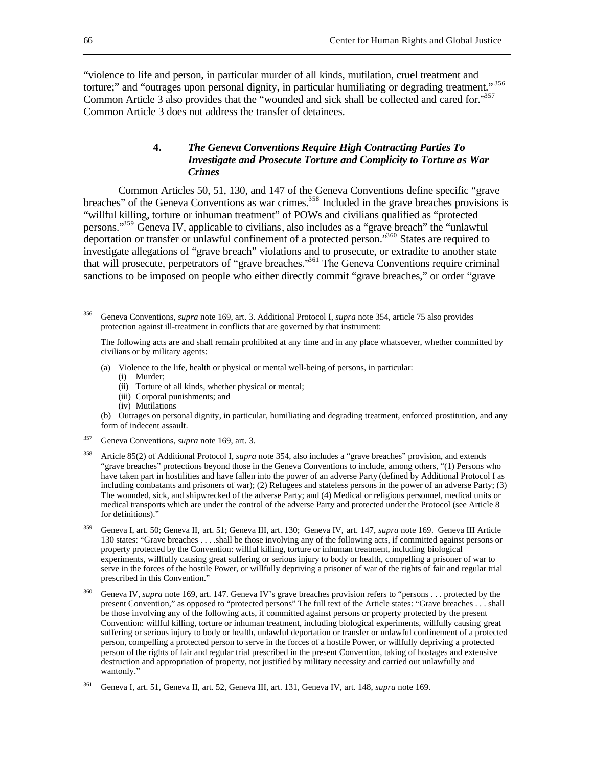"violence to life and person, in particular murder of all kinds, mutilation, cruel treatment and torture;" and "outrages upon personal dignity, in particular humiliating or degrading treatment." 356 Common Article 3 also provides that the "wounded and sick shall be collected and cared for."<sup>357</sup> Common Article 3 does not address the transfer of detainees.

### **4.** *The Geneva Conventions Require High Contracting Parties To Investigate and Prosecute Torture and Complicity to Torture as War Crimes*

Common Articles 50, 51, 130, and 147 of the Geneva Conventions define specific "grave breaches" of the Geneva Conventions as war crimes.<sup>358</sup> Included in the grave breaches provisions is "willful killing, torture or inhuman treatment" of POWs and civilians qualified as "protected persons."<sup>359</sup> Geneva IV, applicable to civilians, also includes as a "grave breach" the "unlawful deportation or transfer or unlawful confinement of a protected person."<sup>360</sup> States are required to investigate allegations of "grave breach" violations and to prosecute, or extradite to another state that will prosecute, perpetrators of "grave breaches."<sup>361</sup> The Geneva Conventions require criminal sanctions to be imposed on people who either directly commit "grave breaches," or order "grave

(a) Violence to the life, health or physical or mental well-being of persons, in particular:

(i) Murder;

- (ii) Torture of all kinds, whether physical or mental;
- (iii) Corporal punishments; and
- (iv) Mutilations

(b) Outrages on personal dignity, in particular, humiliating and degrading treatment, enforced prostitution, and any form of indecent assault.

- <sup>357</sup> Geneva Conventions, *supra* note 169, art. 3.
- <sup>358</sup> Article 85(2) of Additional Protocol I, *supra* note 354, also includes a "grave breaches" provision, and extends "grave breaches" protections beyond those in the Geneva Conventions to include, among others, "(1) Persons who have taken part in hostilities and have fallen into the power of an adverse Party (defined by Additional Protocol I as including combatants and prisoners of war); (2) Refugees and stateless persons in the power of an adverse Party; (3) The wounded, sick, and shipwrecked of the adverse Party; and (4) Medical or religious personnel, medical units or medical transports which are under the control of the adverse Party and protected under the Protocol (see Article 8 for definitions)."
- <sup>359</sup> Geneva I, art. 50; Geneva II, art. 51; Geneva III, art. 130; Geneva IV, art. 147, *supra* note 169. Geneva III Article 130 states: "Grave breaches . . . .shall be those involving any of the following acts, if committed against persons or property protected by the Convention: willful killing, torture or inhuman treatment, including biological experiments, willfully causing great suffering or serious injury to body or health, compelling a prisoner of war to serve in the forces of the hostile Power, or willfully depriving a prisoner of war of the rights of fair and regular trial prescribed in this Convention."
- <sup>360</sup> Geneva IV, *supra* note 169, art. 147. Geneva IV's grave breaches provision refers to "persons . . . protected by the present Convention," as opposed to "protected persons" The full text of the Article states: "Grave breaches . . . shall be those involving any of the following acts, if committed against persons or property protected by the present Convention: willful killing, torture or inhuman treatment, including biological experiments, willfully causing great suffering or serious injury to body or health, unlawful deportation or transfer or unlawful confinement of a protected person, compelling a protected person to serve in the forces of a hostile Power, or willfully depriving a protected person of the rights of fair and regular trial prescribed in the present Convention, taking of hostages and extensive destruction and appropriation of property, not justified by military necessity and carried out unlawfully and wantonly."

<sup>356</sup> <sup>356</sup> Geneva Conventions, *supra* note 169, art. 3. Additional Protocol I, *supra* note 354, article 75 also provides protection against ill-treatment in conflicts that are governed by that instrument:

The following acts are and shall remain prohibited at any time and in any place whatsoever, whether committed by civilians or by military agents:

<sup>361</sup> Geneva I, art. 51, Geneva II, art. 52, Geneva III, art. 131, Geneva IV, art. 148, *supra* note 169.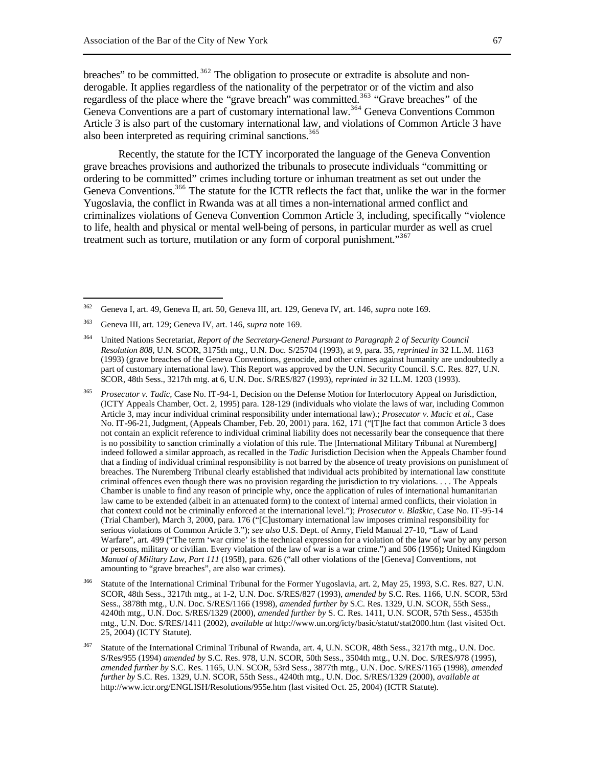breaches" to be committed.<sup>362</sup> The obligation to prosecute or extradite is absolute and nonderogable. It applies regardless of the nationality of the perpetrator or of the victim and also regardless of the place where the "grave breach" was committed.<sup>363</sup> "Grave breaches" of the Geneva Conventions are a part of customary international law.<sup>364</sup> Geneva Conventions Common Article 3 is also part of the customary international law, and violations of Common Article 3 have also been interpreted as requiring criminal sanctions.<sup>365</sup>

Recently, the statute for the ICTY incorporated the language of the Geneva Convention grave breaches provisions and authorized the tribunals to prosecute individuals "committing or ordering to be committed" crimes including torture or inhuman treatment as set out under the Geneva Conventions.<sup>366</sup> The statute for the ICTR reflects the fact that, unlike the war in the former Yugoslavia, the conflict in Rwanda was at all times a non-international armed conflict and criminalizes violations of Geneva Convention Common Article 3, including, specifically "violence to life, health and physical or mental well-being of persons, in particular murder as well as cruel treatment such as torture, mutilation or any form of corporal punishment."<sup>367</sup>

 $\overline{a}$ 

<sup>365</sup> *Prosecutor v. Tadic,* Case No. IT-94-1, Decision on the Defense Motion for Interlocutory Appeal on Jurisdiction, (ICTY Appeals Chamber, Oct. 2, 1995) para. 128-129 (individuals who violate the laws of war, including Common Article 3, may incur individual criminal responsibility under international law).; *Prosecutor v. Mucic et al.,* Case No. IT-96-21, Judgment, (Appeals Chamber, Feb. 20, 2001) para. 162, 171 ("[T]he fact that common Article 3 does not contain an explicit reference to individual criminal liability does not necessarily bear the consequence that there is no possibility to sanction criminally a violation of this rule. The [International Military Tribunal at Nuremberg] indeed followed a similar approach, as recalled in the *Tadic* Jurisdiction Decision when the Appeals Chamber found that a finding of individual criminal responsibility is not barred by the absence of treaty provisions on punishment of breaches. The Nuremberg Tribunal clearly established that individual acts prohibited by international law constitute criminal offences even though there was no provision regarding the jurisdiction to try violations. . . . The Appeals Chamber is unable to find any reason of principle why, once the application of rules of international humanitarian law came to be extended (albeit in an attenuated form) to the context of internal armed conflicts, their violation in that context could not be criminally enforced at the international level."); *Prosecutor v. Blaškic*, Case No. IT-95-14 (Trial Chamber), March 3, 2000, para. 176 ("[C]ustomary international law imposes criminal responsibility for serious violations of Common Article 3."); *see also* U.S. Dept. of Army, Field Manual 27-10, "Law of Land Warfare", art. 499 ("The term 'war crime' is the technical expression for a violation of the law of war by any person or persons, military or civilian. Every violation of the law of war is a war crime.") and 506 (1956)**;** United Kingdom *Manual of Military Law, Part 111* (1958), para. 626 ("all other violations of the [Geneva] Conventions, not amounting to "grave breaches", are also war crimes).

<sup>366</sup> Statute of the International Criminal Tribunal for the Former Yugoslavia, art. 2, May 25, 1993, S.C. Res. 827, U.N. SCOR, 48th Sess., 3217th mtg., at 1-2, U.N. Doc. S/RES/827 (1993), *amended by* S.C. Res. 1166, U.N. SCOR, 53rd Sess., 3878th mtg., U.N. Doc. S/RES/1166 (1998), *amended further by* S.C. Res. 1329, U.N. SCOR, 55th Sess., 4240th mtg., U.N. Doc. S/RES/1329 (2000), *amended further by* S. C. Res. 1411, U.N. SCOR, 57th Sess., 4535th mtg., U.N. Doc. S/RES/1411 (2002), *available at* http://www.un.org/icty/basic/statut/stat2000.htm (last visited Oct. 25, 2004) (ICTY Statute).

<sup>362</sup> Geneva I, art. 49, Geneva II, art. 50, Geneva III, art. 129, Geneva IV, art. 146, *supra* note 169.

<sup>363</sup> Geneva III, art. 129; Geneva IV, art. 146, *supra* note 169.

<sup>364</sup> United Nations Secretariat, *Report of the Secretary-General Pursuant to Paragraph 2 of Security Council Resolution 808*, U.N. SCOR*,* 3175th mtg., U.N. Doc. S/25704 (1993), at 9, para. 35, *reprinted in* 32 I.L.M. 1163 (1993) (grave breaches of the Geneva Conventions, genocide, and other crimes against humanity are undoubtedly a part of customary international law). This Report was approved by the U.N. Security Council. S.C. Res. 827, U.N. SCOR, 48th Sess., 3217th mtg. at 6, U.N. Doc. S/RES/827 (1993), *reprinted in* 32 I.L.M. 1203 (1993).

<sup>&</sup>lt;sup>367</sup> Statute of the International Criminal Tribunal of Rwanda, art. 4, U.N. SCOR, 48th Sess., 3217th mtg., U.N. Doc. S/Res/955 (1994) *amended by* S.C. Res. 978, U.N. SCOR, 50th Sess., 3504th mtg., U.N. Doc. S/RES/978 (1995), *amended further by* S.C. Res. 1165, U.N. SCOR, 53rd Sess., 3877th mtg., U.N. Doc. S/RES/1165 (1998), *amended further by* S.C. Res. 1329, U.N. SCOR, 55th Sess., 4240th mtg., U.N. Doc. S/RES/1329 (2000), *available at* http://www.ictr.org/ENGLISH/Resolutions/955e.htm (last visited Oct. 25, 2004) (ICTR Statute).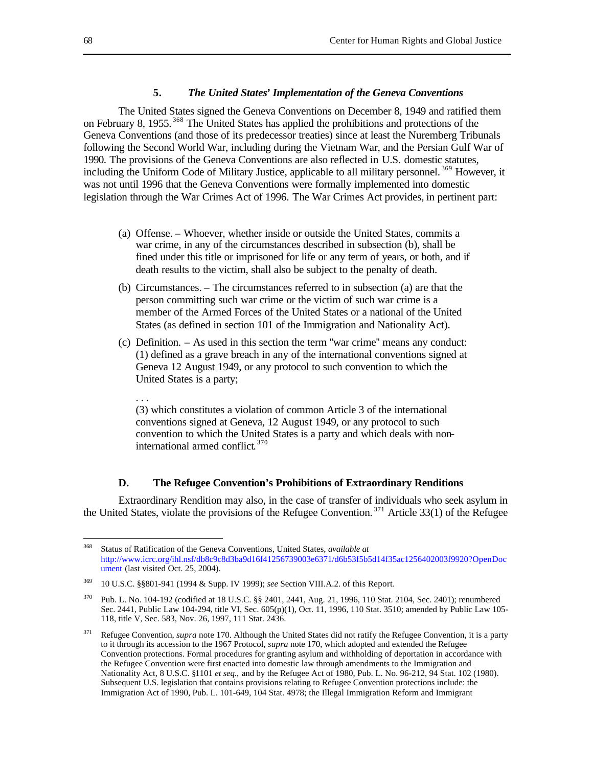### **5.** *The United States' Implementation of the Geneva Conventions*

The United States signed the Geneva Conventions on December 8, 1949 and ratified them on February 8, 1955.<sup>368</sup> The United States has applied the prohibitions and protections of the Geneva Conventions (and those of its predecessor treaties) since at least the Nuremberg Tribunals following the Second World War, including during the Vietnam War, and the Persian Gulf War of 1990. The provisions of the Geneva Conventions are also reflected in U.S. domestic statutes, including the Uniform Code of Military Justice, applicable to all military personnel.<sup>369</sup> However, it was not until 1996 that the Geneva Conventions were formally implemented into domestic legislation through the War Crimes Act of 1996. The War Crimes Act provides, in pertinent part:

- (a) Offense. Whoever, whether inside or outside the United States, commits a war crime, in any of the circumstances described in subsection (b), shall be fined under this title or imprisoned for life or any term of years, or both, and if death results to the victim, shall also be subject to the penalty of death.
- (b) Circumstances. The circumstances referred to in subsection (a) are that the person committing such war crime or the victim of such war crime is a member of the Armed Forces of the United States or a national of the United States (as defined in section 101 of the Immigration and Nationality Act).
- (c) Definition. As used in this section the term ''war crime'' means any conduct: (1) defined as a grave breach in any of the international conventions signed at Geneva 12 August 1949, or any protocol to such convention to which the United States is a party;
	- . . .

 $\overline{a}$ 

(3) which constitutes a violation of common Article 3 of the international conventions signed at Geneva, 12 August 1949, or any protocol to such convention to which the United States is a party and which deals with noninternational armed conflict. 370

#### **D. The Refugee Convention's Prohibitions of Extraordinary Renditions**

Extraordinary Rendition may also, in the case of transfer of individuals who seek asylum in the United States, violate the provisions of the Refugee Convention. <sup>371</sup> Article 33(1) of the Refugee

<sup>368</sup> Status of Ratification of the Geneva Conventions, United States, *available at* http://www.icrc.org/ihl.nsf/db8c9c8d3ba9d16f41256739003e6371/d6b53f5b5d14f35ac1256402003f9920?OpenDoc ument (last visited Oct. 25, 2004).

<sup>369</sup> 10 U.S.C. §§801-941 (1994 & Supp. IV 1999); *see* Section VIII.A.2. of this Report.

<sup>370</sup> Pub. L. No. 104-192 (codified at 18 U.S.C. §§ 2401, 2441, Aug. 21, 1996, 110 Stat. 2104, Sec. 2401); renumbered Sec. 2441, Public Law 104-294, title VI, Sec. 605(p)(1), Oct. 11, 1996, 110 Stat. 3510; amended by Public Law 105- 118, title V, Sec. 583, Nov. 26, 1997, 111 Stat. 2436.

<sup>371</sup> Refugee Convention, *supra* note 170. Although the United States did not ratify the Refugee Convention, it is a party to it through its accession to the 1967 Protocol, *supra* note 170, which adopted and extended the Refugee Convention protections. Formal procedures for granting asylum and withholding of deportation in accordance with the Refugee Convention were first enacted into domestic law through amendments to the Immigration and Nationality Act, 8 U.S.C. §1101 *et seq.*, and by the Refugee Act of 1980, Pub. L. No. 96-212, 94 Stat. 102 (1980). Subsequent U.S. legislation that contains provisions relating to Refugee Convention protections include: the Immigration Act of 1990, Pub. L. 101-649, 104 Stat. 4978; the Illegal Immigration Reform and Immigrant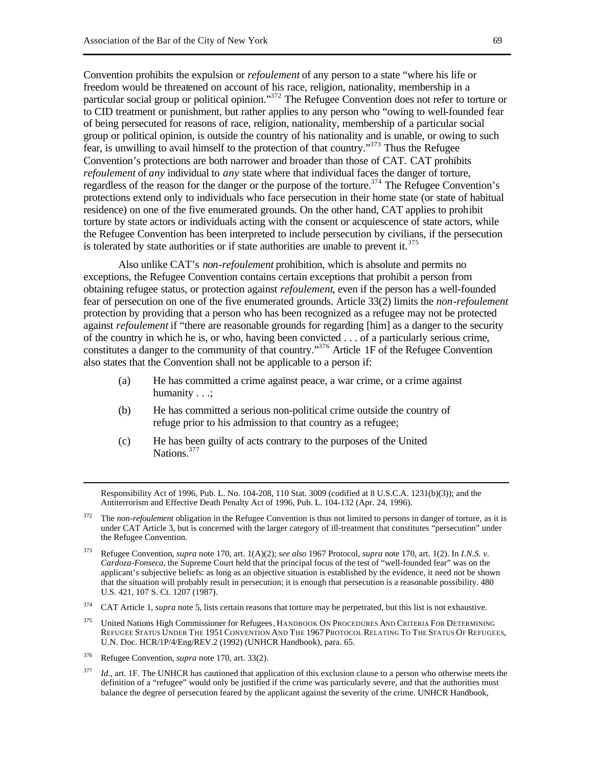Convention prohibits the expulsion or *refoulement* of any person to a state "where his life or freedom would be threatened on account of his race, religion, nationality, membership in a particular social group or political opinion."<sup>372</sup> The Refugee Convention does not refer to torture or to CID treatment or punishment, but rather applies to any person who "owing to well-founded fear of being persecuted for reasons of race, religion, nationality, membership of a particular social group or political opinion, is outside the country of his nationality and is unable, or owing to such fear, is unwilling to avail himself to the protection of that country."<sup>373</sup> Thus the Refugee Convention's protections are both narrower and broader than those of CAT. CAT prohibits *refoulement* of *any* individual to *any* state where that individual faces the danger of torture, regardless of the reason for the danger or the purpose of the torture.<sup>374</sup> The Refugee Convention's protections extend only to individuals who face persecution in their home state (or state of habitual residence) on one of the five enumerated grounds. On the other hand, CAT applies to prohibit torture by state actors or individuals acting with the consent or acquiescence of state actors, while the Refugee Convention has been interpreted to include persecution by civilians, if the persecution is tolerated by state authorities or if state authorities are unable to prevent it. $375$ 

Also unlike CAT's *non-refoulement* prohibition, which is absolute and permits no exceptions, the Refugee Convention contains certain exceptions that prohibit a person from obtaining refugee status, or protection against *refoulement*, even if the person has a well-founded fear of persecution on one of the five enumerated grounds. Article 33(2) limits the *non-refoulement* protection by providing that a person who has been recognized as a refugee may not be protected against *refoulement* if "there are reasonable grounds for regarding [him] as a danger to the security of the country in which he is, or who, having been convicted . . . of a particularly serious crime, constitutes a danger to the community of that country."<sup>376</sup> Article 1F of the Refugee Convention also states that the Convention shall not be applicable to a person if:

- (a) He has committed a crime against peace, a war crime, or a crime against humanity . . .;
- (b) He has committed a serious non-political crime outside the country of refuge prior to his admission to that country as a refugee;
- (c) He has been guilty of acts contrary to the purposes of the United Nations.<sup>377</sup>

Responsibility Act of 1996, Pub. L. No. 104-208, 110 Stat. 3009 (codified at 8 U.S.C.A. 1231(b)(3)); and the Antiterrorism and Effective Death Penalty Act of 1996, Pub. L. 104-132 (Apr. 24, 1996).

- <sup>375</sup> United Nations High Commissioner for Refugees, HANDBOOK ON PROCEDURES AND CRITERIA FOR DETERMINING REFUGEE STATUS UNDER THE 1951 CONVENTION AND THE 1967 PROTOCOL RELATING TO THE STATUS OF REFUGEES, U.N. Doc. HCR/1P/4/Eng/REV.2 (1992) (UNHCR Handbook), para. 65.
- <sup>376</sup> Refugee Convention, *supra* note 170, art. 33(2).

 $\overline{a}$ 

<sup>377</sup> *Id.*, art. 1F. The UNHCR has cautioned that application of this exclusion clause to a person who otherwise meets the definition of a "refugee" would only be justified if the crime was particularly severe, and that the authorities must balance the degree of persecution feared by the applicant against the severity of the crime. UNHCR Handbook,

<sup>372</sup> The *non-refoulement* obligation in the Refugee Convention is thus not limited to persons in danger of torture, as it is under CAT Article 3, but is concerned with the larger category of ill-treatment that constitutes "persecution" under the Refugee Convention.

<sup>373</sup> Refugee Convention, *supra* note 170, art. 1(A)(2); *see also* 1967 Protocol, *supra* note 170, art. 1(2). In *I.N.S. v. Cardoza-Fonseca*, the Supreme Court held that the principal focus of the test of "well-founded fear" was on the applicant's subjective beliefs: as long as an objective situation is established by the evidence, it need not be shown that the situation will probably result in persecution; it is enough that persecution is a reasonable possibility. 480 U.S. 421, 107 S. Ct. 1207 (1987).

<sup>&</sup>lt;sup>374</sup> CAT Article 1, *supra* note 5, lists certain reasons that torture may be perpetrated, but this list is not exhaustive.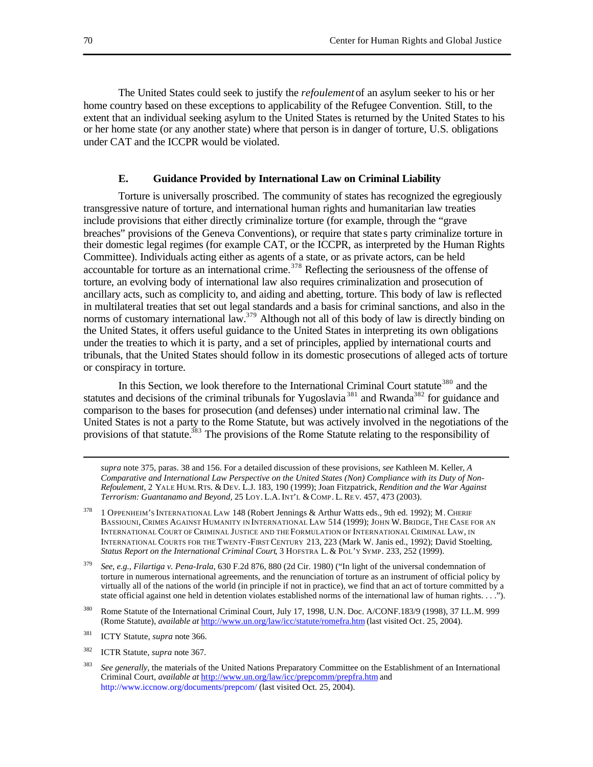The United States could seek to justify the *refoulement* of an asylum seeker to his or her home country based on these exceptions to applicability of the Refugee Convention. Still, to the extent that an individual seeking asylum to the United States is returned by the United States to his or her home state (or any another state) where that person is in danger of torture, U.S. obligations under CAT and the ICCPR would be violated.

### **E. Guidance Provided by International Law on Criminal Liability**

Torture is universally proscribed. The community of states has recognized the egregiously transgressive nature of torture, and international human rights and humanitarian law treaties include provisions that either directly criminalize torture (for example, through the "grave breaches" provisions of the Geneva Conventions), or require that state s party criminalize torture in their domestic legal regimes (for example CAT, or the ICCPR, as interpreted by the Human Rights Committee). Individuals acting either as agents of a state, or as private actors, can be held accountable for torture as an international crime.<sup>378</sup> Reflecting the seriousness of the offense of torture, an evolving body of international law also requires criminalization and prosecution of ancillary acts, such as complicity to, and aiding and abetting, torture. This body of law is reflected in multilateral treaties that set out legal standards and a basis for criminal sanctions, and also in the norms of customary international law.<sup>379</sup> Although not all of this body of law is directly binding on the United States, it offers useful guidance to the United States in interpreting its own obligations under the treaties to which it is party, and a set of principles, applied by international courts and tribunals, that the United States should follow in its domestic prosecutions of alleged acts of torture or conspiracy in torture.

In this Section, we look therefore to the International Criminal Court statute<sup>380</sup> and the statutes and decisions of the criminal tribunals for Yugoslavia<sup>381</sup> and Rwanda<sup>382</sup> for guidance and comparison to the bases for prosecution (and defenses) under international criminal law. The United States is not a party to the Rome Statute, but was actively involved in the negotiations of the provisions of that statute.<sup>383</sup> The provisions of the Rome Statute relating to the responsibility of

*supra* note 375, paras. 38 and 156. For a detailed discussion of these provisions, *see* Kathleen M. Keller, *A Comparative and International Law Perspective on the United States (Non) Compliance with its Duty of Non-Refoulement,* 2 YALE HUM.RTS. &DEV. L.J. 183, 190 (1999); Joan Fitzpatrick, *Rendition and the War Against Terrorism: Guantanamo and Beyond,* 25 LOY. L.A. INT'L &COMP. L.RE V. 457, 473 (2003).

- <sup>378</sup> 1 OPPENHEIM'S INTERNATIONAL LAW 148 (Robert Jennings & Arthur Watts eds., 9th ed. 1992); M. CHERIF BASSIOUNI,CRIMES AGAINST HUMANITY IN INTERNATIONAL LAW 514 (1999); JOHN W.BRIDGE, THE CASE FOR AN INTERNATIONAL COURT OF CRIMINAL JUSTICE AND THE FORMULATION OF INTERNATIONAL CRIMINAL LAW, IN INTERNATIONAL COURTS FOR THE TWENTY-FIRST CENTURY 213, 223 (Mark W. Janis ed., 1992); David Stoelting, *Status Report on the International Criminal Court*, 3 HOFSTRA L.& POL'Y SYMP*.* 233, 252 (1999).
- <sup>379</sup> *See*, *e.g., Filartiga v. Pena-Irala*, 630 F.2d 876, 880 (2d Cir. 1980) ("In light of the universal condemnation of torture in numerous international agreements, and the renunciation of torture as an instrument of official policy by virtually all of the nations of the world (in principle if not in practice), we find that an act of torture committed by a state official against one held in detention violates established norms of the international law of human rights. . . .").
- <sup>380</sup> Rome Statute of the International Criminal Court, July 17, 1998, U.N. Doc. A/CONF.183/9 (1998), 37 I.L.M. 999 (Rome Statute), *available at* http://www.un.org/law/icc/statute/romefra.htm (last visited Oct. 25, 2004).
- <sup>381</sup> ICTY Statute, *supra* note 366.

<sup>382</sup> ICTR Statute, *supra* note 367.

<sup>&</sup>lt;sup>383</sup> *See generally*, the materials of the United Nations Preparatory Committee on the Establishment of an International Criminal Court, *available at* http://www.un.org/law/icc/prepcomm/prepfra.htm and http://www.iccnow.org/documents/prepcom/ (last visited Oct. 25, 2004).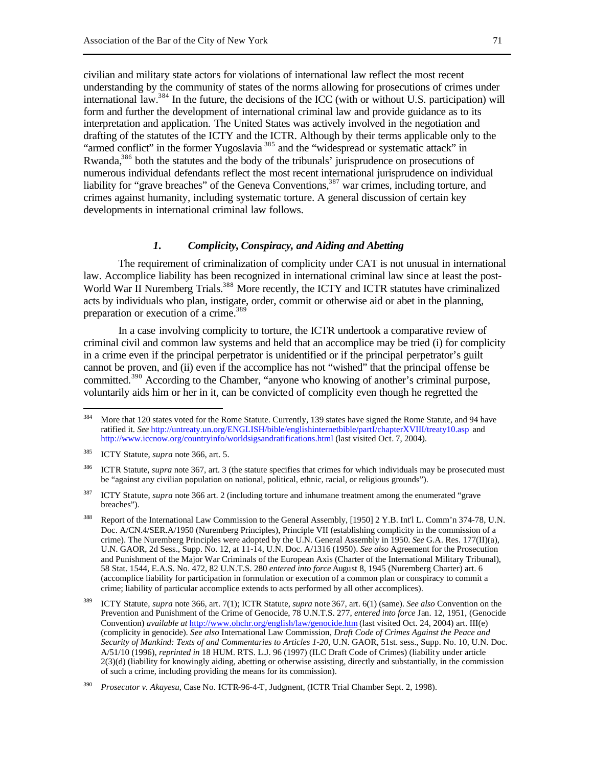civilian and military state actors for violations of international law reflect the most recent understanding by the community of states of the norms allowing for prosecutions of crimes under international law.<sup>384</sup> In the future, the decisions of the ICC (with or without U.S. participation) will form and further the development of international criminal law and provide guidance as to its interpretation and application. The United States was actively involved in the negotiation and drafting of the statutes of the ICTY and the ICTR. Although by their terms applicable only to the "armed conflict" in the former Yugoslavia<sup>385</sup> and the "widespread or systematic attack" in Rwanda,<sup>386</sup> both the statutes and the body of the tribunals' jurisprudence on prosecutions of numerous individual defendants reflect the most recent international jurisprudence on individual liability for "grave breaches" of the Geneva Conventions,<sup>387</sup> war crimes, including torture, and crimes against humanity, including systematic torture. A general discussion of certain key developments in international criminal law follows.

## *1. Complicity, Conspiracy, and Aiding and Abetting*

The requirement of criminalization of complicity under CAT is not unusual in international law. Accomplice liability has been recognized in international criminal law since at least the post-World War II Nuremberg Trials.<sup>388</sup> More recently, the ICTY and ICTR statutes have criminalized acts by individuals who plan, instigate, order, commit or otherwise aid or abet in the planning, preparation or execution of a crime.<sup>389</sup>

In a case involving complicity to torture, the ICTR undertook a comparative review of criminal civil and common law systems and held that an accomplice may be tried (i) for complicity in a crime even if the principal perpetrator is unidentified or if the principal perpetrator's guilt cannot be proven, and (ii) even if the accomplice has not "wished" that the principal offense be committed.<sup>390</sup> According to the Chamber, "anyone who knowing of another's criminal purpose, voluntarily aids him or her in it, can be convicted of complicity even though he regretted the

<sup>&</sup>lt;sup>384</sup> More that 120 states voted for the Rome Statute. Currently, 139 states have signed the Rome Statute, and 94 have ratified it. *See* http://untreaty.un.org/ENGLISH/bible/englishinternetbible/partI/chapterXVIII/treaty10.asp and http://www.iccnow.org/countryinfo/worldsigsandratifications.html (last visited Oct. 7, 2004).

<sup>385</sup> ICTY Statute, *supra* note 366, art. 5.

<sup>386</sup> ICTR Statute, *supra* note 367, art. 3 (the statute specifies that crimes for which individuals may be prosecuted must be "against any civilian population on national, political, ethnic, racial, or religious grounds").

<sup>387</sup> ICTY Statute, *supra* note 366 art. 2 (including torture and inhumane treatment among the enumerated "grave breaches").

<sup>388</sup> Report of the International Law Commission to the General Assembly, [1950] 2 Y.B. Int'l L. Comm'n 374-78, U.N. Doc. A/CN.4/SER.A/1950 (Nuremberg Principles), Principle VII (establishing complicity in the commission of a crime). The Nuremberg Principles were adopted by the U.N. General Assembly in 1950. *See* G.A. Res. 177(II)(a), U.N. GAOR, 2d Sess., Supp. No. 12, at 11-14, U.N. Doc. A/1316 (1950). *See also* Agreement for the Prosecution and Punishment of the Major War Criminals of the European Axis (Charter of the International Military Tribunal), 58 Stat. 1544, E.A.S. No. 472, 82 U.N.T.S. 280 *entered into force* August 8, 1945 (Nuremberg Charter) art. 6 (accomplice liability for participation in formulation or execution of a common plan or conspiracy to commit a crime; liability of particular accomplice extends to acts performed by all other accomplices).

<sup>389</sup> ICTY Statute, *supra* note 366, art. 7(1); ICTR Statute, *supra* note 367, art. 6(1) (same). *See also* Convention on the Prevention and Punishment of the Crime of Genocide, 78 U.N.T.S. 277, *entered into force* Jan. 12, 1951, (Genocide Convention) *available at* http://www.ohchr.org/english/law/genocide.htm (last visited Oct. 24, 2004) art. III(e) (complicity in genocide). *See also* International Law Commission, *Draft Code of Crimes Against the Peace and Security of Mankind: Texts of and Commentaries to Articles 1-20*, U.N. GAOR, 51st. sess., Supp. No. 10, U.N. Doc. A/51/10 (1996), *reprinted in* 18 HUM. RTS. L.J. 96 (1997) (ILC Draft Code of Crimes) (liability under article 2(3)(d) (liability for knowingly aiding, abetting or otherwise assisting, directly and substantially, in the commission of such a crime, including providing the means for its commission).

<sup>390</sup> *Prosecutor v. Akayesu*, Case No. ICTR-96-4-T, Judgment, (ICTR Trial Chamber Sept. 2, 1998).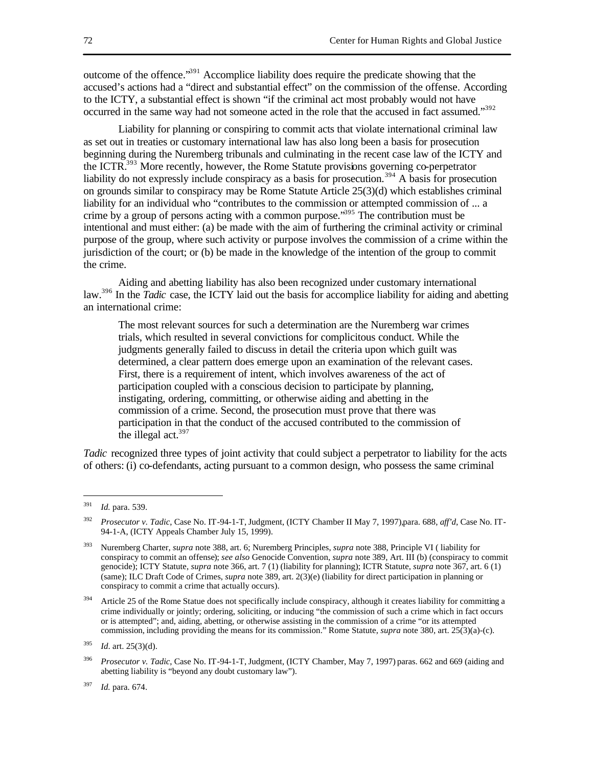outcome of the offence."<sup>391</sup> Accomplice liability does require the predicate showing that the accused's actions had a "direct and substantial effect" on the commission of the offense. According to the ICTY, a substantial effect is shown "if the criminal act most probably would not have occurred in the same way had not someone acted in the role that the accused in fact assumed."<sup>392</sup>

Liability for planning or conspiring to commit acts that violate international criminal law as set out in treaties or customary international law has also long been a basis for prosecution beginning during the Nuremberg tribunals and culminating in the recent case law of the ICTY and the ICTR.<sup>393</sup> More recently, however, the Rome Statute provisions governing co-perpetrator liability do not expressly include conspiracy as a basis for prosecution.<sup>394</sup> A basis for prosecution on grounds similar to conspiracy may be Rome Statute Article 25(3)(d) which establishes criminal liability for an individual who "contributes to the commission or attempted commission of ... a crime by a group of persons acting with a common purpose.<sup>395</sup> The contribution must be intentional and must either: (a) be made with the aim of furthering the criminal activity or criminal purpose of the group, where such activity or purpose involves the commission of a crime within the jurisdiction of the court; or (b) be made in the knowledge of the intention of the group to commit the crime.

Aiding and abetting liability has also been recognized under customary international law.<sup>396</sup> In the *Tadic* case, the ICTY laid out the basis for accomplice liability for aiding and abetting an international crime:

The most relevant sources for such a determination are the Nuremberg war crimes trials, which resulted in several convictions for complicitous conduct. While the judgments generally failed to discuss in detail the criteria upon which guilt was determined, a clear pattern does emerge upon an examination of the relevant cases. First, there is a requirement of intent, which involves awareness of the act of participation coupled with a conscious decision to participate by planning, instigating, ordering, committing, or otherwise aiding and abetting in the commission of a crime. Second, the prosecution must prove that there was participation in that the conduct of the accused contributed to the commission of the illegal act.  $397$ 

*Tadic* recognized three types of joint activity that could subject a perpetrator to liability for the acts of others: (i) co-defendants, acting pursuant to a common design, who possess the same criminal

<sup>391</sup> *Id.* para. 539.

<sup>392</sup> *Prosecutor v. Tadic*, Case No. IT-94-1-T, Judgment, (ICTY Chamber II May 7, 1997),para. 688, *aff'd*, Case No. IT-94-1-A, (ICTY Appeals Chamber July 15, 1999).

<sup>393</sup> Nuremberg Charter, *supra* note 388, art. 6; Nuremberg Principles, *supra* note 388, Principle VI ( liability for conspiracy to commit an offense); *see also* Genocide Convention, *supra* note 389, Art. III (b) (conspiracy to commit genocide); ICTY Statute, *supra* note 366, art. 7 (1) (liability for planning); ICTR Statute, *supra* note 367, art. 6 (1) (same); ILC Draft Code of Crimes, *supra* note 389, art. 2(3)(e) (liability for direct participation in planning or conspiracy to commit a crime that actually occurs).

<sup>&</sup>lt;sup>394</sup> Article 25 of the Rome Statue does not specifically include conspiracy, although it creates liability for committing a crime individually or jointly; ordering, soliciting, or inducing "the commission of such a crime which in fact occurs or is attempted"; and, aiding, abetting, or otherwise assisting in the commission of a crime "or its attempted commission, including providing the means for its commission." Rome Statute, *supra* note 380, art. 25(3)(a)-(c).

<sup>395</sup> *Id*. art. 25(3)(d).

<sup>396</sup> *Prosecutor v. Tadic*, Case No. IT-94-1-T, Judgment, (ICTY Chamber, May 7, 1997) paras. 662 and 669 (aiding and abetting liability is "beyond any doubt customary law").

<sup>397</sup> *Id.* para. 674.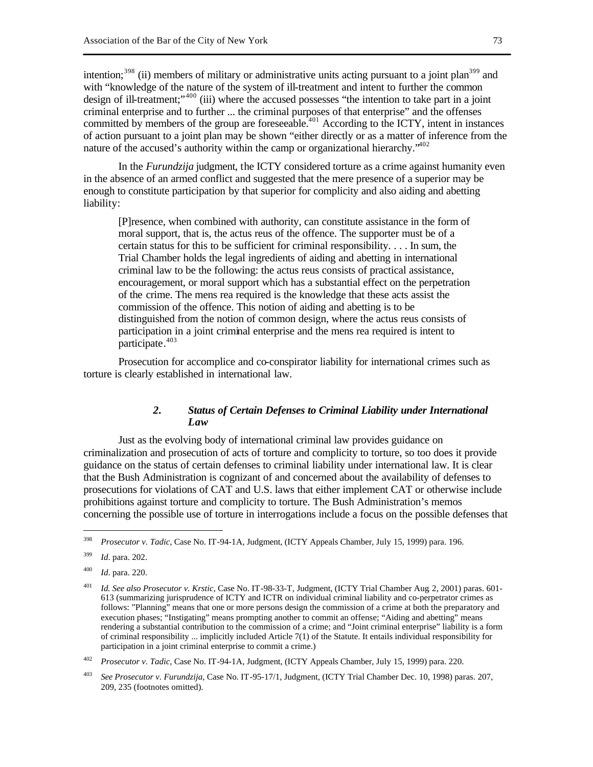intention;<sup>398</sup> (ii) members of military or administrative units acting pursuant to a joint plan<sup>399</sup> and with "knowledge of the nature of the system of ill-treatment and intent to further the common design of ill-treatment;"<sup>400</sup> (iii) where the accused possesses "the intention to take part in a joint criminal enterprise and to further ... the criminal purposes of that enterprise" and the offenses committed by members of the group are foreseeable.<sup> $401$ </sup> According to the ICTY, intent in instances of action pursuant to a joint plan may be shown "either directly or as a matter of inference from the nature of the accused's authority within the camp or organizational hierarchy.<sup>"402</sup>

In the *Furundzija* judgment, the ICTY considered torture as a crime against humanity even in the absence of an armed conflict and suggested that the mere presence of a superior may be enough to constitute participation by that superior for complicity and also aiding and abetting liability:

[P]resence, when combined with authority, can constitute assistance in the form of moral support, that is, the actus reus of the offence. The supporter must be of a certain status for this to be sufficient for criminal responsibility. . . . In sum, the Trial Chamber holds the legal ingredients of aiding and abetting in international criminal law to be the following: the actus reus consists of practical assistance, encouragement, or moral support which has a substantial effect on the perpetration of the crime. The mens rea required is the knowledge that these acts assist the commission of the offence. This notion of aiding and abetting is to be distinguished from the notion of common design, where the actus reus consists of participation in a joint criminal enterprise and the mens rea required is intent to participate. 403

Prosecution for accomplice and co-conspirator liability for international crimes such as torture is clearly established in international law.

## *2. Status of Certain Defenses to Criminal Liability under International Law*

Just as the evolving body of international criminal law provides guidance on criminalization and prosecution of acts of torture and complicity to torture, so too does it provide guidance on the status of certain defenses to criminal liability under international law. It is clear that the Bush Administration is cognizant of and concerned about the availability of defenses to prosecutions for violations of CAT and U.S. laws that either implement CAT or otherwise include prohibitions against torture and complicity to torture. The Bush Administration's memos concerning the possible use of torture in interrogations include a focus on the possible defenses that

<sup>398</sup> *Prosecutor v. Tadic*, Case No. IT-94-1A, Judgment, (ICTY Appeals Chamber, July 15, 1999) para. 196.

<sup>399</sup> *Id*. para. 202.

<sup>400</sup> *Id*. para. 220.

<sup>401</sup> *Id. See also Prosecutor v. Krstic*, Case No. IT-98-33-T, Judgment, (ICTY Trial Chamber Aug. 2, 2001) paras. 601- 613 (summarizing jurisprudence of ICTY and ICTR on individual criminal liability and co-perpetrator crimes as follows: "Planning" means that one or more persons design the commission of a crime at both the preparatory and execution phases; "Instigating" means prompting another to commit an offense; "Aiding and abetting" means rendering a substantial contribution to the commission of a crime; and "Joint criminal enterprise" liability is a form of criminal responsibility ... implicitly included Article 7(1) of the Statute. It entails individual responsibility for participation in a joint criminal enterprise to commit a crime.)

<sup>402</sup> *Prosecutor v. Tadic*, Case No. IT-94-1A, Judgment, (ICTY Appeals Chamber, July 15, 1999) para. 220.

<sup>403</sup> *See Prosecutor v. Furundzija*, Case No. IT-95-17/1, Judgment, (ICTY Trial Chamber Dec. 10, 1998) paras. 207, 209, 235 (footnotes omitted).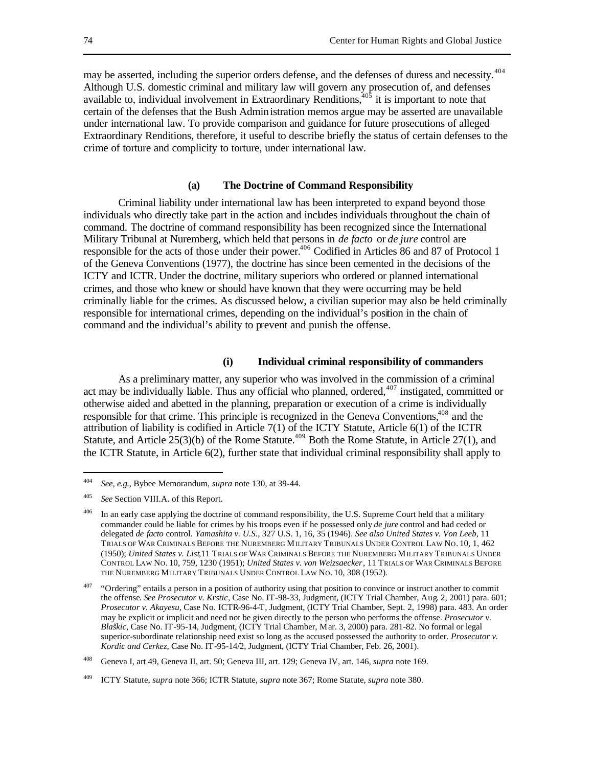may be asserted, including the superior orders defense, and the defenses of duress and necessity.<sup>404</sup> Although U.S. domestic criminal and military law will govern any prosecution of, and defenses available to, individual involvement in Extraordinary Renditions, $405$  it is important to note that certain of the defenses that the Bush Administration memos argue may be asserted are unavailable under international law. To provide comparison and guidance for future prosecutions of alleged Extraordinary Renditions, therefore, it useful to describe briefly the status of certain defenses to the crime of torture and complicity to torture, under international law.

#### **(a) The Doctrine of Command Responsibility**

Criminal liability under international law has been interpreted to expand beyond those individuals who directly take part in the action and includes individuals throughout the chain of command. The doctrine of command responsibility has been recognized since the International Military Tribunal at Nuremberg, which held that persons in *de facto* or *de jure* control are responsible for the acts of those under their power.<sup>406</sup> Codified in Articles 86 and 87 of Protocol 1 of the Geneva Conventions (1977), the doctrine has since been cemented in the decisions of the ICTY and ICTR. Under the doctrine, military superiors who ordered or planned international crimes, and those who knew or should have known that they were occurring may be held criminally liable for the crimes. As discussed below, a civilian superior may also be held criminally responsible for international crimes, depending on the individual's position in the chain of command and the individual's ability to prevent and punish the offense.

### **(i) Individual criminal responsibility of commanders**

As a preliminary matter, any superior who was involved in the commission of a criminal act may be individually liable. Thus any official who planned, ordered,  $407$  instigated, committed or otherwise aided and abetted in the planning, preparation or execution of a crime is individually responsible for that crime. This principle is recognized in the Geneva Conventions,<sup>408</sup> and the attribution of liability is codified in Article 7(1) of the ICTY Statute, Article 6(1) of the ICTR Statute, and Article  $25(3)(b)$  of the Rome Statute.<sup>409</sup> Both the Rome Statute, in Article 27(1), and the ICTR Statute, in Article 6(2), further state that individual criminal responsibility shall apply to

<sup>404</sup> *See, e.g.,* Bybee Memorandum, *supra* note 130, at 39-44.

<sup>405</sup> *See* Section VIII.A. of this Report.

<sup>&</sup>lt;sup>406</sup> In an early case applying the doctrine of command responsibility, the U.S. Supreme Court held that a military commander could be liable for crimes by his troops even if he possessed only *de jure* control and had ceded or delegated *de facto* control. *Yamashita v. U.S.*, 327 U.S. 1, 16, 35 (1946). *See also United States v. Von Leeb*, 11 TRIALS OF WAR CRIMINALS BEFORE THE NUREMBERG MILITARY TRIBUNALS UNDER CONTROL LAW NO. 10, 1, 462 (1950); *United States v. List*,11 TRIALS OF WAR CRIMINALS BEFORE THE NUREMBERG MILITARY TRIBUNALS UNDER CONTROL LAW NO. 10, 759, 1230 (1951); *United States v. von Weizsaecker*, 11 TRIALS OF WAR CRIMINALS BEFORE THE NUREMBERG MILITARY TRIBUNALS UNDER CONTROL LAW NO. 10, 308 (1952).

 $407$  "Ordering" entails a person in a position of authority using that position to convince or instruct another to commit the offense. *See Prosecutor v. Krstic,* Case No. IT-98-33, Judgment, (ICTY Trial Chamber, Aug. 2, 2001) para. 601; *Prosecutor v. Akayesu,* Case No. ICTR-96-4-T, Judgment, (ICTY Trial Chamber, Sept. 2, 1998) para. 483. An order may be explicit or implicit and need not be given directly to the person who performs the offense. *Prosecutor v. Blaškic*, Case No. IT-95-14, Judgment, (ICTY Trial Chamber, Mar. 3, 2000) para. 281-82. No formal or legal superior-subordinate relationship need exist so long as the accused possessed the authority to order. *Prosecutor v. Kordic and Cerkez,* Case No. IT-95-14/2, Judgment, (ICTY Trial Chamber, Feb. 26, 2001).

<sup>408</sup> Geneva I, art 49, Geneva II, art. 50; Geneva III, art. 129; Geneva IV, art. 146, *supra* note 169.

<sup>409</sup> ICTY Statute, *supra* note 366; ICTR Statute, *supra* note 367; Rome Statute, *supra* note 380.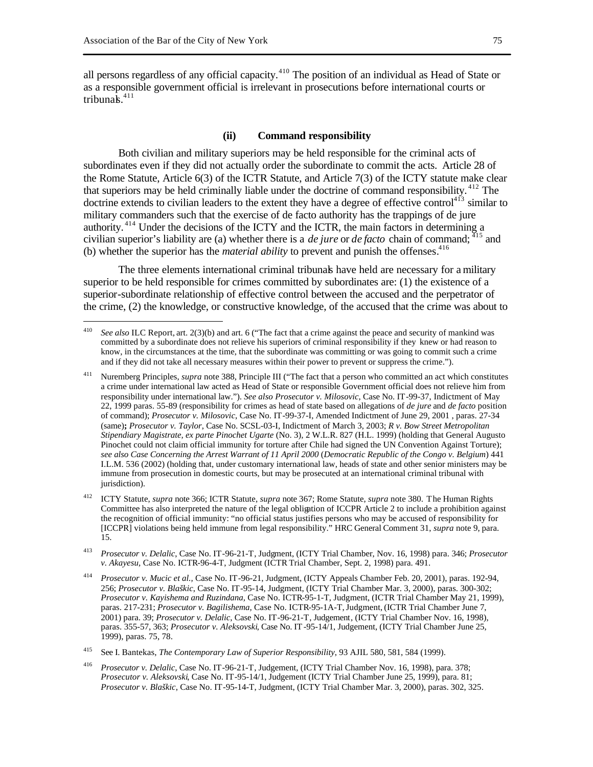$\overline{a}$ 

all persons regardless of any official capacity.<sup>410</sup> The position of an individual as Head of State or as a responsible government official is irrelevant in prosecutions before international courts or tribunak<sup>411</sup>

### **(ii) Command responsibility**

Both civilian and military superiors may be held responsible for the criminal acts of subordinates even if they did not actually order the subordinate to commit the acts. Article 28 of the Rome Statute, Article 6(3) of the ICTR Statute, and Article 7(3) of the ICTY statute make clear that superiors may be held criminally liable under the doctrine of command responsibility. <sup>412</sup> The doctrine extends to civilian leaders to the extent they have a degree of effective control<sup>413</sup> similar to military commanders such that the exercise of de facto authority has the trappings of de jure authority. <sup>414</sup> Under the decisions of the ICTY and the ICTR, the main factors in determining a civilian superior's liability are (a) whether there is a *de jure* or *de facto* chain of command; <sup>415</sup> and (b) whether the superior has the *material ability* to prevent and punish the offenses. 416

The three elements international criminal tribunals have held are necessary for a military superior to be held responsible for crimes committed by subordinates are: (1) the existence of a superior-subordinate relationship of effective control between the accused and the perpetrator of the crime, (2) the knowledge, or constructive knowledge, of the accused that the crime was about to

<sup>410</sup> *See also* ILC Report, art. 2(3)(b) and art. 6 ("The fact that a crime against the peace and security of mankind was committed by a subordinate does not relieve his superiors of criminal responsibility if they knew or had reason to know, in the circumstances at the time, that the subordinate was committing or was going to commit such a crime and if they did not take all necessary measures within their power to prevent or suppress the crime.").

<sup>411</sup> Nuremberg Principles, *supra* note 388, Principle III ("The fact that a person who committed an act which constitutes a crime under international law acted as Head of State or responsible Government official does not relieve him from responsibility under international law."). *See also Prosecutor v. Milosovic*, Case No. IT-99-37, Indictment of May 22, 1999 paras. 55-89 (responsibility for crimes as head of state based on allegations of *de jure* and *de facto* position of command); *Prosecutor v. Milosovic*, Case No. IT-99-37-I, Amended Indictment of June 29, 2001 , paras. 27-34 (same)**;** *Prosecutor v. Taylor*, Case No. SCSL-03-I, Indictment of March 3, 2003; *R v. Bow Street Metropolitan Stipendiary Magistrate, ex parte Pinochet Ugarte* (No. 3)*,* 2 W.L.R. 827 (H.L. 1999) (holding that General Augusto Pinochet could not claim official immunity for torture after Chile had signed the UN Convention Against Torture); *see also Case Concerning the Arrest Warrant of 11 April 2000* (*Democratic Republic of the Congo v. Belgium*) 441 I.L.M. 536 (2002) (holding that, under customary international law, heads of state and other senior ministers may be immune from prosecution in domestic courts, but may be prosecuted at an international criminal tribunal with jurisdiction).

<sup>412</sup> ICTY Statute, *supra* note 366; ICTR Statute, *supra* note 367; Rome Statute, *supra* note 380. The Human Rights Committee has also interpreted the nature of the legal obligation of ICCPR Article 2 to include a prohibition against the recognition of official immunity: "no official status justifies persons who may be accused of responsibility for [ICCPR] violations being held immune from legal responsibility." HRC General Comment 31, *supra* note 9, para. 15.

<sup>413</sup> *Prosecutor v. Delalic*, Case No. IT-96-21-T, Judgment, (ICTY Trial Chamber, Nov. 16, 1998) para. 346; *Prosecutor v. Akayesu,* Case No. ICTR-96-4-T, Judgment (ICTR Trial Chamber, Sept. 2, 1998) para. 491.

<sup>414</sup> *Prosecutor v. Mucic et al.,* Case No. IT-96-21, Judgment, (ICTY Appeals Chamber Feb. 20, 2001), paras. 192-94, 256; *Prosecutor v. Blaškic*, Case No. IT-95-14, Judgment, (ICTY Trial Chamber Mar. 3, 2000), paras. 300-302; *Prosecutor v. Kayishema and Ruzindana,* Case No. ICTR-95-1-T, Judgment, (ICTR Trial Chamber May 21, 1999), paras. 217-231; *Prosecutor v. Bagilishema,* Case No. ICTR-95-1A-T, Judgment, (ICTR Trial Chamber June 7, 2001) para. 39; *Prosecutor v. Delalic*, Case No. IT-96-21-T, Judgement, (ICTY Trial Chamber Nov. 16, 1998), paras. 355-57, 363; *Prosecutor v. Aleksovski*, Case No. IT-95-14/1, Judgement, (ICTY Trial Chamber June 25, 1999), paras. 75, 78.

<sup>415</sup> See I. Bantekas, *The Contemporary Law of Superior Responsibility*, 93 AJIL 580, 581, 584 (1999).

<sup>416</sup> *Prosecutor v. Delalic*, Case No. IT-96-21-T, Judgement, (ICTY Trial Chamber Nov. 16, 1998), para. 378; *Prosecutor v. Aleksovski*, Case No. IT-95-14/1, Judgement (ICTY Trial Chamber June 25, 1999), para. 81; *Prosecutor v. Blaškic*, Case No. IT-95-14-T, Judgment, (ICTY Trial Chamber Mar. 3, 2000), paras. 302, 325.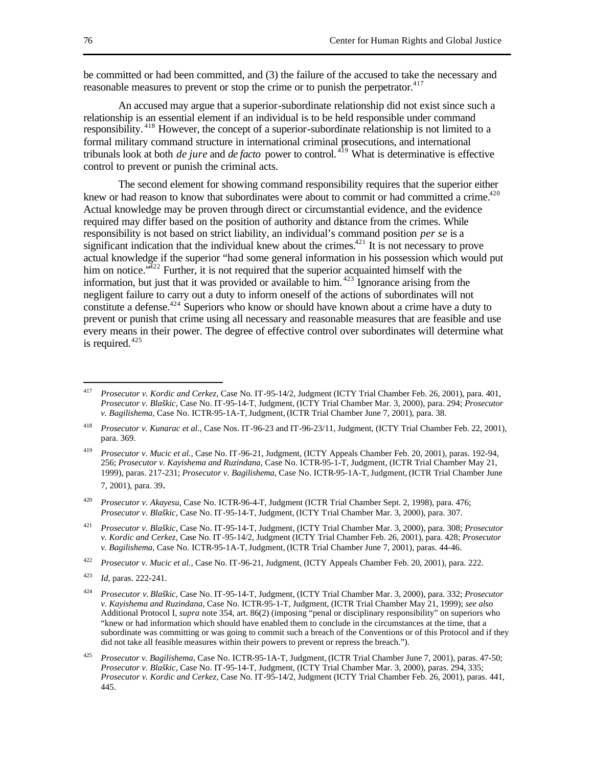be committed or had been committed, and (3) the failure of the accused to take the necessary and reasonable measures to prevent or stop the crime or to punish the perpetrator.<sup>417</sup>

An accused may argue that a superior-subordinate relationship did not exist since such a relationship is an essential element if an individual is to be held responsible under command responsibility. <sup>418</sup> However, the concept of a superior-subordinate relationship is not limited to a formal military command structure in international criminal prosecutions, and international tribunals look at both *de jure* and *de facto* power to control. <sup>419</sup> What is determinative is effective control to prevent or punish the criminal acts.

The second element for showing command responsibility requires that the superior either knew or had reason to know that subordinates were about to commit or had committed a crime.<sup>420</sup> Actual knowledge may be proven through direct or circumstantial evidence, and the evidence required may differ based on the position of authority and distance from the crimes. While responsibility is not based on strict liability, an individual's command position *per se* is a significant indication that the individual knew about the crimes.<sup> $421$ </sup> It is not necessary to prove actual knowledge if the superior "had some general information in his possession which would put him on notice.<sup> $3422$ </sup> Further, it is not required that the superior acquainted himself with the information, but just that it was provided or available to him.<sup>423</sup> Ignorance arising from the negligent failure to carry out a duty to inform oneself of the actions of subordinates will not constitute a defense.<sup>424</sup> Superiors who know or should have known about a crime have a duty to prevent or punish that crime using all necessary and reasonable measures that are feasible and use every means in their power. The degree of effective control over subordinates will determine what is required. $425$ 

<sup>417</sup> *Prosecutor v. Kordic and Cerkez,* Case No. IT-95-14/2, Judgment (ICTY Trial Chamber Feb. 26, 2001), para. 401, *Prosecutor v. Blaškic*, Case No. IT-95-14-T, Judgment, (ICTY Trial Chamber Mar. 3, 2000), para. 294; *Prosecutor v. Bagilishema,* Case No. ICTR-95-1A-T, Judgment, (ICTR Trial Chamber June 7, 2001), para. 38.

<sup>418</sup> *Prosecutor v. Kunarac et al.,* Case Nos. IT-96-23 and IT-96-23/11, Judgment, (ICTY Trial Chamber Feb. 22, 2001), para. 369.

<sup>419</sup> *Prosecutor v. Mucic et al.,* Case No. IT-96-21, Judgment, (ICTY Appeals Chamber Feb. 20, 2001), paras. 192-94, 256; *Prosecutor v. Kayishema and Ruzindana,* Case No. ICTR-95-1-T, Judgment, (ICTR Trial Chamber May 21, 1999), paras. 217-231; *Prosecutor v. Bagilishema,* Case No. ICTR-95-1A-T, Judgment, (ICTR Trial Chamber June 7, 2001), para. 39.

<sup>420</sup> *Prosecutor v. Akayesu,* Case No. ICTR-96-4-T, Judgment (ICTR Trial Chamber Sept. 2, 1998), para. 476; *Prosecutor v. Blaškic*, Case No. IT-95-14-T, Judgment, (ICTY Trial Chamber Mar. 3, 2000), para. 307.

<sup>421</sup> *Prosecutor v. Blaškic*, Case No. IT-95-14-T, Judgment, (ICTY Trial Chamber Mar. 3, 2000), para. 308; *Prosecutor v. Kordic and Cerkez,* Case No. IT-95-14/2, Judgment (ICTY Trial Chamber Feb. 26, 2001), para. 428; *Prosecutor v. Bagilishema,* Case No. ICTR-95-1A-T, Judgment, (ICTR Trial Chamber June 7, 2001), paras. 44-46.

<sup>422</sup> *Prosecutor v. Mucic et al.,* Case No. IT-96-21, Judgment, (ICTY Appeals Chamber Feb. 20, 2001), para. 222.

<sup>423</sup> *Id,* paras. 222-241.

<sup>424</sup> *Prosecutor v. Blaškic*, Case No. IT-95-14-T, Judgment, (ICTY Trial Chamber Mar. 3, 2000), para. 332; *Prosecutor v. Kayishema and Ruzindana,* Case No. ICTR-95-1-T, Judgment, (ICTR Trial Chamber May 21, 1999); *see also*  Additional Protocol I, *supra* note 354, art. 86(2) (imposing "penal or disciplinary responsibility" on superiors who "knew or had information which should have enabled them to conclude in the circumstances at the time, that a subordinate was committing or was going to commit such a breach of the Conventions or of this Protocol and if they did not take all feasible measures within their powers to prevent or repress the breach.").

<sup>425</sup> *Prosecutor v. Bagilishema,* Case No. ICTR-95-1A-T, Judgment, (ICTR Trial Chamber June 7, 2001), paras. 47-50; *Prosecutor v. Blaškic*, Case No. IT-95-14-T, Judgment, (ICTY Trial Chamber Mar. 3, 2000), paras. 294, 335; *Prosecutor v. Kordic and Cerkez,* Case No. IT-95-14/2, Judgment (ICTY Trial Chamber Feb. 26, 2001), paras. 441, 445.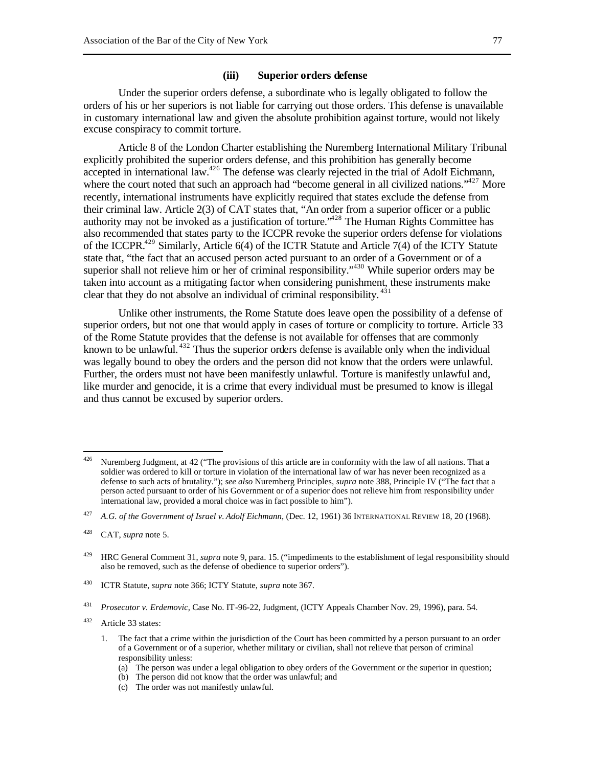#### **(iii) Superior orders defense**

Under the superior orders defense, a subordinate who is legally obligated to follow the orders of his or her superiors is not liable for carrying out those orders. This defense is unavailable in customary international law and given the absolute prohibition against torture, would not likely excuse conspiracy to commit torture.

Article 8 of the London Charter establishing the Nuremberg International Military Tribunal explicitly prohibited the superior orders defense, and this prohibition has generally become accepted in international law.<sup>426</sup> The defense was clearly rejected in the trial of Adolf Eichmann, where the court noted that such an approach had "become general in all civilized nations."<sup>427</sup> More recently, international instruments have explicitly required that states exclude the defense from their criminal law. Article 2(3) of CAT states that, "An order from a superior officer or a public authority may not be invoked as a justification of torture.<sup>"428</sup> The Human Rights Committee has also recommended that states party to the ICCPR revoke the superior orders defense for violations of the ICCPR.<sup>429</sup> Similarly, Article 6(4) of the ICTR Statute and Article 7(4) of the ICTY Statute state that, "the fact that an accused person acted pursuant to an order of a Government or of a superior shall not relieve him or her of criminal responsibility."<sup>430</sup> While superior orders may be taken into account as a mitigating factor when considering punishment, these instruments make clear that they do not absolve an individual of criminal responsibility.<sup>431</sup>

Unlike other instruments, the Rome Statute does leave open the possibility of a defense of superior orders, but not one that would apply in cases of torture or complicity to torture. Article 33 of the Rome Statute provides that the defense is not available for offenses that are commonly known to be unlawful. <sup>432</sup> Thus the superior orders defense is available only when the individual was legally bound to obey the orders and the person did not know that the orders were unlawful. Further, the orders must not have been manifestly unlawful. Torture is manifestly unlawful and, like murder and genocide, it is a crime that every individual must be presumed to know is illegal and thus cannot be excused by superior orders.

- <sup>432</sup> Article 33 states:
	- 1. The fact that a crime within the jurisdiction of the Court has been committed by a person pursuant to an order of a Government or of a superior, whether military or civilian, shall not relieve that person of criminal responsibility unless:
		- (a) The person was under a legal obligation to obey orders of the Government or the superior in question;
		- (b) The person did not know that the order was unlawful; and
		- (c) The order was not manifestly unlawful.

<sup>&</sup>lt;sup>426</sup> Nuremberg Judgment, at 42 ("The provisions of this article are in conformity with the law of all nations. That a soldier was ordered to kill or torture in violation of the international law of war has never been recognized as a defense to such acts of brutality."); *see also* Nuremberg Principles, *supra* note 388, Principle IV ("The fact that a person acted pursuant to order of his Government or of a superior does not relieve him from responsibility under international law, provided a moral choice was in fact possible to him").

<sup>427</sup> *A.G. of the Government of Israel v. Adolf Eichmann*, (Dec. 12, 1961) 36 INTERNATIONAL REVIEW 18, 20 (1968).

<sup>428</sup> CAT, *supra* note 5.

<sup>429</sup> HRC General Comment 31, *supra* note 9, para. 15. ("impediments to the establishment of legal responsibility should also be removed, such as the defense of obedience to superior orders").

<sup>430</sup> ICTR Statute, *supra* note 366; ICTY Statute, *supra* note 367.

<sup>431</sup> *Prosecutor v. Erdemovic,* Case No. IT-96-22, Judgment, (ICTY Appeals Chamber Nov. 29, 1996), para. 54.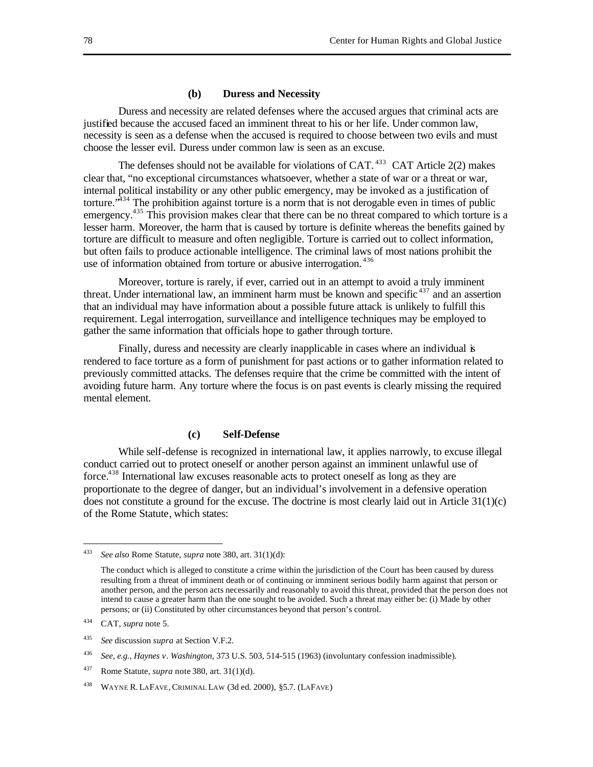### **(b) Duress and Necessity**

Duress and necessity are related defenses where the accused argues that criminal acts are justified because the accused faced an imminent threat to his or her life. Under common law, necessity is seen as a defense when the accused is required to choose between two evils and must choose the lesser evil. Duress under common law is seen as an excuse.

The defenses should not be available for violations of  $CAT$ .  $433$  CAT Article 2(2) makes clear that, "no exceptional circumstances whatsoever, whether a state of war or a threat or war, internal political instability or any other public emergency, may be invoked as a justification of torture.<sup> $3434$ </sup> The prohibition against torture is a norm that is not derogable even in times of public emergency.<sup>435</sup> This provision makes clear that there can be no threat compared to which torture is a lesser harm. Moreover, the harm that is caused by torture is definite whereas the benefits gained by torture are difficult to measure and often negligible. Torture is carried out to collect information, but often fails to produce actionable intelligence. The criminal laws of most nations prohibit the use of information obtained from torture or abusive interrogation.<sup>436</sup>

Moreover, torture is rarely, if ever, carried out in an attempt to avoid a truly imminent threat. Under international law, an imminent harm must be known and specific  $437$  and an assertion that an individual may have information about a possible future attack is unlikely to fulfill this requirement. Legal interrogation, surveillance and intelligence techniques may be employed to gather the same information that officials hope to gather through torture.

Finally, duress and necessity are clearly inapplicable in cases where an individual is rendered to face torture as a form of punishment for past actions or to gather information related to previously committed attacks. The defenses require that the crime be committed with the intent of avoiding future harm. Any torture where the focus is on past events is clearly missing the required mental element.

### **(c) Self-Defense**

While self-defense is recognized in international law, it applies narrowly, to excuse illegal conduct carried out to protect oneself or another person against an imminent unlawful use of force.<sup>438</sup> International law excuses reasonable acts to protect oneself as long as they are proportionate to the degree of danger, but an individual's involvement in a defensive operation does not constitute a ground for the excuse. The doctrine is most clearly laid out in Article 31(1)(c) of the Rome Statute, which states:

<sup>433</sup> *See also* Rome Statute, *supra* note 380, art. 31(1)(d):

The conduct which is alleged to constitute a crime within the jurisdiction of the Court has been caused by duress resulting from a threat of imminent death or of continuing or imminent serious bodily harm against that person or another person, and the person acts necessarily and reasonably to avoid this threat, provided that the person does not intend to cause a greater harm than the one sought to be avoided. Such a threat may either be: (i) Made by other persons; or (ii) Constituted by other circumstances beyond that person's control.

<sup>434</sup> CAT, *supra* note 5.

<sup>435</sup> *See* discussion *supra* at Section V.F.2.

<sup>436</sup> *See, e.g., Haynes v. Washington*, 373 U.S. 503, 514-515 (1963) (involuntary confession inadmissible).

<sup>437</sup> Rome Statute, *supra* note 380, art. 31(1)(d).

<sup>438</sup> WAYNE R. LAFAVE,CRIMINAL LAW (3d ed. 2000), §5.7. (LAFAVE)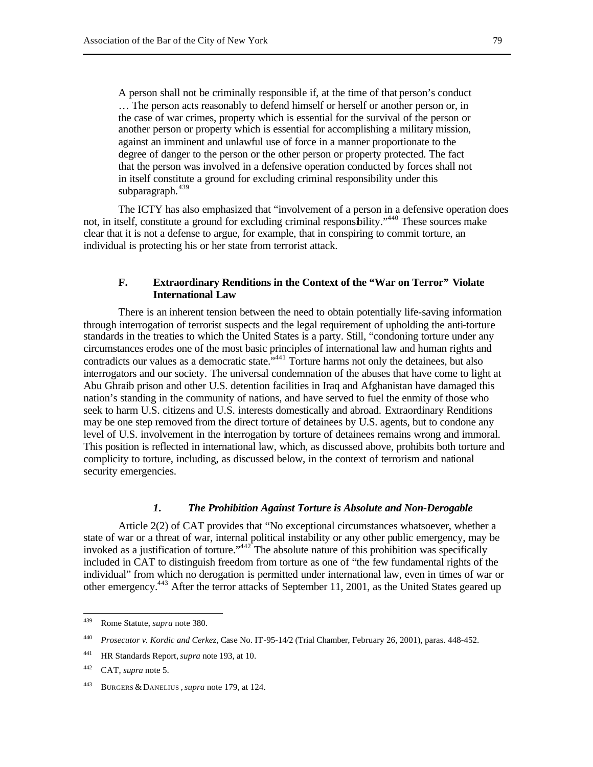A person shall not be criminally responsible if, at the time of that person's conduct … The person acts reasonably to defend himself or herself or another person or, in the case of war crimes, property which is essential for the survival of the person or another person or property which is essential for accomplishing a military mission, against an imminent and unlawful use of force in a manner proportionate to the degree of danger to the person or the other person or property protected. The fact that the person was involved in a defensive operation conducted by forces shall not in itself constitute a ground for excluding criminal responsibility under this subparagraph. $439$ 

The ICTY has also emphasized that "involvement of a person in a defensive operation does not, in itself, constitute a ground for excluding criminal responsibility."<sup>440</sup> These sources make clear that it is not a defense to argue, for example, that in conspiring to commit torture, an individual is protecting his or her state from terrorist attack.

## **F. Extraordinary Renditions in the Context of the "War on Terror" Violate International Law**

There is an inherent tension between the need to obtain potentially life-saving information through interrogation of terrorist suspects and the legal requirement of upholding the anti-torture standards in the treaties to which the United States is a party. Still, "condoning torture under any circumstances erodes one of the most basic principles of international law and human rights and contradicts our values as a democratic state."<sup>441</sup> Torture harms not only the detainees, but also interrogators and our society. The universal condemnation of the abuses that have come to light at Abu Ghraib prison and other U.S. detention facilities in Iraq and Afghanistan have damaged this nation's standing in the community of nations, and have served to fuel the enmity of those who seek to harm U.S. citizens and U.S. interests domestically and abroad. Extraordinary Renditions may be one step removed from the direct torture of detainees by U.S. agents, but to condone any level of U.S. involvement in the interrogation by torture of detainees remains wrong and immoral. This position is reflected in international law, which, as discussed above, prohibits both torture and complicity to torture, including, as discussed below, in the context of terrorism and national security emergencies.

## *1. The Prohibition Against Torture is Absolute and Non-Derogable*

Article 2(2) of CAT provides that "No exceptional circumstances whatsoever, whether a state of war or a threat of war, internal political instability or any other public emergency, may be invoked as a justification of torture." $442^{\circ}$  The absolute nature of this prohibition was specifically included in CAT to distinguish freedom from torture as one of "the few fundamental rights of the individual" from which no derogation is permitted under international law, even in times of war or other emergency.<sup>443</sup> After the terror attacks of September 11, 2001, as the United States geared up

<sup>439</sup> <sup>439</sup> Rome Statute, *supra* note 380.

<sup>440</sup> *Prosecutor v. Kordic and Cerkez,* Case No. IT-95-14/2 (Trial Chamber, February 26, 2001), paras. 448-452.

<sup>441</sup> HR Standards Report, *supra* note 193, at 10.

<sup>442</sup> CAT, *supra* note 5.

<sup>443</sup> BURGERS &DANELIUS ,*supra* note 179, at 124.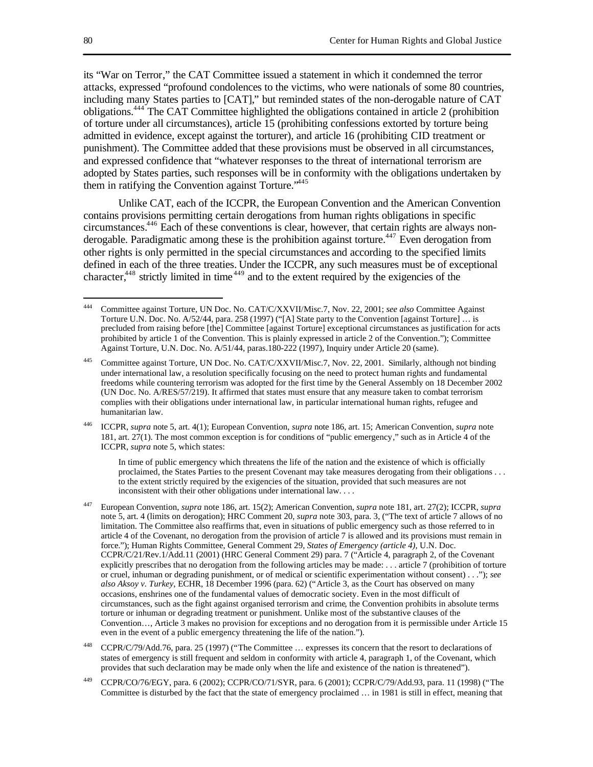its "War on Terror," the CAT Committee issued a statement in which it condemned the terror attacks, expressed "profound condolences to the victims, who were nationals of some 80 countries, including many States parties to [CAT]," but reminded states of the non-derogable nature of CAT obligations.<sup>444</sup> The CAT Committee highlighted the obligations contained in article 2 (prohibition of torture under all circumstances), article 15 (prohibiting confessions extorted by torture being admitted in evidence, except against the torturer), and article 16 (prohibiting CID treatment or punishment). The Committee added that these provisions must be observed in all circumstances, and expressed confidence that "whatever responses to the threat of international terrorism are adopted by States parties, such responses will be in conformity with the obligations undertaken by them in ratifying the Convention against Torture."<sup>445</sup>

Unlike CAT, each of the ICCPR, the European Convention and the American Convention contains provisions permitting certain derogations from human rights obligations in specific circumstances.<sup>446</sup> Each of these conventions is clear, however, that certain rights are always nonderogable. Paradigmatic among these is the prohibition against torture.<sup>447</sup> Even derogation from other rights is only permitted in the special circumstances and according to the specified limits defined in each of the three treaties. Under the ICCPR, any such measures must be of exceptional character, $448$  strictly limited in time  $449$  and to the extent required by the exigencies of the

<sup>446</sup> ICCPR, *supra* note 5, art. 4(1); European Convention, *supra* note 186, art. 15; American Convention, *supra* note 181, art. 27(1). The most common exception is for conditions of "public emergency," such as in Article 4 of the ICCPR, *supra* note 5, which states:

In time of public emergency which threatens the life of the nation and the existence of which is officially proclaimed, the States Parties to the present Covenant may take measures derogating from their obligations . . . to the extent strictly required by the exigencies of the situation, provided that such measures are not inconsistent with their other obligations under international law. . . .

- <sup>447</sup> European Convention, *supra* note 186, art. 15(2); American Convention, *supra* note 181, art. 27(2); ICCPR, *supra* note 5, art. 4 (limits on derogation); HRC Comment 20, *supra* note 303, para. 3, ("The text of article 7 allows of no limitation. The Committee also reaffirms that, even in situations of public emergency such as those referred to in article 4 of the Covenant, no derogation from the provision of article 7 is allowed and its provisions must remain in force."); Human Rights Committee, General Comment 29, *States of Emergency (article 4)*, U.N. Doc. CCPR/C/21/Rev.1/Add.11 (2001) (HRC General Comment 29) para. 7 ("Article 4, paragraph 2, of the Covenant explicitly prescribes that no derogation from the following articles may be made: . . . article 7 (prohibition of torture or cruel, inhuman or degrading punishment, or of medical or scientific experimentation without consent) . . ."); *see also Aksoy v. Turkey*, ECHR, 18 December 1996 (para. 62) ("Article 3, as the Court has observed on many occasions, enshrines one of the fundamental values of democratic society. Even in the most difficult of circumstances, such as the fight against organised terrorism and crime, the Convention prohibits in absolute terms torture or inhuman or degrading treatment or punishment. Unlike most of the substantive clauses of the Convention…, Article 3 makes no provision for exceptions and no derogation from it is permissible under Article 15 even in the event of a public emergency threatening the life of the nation.").
- <sup>448</sup> CCPR/C/79/Add.76, para. 25 (1997) ("The Committee … expresses its concern that the resort to declarations of states of emergency is still frequent and seldom in conformity with article 4, paragraph 1, of the Covenant, which provides that such declaration may be made only when the life and existence of the nation is threatened").
- <sup>449</sup> CCPR/CO/76/EGY, para. 6 (2002); CCPR/CO/71/SYR, para. 6 (2001); CCPR/C/79/Add.93, para. 11 (1998) ("The Committee is disturbed by the fact that the state of emergency proclaimed … in 1981 is still in effect, meaning that

<sup>444</sup> Committee against Torture, UN Doc. No. CAT/C/XXVII/Misc.7, Nov. 22, 2001; *see also* Committee Against Torture U.N. Doc. No. A/52/44, para. 258 (1997) ("[A] State party to the Convention [against Torture] … is precluded from raising before [the] Committee [against Torture] exceptional circumstances as justification for acts prohibited by article 1 of the Convention. This is plainly expressed in article 2 of the Convention."); Committee Against Torture, U.N. Doc. No. A/51/44, paras.180-222 (1997), Inquiry under Article 20 (same).

Committee against Torture, UN Doc. No. CAT/C/XXVII/Misc.7, Nov. 22, 2001. Similarly, although not binding under international law, a resolution specifically focusing on the need to protect human rights and fundamental freedoms while countering terrorism was adopted for the first time by the General Assembly on 18 December 2002 (UN Doc. No. A/RES/57/219). It affirmed that states must ensure that any measure taken to combat terrorism complies with their obligations under international law, in particular international human rights, refugee and humanitarian law.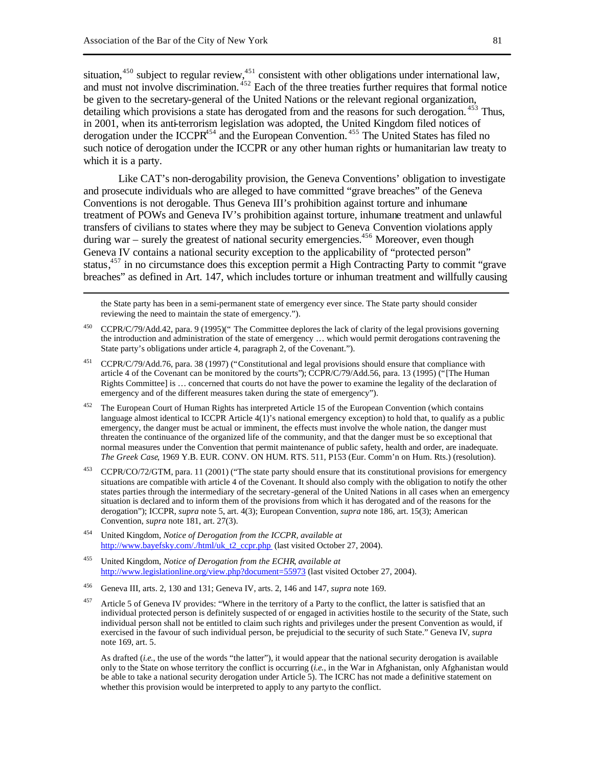$\overline{a}$ 

situation,<sup>450</sup> subject to regular review, $^{451}_{11}$  consistent with other obligations under international law, and must not involve discrimination.<sup>452</sup> Each of the three treaties further requires that formal notice be given to the secretary-general of the United Nations or the relevant regional organization, detailing which provisions a state has derogated from and the reasons for such derogation.<sup>453</sup> Thus, in 2001, when its anti-terrorism legislation was adopted, the United Kingdom filed notices of derogation under the ICCPR<sup>454</sup> and the European Convention.<sup>455</sup> The United States has filed no such notice of derogation under the ICCPR or any other human rights or humanitarian law treaty to which it is a party.

Like CAT's non-derogability provision, the Geneva Conventions' obligation to investigate and prosecute individuals who are alleged to have committed "grave breaches" of the Geneva Conventions is not derogable. Thus Geneva III's prohibition against torture and inhumane treatment of POWs and Geneva IV's prohibition against torture, inhumane treatment and unlawful transfers of civilians to states where they may be subject to Geneva Convention violations apply during war – surely the greatest of national security emergencies.<sup>456</sup> Moreover, even though Geneva IV contains a national security exception to the applicability of "protected person" status,<sup>457</sup> in no circumstance does this exception permit a High Contracting Party to commit "grave breaches" as defined in Art. 147, which includes torture or inhuman treatment and willfully causing

the State party has been in a semi-permanent state of emergency ever since. The State party should consider reviewing the need to maintain the state of emergency.").

- <sup>450</sup> CCPR/C/79/Add.42, para. 9 (1995)(" The Committee deplores the lack of clarity of the legal provisions governing the introduction and administration of the state of emergency … which would permit derogations contravening the State party's obligations under article 4, paragraph 2, of the Covenant.").
- <sup>451</sup> CCPR/C/79/Add.76, para. 38 (1997) ("Constitutional and legal provisions should ensure that compliance with article 4 of the Covenant can be monitored by the courts"); CCPR/C/79/Add.56, para. 13 (1995) ("[The Human Rights Committee] is … concerned that courts do not have the power to examine the legality of the declaration of emergency and of the different measures taken during the state of emergency").
- <sup>452</sup> The European Court of Human Rights has interpreted Article 15 of the European Convention (which contains language almost identical to ICCPR Article 4(1)'s national emergency exception) to hold that, to qualify as a public emergency, the danger must be actual or imminent, the effects must involve the whole nation, the danger must threaten the continuance of the organized life of the community, and that the danger must be so exceptional that normal measures under the Convention that permit maintenance of public safety, health and order, are inadequate. *The Greek Case*, 1969 Y.B. EUR. CONV. ON HUM. RTS. 511, P153 (Eur. Comm'n on Hum. Rts.) (resolution).
- <sup>453</sup> CCPR/CO/72/GTM, para. 11 (2001) ("The state party should ensure that its constitutional provisions for emergency situations are compatible with article 4 of the Covenant. It should also comply with the obligation to notify the other states parties through the intermediary of the secretary-general of the United Nations in all cases when an emergency situation is declared and to inform them of the provisions from which it has derogated and of the reasons for the derogation"); ICCPR, *supra* note 5, art. 4(3); European Convention, *supra* note 186, art. 15(3); American Convention, *supra* note 181, art. 27(3).
- <sup>454</sup> United Kingdom, *Notice of Derogation from the ICCPR*, *available at* http://www.bayefsky.com/./html/uk\_t2\_ccpr.php (last visited October 27, 2004).
- <sup>455</sup> United Kingdom, *Notice of Derogation from the ECHR*, *available at* http://www.legislationline.org/view.php?document=55973 (last visited October 27, 2004).
- <sup>456</sup> Geneva III, arts. 2, 130 and 131; Geneva IV, arts. 2, 146 and 147, *supra* note 169.
- <sup>457</sup> Article 5 of Geneva IV provides: "Where in the territory of a Party to the conflict, the latter is satisfied that an individual protected person is definitely suspected of or engaged in activities hostile to the security of the State, such individual person shall not be entitled to claim such rights and privileges under the present Convention as would, if exercised in the favour of such individual person, be prejudicial to the security of such State." Geneva IV, *supra*  note 169, art. 5.

As drafted (*i.e.*, the use of the words "the latter"), it would appear that the national security derogation is available only to the State on whose territory the conflict is occurring (*i.e.*, in the War in Afghanistan, only Afghanistan would be able to take a national security derogation under Article 5). The ICRC has not made a definitive statement on whether this provision would be interpreted to apply to any party to the conflict.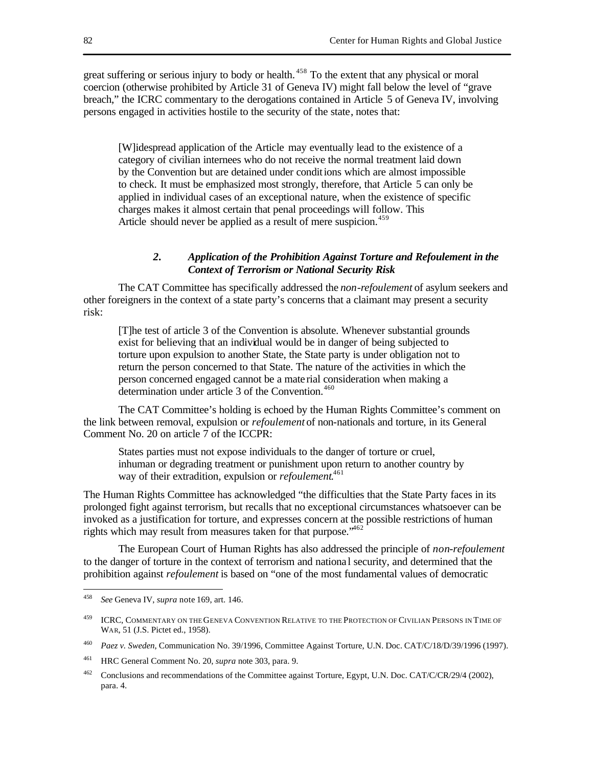great suffering or serious injury to body or health.<sup>458</sup> To the extent that any physical or moral coercion (otherwise prohibited by Article 31 of Geneva IV) might fall below the level of "grave breach," the ICRC commentary to the derogations contained in Article 5 of Geneva IV, involving persons engaged in activities hostile to the security of the state, notes that:

[W]idespread application of the Article may eventually lead to the existence of a category of civilian internees who do not receive the normal treatment laid down by the Convention but are detained under conditions which are almost impossible to check. It must be emphasized most strongly, therefore, that Article 5 can only be applied in individual cases of an exceptional nature, when the existence of specific charges makes it almost certain that penal proceedings will follow. This Article should never be applied as a result of mere suspicion.<sup>459</sup>

### *2. Application of the Prohibition Against Torture and Refoulement in the Context of Terrorism or National Security Risk*

The CAT Committee has specifically addressed the *non-refoulement* of asylum seekers and other foreigners in the context of a state party's concerns that a claimant may present a security risk:

[T]he test of article 3 of the Convention is absolute. Whenever substantial grounds exist for believing that an individual would be in danger of being subjected to torture upon expulsion to another State, the State party is under obligation not to return the person concerned to that State. The nature of the activities in which the person concerned engaged cannot be a mate rial consideration when making a determination under article 3 of the Convention.<sup>460</sup>

The CAT Committee's holding is echoed by the Human Rights Committee's comment on the link between removal, expulsion or *refoulement* of non-nationals and torture, in its General Comment No. 20 on article 7 of the ICCPR:

States parties must not expose individuals to the danger of torture or cruel, inhuman or degrading treatment or punishment upon return to another country by way of their extradition, expulsion or *refoulement*. 461

The Human Rights Committee has acknowledged "the difficulties that the State Party faces in its prolonged fight against terrorism, but recalls that no exceptional circumstances whatsoever can be invoked as a justification for torture, and expresses concern at the possible restrictions of human rights which may result from measures taken for that purpose."<sup>462</sup>

The European Court of Human Rights has also addressed the principle of *non-refoulement* to the danger of torture in the context of terrorism and nationa l security, and determined that the prohibition against *refoulement* is based on "one of the most fundamental values of democratic

<sup>458</sup> *See* Geneva IV, *supra* note 169, art. 146.

<sup>459</sup> ICRC, COMMENTARY ON THE GENEVA CONVENTION RELATIVE TO THE PROTECTION OF CIVILIAN PERSONS IN TIME OF WAR, 51 (J.S. Pictet ed., 1958).

<sup>460</sup> *Paez v. Sweden*, Communication No. 39/1996, Committee Against Torture, U.N. Doc. CAT/C/18/D/39/1996 (1997).

<sup>461</sup> HRC General Comment No. 20, *supra* note 303, para. 9.

<sup>462</sup> Conclusions and recommendations of the Committee against Torture, Egypt, U.N. Doc. CAT/C/CR/29/4 (2002), para. 4.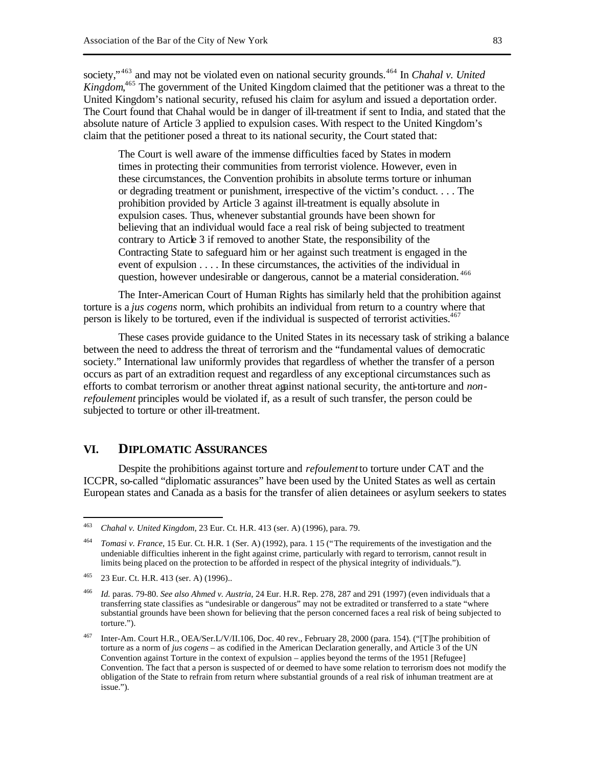society,"<sup>463</sup> and may not be violated even on national security grounds.<sup>464</sup> In *Chahal v. United Kingdom*, <sup>465</sup> The government of the United Kingdom claimed that the petitioner was a threat to the United Kingdom's national security, refused his claim for asylum and issued a deportation order. The Court found that Chahal would be in danger of ill-treatment if sent to India, and stated that the absolute nature of Article 3 applied to expulsion cases. With respect to the United Kingdom's claim that the petitioner posed a threat to its national security, the Court stated that:

The Court is well aware of the immense difficulties faced by States in modern times in protecting their communities from terrorist violence. However, even in these circumstances, the Convention prohibits in absolute terms torture or inhuman or degrading treatment or punishment, irrespective of the victim's conduct. . . . The prohibition provided by Article 3 against ill-treatment is equally absolute in expulsion cases. Thus, whenever substantial grounds have been shown for believing that an individual would face a real risk of being subjected to treatment contrary to Article 3 if removed to another State, the responsibility of the Contracting State to safeguard him or her against such treatment is engaged in the event of expulsion . . . . In these circumstances, the activities of the individual in question, however undesirable or dangerous, cannot be a material consideration.<sup>466</sup>

The Inter-American Court of Human Rights has similarly held that the prohibition against torture is a *jus cogens* norm, which prohibits an individual from return to a country where that person is likely to be tortured, even if the individual is suspected of terrorist activities.<sup>467</sup>

These cases provide guidance to the United States in its necessary task of striking a balance between the need to address the threat of terrorism and the "fundamental values of democratic society." International law uniformly provides that regardless of whether the transfer of a person occurs as part of an extradition request and regardless of any exceptional circumstances such as efforts to combat terrorism or another threat against national security, the anti-torture and *nonrefoulement* principles would be violated if, as a result of such transfer, the person could be subjected to torture or other ill-treatment.

# **VI. DIPLOMATIC ASSURANCES**

Despite the prohibitions against torture and *refoulement* to torture under CAT and the ICCPR, so-called "diplomatic assurances" have been used by the United States as well as certain European states and Canada as a basis for the transfer of alien detainees or asylum seekers to states

<sup>463</sup> <sup>463</sup> *Chahal v. United Kingdom*, 23 Eur. Ct. H.R. 413 (ser. A) (1996), para. 79.

<sup>464</sup> *Tomasi v. France*, 15 Eur. Ct. H.R. 1 (Ser. A) (1992), para. 1 15 ("The requirements of the investigation and the undeniable difficulties inherent in the fight against crime, particularly with regard to terrorism, cannot result in limits being placed on the protection to be afforded in respect of the physical integrity of individuals.").

<sup>465</sup> 23 Eur. Ct. H.R. 413 (ser. A) (1996)..

<sup>466</sup> *Id.* paras. 79-80. *See also Ahmed v. Austria*, 24 Eur. H.R. Rep. 278, 287 and 291 (1997) (even individuals that a transferring state classifies as "undesirable or dangerous" may not be extradited or transferred to a state "where substantial grounds have been shown for believing that the person concerned faces a real risk of being subjected to torture.").

<sup>467</sup> Inter-Am. Court H.R., OEA/Ser.L/V/II.106, Doc. 40 rev., February 28, 2000 (para. 154). ("[T]he prohibition of torture as a norm of *jus cogens* – as codified in the American Declaration generally, and Article 3 of the UN Convention against Torture in the context of expulsion – applies beyond the terms of the 1951 [Refugee] Convention. The fact that a person is suspected of or deemed to have some relation to terrorism does not modify the obligation of the State to refrain from return where substantial grounds of a real risk of inhuman treatment are at issue.").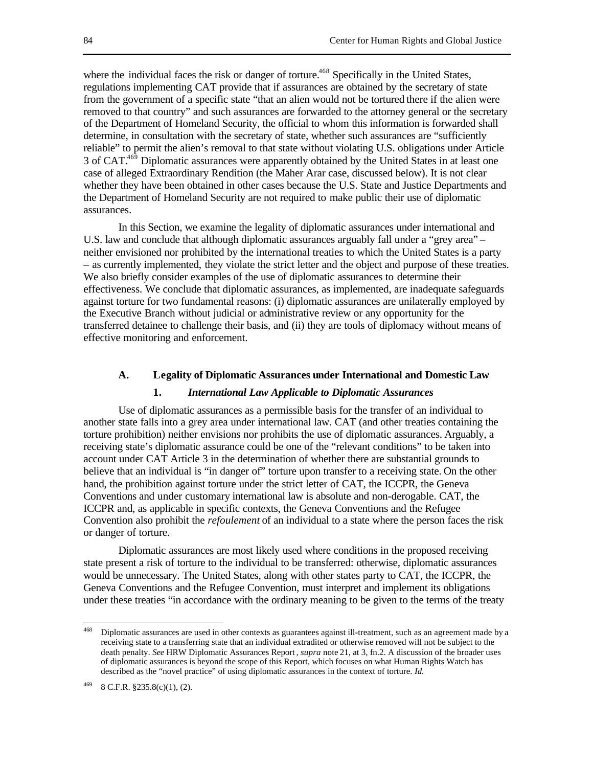where the individual faces the risk or danger of torture.<sup>468</sup> Specifically in the United States, regulations implementing CAT provide that if assurances are obtained by the secretary of state from the government of a specific state "that an alien would not be tortured there if the alien were removed to that country" and such assurances are forwarded to the attorney general or the secretary of the Department of Homeland Security, the official to whom this information is forwarded shall determine, in consultation with the secretary of state, whether such assurances are "sufficiently reliable" to permit the alien's removal to that state without violating U.S. obligations under Article 3 of CAT.<sup>469</sup> Diplomatic assurances were apparently obtained by the United States in at least one case of alleged Extraordinary Rendition (the Maher Arar case, discussed below). It is not clear whether they have been obtained in other cases because the U.S. State and Justice Departments and the Department of Homeland Security are not required to make public their use of diplomatic assurances.

In this Section, we examine the legality of diplomatic assurances under international and U.S. law and conclude that although diplomatic assurances arguably fall under a "grey area" – neither envisioned nor prohibited by the international treaties to which the United States is a party – as currently implemented, they violate the strict letter and the object and purpose of these treaties. We also briefly consider examples of the use of diplomatic assurances to determine their effectiveness. We conclude that diplomatic assurances, as implemented, are inadequate safeguards against torture for two fundamental reasons: (i) diplomatic assurances are unilaterally employed by the Executive Branch without judicial or administrative review or any opportunity for the transferred detainee to challenge their basis, and (ii) they are tools of diplomacy without means of effective monitoring and enforcement.

### **A. Legality of Diplomatic Assurances under International and Domestic Law**

### **1.** *International Law Applicable to Diplomatic Assurances*

Use of diplomatic assurances as a permissible basis for the transfer of an individual to another state falls into a grey area under international law. CAT (and other treaties containing the torture prohibition) neither envisions nor prohibits the use of diplomatic assurances. Arguably, a receiving state's diplomatic assurance could be one of the "relevant conditions" to be taken into account under CAT Article 3 in the determination of whether there are substantial grounds to believe that an individual is "in danger of" torture upon transfer to a receiving state. On the other hand, the prohibition against torture under the strict letter of CAT, the ICCPR, the Geneva Conventions and under customary international law is absolute and non-derogable. CAT, the ICCPR and, as applicable in specific contexts, the Geneva Conventions and the Refugee Convention also prohibit the *refoulement* of an individual to a state where the person faces the risk or danger of torture.

Diplomatic assurances are most likely used where conditions in the proposed receiving state present a risk of torture to the individual to be transferred: otherwise, diplomatic assurances would be unnecessary. The United States, along with other states party to CAT, the ICCPR, the Geneva Conventions and the Refugee Convention, must interpret and implement its obligations under these treaties "in accordance with the ordinary meaning to be given to the terms of the treaty

<sup>&</sup>lt;sup>468</sup> Diplomatic assurances are used in other contexts as guarantees against ill-treatment, such as an agreement made by a receiving state to a transferring state that an individual extradited or otherwise removed will not be subject to the death penalty. *See* HRW Diplomatic Assurances Report *, supra* note 21, at 3, fn.2. A discussion of the broader uses of diplomatic assurances is beyond the scope of this Report, which focuses on what Human Rights Watch has described as the "novel practice" of using diplomatic assurances in the context of torture. *Id.*

 $^{469}$  8 C.F.R. §235.8(c)(1), (2).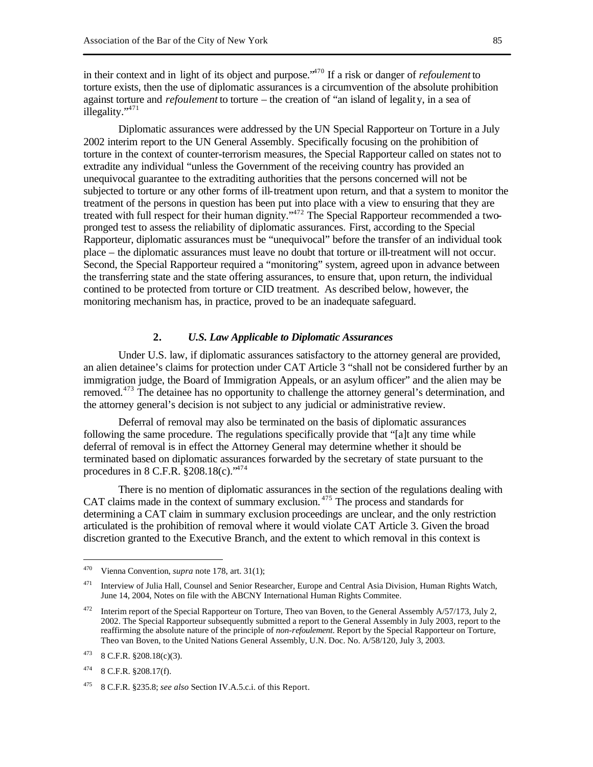in their context and in light of its object and purpose."<sup>470</sup> If a risk or danger of *refoulement* to torture exists, then the use of diplomatic assurances is a circumvention of the absolute prohibition against torture and *refoulement* to torture – the creation of "an island of legality, in a sea of illegality."<sup>471</sup>

Diplomatic assurances were addressed by the UN Special Rapporteur on Torture in a July 2002 interim report to the UN General Assembly. Specifically focusing on the prohibition of torture in the context of counter-terrorism measures, the Special Rapporteur called on states not to extradite any individual "unless the Government of the receiving country has provided an unequivocal guarantee to the extraditing authorities that the persons concerned will not be subjected to torture or any other forms of ill-treatment upon return, and that a system to monitor the treatment of the persons in question has been put into place with a view to ensuring that they are treated with full respect for their human dignity."<sup>472</sup> The Special Rapporteur recommended a twopronged test to assess the reliability of diplomatic assurances. First, according to the Special Rapporteur, diplomatic assurances must be "unequivocal" before the transfer of an individual took place – the diplomatic assurances must leave no doubt that torture or ill-treatment will not occur. Second, the Special Rapporteur required a "monitoring" system, agreed upon in advance between the transferring state and the state offering assurances, to ensure that, upon return, the individual contined to be protected from torture or CID treatment. As described below, however, the monitoring mechanism has, in practice, proved to be an inadequate safeguard.

## **2.** *U.S. Law Applicable to Diplomatic Assurances*

Under U.S. law, if diplomatic assurances satisfactory to the attorney general are provided, an alien detainee's claims for protection under CAT Article 3 "shall not be considered further by an immigration judge, the Board of Immigration Appeals, or an asylum officer" and the alien may be removed.<sup>473</sup> The detainee has no opportunity to challenge the attorney general's determination, and the attorney general's decision is not subject to any judicial or administrative review.

Deferral of removal may also be terminated on the basis of diplomatic assurances following the same procedure. The regulations specifically provide that "[a]t any time while deferral of removal is in effect the Attorney General may determine whether it should be terminated based on diplomatic assurances forwarded by the secretary of state pursuant to the procedures in 8 C.F.R.  $§208.18(c)$ .<sup>\*474</sup>

There is no mention of diplomatic assurances in the section of the regulations dealing with CAT claims made in the context of summary exclusion.<sup>475</sup> The process and standards for determining a CAT claim in summary exclusion proceedings are unclear, and the only restriction articulated is the prohibition of removal where it would violate CAT Article 3. Given the broad discretion granted to the Executive Branch, and the extent to which removal in this context is

<sup>470</sup> Vienna Convention, *supra* note 178, art. 31(1);

<sup>471</sup> Interview of Julia Hall, Counsel and Senior Researcher, Europe and Central Asia Division, Human Rights Watch, June 14, 2004, Notes on file with the ABCNY International Human Rights Commitee.

<sup>&</sup>lt;sup>472</sup> Interim report of the Special Rapporteur on Torture, Theo van Boven, to the General Assembly  $A/57/173$ , July 2, 2002. The Special Rapporteur subsequently submitted a report to the General Assembly in July 2003, report to the reaffirming the absolute nature of the principle of *non-refoulement*. Report by the Special Rapporteur on Torture, Theo van Boven, to the United Nations General Assembly, U.N. Doc. No. A/58/120, July 3, 2003.

<sup>473</sup> 8 C.F.R. §208.18(c)(3).

<sup>474</sup> 8 C.F.R. §208.17(f).

<sup>475</sup> 8 C.F.R. §235.8; *see also* Section IV.A.5.c.i. of this Report.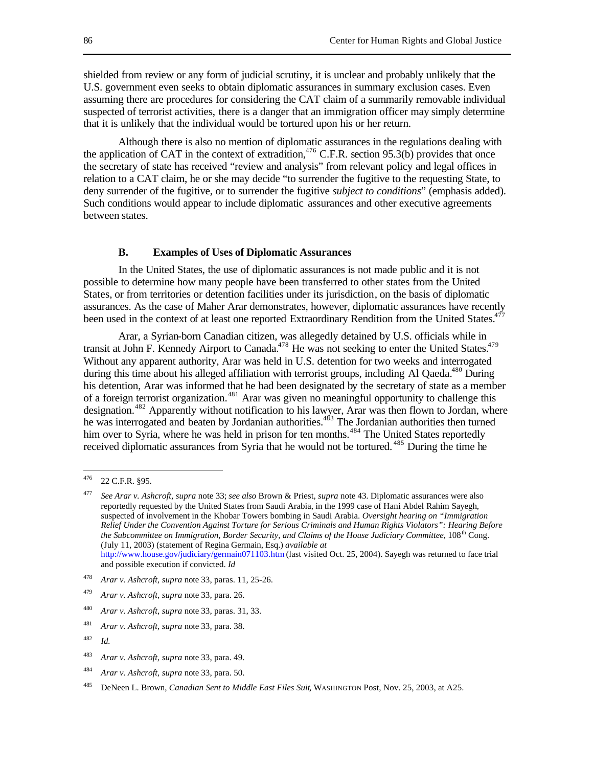shielded from review or any form of judicial scrutiny, it is unclear and probably unlikely that the U.S. government even seeks to obtain diplomatic assurances in summary exclusion cases. Even assuming there are procedures for considering the CAT claim of a summarily removable individual suspected of terrorist activities, there is a danger that an immigration officer may simply determine that it is unlikely that the individual would be tortured upon his or her return.

Although there is also no mention of diplomatic assurances in the regulations dealing with the application of CAT in the context of extradition,<sup>476</sup> C.F.R. section 95.3(b) provides that once the secretary of state has received "review and analysis" from relevant policy and legal offices in relation to a CAT claim, he or she may decide "to surrender the fugitive to the requesting State, to deny surrender of the fugitive, or to surrender the fugitive *subject to conditions*" (emphasis added). Such conditions would appear to include diplomatic assurances and other executive agreements between states.

### **B. Examples of Uses of Diplomatic Assurances**

In the United States, the use of diplomatic assurances is not made public and it is not possible to determine how many people have been transferred to other states from the United States, or from territories or detention facilities under its jurisdiction, on the basis of diplomatic assurances. As the case of Maher Arar demonstrates, however, diplomatic assurances have recently been used in the context of at least one reported Extraordinary Rendition from the United States.<sup>47</sup>

Arar, a Syrian-born Canadian citizen, was allegedly detained by U.S. officials while in transit at John F. Kennedy Airport to Canada.<sup>478</sup> He was not seeking to enter the United States.<sup>479</sup> Without any apparent authority, Arar was held in U.S. detention for two weeks and interrogated during this time about his alleged affiliation with terrorist groups, including Al Qaeda.<sup>480</sup> During his detention, Arar was informed that he had been designated by the secretary of state as a member of a foreign terrorist organization.<sup>481</sup> Arar was given no meaningful opportunity to challenge this designation.<sup>482</sup> Apparently without notification to his lawyer, Arar was then flown to Jordan, where he was interrogated and beaten by Jordanian authorities.<sup>483</sup> The Jordanian authorities then turned him over to Syria, where he was held in prison for ten months.<sup>484</sup> The United States reportedly received diplomatic assurances from Syria that he would not be tortured.<sup>485</sup> During the time he

<sup>476</sup> 22 C.F.R. §95.

<sup>477</sup> *See Arar v. Ashcroft*, *supra* note 33; *see also* Brown & Priest, *supra* note 43. Diplomatic assurances were also reportedly requested by the United States from Saudi Arabia, in the 1999 case of Hani Abdel Rahim Sayegh, suspected of involvement in the Khobar Towers bombing in Saudi Arabia. *Oversight hearing on "Immigration Relief Under the Convention Against Torture for Serious Criminals and Human Rights Violators": Hearing Before the Subcommittee on Immigration, Border Security, and Claims of the House Judiciary Committee*, 108th Cong. (July 11, 2003) (statement of Regina Germain, Esq.) *available at* http://www.house.gov/judiciary/germain071103.htm (last visited Oct. 25, 2004). Sayegh was returned to face trial and possible execution if convicted. *Id*

<sup>478</sup> *Arar v. Ashcroft*, *supra* note 33, paras. 11, 25-26.

<sup>479</sup> *Arar v. Ashcroft*, *supra* note 33*,* para. 26.

<sup>480</sup> *Arar v. Ashcroft*, *supra* note 33*,* paras. 31, 33.

<sup>481</sup> *Arar v. Ashcroft*, *supra* note 33*,* para. 38.

<sup>482</sup> *Id.*

<sup>483</sup> *Arar v. Ashcroft*, *supra* note 33, para. 49.

<sup>484</sup> *Arar v. Ashcroft*, *supra* note 33, para. 50.

<sup>485</sup> DeNeen L. Brown, *Canadian Sent to Middle East Files Suit*, WASHINGTON Post, Nov. 25, 2003, at A25.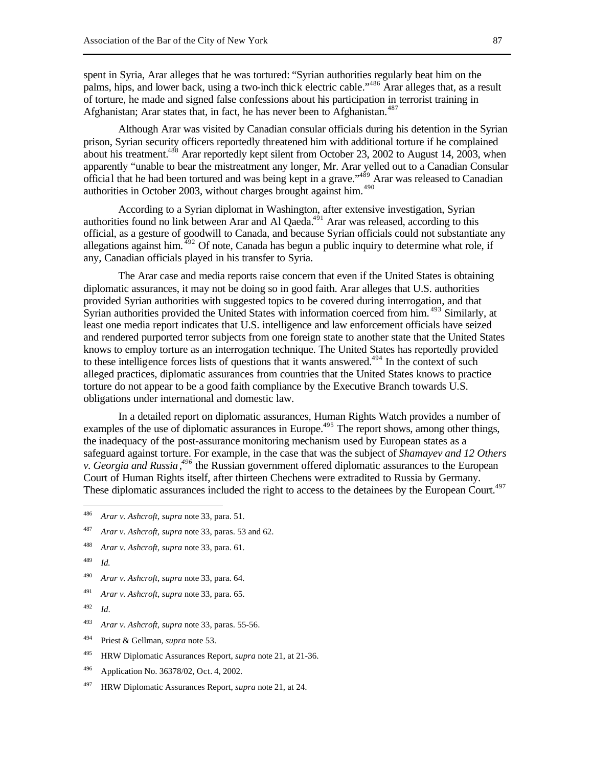spent in Syria, Arar alleges that he was tortured: "Syrian authorities regularly beat him on the palms, hips, and lower back, using a two-inch thick electric cable."<sup>486</sup> Arar alleges that, as a result of torture, he made and signed false confessions about his participation in terrorist training in Afghanistan; Arar states that, in fact, he has never been to Afghanistan.<sup>487</sup>

Although Arar was visited by Canadian consular officials during his detention in the Syrian prison, Syrian security officers reportedly threatened him with additional torture if he complained about his treatment.<sup>488</sup> Arar reportedly kept silent from October 23, 2002 to August 14, 2003, when apparently "unable to bear the mistreatment any longer, Mr. Arar yelled out to a Canadian Consular official that he had been tortured and was being kept in a grave."<sup>489</sup> Arar was released to Canadian authorities in October 2003, without charges brought against him.<sup>490</sup>

According to a Syrian diplomat in Washington, after extensive investigation, Syrian authorities found no link between Arar and Al Qaeda.<sup> $491$ </sup> Arar was released, according to this official, as a gesture of goodwill to Canada, and because Syrian officials could not substantiate any allegations against him. <sup>492</sup> Of note, Canada has begun a public inquiry to determine what role, if any, Canadian officials played in his transfer to Syria.

The Arar case and media reports raise concern that even if the United States is obtaining diplomatic assurances, it may not be doing so in good faith. Arar alleges that U.S. authorities provided Syrian authorities with suggested topics to be covered during interrogation, and that Syrian authorities provided the United States with information coerced from him.<sup>493</sup> Similarly, at least one media report indicates that U.S. intelligence and law enforcement officials have seized and rendered purported terror subjects from one foreign state to another state that the United States knows to employ torture as an interrogation technique. The United States has reportedly provided to these intelligence forces lists of questions that it wants answered. $494$  In the context of such alleged practices, diplomatic assurances from countries that the United States knows to practice torture do not appear to be a good faith compliance by the Executive Branch towards U.S. obligations under international and domestic law.

In a detailed report on diplomatic assurances, Human Rights Watch provides a number of examples of the use of diplomatic assurances in Europe.<sup>495</sup> The report shows, among other things, the inadequacy of the post-assurance monitoring mechanism used by European states as a safeguard against torture. For example, in the case that was the subject of *Shamayev and 12 Others v. Georgia and Russia*, *<sup>496</sup>* the Russian government offered diplomatic assurances to the European Court of Human Rights itself, after thirteen Chechens were extradited to Russia by Germany. These diplomatic assurances included the right to access to the detainees by the European Court.<sup>497</sup>

<sup>489</sup> *Id.*

- <sup>490</sup> *Arar v. Ashcroft*, *supra* note 33, para. 64.
- <sup>491</sup> *Arar v. Ashcroft*, *supra* note 33, para. 65.
- <sup>492</sup> *Id*.
- <sup>493</sup> *Arar v. Ashcroft*, *supra* note 33, paras. 55-56.
- <sup>494</sup> Priest & Gellman, *supra* note 53.
- <sup>495</sup> HRW Diplomatic Assurances Report, *supra* note 21, at 21-36.
- <sup>496</sup> Application No. 36378/02, Oct. 4, 2002.
- <sup>497</sup> HRW Diplomatic Assurances Report, *supra* note 21, at 24.

<sup>486</sup> *Arar v. Ashcroft*, *supra* note 33, para. 51.

<sup>487</sup> *Arar v. Ashcroft*, *supra* note 33, paras. 53 and 62.

<sup>488</sup> *Arar v. Ashcroft*, *supra* note 33, para. 61.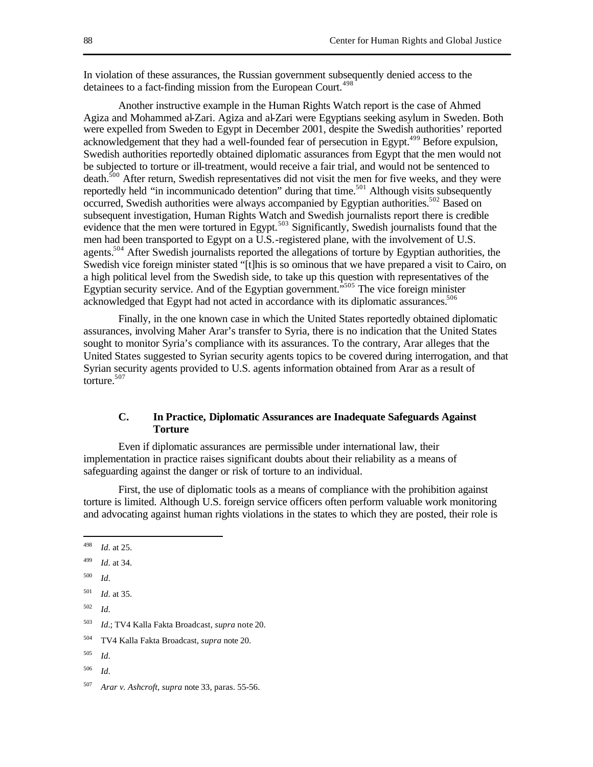In violation of these assurances, the Russian government subsequently denied access to the detainees to a fact-finding mission from the European Court.<sup>498</sup>

Another instructive example in the Human Rights Watch report is the case of Ahmed Agiza and Mohammed al-Zari. Agiza and al-Zari were Egyptians seeking asylum in Sweden. Both were expelled from Sweden to Egypt in December 2001, despite the Swedish authorities' reported acknowledgement that they had a well-founded fear of persecution in Egypt.<sup>499</sup> Before expulsion, Swedish authorities reportedly obtained diplomatic assurances from Egypt that the men would not be subjected to torture or ill-treatment, would receive a fair trial, and would not be sentenced to death.<sup>500</sup> After return, Swedish representatives did not visit the men for five weeks, and they were reportedly held "in incommunicado detention" during that time.<sup>501</sup> Although visits subsequently occurred, Swedish authorities were always accompanied by Egyptian authorities.<sup>502</sup> Based on subsequent investigation, Human Rights Watch and Swedish journalists report there is credible evidence that the men were tortured in Egypt.<sup>503</sup> Significantly, Swedish journalists found that the men had been transported to Egypt on a U.S.-registered plane, with the involvement of U.S. agents.<sup>504</sup> After Swedish journalists reported the allegations of torture by Egyptian authorities, the Swedish vice foreign minister stated "[t]his is so ominous that we have prepared a visit to Cairo, on a high political level from the Swedish side, to take up this question with representatives of the Egyptian security service. And of the Egyptian government.<sup> $5505$ </sup> The vice foreign minister acknowledged that Egypt had not acted in accordance with its diplomatic assurances.<sup>506</sup>

Finally, in the one known case in which the United States reportedly obtained diplomatic assurances, involving Maher Arar's transfer to Syria, there is no indication that the United States sought to monitor Syria's compliance with its assurances. To the contrary, Arar alleges that the United States suggested to Syrian security agents topics to be covered during interrogation, and that Syrian security agents provided to U.S. agents information obtained from Arar as a result of torture.<sup>507</sup>

## **C. In Practice, Diplomatic Assurances are Inadequate Safeguards Against Torture**

Even if diplomatic assurances are permissible under international law, their implementation in practice raises significant doubts about their reliability as a means of safeguarding against the danger or risk of torture to an individual.

First, the use of diplomatic tools as a means of compliance with the prohibition against torture is limited. Although U.S. foreign service officers often perform valuable work monitoring and advocating against human rights violations in the states to which they are posted, their role is

 $\overline{a}$ 

<sup>502</sup> *Id*.

<sup>498</sup> *Id*. at 25.

<sup>499</sup> *Id*. at 34.

<sup>500</sup> *Id*.

<sup>501</sup> *Id*. at 35.

<sup>503</sup> *Id*.; TV4 Kalla Fakta Broadcast, *supra* note 20.

<sup>504</sup> TV4 Kalla Fakta Broadcast, *supra* note 20.

<sup>505</sup> *Id*.

<sup>506</sup> *Id*.

<sup>507</sup> *Arar v. Ashcroft*, *supra* note 33, paras. 55-56.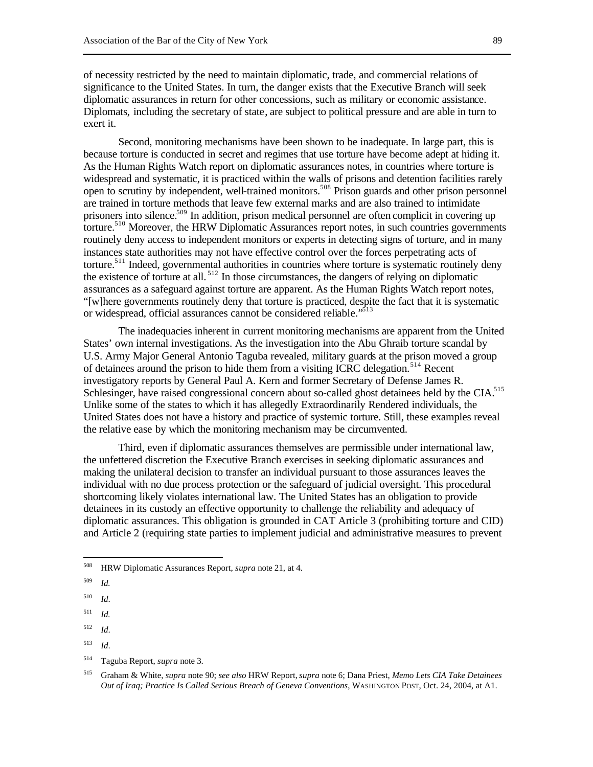of necessity restricted by the need to maintain diplomatic, trade, and commercial relations of significance to the United States. In turn, the danger exists that the Executive Branch will seek diplomatic assurances in return for other concessions, such as military or economic assistance. Diplomats, including the secretary of state, are subject to political pressure and are able in turn to exert it.

Second, monitoring mechanisms have been shown to be inadequate. In large part, this is because torture is conducted in secret and regimes that use torture have become adept at hiding it. As the Human Rights Watch report on diplomatic assurances notes, in countries where torture is widespread and systematic, it is practiced within the walls of prisons and detention facilities rarely open to scrutiny by independent, well-trained monitors.<sup>508</sup> Prison guards and other prison personnel are trained in torture methods that leave few external marks and are also trained to intimidate prisoners into silence.<sup>509</sup> In addition, prison medical personnel are often complicit in covering up torture.<sup>510</sup> Moreover, the HRW Diplomatic Assurances report notes, in such countries governments routinely deny access to independent monitors or experts in detecting signs of torture, and in many instances state authorities may not have effective control over the forces perpetrating acts of torture.<sup>511</sup> Indeed, governmental authorities in countries where torture is systematic routinely deny the existence of torture at all. <sup>512</sup> In those circumstances, the dangers of relying on diplomatic assurances as a safeguard against torture are apparent. As the Human Rights Watch report notes, "[w]here governments routinely deny that torture is practiced, despite the fact that it is systematic or widespread, official assurances cannot be considered reliable."<sup>5</sup>

The inadequacies inherent in current monitoring mechanisms are apparent from the United States' own internal investigations. As the investigation into the Abu Ghraib torture scandal by U.S. Army Major General Antonio Taguba revealed, military guards at the prison moved a group of detainees around the prison to hide them from a visiting ICRC delegation.<sup>514</sup> Recent investigatory reports by General Paul A. Kern and former Secretary of Defense James R. Schlesinger, have raised congressional concern about so-called ghost detainees held by the CIA.<sup>515</sup> Unlike some of the states to which it has allegedly Extraordinarily Rendered individuals, the United States does not have a history and practice of systemic torture. Still, these examples reveal the relative ease by which the monitoring mechanism may be circumvented.

Third, even if diplomatic assurances themselves are permissible under international law, the unfettered discretion the Executive Branch exercises in seeking diplomatic assurances and making the unilateral decision to transfer an individual pursuant to those assurances leaves the individual with no due process protection or the safeguard of judicial oversight. This procedural shortcoming likely violates international law. The United States has an obligation to provide detainees in its custody an effective opportunity to challenge the reliability and adequacy of diplomatic assurances. This obligation is grounded in CAT Article 3 (prohibiting torture and CID) and Article 2 (requiring state parties to implement judicial and administrative measures to prevent

<sup>508</sup> <sup>508</sup> HRW Diplomatic Assurances Report, *supra* note 21, at 4.

<sup>509</sup> *Id.*

<sup>510</sup> *Id*.

<sup>511</sup> *Id.*

<sup>512</sup> *Id*.

<sup>513</sup> *Id*.

<sup>514</sup> Taguba Report, *supra* note 3.

<sup>515</sup> Graham & White, *supra* note 90; *see also* HRW Report, *supra* note 6; Dana Priest, *Memo Lets CIA Take Detainees Out of Iraq; Practice Is Called Serious Breach of Geneva Conventions*, WASHINGTON POST, Oct. 24, 2004, at A1.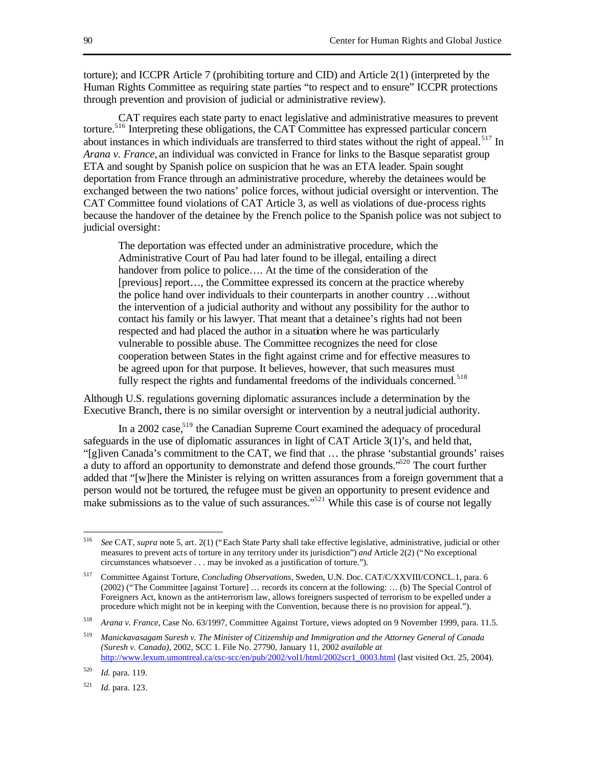torture); and ICCPR Article 7 (prohibiting torture and CID) and Article 2(1) (interpreted by the Human Rights Committee as requiring state parties "to respect and to ensure" ICCPR protections through prevention and provision of judicial or administrative review).

CAT requires each state party to enact legislative and administrative measures to prevent torture.<sup>516</sup> Interpreting these obligations, the CAT Committee has expressed particular concern about instances in which individuals are transferred to third states without the right of appeal.<sup>517</sup> In *Arana v. France*, an individual was convicted in France for links to the Basque separatist group ETA and sought by Spanish police on suspicion that he was an ETA leader. Spain sought deportation from France through an administrative procedure, whereby the detainees would be exchanged between the two nations' police forces, without judicial oversight or intervention. The CAT Committee found violations of CAT Article 3, as well as violations of due-process rights because the handover of the detainee by the French police to the Spanish police was not subject to judicial oversight:

The deportation was effected under an administrative procedure, which the Administrative Court of Pau had later found to be illegal, entailing a direct handover from police to police.... At the time of the consideration of the [previous] report..., the Committee expressed its concern at the practice whereby the police hand over individuals to their counterparts in another country …without the intervention of a judicial authority and without any possibility for the author to contact his family or his lawyer. That meant that a detainee's rights had not been respected and had placed the author in a situation where he was particularly vulnerable to possible abuse. The Committee recognizes the need for close cooperation between States in the fight against crime and for effective measures to be agreed upon for that purpose. It believes, however, that such measures must fully respect the rights and fundamental freedoms of the individuals concerned.<sup>518</sup>

Although U.S. regulations governing diplomatic assurances include a determination by the Executive Branch, there is no similar oversight or intervention by a neutral judicial authority.

In a 2002 case, $519$  the Canadian Supreme Court examined the adequacy of procedural safeguards in the use of diplomatic assurances in light of CAT Article 3(1)'s, and held that, "[g]iven Canada's commitment to the CAT, we find that … the phrase 'substantial grounds' raises a duty to afford an opportunity to demonstrate and defend those grounds."<sup>520</sup> The court further added that "[w]here the Minister is relying on written assurances from a foreign government that a person would not be tortured, the refugee must be given an opportunity to present evidence and make submissions as to the value of such assurances."<sup>521</sup> While this case is of course not legally

<sup>516</sup> *See* CAT, *supra* note 5, art. 2(1) ("Each State Party shall take effective legislative, administrative, judicial or other measures to prevent acts of torture in any territory under its jurisdiction") *and* Article 2(2) ("No exceptional circumstances whatsoever . . . may be invoked as a justification of torture.").

<sup>517</sup> Committee Against Torture, *Concluding Observations*, Sweden, U.N. Doc. CAT/C/XXVIII/CONCL.1, para. 6 (2002) ("The Committee [against Torture] … records its concern at the following: … (b) The Special Control of Foreigners Act, known as the anti-terrorism law, allows foreigners suspected of terrorism to be expelled under a procedure which might not be in keeping with the Convention, because there is no provision for appeal.").

<sup>518</sup> *Arana v. France*, Case No. 63/1997, Committee Against Torture, views adopted on 9 November 1999, para. 11.5.

<sup>519</sup> *Manickavasagam Suresh v. The Minister of Citizenship and Immigration and the Attorney General of Canada (Suresh v. Canada),* 2002, SCC 1. File No. 27790, January 11, 2002 *available at* http://www.lexum.umontreal.ca/csc-scc/en/pub/2002/vol1/html/2002scr1\_0003.html (last visited Oct. 25, 2004).

<sup>520</sup> *Id.* para. 119.

<sup>521</sup> *Id.* para. 123.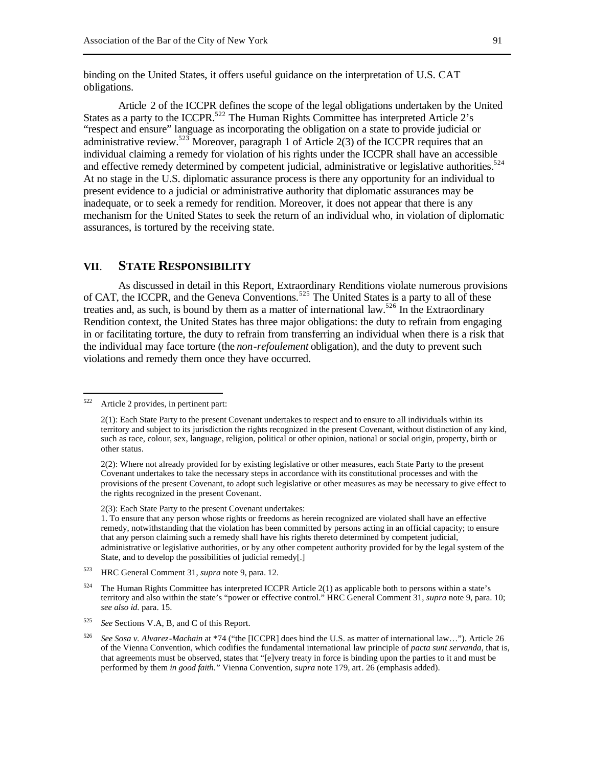binding on the United States, it offers useful guidance on the interpretation of U.S. CAT obligations.

Article 2 of the ICCPR defines the scope of the legal obligations undertaken by the United States as a party to the ICCPR.<sup>522</sup> The Human Rights Committee has interpreted Article 2's "respect and ensure" language as incorporating the obligation on a state to provide judicial or administrative review.<sup>523</sup> Moreover, paragraph 1 of Article 2(3) of the ICCPR requires that an individual claiming a remedy for violation of his rights under the ICCPR shall have an accessible and effective remedy determined by competent judicial, administrative or legislative authorities.<sup>524</sup> At no stage in the U.S. diplomatic assurance process is there any opportunity for an individual to present evidence to a judicial or administrative authority that diplomatic assurances may be inadequate, or to seek a remedy for rendition. Moreover, it does not appear that there is any mechanism for the United States to seek the return of an individual who, in violation of diplomatic assurances, is tortured by the receiving state.

# **VII**. **STATE RESPONSIBILITY**

As discussed in detail in this Report, Extraordinary Renditions violate numerous provisions of CAT, the ICCPR, and the Geneva Conventions.<sup>525</sup> The United States is a party to all of these treaties and, as such, is bound by them as a matter of international law.<sup>526</sup> In the Extraordinary Rendition context, the United States has three major obligations: the duty to refrain from engaging in or facilitating torture, the duty to refrain from transferring an individual when there is a risk that the individual may face torture (the *non-refoulement* obligation), and the duty to prevent such violations and remedy them once they have occurred.

2(3): Each State Party to the present Covenant undertakes:

 $524$  The Human Rights Committee has interpreted ICCPR Article 2(1) as applicable both to persons within a state's territory and also within the state's "power or effective control." HRC General Comment 31, *supra* note 9, para. 10; *see also id*. para. 15.

<sup>522</sup> Article 2 provides, in pertinent part:

<sup>2(1):</sup> Each State Party to the present Covenant undertakes to respect and to ensure to all individuals within its territory and subject to its jurisdiction the rights recognized in the present Covenant, without distinction of any kind, such as race, colour, sex, language, religion, political or other opinion, national or social origin, property, birth or other status.

<sup>2(2):</sup> Where not already provided for by existing legislative or other measures, each State Party to the present Covenant undertakes to take the necessary steps in accordance with its constitutional processes and with the provisions of the present Covenant, to adopt such legislative or other measures as may be necessary to give effect to the rights recognized in the present Covenant.

<sup>1.</sup> To ensure that any person whose rights or freedoms as herein recognized are violated shall have an effective remedy, notwithstanding that the violation has been committed by persons acting in an official capacity; to ensure that any person claiming such a remedy shall have his rights thereto determined by competent judicial, administrative or legislative authorities, or by any other competent authority provided for by the legal system of the State, and to develop the possibilities of judicial remedy[.]

<sup>523</sup> HRC General Comment 31, *supra* note 9, para. 12.

<sup>525</sup> *See* Sections V.A, B, and C of this Report.

<sup>526</sup> *See Sosa v. Alvarez-Machain* at \*74 ("the [ICCPR] does bind the U.S. as matter of international law…"). Article 26 of the Vienna Convention, which codifies the fundamental international law principle of *pacta sunt servanda*, that is, that agreements must be observed, states that "[e]very treaty in force is binding upon the parties to it and must be performed by them *in good faith.*" Vienna Convention, *supra* note 179, art. 26 (emphasis added).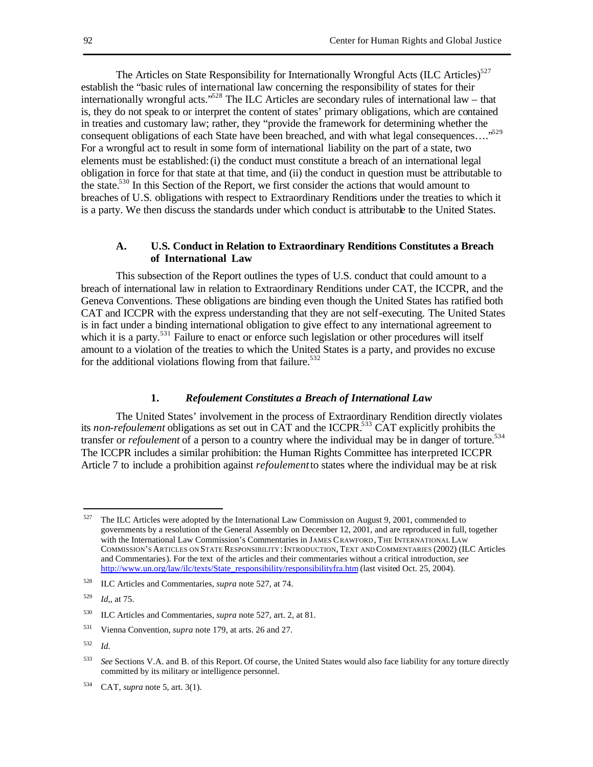The Articles on State Responsibility for Internationally Wrongful Acts (ILC Articles)<sup>527</sup> establish the "basic rules of international law concerning the responsibility of states for their internationally wrongful acts."<sup>528</sup> The ILC Articles are secondary rules of international law – that is, they do not speak to or interpret the content of states' primary obligations, which are contained in treaties and customary law; rather, they "provide the framework for determining whether the consequent obligations of each State have been breached, and with what legal consequences...."<sup>529</sup> For a wrongful act to result in some form of international liability on the part of a state, two elements must be established:(i) the conduct must constitute a breach of an international legal obligation in force for that state at that time, and (ii) the conduct in question must be attributable to the state.<sup>530</sup> In this Section of the Report, we first consider the actions that would amount to breaches of U.S. obligations with respect to Extraordinary Renditions under the treaties to which it is a party. We then discuss the standards under which conduct is attributable to the United States.

## **A. U.S. Conduct in Relation to Extraordinary Renditions Constitutes a Breach of International Law**

This subsection of the Report outlines the types of U.S. conduct that could amount to a breach of international law in relation to Extraordinary Renditions under CAT, the ICCPR, and the Geneva Conventions. These obligations are binding even though the United States has ratified both CAT and ICCPR with the express understanding that they are not self-executing. The United States is in fact under a binding international obligation to give effect to any international agreement to which it is a party.<sup>531</sup> Failure to enact or enforce such legislation or other procedures will itself amount to a violation of the treaties to which the United States is a party, and provides no excuse for the additional violations flowing from that failure.<sup>532</sup>

### **1.** *Refoulement Constitutes a Breach of International Law*

The United States' involvement in the process of Extraordinary Rendition directly violates its *non-refoulement* obligations as set out in CAT and the ICCPR.<sup>533</sup> CAT explicitly prohibits the transfer or *refoulement* of a person to a country where the individual may be in danger of torture.<sup>534</sup> The ICCPR includes a similar prohibition: the Human Rights Committee has interpreted ICCPR Article 7 to include a prohibition against *refoulement* to states where the individual may be at risk

 $527$  The ILC Articles were adopted by the International Law Commission on August 9, 2001, commended to governments by a resolution of the General Assembly on December 12, 2001, and are reproduced in full, together with the International Law Commission's Commentaries in JAMES CRAWFORD, THE INTERNATIONAL LAW COMMISSION'S ARTICLES ON STATE RESPONSIBILITY:INTRODUCTION, TEXT AND COMMENTARIES (2002) (ILC Articles and Commentaries). For the text of the articles and their commentaries without a critical introduction, *see*  http://www.un.org/law/ilc/texts/State\_responsibility/responsibilityfra.htm (last visited Oct. 25, 2004).

<sup>528</sup> ILC Articles and Commentaries, *supra* note 527, at 74.

<sup>529</sup> *Id*,, at 75.

<sup>530</sup> ILC Articles and Commentaries, *supra* note 527, art. 2, at 81.

<sup>531</sup> Vienna Convention, *supra* note 179, at arts. 26 and 27.

<sup>532</sup> *Id.*

<sup>533</sup> *See* Sections V.A. and B. of this Report. Of course, the United States would also face liability for any torture directly committed by its military or intelligence personnel.

<sup>534</sup> CAT, *supra* note 5, art. 3(1).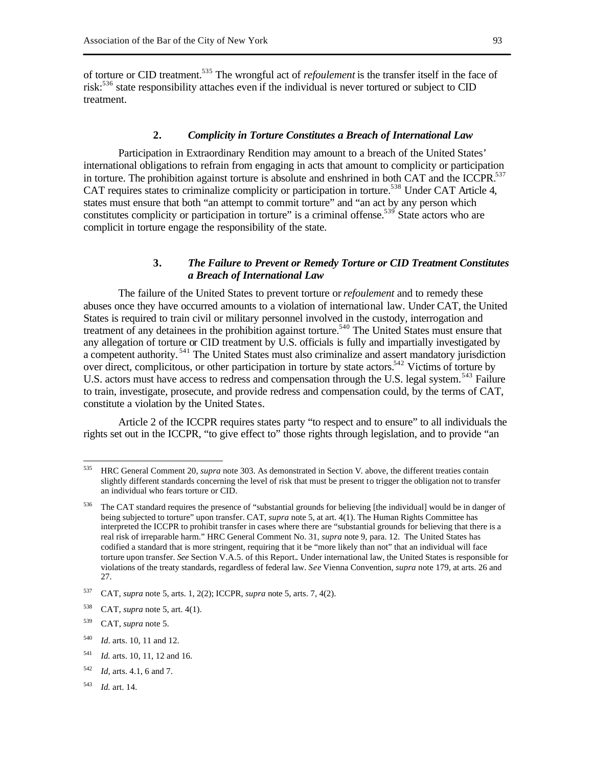of torture or CID treatment.<sup>535</sup> The wrongful act of *refoulement* is the transfer itself in the face of risk: <sup>536</sup> state responsibility attaches even if the individual is never tortured or subject to CID treatment.

### **2.** *Complicity in Torture Constitutes a Breach of International Law*

Participation in Extraordinary Rendition may amount to a breach of the United States' international obligations to refrain from engaging in acts that amount to complicity or participation in torture. The prohibition against torture is absolute and enshrined in both CAT and the ICCPR. $537$ CAT requires states to criminalize complicity or participation in torture.<sup>538</sup> Under CAT Article 4, states must ensure that both "an attempt to commit torture" and "an act by any person which constitutes complicity or participation in torture" is a criminal offense.<sup>539</sup> State actors who are complicit in torture engage the responsibility of the state.

### **3.** *The Failure to Prevent or Remedy Torture or CID Treatment Constitutes a Breach of International Law*

The failure of the United States to prevent torture or *refoulement* and to remedy these abuses once they have occurred amounts to a violation of international law. Under CAT, the United States is required to train civil or military personnel involved in the custody, interrogation and treatment of any detainees in the prohibition against torture.<sup>540</sup> The United States must ensure that any allegation of torture or CID treatment by U.S. officials is fully and impartially investigated by a competent authority. <sup>541</sup> The United States must also criminalize and assert mandatory jurisdiction over direct, complicitous, or other participation in torture by state actors.<sup>542</sup> Victims of torture by U.S. actors must have access to redress and compensation through the U.S. legal system.<sup>543</sup> Failure to train, investigate, prosecute, and provide redress and compensation could, by the terms of CAT, constitute a violation by the United States.

Article 2 of the ICCPR requires states party "to respect and to ensure" to all individuals the rights set out in the ICCPR, "to give effect to" those rights through legislation, and to provide "an

<sup>535</sup> <sup>535</sup> HRC General Comment 20, *supra* note 303. As demonstrated in Section V. above, the different treaties contain slightly different standards concerning the level of risk that must be present to trigger the obligation not to transfer an individual who fears torture or CID.

<sup>&</sup>lt;sup>536</sup> The CAT standard requires the presence of "substantial grounds for believing [the individual] would be in danger of being subjected to torture" upon transfer. CAT, *supra* note 5, at art. 4(1). The Human Rights Committee has interpreted the ICCPR to prohibit transfer in cases where there are "substantial grounds for believing that there is a real risk of irreparable harm." HRC General Comment No. 31, *supra* note 9, para. 12. The United States has codified a standard that is more stringent, requiring that it be "more likely than not" that an individual will face torture upon transfer. *See* Section V.A.5. of this Report.*.* Under international law, the United States is responsible for violations of the treaty standards, regardless of federal law. *See* Vienna Convention, *supra* note 179, at arts. 26 and 27.

<sup>537</sup> CAT, *supra* note 5, arts. 1, 2(2); ICCPR, *supra* note 5, arts. 7, 4(2).

<sup>538</sup> CAT, *supra* note 5, art. 4(1).

<sup>539</sup> CAT, *supra* note 5.

<sup>540</sup> *Id*. arts. 10, 11 and 12.

<sup>541</sup> *Id.* arts. 10, 11, 12 and 16.

<sup>542</sup> *Id,* arts. 4.1, 6 and 7.

<sup>543</sup> *Id.* art. 14.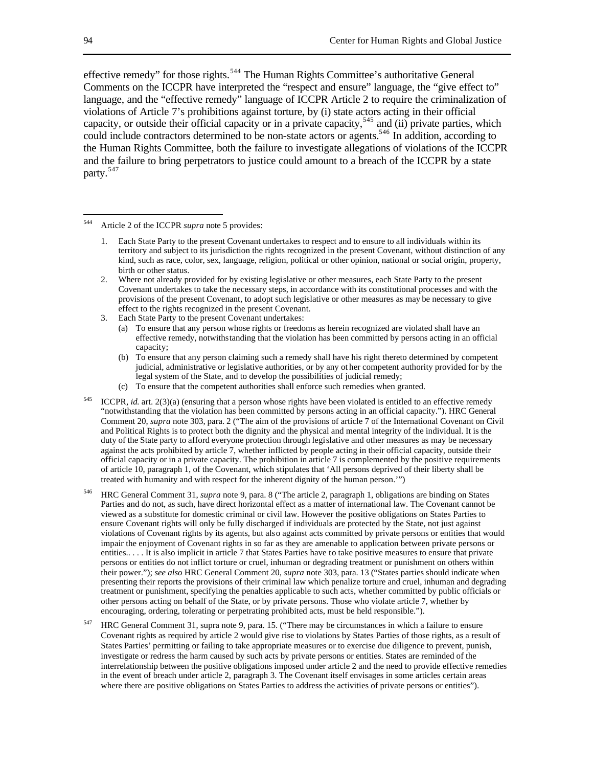effective remedy" for those rights.<sup>544</sup> The Human Rights Committee's authoritative General Comments on the ICCPR have interpreted the "respect and ensure" language, the "give effect to" language, and the "effective remedy" language of ICCPR Article 2 to require the criminalization of violations of Article 7's prohibitions against torture, by (i) state actors acting in their official capacity, or outside their official capacity or in a private capacity,<sup>545</sup> and (ii) private parties, which could include contractors determined to be non-state actors or agents.<sup>546</sup> In addition, according to the Human Rights Committee, both the failure to investigate allegations of violations of the ICCPR and the failure to bring perpetrators to justice could amount to a breach of the ICCPR by a state party.<sup>547</sup>

- 3. Each State Party to the present Covenant undertakes:
	- (a) To ensure that any person whose rights or freedoms as herein recognized are violated shall have an effective remedy, notwithstanding that the violation has been committed by persons acting in an official capacity;
	- (b) To ensure that any person claiming such a remedy shall have his right thereto determined by competent judicial, administrative or legislative authorities, or by any ot her competent authority provided for by the legal system of the State, and to develop the possibilities of judicial remedy;
	- (c) To ensure that the competent authorities shall enforce such remedies when granted.
- <sup>545</sup> ICCPR, *id.* art. 2(3)(a) (ensuring that a person whose rights have been violated is entitled to an effective remedy "notwithstanding that the violation has been committed by persons acting in an official capacity."). HRC General Comment 20, *supra* note 303, para. 2 ("The aim of the provisions of article 7 of the International Covenant on Civil and Political Rights is to protect both the dignity and the physical and mental integrity of the individual. It is the duty of the State party to afford everyone protection through legislative and other measures as may be necessary against the acts prohibited by article 7, whether inflicted by people acting in their official capacity, outside their official capacity or in a private capacity. The prohibition in article 7 is complemented by the positive requirements of article 10, paragraph 1, of the Covenant, which stipulates that 'All persons deprived of their liberty shall be treated with humanity and with respect for the inherent dignity of the human person.'")
- <sup>546</sup> HRC General Comment 31, *supra* note 9, para. 8 ("The article 2, paragraph 1, obligations are binding on States Parties and do not, as such, have direct horizontal effect as a matter of international law. The Covenant cannot be viewed as a substitute for domestic criminal or civil law. However the positive obligations on States Parties to ensure Covenant rights will only be fully discharged if individuals are protected by the State, not just against violations of Covenant rights by its agents, but also against acts committed by private persons or entities that would impair the enjoyment of Covenant rights in so far as they are amenable to application between private persons or entities.. . . . It is also implicit in article 7 that States Parties have to take positive measures to ensure that private persons or entities do not inflict torture or cruel, inhuman or degrading treatment or punishment on others within their power."); *see also* HRC General Comment 20, *supra* note 303, para. 13 ("States parties should indicate when presenting their reports the provisions of their criminal law which penalize torture and cruel, inhuman and degrading treatment or punishment, specifying the penalties applicable to such acts, whether committed by public officials or other persons acting on behalf of the State, or by private persons. Those who violate article 7, whether by encouraging, ordering, tolerating or perpetrating prohibited acts, must be held responsible.").
- <sup>547</sup> HRC General Comment 31, supra note 9, para. 15. ("There may be circumstances in which a failure to ensure Covenant rights as required by article 2 would give rise to violations by States Parties of those rights, as a result of States Parties' permitting or failing to take appropriate measures or to exercise due diligence to prevent, punish, investigate or redress the harm caused by such acts by private persons or entities. States are reminded of the interrelationship between the positive obligations imposed under article 2 and the need to provide effective remedies in the event of breach under article 2, paragraph 3. The Covenant itself envisages in some articles certain areas where there are positive obligations on States Parties to address the activities of private persons or entities").

<sup>544</sup> Article 2 of the ICCPR *supra* note 5 provides:

<sup>1.</sup> Each State Party to the present Covenant undertakes to respect and to ensure to all individuals within its territory and subject to its jurisdiction the rights recognized in the present Covenant, without distinction of any kind, such as race, color, sex, language, religion, political or other opinion, national or social origin, property, birth or other status.

<sup>2.</sup> Where not already provided for by existing legislative or other measures, each State Party to the present Covenant undertakes to take the necessary steps, in accordance with its constitutional processes and with the provisions of the present Covenant, to adopt such legislative or other measures as may be necessary to give effect to the rights recognized in the present Covenant.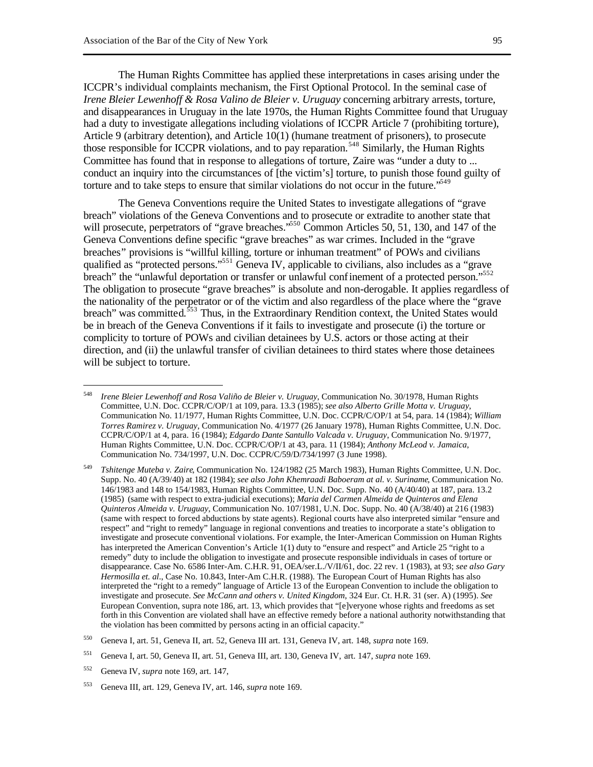The Human Rights Committee has applied these interpretations in cases arising under the ICCPR's individual complaints mechanism, the First Optional Protocol. In the seminal case of *Irene Bleier Lewenhoff & Rosa Valino de Bleier v. Uruguay* concerning arbitrary arrests, torture, and disappearances in Uruguay in the late 1970s, the Human Rights Committee found that Uruguay had a duty to investigate allegations including violations of ICCPR Article 7 (prohibiting torture), Article 9 (arbitrary detention), and Article 10(1) (humane treatment of prisoners), to prosecute those responsible for ICCPR violations, and to pay reparation.<sup>548</sup> Similarly, the Human Rights Committee has found that in response to allegations of torture, Zaire was "under a duty to ... conduct an inquiry into the circumstances of [the victim's] torture, to punish those found guilty of torture and to take steps to ensure that similar violations do not occur in the future.<sup>549</sup>

The Geneva Conventions require the United States to investigate allegations of "grave breach" violations of the Geneva Conventions and to prosecute or extradite to another state that will prosecute, perpetrators of "grave breaches."<sup>550</sup> Common Articles 50, 51, 130, and 147 of the Geneva Conventions define specific "grave breaches" as war crimes. Included in the "grave breaches" provisions is "willful killing, torture or inhuman treatment" of POWs and civilians qualified as "protected persons."<sup>551</sup> Geneva IV, applicable to civilians, also includes as a "grave" breach" the "unlawful deportation or transfer or unlawful confinement of a protected person."<sup>552</sup> The obligation to prosecute "grave breaches" is absolute and non-derogable. It applies regardless of the nationality of the perpetrator or of the victim and also regardless of the place where the "grave breach" was committed.<sup>553</sup> Thus, in the Extraordinary Rendition context, the United States would be in breach of the Geneva Conventions if it fails to investigate and prosecute (i) the torture or complicity to torture of POWs and civilian detainees by U.S. actors or those acting at their direction, and (ii) the unlawful transfer of civilian detainees to third states where those detainees will be subject to torture.

<sup>548</sup> *Irene Bleier Lewenhoff and Rosa Valiño de Bleier v. Uruguay*, Communication No. 30/1978, Human Rights Committee, U.N. Doc. CCPR/C/OP/1 at 109, para. 13.3 (1985); *see also Alberto Grille Motta v. Uruguay*, Communication No. 11/1977, Human Rights Committee, U.N. Doc. CCPR/C/OP/1 at 54, para. 14 (1984); *William Torres Ramirez v. Uruguay*, Communication No. 4/1977 (26 January 1978), Human Rights Committee, U.N. Doc. CCPR/C/OP/1 at 4, para. 16 (1984); *Edgardo Dante Santullo Valcada v. Uruguay*, Communication No. 9/1977, Human Rights Committee, U.N. Doc. CCPR/C/OP/1 at 43, para. 11 (1984); *Anthony McLeod v. Jamaica*, Communication No. 734/1997, U.N. Doc. CCPR/C/59/D/734/1997 (3 June 1998).

<sup>549</sup> *Tshitenge Muteba v. Zaire*, Communication No. 124/1982 (25 March 1983), Human Rights Committee, U.N. Doc. Supp. No. 40 (A/39/40) at 182 (1984); *see also John Khemraadi Baboeram at al. v. Suriname*, Communication No. 146/1983 and 148 to 154/1983, Human Rights Committee, U.N. Doc. Supp. No. 40 (A/40/40) at 187, para. 13.2 (1985) (same with respect to extra-judicial executions); *Maria del Carmen Almeida de Quinteros and Elena Quinteros Almeida v. Uruguay*, Communication No. 107/1981, U.N. Doc. Supp. No. 40 (A/38/40) at 216 (1983) (same with respect to forced abductions by state agents). Regional courts have also interpreted similar "ensure and respect" and "right to remedy" language in regional conventions and treaties to incorporate a state's obligation to investigate and prosecute conventional violations. For example, the Inter-American Commission on Human Rights has interpreted the American Convention's Article 1(1) duty to "ensure and respect" and Article 25 "right to a remedy" duty to include the obligation to investigate and prosecute responsible individuals in cases of torture or disappearance. Case No. 6586 Inter-Am. C.H.R. 91, OEA/ser.L./V/II/61, doc. 22 rev. 1 (1983), at 93; *see also Gary Hermosilla et. al*., Case No. 10.843, Inter-Am C.H.R. (1988). The European Court of Human Rights has also interpreted the "right to a remedy" language of Article 13 of the European Convention to include the obligation to investigate and prosecute. *See McCann and others v. United Kingdom*, 324 Eur. Ct. H.R. 31 (ser. A) (1995). *See* European Convention, supra note 186, art. 13, which provides that "[e]veryone whose rights and freedoms as set forth in this Convention are violated shall have an effective remedy before a national authority notwithstanding that the violation has been committed by persons acting in an official capacity."

<sup>550</sup> Geneva I, art. 51, Geneva II, art. 52, Geneva III art. 131, Geneva IV, art. 148, *supra* note 169.

<sup>551</sup> Geneva I, art. 50, Geneva II, art. 51, Geneva III, art. 130, Geneva IV, art. 147, *supra* note 169.

<sup>552</sup> Geneva IV, *supra* note 169, art. 147,

<sup>553</sup> Geneva III, art. 129, Geneva IV, art. 146, *supra* note 169.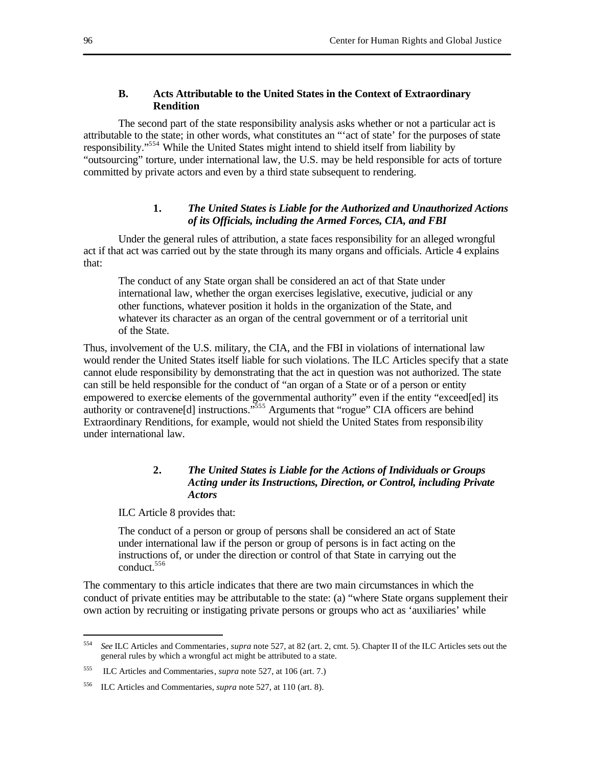## **B. Acts Attributable to the United States in the Context of Extraordinary Rendition**

The second part of the state responsibility analysis asks whether or not a particular act is attributable to the state; in other words, what constitutes an "'act of state' for the purposes of state responsibility."<sup>554</sup> While the United States might intend to shield itself from liability by "outsourcing" torture, under international law, the U.S. may be held responsible for acts of torture committed by private actors and even by a third state subsequent to rendering.

## **1.** *The United States is Liable for the Authorized and Unauthorized Actions of its Officials, including the Armed Forces, CIA, and FBI*

Under the general rules of attribution, a state faces responsibility for an alleged wrongful act if that act was carried out by the state through its many organs and officials. Article 4 explains that:

The conduct of any State organ shall be considered an act of that State under international law, whether the organ exercises legislative, executive, judicial or any other functions, whatever position it holds in the organization of the State, and whatever its character as an organ of the central government or of a territorial unit of the State.

Thus, involvement of the U.S. military, the CIA, and the FBI in violations of international law would render the United States itself liable for such violations. The ILC Articles specify that a state cannot elude responsibility by demonstrating that the act in question was not authorized. The state can still be held responsible for the conduct of "an organ of a State or of a person or entity empowered to exercise elements of the governmental authority" even if the entity "exceed[ed] its authority or contravene[d] instructions."<sup>5555</sup> Arguments that "rogue" CIA officers are behind Extraordinary Renditions, for example, would not shield the United States from responsibility under international law.

# **2.** *The United States is Liable for the Actions of Individuals or Groups Acting under its Instructions, Direction, or Control, including Private Actors*

ILC Article 8 provides that:

 $\overline{a}$ 

The conduct of a person or group of persons shall be considered an act of State under international law if the person or group of persons is in fact acting on the instructions of, or under the direction or control of that State in carrying out the conduct.<sup>556</sup>

The commentary to this article indicates that there are two main circumstances in which the conduct of private entities may be attributable to the state: (a) "where State organs supplement their own action by recruiting or instigating private persons or groups who act as 'auxiliaries' while

<sup>554</sup> *See* ILC Articles and Commentaries, *supra* note 527, at 82 (art. 2, cmt. 5). Chapter II of the ILC Articles sets out the general rules by which a wrongful act might be attributed to a state.

<sup>555</sup> ILC Articles and Commentaries, *supra* note 527, at 106 (art. 7.)

<sup>556</sup> ILC Articles and Commentaries, *supra* note 527, at 110 (art. 8).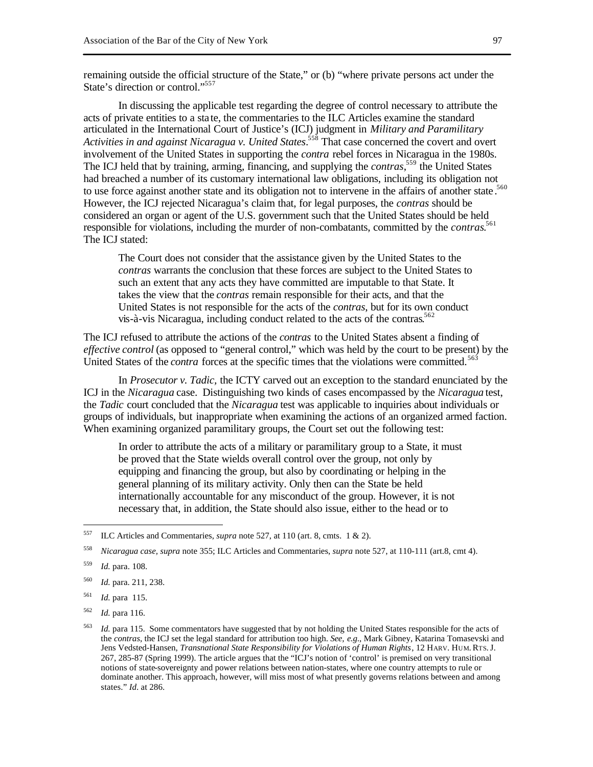remaining outside the official structure of the State," or (b) "where private persons act under the State's direction or control."<sup>557</sup>

In discussing the applicable test regarding the degree of control necessary to attribute the acts of private entities to a sta te, the commentaries to the ILC Articles examine the standard articulated in the International Court of Justice's (ICJ) judgment in *Military and Paramilitary Activities in and against Nicaragua v. United States*. <sup>558</sup> That case concerned the covert and overt involvement of the United States in supporting the *contra* rebel forces in Nicaragua in the 1980s. The ICJ held that by training, arming, financing, and supplying the *contras*, <sup>559</sup> the United States had breached a number of its customary international law obligations, including its obligation not to use force against another state and its obligation not to intervene in the affairs of another state.<sup>560</sup> However, the ICJ rejected Nicaragua's claim that, for legal purposes, the *contras* should be considered an organ or agent of the U.S. government such that the United States should be held responsible for violations, including the murder of non-combatants, committed by the *contras*. 561 The ICJ stated:

The Court does not consider that the assistance given by the United States to the *contras* warrants the conclusion that these forces are subject to the United States to such an extent that any acts they have committed are imputable to that State. It takes the view that the *contras* remain responsible for their acts, and that the United States is not responsible for the acts of the *contras*, but for its own conduct vis-à-vis Nicaragua, including conduct related to the acts of the contras. 562

The ICJ refused to attribute the actions of the *contras* to the United States absent a finding of *effective control* (as opposed to "general control," which was held by the court to be present) by the United States of the *contra* forces at the specific times that the violations were committed.<sup>563</sup>

In *Prosecutor v. Tadic,* the ICTY carved out an exception to the standard enunciated by the ICJ in the *Nicaragua* case. Distinguishing two kinds of cases encompassed by the *Nicaragua* test, the *Tadic* court concluded that the *Nicaragua* test was applicable to inquiries about individuals or groups of individuals, but inappropriate when examining the actions of an organized armed faction. When examining organized paramilitary groups, the Court set out the following test:

In order to attribute the acts of a military or paramilitary group to a State, it must be proved that the State wields overall control over the group, not only by equipping and financing the group, but also by coordinating or helping in the general planning of its military activity. Only then can the State be held internationally accountable for any misconduct of the group. However, it is not necessary that, in addition, the State should also issue, either to the head or to

 $\overline{a}$ 

<sup>562</sup> *Id.* para 116.

<sup>557</sup> ILC Articles and Commentaries, *supra* note 527, at 110 (art. 8, cmts. 1 & 2).

<sup>558</sup> *Nicaragua case, supra* note 355; ILC Articles and Commentaries, *supra* note 527, at 110-111 (art.8, cmt 4).

<sup>559</sup> *Id.* para. 108.

<sup>560</sup> *Id.* para. 211, 238.

<sup>561</sup> *Id.* para 115.

<sup>563</sup> *Id.* para 115. Some commentators have suggested that by not holding the United States responsible for the acts of the *contras*, the ICJ set the legal standard for attribution too high. *See, e.g*., Mark Gibney, Katarina Tomasevski and Jens Vedsted-Hansen, *Transnational State Responsibility for Violations of Human Rights*, 12 HARV. HUM.RTS.J. 267, 285-87 (Spring 1999). The article argues that the "ICJ's notion of 'control' is premised on very transitional notions of state-sovereignty and power relations between nation-states, where one country attempts to rule or dominate another. This approach, however, will miss most of what presently governs relations between and among states." *Id*. at 286.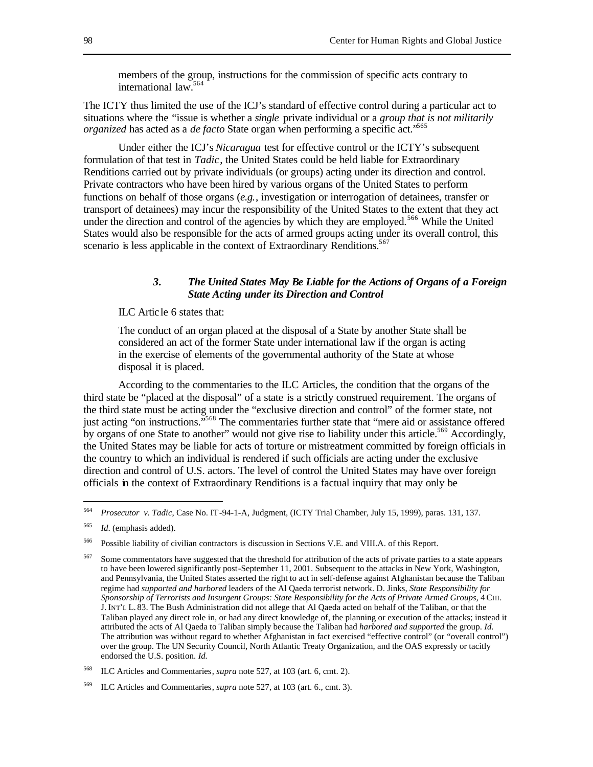members of the group, instructions for the commission of specific acts contrary to international law.<sup>564</sup>

The ICTY thus limited the use of the ICJ's standard of effective control during a particular act to situations where the "issue is whether a *single* private individual or a *group that is not militarily organized* has acted as a *de facto* State organ when performing a specific act.<sup>565</sup>

Under either the ICJ's *Nicaragua* test for effective control or the ICTY's subsequent formulation of that test in *Tadic*, the United States could be held liable for Extraordinary Renditions carried out by private individuals (or groups) acting under its direction and control. Private contractors who have been hired by various organs of the United States to perform functions on behalf of those organs (*e.g.*, investigation or interrogation of detainees, transfer or transport of detainees) may incur the responsibility of the United States to the extent that they act under the direction and control of the agencies by which they are employed.<sup>566</sup> While the United States would also be responsible for the acts of armed groups acting under its overall control, this scenario is less applicable in the context of Extraordinary Renditions.<sup>567</sup>

## *3. The United States May Be Liable for the Actions of Organs of a Foreign State Acting under its Direction and Control*

ILC Article 6 states that:

The conduct of an organ placed at the disposal of a State by another State shall be considered an act of the former State under international law if the organ is acting in the exercise of elements of the governmental authority of the State at whose disposal it is placed.

According to the commentaries to the ILC Articles, the condition that the organs of the third state be "placed at the disposal" of a state is a strictly construed requirement. The organs of the third state must be acting under the "exclusive direction and control" of the former state, not just acting "on instructions."<sup>5568</sup> The commentaries further state that "mere aid or assistance offered by organs of one State to another" would not give rise to liability under this article.<sup>569</sup> Accordingly, the United States may be liable for acts of torture or mistreatment committed by foreign officials in the country to which an individual is rendered if such officials are acting under the exclusive direction and control of U.S. actors. The level of control the United States may have over foreign officials in the context of Extraordinary Renditions is a factual inquiry that may only be

<sup>564</sup> *Prosecutor v. Tadic*, Case No. IT-94-1-A, Judgment, (ICTY Trial Chamber, July 15, 1999), paras. 131, 137.

<sup>565</sup> *Id*. (emphasis added).

<sup>566</sup> Possible liability of civilian contractors is discussion in Sections V.E. and VIII.A. of this Report.

<sup>&</sup>lt;sup>567</sup> Some commentators have suggested that the threshold for attribution of the acts of private parties to a state appears to have been lowered significantly post-September 11, 2001. Subsequent to the attacks in New York, Washington, and Pennsylvania, the United States asserted the right to act in self-defense against Afghanistan because the Taliban regime had *supported and harbored* leaders of the Al Qaeda terrorist network. D. Jinks, *State Responsibility for Sponsorship of Terrorists and Insurgent Groups: State Responsibility for the Acts of Private Armed Groups,* 4CHI. J. INT'L L. 83. The Bush Administration did not allege that Al Qaeda acted on behalf of the Taliban, or that the Taliban played any direct role in, or had any direct knowledge of, the planning or execution of the attacks; instead it attributed the acts of Al Qaeda to Taliban simply because the Taliban had *harbored and supported* the group. *Id.*  The attribution was without regard to whether Afghanistan in fact exercised "effective control" (or "overall control") over the group. The UN Security Council, North Atlantic Treaty Organization, and the OAS expressly or tacitly endorsed the U.S. position. *Id.*

<sup>568</sup> ILC Articles and Commentaries, *supra* note 527, at 103 (art. 6, cmt. 2).

<sup>569</sup> ILC Articles and Commentaries, *supra* note 527, at 103 (art. 6., cmt. 3).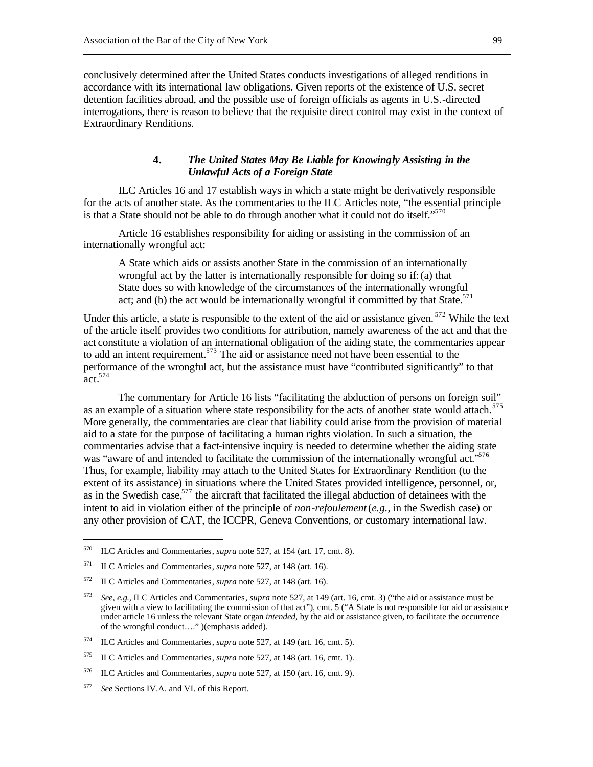conclusively determined after the United States conducts investigations of alleged renditions in accordance with its international law obligations. Given reports of the existence of U.S. secret detention facilities abroad, and the possible use of foreign officials as agents in U.S.-directed interrogations, there is reason to believe that the requisite direct control may exist in the context of Extraordinary Renditions.

### **4.** *The United States May Be Liable for Knowingly Assisting in the Unlawful Acts of a Foreign State*

ILC Articles 16 and 17 establish ways in which a state might be derivatively responsible for the acts of another state. As the commentaries to the ILC Articles note, "the essential principle is that a State should not be able to do through another what it could not do itself."<sup>570</sup>

Article 16 establishes responsibility for aiding or assisting in the commission of an internationally wrongful act:

A State which aids or assists another State in the commission of an internationally wrongful act by the latter is internationally responsible for doing so if:(a) that State does so with knowledge of the circumstances of the internationally wrongful act; and (b) the act would be internationally wrongful if committed by that State.<sup>571</sup>

Under this article, a state is responsible to the extent of the aid or assistance given.<sup>572</sup> While the text of the article itself provides two conditions for attribution, namely awareness of the act and that the act constitute a violation of an international obligation of the aiding state, the commentaries appear to add an intent requirement.<sup>573</sup> The aid or assistance need not have been essential to the performance of the wrongful act, but the assistance must have "contributed significantly" to that  $\arct{1}^{574}$ 

The commentary for Article 16 lists "facilitating the abduction of persons on foreign soil" as an example of a situation where state responsibility for the acts of another state would attach.<sup>575</sup> More generally, the commentaries are clear that liability could arise from the provision of material aid to a state for the purpose of facilitating a human rights violation. In such a situation, the commentaries advise that a fact-intensive inquiry is needed to determine whether the aiding state was "aware of and intended to facilitate the commission of the internationally wrongful act."<sup>576</sup> Thus, for example, liability may attach to the United States for Extraordinary Rendition (to the extent of its assistance) in situations where the United States provided intelligence, personnel, or, as in the Swedish case,<sup>577</sup> the aircraft that facilitated the illegal abduction of detainees with the intent to aid in violation either of the principle of *non-refoulement* (*e.g.*, in the Swedish case) or any other provision of CAT, the ICCPR, Geneva Conventions, or customary international law.

<sup>570</sup> ILC Articles and Commentaries, *supra* note 527, at 154 (art. 17, cmt. 8).

<sup>571</sup> ILC Articles and Commentaries, *supra* note 527, at 148 (art. 16).

<sup>572</sup> ILC Articles and Commentaries, *supra* note 527, at 148 (art. 16).

<sup>573</sup> *See, e.g.,* ILC Articles and Commentaries, *supra* note 527, at 149 (art. 16, cmt. 3) ("the aid or assistance must be given with a view to facilitating the commission of that act"), cmt. 5 ("A State is not responsible for aid or assistance under article 16 unless the relevant State organ *intended*, by the aid or assistance given, to facilitate the occurrence of the wrongful conduct…." )(emphasis added).

<sup>574</sup> ILC Articles and Commentaries, *supra* note 527, at 149 (art. 16, cmt. 5).

<sup>575</sup> ILC Articles and Commentaries, *supra* note 527, at 148 (art. 16, cmt. 1).

<sup>576</sup> ILC Articles and Commentaries, *supra* note 527, at 150 (art. 16, cmt. 9).

<sup>577</sup> *See* Sections IV.A. and VI. of this Report.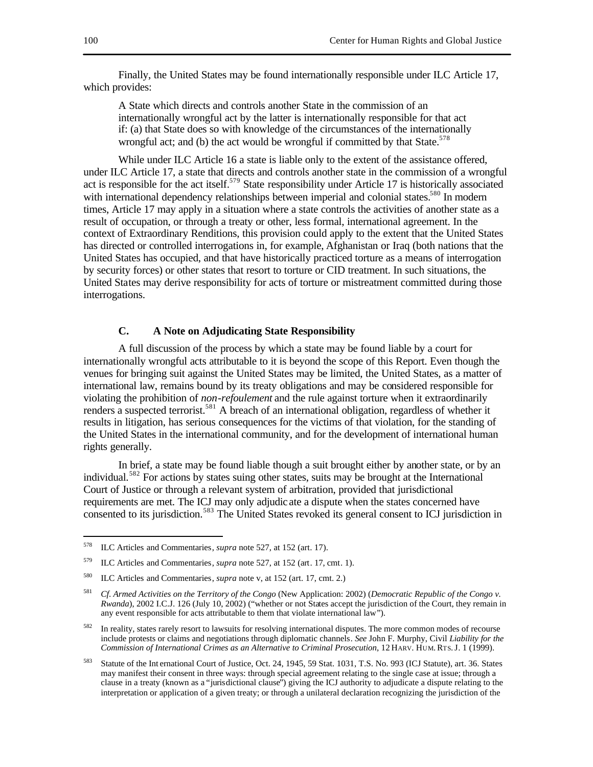Finally, the United States may be found internationally responsible under ILC Article 17, which provides:

A State which directs and controls another State in the commission of an internationally wrongful act by the latter is internationally responsible for that act if: (a) that State does so with knowledge of the circumstances of the internationally wrongful act; and (b) the act would be wrongful if committed by that State.<sup>578</sup>

While under ILC Article 16 a state is liable only to the extent of the assistance offered, under ILC Article 17, a state that directs and controls another state in the commission of a wrongful act is responsible for the act itself.<sup>579</sup> State responsibility under Article 17 is historically associated with international dependency relationships between imperial and colonial states.<sup>580</sup> In modern times, Article 17 may apply in a situation where a state controls the activities of another state as a result of occupation, or through a treaty or other, less formal, international agreement. In the context of Extraordinary Renditions, this provision could apply to the extent that the United States has directed or controlled interrogations in, for example, Afghanistan or Iraq (both nations that the United States has occupied, and that have historically practiced torture as a means of interrogation by security forces) or other states that resort to torture or CID treatment. In such situations, the United States may derive responsibility for acts of torture or mistreatment committed during those interrogations.

## **C. A Note on Adjudicating State Responsibility**

A full discussion of the process by which a state may be found liable by a court for internationally wrongful acts attributable to it is beyond the scope of this Report. Even though the venues for bringing suit against the United States may be limited, the United States, as a matter of international law, remains bound by its treaty obligations and may be considered responsible for violating the prohibition of *non-refoulement* and the rule against torture when it extraordinarily renders a suspected terrorist.<sup>581</sup> A breach of an international obligation, regardless of whether it results in litigation, has serious consequences for the victims of that violation, for the standing of the United States in the international community, and for the development of international human rights generally.

In brief, a state may be found liable though a suit brought either by another state, or by an individual.<sup>582</sup> For actions by states suing other states, suits may be brought at the International Court of Justice or through a relevant system of arbitration, provided that jurisdictional requirements are met. The ICJ may only adjudic ate a dispute when the states concerned have consented to its jurisdiction.<sup>583</sup> The United States revoked its general consent to ICJ jurisdiction in

<sup>578</sup> ILC Articles and Commentaries, *supra* note 527, at 152 (art. 17).

<sup>579</sup> ILC Articles and Commentaries, *supra* note 527, at 152 (art. 17, cmt. 1).

<sup>580</sup> ILC Articles and Commentaries, *supra* note v, at 152 (art. 17, cmt. 2.)

<sup>581</sup> *Cf*. *Armed Activities on the Territory of the Congo* (New Application: 2002) (*Democratic Republic of the Congo v. Rwanda*), 2002 I.C.J. 126 (July 10, 2002) ("whether or not States accept the jurisdiction of the Court, they remain in any event responsible for acts attributable to them that violate international law").

<sup>&</sup>lt;sup>582</sup> In reality, states rarely resort to lawsuits for resolving international disputes. The more common modes of recourse include protests or claims and negotiations through diplomatic channels*. See* John F. Murphy, Civil *Liability for the Commission of International Crimes as an Alternative to Criminal Prosecution*, 12 HARV. HUM.RTS.J. 1 (1999).

<sup>583</sup> Statute of the Int ernational Court of Justice, Oct. 24, 1945, 59 Stat. 1031, T.S. No. 993 (ICJ Statute), art. 36. States may manifest their consent in three ways: through special agreement relating to the single case at issue; through a clause in a treaty (known as a "jurisdictional clause") giving the ICJ authority to adjudicate a dispute relating to the interpretation or application of a given treaty; or through a unilateral declaration recognizing the jurisdiction of the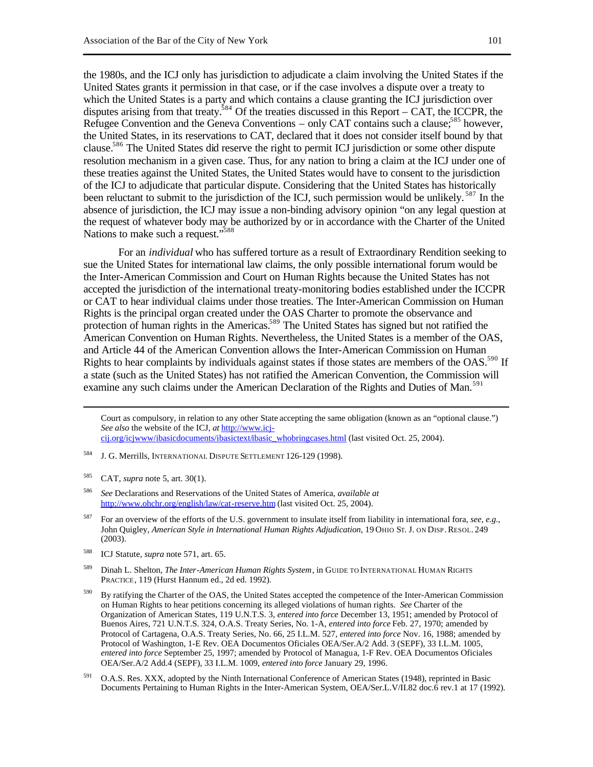the 1980s, and the ICJ only has jurisdiction to adjudicate a claim involving the United States if the United States grants it permission in that case, or if the case involves a dispute over a treaty to which the United States is a party and which contains a clause granting the ICJ jurisdiction over disputes arising from that treaty.<sup>584</sup> Of the treaties discussed in this Report – CAT, the ICCPR, the Refugee Convention and the Geneva Conventions – only CAT contains such a clause;<sup>585</sup> however, the United States, in its reservations to CAT, declared that it does not consider itself bound by that clause.<sup>586</sup> The United States did reserve the right to permit ICJ jurisdiction or some other dispute resolution mechanism in a given case. Thus, for any nation to bring a claim at the ICJ under one of these treaties against the United States, the United States would have to consent to the jurisdiction of the ICJ to adjudicate that particular dispute. Considering that the United States has historically been reluctant to submit to the jurisdiction of the ICJ, such permission would be unlikely.<sup>587</sup> In the absence of jurisdiction, the ICJ may issue a non-binding advisory opinion "on any legal question at the request of whatever body may be authorized by or in accordance with the Charter of the United Nations to make such a request."<sup>588</sup>

For an *individual* who has suffered torture as a result of Extraordinary Rendition seeking to sue the United States for international law claims, the only possible international forum would be the Inter-American Commission and Court on Human Rights because the United States has not accepted the jurisdiction of the international treaty-monitoring bodies established under the ICCPR or CAT to hear individual claims under those treaties. The Inter-American Commission on Human Rights is the principal organ created under the OAS Charter to promote the observance and protection of human rights in the Americas.<sup>589</sup> The United States has signed but not ratified the American Convention on Human Rights. Nevertheless, the United States is a member of the OAS, and Article 44 of the American Convention allows the Inter-American Commission on Human Rights to hear complaints by individuals against states if those states are members of the OAS.<sup>590</sup> If a state (such as the United States) has not ratified the American Convention, the Commission will examine any such claims under the American Declaration of the Rights and Duties of Man.<sup>591</sup>

Court as compulsory, in relation to any other State accepting the same obligation (known as an "optional clause.") *See also* the website of the ICJ, *at* http://www.icjcij.org/icjwww/ibasicdocuments/ibasictext/ibasic\_whobringcases.html (last visited Oct. 25, 2004).

<sup>584</sup> J. G. Merrills, INTERNATIONAL DISPUTE SETTLEMENT 126-129 (1998).

<sup>585</sup> CAT, *supra* note 5, art. 30(1).

 $\overline{a}$ 

<sup>586</sup> *See* Declarations and Reservations of the United States of America, *available at* http://www.ohchr.org/english/law/cat-reserve.htm (last visited Oct. 25, 2004).

<sup>587</sup> For an overview of the efforts of the U.S. government to insulate itself from liability in international fora, *see, e.g.*, John Quigley, *American Style in International Human Rights Adjudication*, 19 OHIO ST. J. ON DISP.RESOL. 249 (2003).

<sup>588</sup> ICJ Statute, *supra* note 571, art. 65.

<sup>589</sup> Dinah L. Shelton, *The Inter-American Human Rights System*, in GUIDE TO INTERNATIONAL HUMAN RIGHTS PRACTICE*,* 119 (Hurst Hannum ed., 2d ed. 1992).

<sup>590</sup> By ratifying the Charter of the OAS, the United States accepted the competence of the Inter-American Commission on Human Rights to hear petitions concerning its alleged violations of human rights. *See* Charter of the Organization of American States, 119 U.N.T.S. 3, *entered into force* December 13, 1951; amended by Protocol of Buenos Aires, 721 U.N.T.S. 324, O.A.S. Treaty Series, No. 1-A, *entered into force* Feb. 27, 1970; amended by Protocol of Cartagena, O.A.S. Treaty Series, No. 66, 25 I.L.M. 527, *entered into force* Nov. 16, 1988; amended by Protocol of Washington, 1-E Rev. OEA Documentos Oficiales OEA/Ser.A/2 Add. 3 (SEPF), 33 I.L.M. 1005, *entered into force* September 25, 1997; amended by Protocol of Managua, 1-F Rev. OEA Documentos Oficiales OEA/Ser.A/2 Add.4 (SEPF), 33 I.L.M. 1009, *entered into force* January 29, 1996.

<sup>591</sup> O.A.S. Res. XXX, adopted by the Ninth International Conference of American States (1948), reprinted in Basic Documents Pertaining to Human Rights in the Inter-American System, OEA/Ser.L.V/II.82 doc.6 rev.1 at 17 (1992).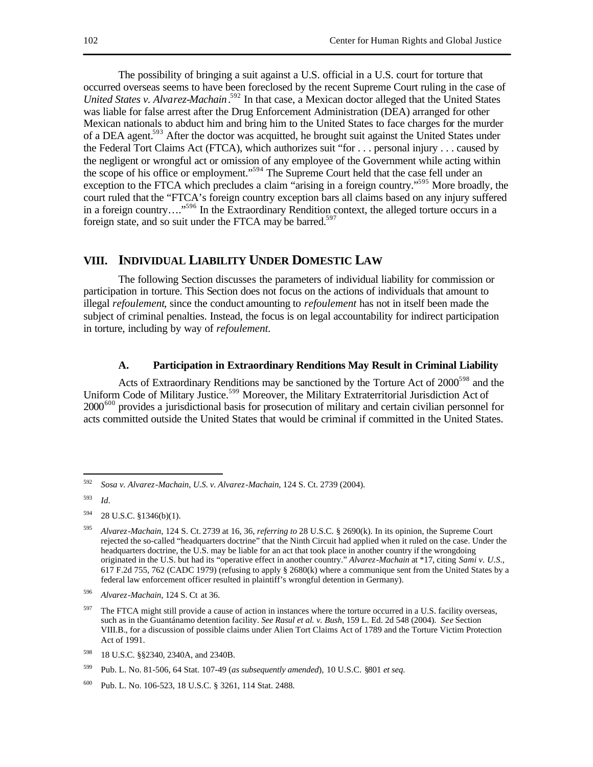The possibility of bringing a suit against a U.S. official in a U.S. court for torture that occurred overseas seems to have been foreclosed by the recent Supreme Court ruling in the case of *United States v. Alvarez-Machain*. <sup>592</sup> In that case, a Mexican doctor alleged that the United States was liable for false arrest after the Drug Enforcement Administration (DEA) arranged for other Mexican nationals to abduct him and bring him to the United States to face charges for the murder of a DEA agent.<sup>593</sup> After the doctor was acquitted, he brought suit against the United States under the Federal Tort Claims Act (FTCA), which authorizes suit "for . . . personal injury . . . caused by the negligent or wrongful act or omission of any employee of the Government while acting within the scope of his office or employment."<sup>594</sup> The Supreme Court held that the case fell under an exception to the FTCA which precludes a claim "arising in a foreign country."<sup>595</sup> More broadly, the court ruled that the "FTCA's foreign country exception bars all claims based on any injury suffered in a foreign country…."<sup>596</sup> In the Extraordinary Rendition context, the alleged torture occurs in a foreign state, and so suit under the FTCA may be barred.<sup>597</sup>

# **VIII. INDIVIDUAL LIABILITY UNDER DOMESTIC LAW**

The following Section discusses the parameters of individual liability for commission or participation in torture. This Section does not focus on the actions of individuals that amount to illegal *refoulement*, since the conduct amounting to *refoulement* has not in itself been made the subject of criminal penalties. Instead, the focus is on legal accountability for indirect participation in torture, including by way of *refoulement.*

## **A. Participation in Extraordinary Renditions May Result in Criminal Liability**

Acts of Extraordinary Renditions may be sanctioned by the Torture Act of 2000<sup>598</sup> and the Uniform Code of Military Justice.<sup>599</sup> Moreover, the Military Extraterritorial Jurisdiction Act of 2000<sup>600</sup> provides a jurisdictional basis for prosecution of military and certain civilian personnel for acts committed outside the United States that would be criminal if committed in the United States.

<sup>592</sup> *Sosa v. Alvarez-Machain*, *U.S. v. Alvarez-Machain*, 124 S. Ct. 2739 (2004).

<sup>593</sup> *Id*.

 $594$  28 U.S.C. §1346(b)(1).

<sup>595</sup> *Alvarez-Machain*, 124 S. Ct. 2739 at 16, 36, *referring to* 28 U.S.C. § 2690(k). In its opinion, the Supreme Court rejected the so-called "headquarters doctrine" that the Ninth Circuit had applied when it ruled on the case. Under the headquarters doctrine, the U.S. may be liable for an act that took place in another country if the wrongdoing originated in the U.S. but had its "operative effect in another country." *Alvarez-Machain* at \*17, citing *Sami v. U.S*., 617 F.2d 755, 762 (CADC 1979) (refusing to apply § 2680(k) where a communique sent from the United States by a federal law enforcement officer resulted in plaintiff's wrongful detention in Germany).

<sup>596</sup> *Alvarez-Machain*, 124 S. Ct at 36.

 $597$  The FTCA might still provide a cause of action in instances where the torture occurred in a U.S. facility overseas, such as in the Guantánamo detention facility. *See Rasul et al. v. Bush*, 159 L. Ed. 2d 548 (2004). *See* Section VIII.B., for a discussion of possible claims under Alien Tort Claims Act of 1789 and the Torture Victim Protection Act of 1991.

<sup>598</sup> 18 U.S.C. §§2340, 2340A, and 2340B.

<sup>599</sup> Pub. L. No. 81-506, 64 Stat. 107-49 (*as subsequently amended*), 10 U.S.C. §801 *et seq*.

<sup>600</sup> Pub. L. No. 106-523, 18 U.S.C. § 3261, 114 Stat. 2488.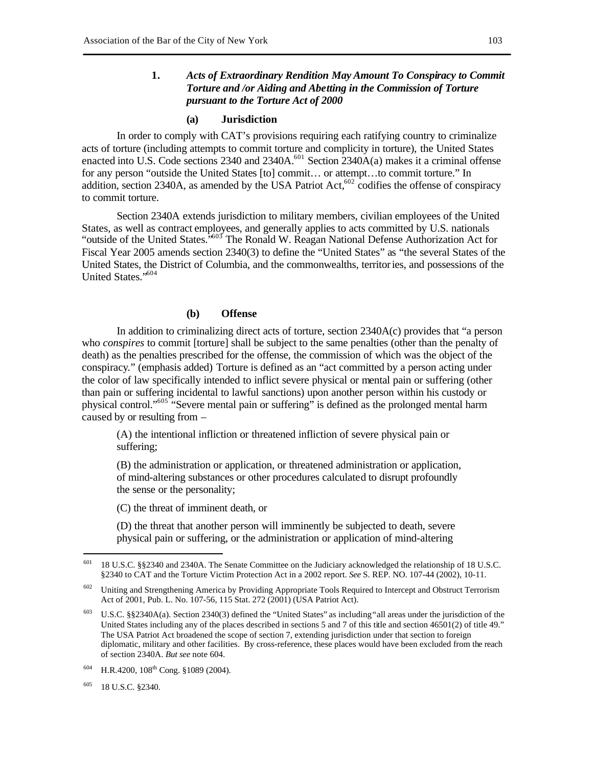## **1.** *Acts of Extraordinary Rendition May Amount To Conspiracy to Commit Torture and /or Aiding and Abetting in the Commission of Torture pursuant to the Torture Act of 2000*

## **(a) Jurisdiction**

In order to comply with CAT's provisions requiring each ratifying country to criminalize acts of torture (including attempts to commit torture and complicity in torture), the United States enacted into U.S. Code sections 2340 and 2340A.<sup>601</sup> Section  $2340A(a)$  makes it a criminal offense for any person "outside the United States [to] commit… or attempt…to commit torture." In addition, section 2340A, as amended by the USA Patriot Act,<sup>602</sup> codifies the offense of conspiracy to commit torture.

Section 2340A extends jurisdiction to military members, civilian employees of the United States, as well as contract employees, and generally applies to acts committed by U.S. nationals "outside of the United States.<sup>5603</sup> The Ronald W. Reagan National Defense Authorization Act for Fiscal Year 2005 amends section 2340(3) to define the "United States" as "the several States of the United States, the District of Columbia, and the commonwealths, territories, and possessions of the United States."<sup>604</sup>

## **(b) Offense**

In addition to criminalizing direct acts of torture, section 2340A(c) provides that "a person who *conspires* to commit [torture] shall be subject to the same penalties (other than the penalty of death) as the penalties prescribed for the offense, the commission of which was the object of the conspiracy." (emphasis added) Torture is defined as an "act committed by a person acting under the color of law specifically intended to inflict severe physical or mental pain or suffering (other than pain or suffering incidental to lawful sanctions) upon another person within his custody or physical control."<sup>605</sup> "Severe mental pain or suffering" is defined as the prolonged mental harm caused by or resulting from –

(A) the intentional infliction or threatened infliction of severe physical pain or suffering;

(B) the administration or application, or threatened administration or application, of mind-altering substances or other procedures calculated to disrupt profoundly the sense or the personality;

(C) the threat of imminent death, or

(D) the threat that another person will imminently be subjected to death, severe physical pain or suffering, or the administration or application of mind-altering

 $\ddot{\phantom{0}}$ 

<sup>601</sup> 18 U.S.C. §§2340 and 2340A. The Senate Committee on the Judiciary acknowledged the relationship of 18 U.S.C. §2340 to CAT and the Torture Victim Protection Act in a 2002 report. *See* S. REP. NO. 107-44 (2002), 10-11.

<sup>&</sup>lt;sup>602</sup> Uniting and Strengthening America by Providing Appropriate Tools Required to Intercept and Obstruct Terrorism Act of 2001, Pub. L. No. 107-56, 115 Stat. 272 (2001) (USA Patriot Act).

<sup>603</sup> U.S.C. §§2340A(a). Section 2340(3) defined the "United States" as including "all areas under the jurisdiction of the United States including any of the places described in sections 5 and 7 of this title and section 46501(2) of title 49." The USA Patriot Act broadened the scope of section 7, extending jurisdiction under that section to foreign diplomatic, military and other facilities. By cross-reference, these places would have been excluded from the reach of section 2340A. *But see* note 604.

<sup>604</sup> H.R.4200, 108<sup>th</sup> Cong. §1089 (2004).

<sup>605</sup> 18 U.S.C. §2340.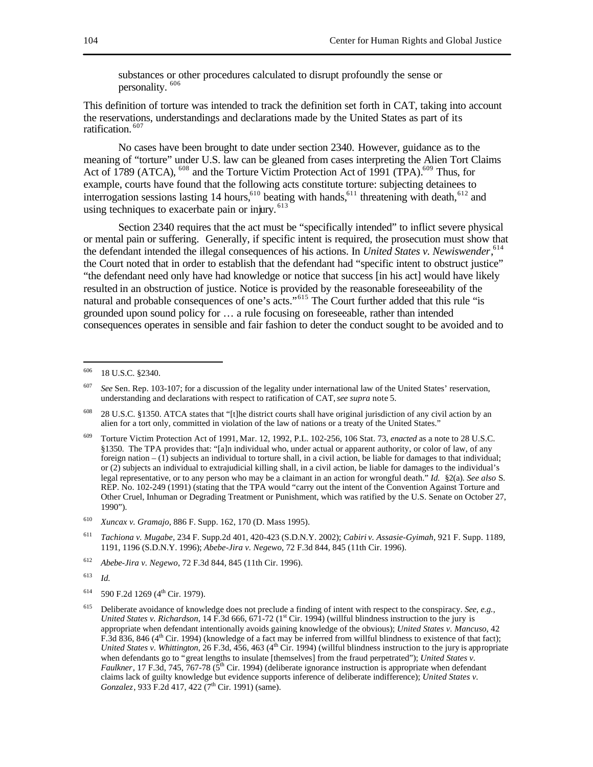substances or other procedures calculated to disrupt profoundly the sense or personality. <sup>606</sup>

This definition of torture was intended to track the definition set forth in CAT, taking into account the reservations, understandings and declarations made by the United States as part of its ratification. <sup>607</sup>

No cases have been brought to date under section 2340. However, guidance as to the meaning of "torture" under U.S. law can be gleaned from cases interpreting the Alien Tort Claims Act of 1789 (ATCA), <sup>608</sup> and the Torture Victim Protection Act of 1991 (TPA).<sup>609</sup> Thus, for example, courts have found that the following acts constitute torture: subjecting detainees to interrogation sessions lasting 14 hours,<sup>610</sup> beating with hands,<sup>611</sup> threatening with death,<sup>612</sup> and using techniques to exacerbate pain or injury.<sup>613</sup>

Section 2340 requires that the act must be "specifically intended" to inflict severe physical or mental pain or suffering. Generally, if specific intent is required, the prosecution must show that the defendant intended the illegal consequences of his actions. In *United States v. Newiswender*, 614 the Court noted that in order to establish that the defendant had "specific intent to obstruct justice" "the defendant need only have had knowledge or notice that success [in his act] would have likely resulted in an obstruction of justice. Notice is provided by the reasonable foreseeability of the natural and probable consequences of one's acts."<sup>615</sup> The Court further added that this rule "is grounded upon sound policy for … a rule focusing on foreseeable, rather than intended consequences operates in sensible and fair fashion to deter the conduct sought to be avoided and to

 $\overline{a}$ 

<sup>613</sup> *Id.* 

 $614$  590 F.2d 1269 (4<sup>th</sup> Cir. 1979).

<sup>606</sup> 18 U.S.C. §2340.

<sup>607</sup> *See* Sen. Rep. 103-107; for a discussion of the legality under international law of the United States' reservation, understanding and declarations with respect to ratification of CAT, *see supra* note 5.

 $608$  28 U.S.C. §1350. ATCA states that "[t]he district courts shall have original jurisdiction of any civil action by an alien for a tort only, committed in violation of the law of nations or a treaty of the United States."

<sup>609</sup> Torture Victim Protection Act of 1991, Mar. 12, 1992, P.L. 102-256, 106 Stat. 73, *enacted* as a note to 28 U.S.C. §1350. The TPA provides that: "[a]n individual who, under actual or apparent authority, or color of law, of any foreign nation  $- (1)$  subjects an individual to torture shall, in a civil action, be liable for damages to that individual; or (2) subjects an individual to extrajudicial killing shall, in a civil action, be liable for damages to the individual's legal representative, or to any person who may be a claimant in an action for wrongful death." *Id.* §2(a). *See also* S. REP. No. 102-249 (1991) (stating that the TPA would "carry out the intent of the Convention Against Torture and Other Cruel, Inhuman or Degrading Treatment or Punishment, which was ratified by the U.S. Senate on October 27, 1990").

<sup>610</sup> *Xuncax v. Gramajo*, 886 F. Supp. 162, 170 (D. Mass 1995).

<sup>611</sup> *Tachiona v. Mugabe*, 234 F. Supp.2d 401, 420-423 (S.D.N.Y. 2002); *Cabiri v. Assasie-Gyimah*, 921 F. Supp. 1189, 1191, 1196 (S.D.N.Y. 1996); *Abebe-Jira v. Negewo*, 72 F.3d 844, 845 (11th Cir. 1996).

<sup>612</sup> *Abebe-Jira v. Negewo*, 72 F.3d 844, 845 (11th Cir. 1996).

<sup>615</sup> Deliberate avoidance of knowledge does not preclude a finding of intent with respect to the conspiracy. *See, e.g., United States v. Richardson*, 14 F.3d 666, 671-72 (1<sup>st</sup> Cir. 1994) (willful blindness instruction to the jury is appropriate when defendant intentionally avoids gaining knowledge of the obvious); *United States v. Mancuso*, 42 F.3d 836, 846 ( $4^{\text{th}}$  Cir. 1994) (knowledge of a fact may be inferred from willful blindness to existence of that fact); *United States v. Whittington*, 26 F.3d, 456, 463 (4<sup>th</sup> Cir. 1994) (willful blindness instruction to the jury is appropriate when defendants go to "great lengths to insulate [themselves] from the fraud perpetrated"); *United States v. Faulkner*, 17 F.3d, 745, 767-78 (5<sup>th</sup> Cir. 1994) (deliberate ignorance instruction is appropriate when defendant claims lack of guilty knowledge but evidence supports inference of deliberate indifference); *United States v. Gonzalez*, 933 F.2d 417, 422 (7<sup>th</sup> Cir. 1991) (same).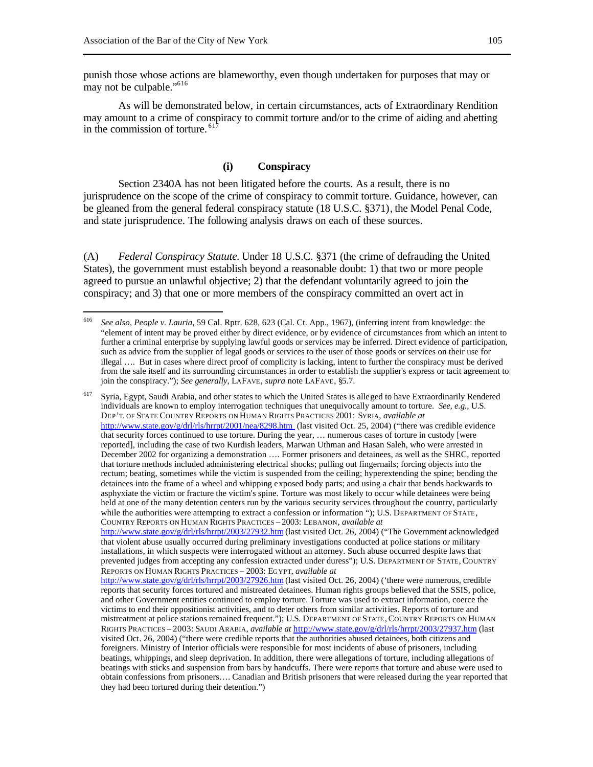punish those whose actions are blameworthy, even though undertaken for purposes that may or may not be culpable."<sup>616</sup>

As will be demonstrated below, in certain circumstances, acts of Extraordinary Rendition may amount to a crime of conspiracy to commit torture and/or to the crime of aiding and abetting in the commission of torture.  $61$ 

# **(i) Conspiracy**

Section 2340A has not been litigated before the courts. As a result, there is no jurisprudence on the scope of the crime of conspiracy to commit torture. Guidance, however, can be gleaned from the general federal conspiracy statute (18 U.S.C. §371), the Model Penal Code, and state jurisprudence. The following analysis draws on each of these sources.

(A) *Federal Conspiracy Statute.* Under 18 U.S.C. §371 (the crime of defrauding the United States), the government must establish beyond a reasonable doubt: 1) that two or more people agreed to pursue an unlawful objective; 2) that the defendant voluntarily agreed to join the conspiracy; and 3) that one or more members of the conspiracy committed an overt act in

<sup>616</sup> <sup>616</sup> *See also, People v. Lauria*, 59 Cal. Rptr. 628, 623 (Cal. Ct. App., 1967), (inferring intent from knowledge: the "element of intent may be proved either by direct evidence, or by evidence of circumstances from which an intent to further a criminal enterprise by supplying lawful goods or services may be inferred. Direct evidence of participation, such as advice from the supplier of legal goods or services to the user of those goods or services on their use for illegal …. But in cases where direct proof of complicity is lacking, intent to further the conspiracy must be derived from the sale itself and its surrounding circumstances in order to establish the supplier's express or tacit agreement to join the conspiracy."); *See generally*, LAFAVE, *supra* note LAFAVE, §5.7.

 $617$  Syria, Egypt, Saudi Arabia, and other states to which the United States is alleged to have Extraordinarily Rendered individuals are known to employ interrogation techniques that unequivocally amount to torture. *See, e.g.*, U.S. DEP'T. OF STATE COUNTRY REPORTS ON HUMAN RIGHTS PRACTICES 2001: SYRIA, *available at*  http://www.state.gov/g/drl/rls/hrrpt/2001/nea/8298.htm (last visited Oct. 25, 2004) ("there was credible evidence that security forces continued to use torture. During the year, … numerous cases of torture in custody [were reported], including the case of two Kurdish leaders, Marwan Uthman and Hasan Saleh, who were arrested in December 2002 for organizing a demonstration …. Former prisoners and detainees, as well as the SHRC, reported that torture methods included administering electrical shocks; pulling out fingernails; forcing objects into the rectum; beating, sometimes while the victim is suspended from the ceiling; hyperextending the spine; bending the detainees into the frame of a wheel and whipping exposed body parts; and using a chair that bends backwards to asphyxiate the victim or fracture the victim's spine. Torture was most likely to occur while detainees were being held at one of the many detention centers run by the various security services throughout the country, particularly while the authorities were attempting to extract a confession or information "); U.S. DEPARTMENT OF STATE, COUNTRY REPORTS ON HUMAN RIGHTS PRACTICES – 2003: LEBANON, *available at* http://www.state.gov/g/drl/rls/hrrpt/2003/27932.htm (last visited Oct. 26, 2004) ("The Government acknowledged

that violent abuse usually occurred during preliminary investigations conducted at police stations or military installations, in which suspects were interrogated without an attorney. Such abuse occurred despite laws that prevented judges from accepting any confession extracted under duress"); U.S. DEPARTMENT OF STATE,COUNTRY REPORTS ON HUMAN RIGHTS PRACTICES – 2003: EGYPT, *available at*

http://www.state.gov/g/drl/rls/hrrpt/2003/27926.htm (last visited Oct. 26, 2004) ('there were numerous, credible reports that security forces tortured and mistreated detainees. Human rights groups believed that the SSIS, police, and other Government entities continued to employ torture. Torture was used to extract information, coerce the victims to end their oppositionist activities, and to deter others from similar activities. Reports of torture and mistreatment at police stations remained frequent."); U.S. DEPARTMENT OF STATE,COUNTRY REPORTS ON HUMAN RIGHTS PRACTICES – 2003: SAUDI ARABIA, *available at* http://www.state.gov/g/drl/rls/hrrpt/2003/27937.htm (last visited Oct. 26, 2004) ("there were credible reports that the authorities abused detainees, both citizens and foreigners. Ministry of Interior officials were responsible for most incidents of abuse of prisoners, including beatings, whippings, and sleep deprivation. In addition, there were allegations of torture, including allegations of beatings with sticks and suspension from bars by handcuffs. There were reports that torture and abuse were used to obtain confessions from prisoners…. Canadian and British prisoners that were released during the year reported that they had been tortured during their detention.")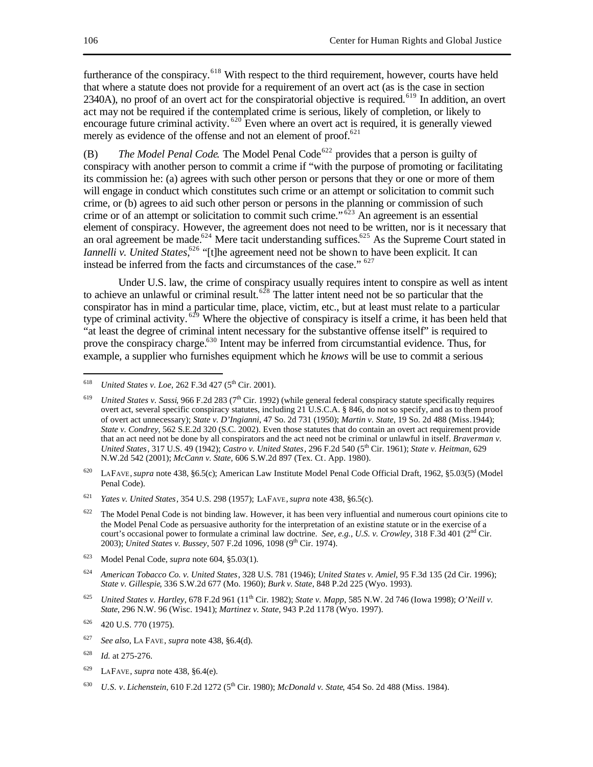furtherance of the conspiracy.<sup>618</sup> With respect to the third requirement, however, courts have held that where a statute does not provide for a requirement of an overt act (as is the case in section 2340A), no proof of an overt act for the conspiratorial objective is required.<sup>619</sup> In addition, an overt act may not be required if the contemplated crime is serious, likely of completion, or likely to encourage future criminal activity. <sup>620</sup> Even where an overt act is required, it is generally viewed merely as evidence of the offense and not an element of proof. $621$ 

(B) *The Model Penal Code*. The Model Penal Code<sup>622</sup> provides that a person is guilty of conspiracy with another person to commit a crime if "with the purpose of promoting or facilitating its commission he: (a) agrees with such other person or persons that they or one or more of them will engage in conduct which constitutes such crime or an attempt or solicitation to commit such crime, or (b) agrees to aid such other person or persons in the planning or commission of such crime or of an attempt or solicitation to commit such crime." <sup>623</sup> An agreement is an essential element of conspiracy. However, the agreement does not need to be written, nor is it necessary that an oral agreement be made.<sup>624</sup> Mere tacit understanding suffices.<sup>625</sup> As the Supreme Court stated in *Iannelli v. United States*<sup>626</sup> "[t]he agreement need not be shown to have been explicit. It can instead be inferred from the facts and circumstances of the case." <sup>627</sup>

Under U.S. law, the crime of conspiracy usually requires intent to conspire as well as intent to achieve an unlawful or criminal result.<sup> $528$ </sup> The latter intent need not be so particular that the conspirator has in mind a particular time, place, victim, etc., but at least must relate to a particular type of criminal activity.<sup>629</sup> Where the objective of conspiracy is itself a crime, it has been held that "at least the degree of criminal intent necessary for the substantive offense itself" is required to prove the conspiracy charge.<sup>630</sup> Intent may be inferred from circumstantial evidence. Thus, for example, a supplier who furnishes equipment which he *knows* will be use to commit a serious

<sup>623</sup> Model Penal Code, *supra* note 604, §5.03(1).

<sup>&</sup>lt;sup>618</sup> *United States v. Loe,* 262 F.3d 427 (5<sup>th</sup> Cir. 2001).

<sup>&</sup>lt;sup>619</sup> *United States v. Sassi*, 966 F.2d 283 ( $7<sup>th</sup>$  Cir. 1992) (while general federal conspiracy statute specifically requires overt act, several specific conspiracy statutes, including 21 U.S.C.A. § 846, do not so specify, and as to them proof of overt act unnecessary); *State v. D'Ingianni*, 47 So. 2d 731 (1950); *Martin v. State*, 19 So. 2d 488 (Miss.1944); *State v. Condrey*, 562 S.E.2d 320 (S.C. 2002). Even those statutes that do contain an overt act requirement provide that an act need not be done by all conspirators and the act need not be criminal or unlawful in itself. *Braverman v. United States*, 317 U.S. 49 (1942); *Castro v. United States*, 296 F.2d 540 (5th Cir. 1961); *State v. Heitman*, 629 N.W.2d 542 (2001); *McCann v. State*, 606 S.W.2d 897 (Tex. Ct. App. 1980).

<sup>620</sup> LAFAVE,*supra* note 438, §6.5(c); American Law Institute Model Penal Code Official Draft, 1962, §5.03(5) (Model Penal Code).

<sup>621</sup> *Yates v. United States*, 354 U.S. 298 (1957); LAFAVE,*supra* note 438, §6.5(c).

 $622$  The Model Penal Code is not binding law. However, it has been very influential and numerous court opinions cite to the Model Penal Code as persuasive authority for the interpretation of an existing statute or in the exercise of a court's occasional power to formulate a criminal law doctrine. *See, e.g.*, *U.S. v. Crowley*, 318 F.3d 401 (2nd Cir. 2003); *United States v. Bussey*, 507 F.2d 1096, 1098 (9<sup>th</sup> Cir. 1974).

<sup>624</sup> *American Tobacco Co. v. United States*, 328 U.S. 781 (1946); *United States v. Amiel*, 95 F.3d 135 (2d Cir. 1996); *State v. Gillespie*, 336 S.W.2d 677 (Mo. 1960); *Burk v. State*, 848 P.2d 225 (Wyo. 1993).

<sup>625</sup> *United States v. Hartley*, 678 F.2d 961 (11<sup>th</sup> Cir. 1982); *State v. Mapp*, 585 N.W. 2d 746 (Iowa 1998); *O'Neill v. State*, 296 N.W. 96 (Wisc. 1941); *Martinez v. State*, 943 P.2d 1178 (Wyo. 1997).

 $626$  420 U.S. 770 (1975).

<sup>627</sup> *See also*, LA FAVE, *supra* note 438, §6.4(d).

<sup>628</sup> *Id.* at 275-276.

<sup>629</sup> LAFAVE, *supra* note 438, §6.4(e).

<sup>630</sup> *U.S. v. Lichenstein*, 610 F.2d 1272 (5th Cir. 1980); *McDonald v. State*, 454 So. 2d 488 (Miss. 1984).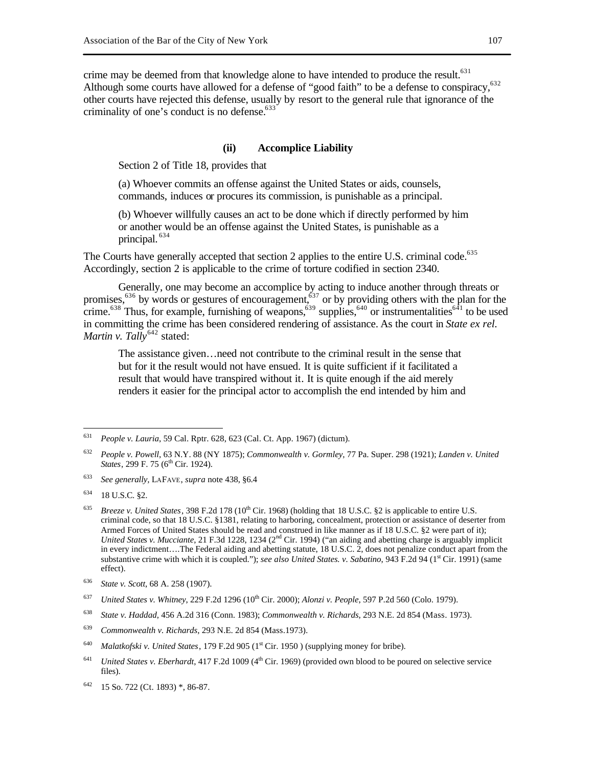crime may be deemed from that knowledge alone to have intended to produce the result.<sup>631</sup> Although some courts have allowed for a defense of "good faith" to be a defense to conspiracy, 632 other courts have rejected this defense, usually by resort to the general rule that ignorance of the criminality of one's conduct is no defense.<sup>633</sup>

## **(ii) Accomplice Liability**

Section 2 of Title 18, provides that

(a) Whoever commits an offense against the United States or aids, counsels, commands, induces or procures its commission, is punishable as a principal.

(b) Whoever willfully causes an act to be done which if directly performed by him or another would be an offense against the United States, is punishable as a principal. <sup>634</sup>

The Courts have generally accepted that section 2 applies to the entire U.S. criminal code.<sup>635</sup> Accordingly, section 2 is applicable to the crime of torture codified in section 2340.

Generally, one may become an accomplice by acting to induce another through threats or promises,  $636$  by words or gestures of encouragement,  $637$  or by providing others with the plan for the crime.<sup>638</sup> Thus, for example, furnishing of weapons,<sup>639</sup> supplies,<sup>640</sup> or instrumentalities<sup>641</sup> to be used in committing the crime has been considered rendering of assistance. As the court in *State ex rel. Martin v. Tally*<sup>642</sup> stated:

The assistance given…need not contribute to the criminal result in the sense that but for it the result would not have ensued. It is quite sufficient if it facilitated a result that would have transpired without it. It is quite enough if the aid merely renders it easier for the principal actor to accomplish the end intended by him and

<sup>631</sup> *People v. Lauria*, 59 Cal. Rptr. 628, 623 (Cal. Ct. App. 1967) (dictum).

<sup>632</sup> *People v. Powell*, 63 N.Y. 88 (NY 1875); *Commonwealth v. Gormley*, 77 Pa. Super. 298 (1921); *Landen v. United States*, 299 F. 75 (6<sup>th</sup> Cir. 1924).

<sup>633</sup> *See generally,* LAFAVE, *supra* note 438, §6.4

<sup>634</sup> 18 U.S.C. §2.

<sup>635</sup> *Breeze v. United States*, 398 F.2d 178 (10th Cir. 1968) (holding that 18 U.S.C. §2 is applicable to entire U.S. criminal code, so that 18 U.S.C. §1381, relating to harboring, concealment, protection or assistance of deserter from Armed Forces of United States should be read and construed in like manner as if 18 U.S.C. §2 were part of it); *United States v. Mucciante*, 21 F.3d 1228, 1234 (2<sup>nd</sup> Cir. 1994) ("an aiding and abetting charge is arguably implicit in every indictment….The Federal aiding and abetting statute, 18 U.S.C. 2, does not penalize conduct apart from the substantive crime with which it is coupled."); *see also United States. v. Sabatino*, 943 F.2d 94 (1<sup>st</sup> Cir. 1991) (same effect).

<sup>636</sup> *State v. Scott*, 68 A. 258 (1907).

<sup>637</sup> *United States v. Whitney, 229 F.2d 1296 (10<sup>th</sup> Cir. 2000); <i>Alonzi v. People, 597 P.2d 560 (Colo. 1979).* 

<sup>638</sup> *State v. Haddad*, 456 A.2d 316 (Conn. 1983); *Commonwealth v. Richards*, 293 N.E. 2d 854 (Mass. 1973).

<sup>639</sup> *Commonwealth v. Richards*, 293 N.E. 2d 854 (Mass.1973).

<sup>&</sup>lt;sup>640</sup> *Malatkofski v. United States*, 179 F.2d 905 (1<sup>st</sup> Cir. 1950) (supplying money for bribe).

<sup>&</sup>lt;sup>641</sup> *United States v. Eberhardt*, 417 F.2d 1009 (4<sup>th</sup> Cir. 1969) (provided own blood to be poured on selective service files).

<sup>642</sup> 15 So. 722 (Ct. 1893) \*, 86-87.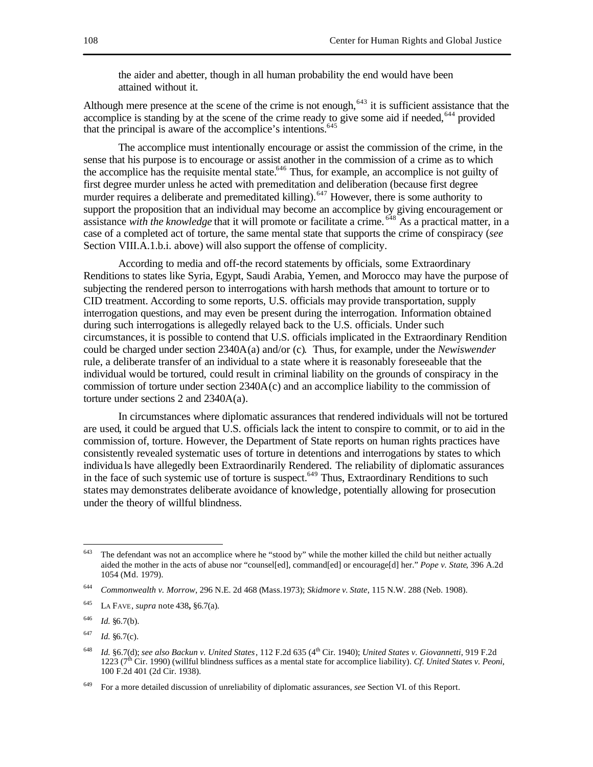the aider and abetter, though in all human probability the end would have been attained without it.

Although mere presence at the scene of the crime is not enough, $643$  it is sufficient assistance that the accomplice is standing by at the scene of the crime ready to give some aid if needed, <sup>644</sup> provided that the principal is aware of the accomplice's intentions.<sup>645</sup>

The accomplice must intentionally encourage or assist the commission of the crime, in the sense that his purpose is to encourage or assist another in the commission of a crime as to which the accomplice has the requisite mental state.<sup> $646$ </sup> Thus, for example, an accomplice is not guilty of first degree murder unless he acted with premeditation and deliberation (because first degree murder requires a deliberate and premeditated killing).<sup>647</sup> However, there is some authority to support the proposition that an individual may become an accomplice by giving encouragement or assistance *with the knowledge* that it will promote or facilitate a crime. <sup>648</sup> As a practical matter, in a case of a completed act of torture, the same mental state that supports the crime of conspiracy (*see*  Section VIII.A.1.b.i. above) will also support the offense of complicity.

According to media and off-the record statements by officials, some Extraordinary Renditions to states like Syria, Egypt, Saudi Arabia, Yemen, and Morocco may have the purpose of subjecting the rendered person to interrogations with harsh methods that amount to torture or to CID treatment. According to some reports, U.S. officials may provide transportation, supply interrogation questions, and may even be present during the interrogation. Information obtained during such interrogations is allegedly relayed back to the U.S. officials. Under such circumstances, it is possible to contend that U.S. officials implicated in the Extraordinary Rendition could be charged under section 2340A(a) and/or (c). Thus, for example, under the *Newiswender* rule, a deliberate transfer of an individual to a state where it is reasonably foreseeable that the individual would be tortured, could result in criminal liability on the grounds of conspiracy in the commission of torture under section 2340A(c) and an accomplice liability to the commission of torture under sections 2 and 2340A(a).

In circumstances where diplomatic assurances that rendered individuals will not be tortured are used, it could be argued that U.S. officials lack the intent to conspire to commit, or to aid in the commission of, torture. However, the Department of State reports on human rights practices have consistently revealed systematic uses of torture in detentions and interrogations by states to which individua ls have allegedly been Extraordinarily Rendered. The reliability of diplomatic assurances in the face of such systemic use of torture is suspect.<sup>649</sup> Thus, Extraordinary Renditions to such states may demonstrates deliberate avoidance of knowledge, potentially allowing for prosecution under the theory of willful blindness.

<sup>643</sup> The defendant was not an accomplice where he "stood by" while the mother killed the child but neither actually aided the mother in the acts of abuse nor "counsel[ed], command[ed] or encourage[d] her." *Pope v. State*, 396 A.2d 1054 (Md. 1979).

<sup>644</sup> *Commonwealth v. Morrow*, 296 N.E. 2d 468 (Mass.1973); *Skidmore v. State*, 115 N.W. 288 (Neb. 1908).

<sup>645</sup> LA FAVE, *supra* note 438**,** §6.7(a).

<sup>646</sup> *Id.* §6.7(b).

<sup>647</sup> *Id.* §6.7(c).

<sup>648</sup> *Id.* §6.7(d); *see also Backun v. United States*, 112 F.2d 635 (4th Cir. 1940); *United States v. Giovannetti*, 919 F.2d 1223 (7th Cir. 1990) (willful blindness suffices as a mental state for accomplice liability). *Cf*. *United States v. Peoni*, 100 F.2d 401 (2d Cir. 1938).

<sup>649</sup> For a more detailed discussion of unreliability of diplomatic assurances, *see* Section VI. of this Report.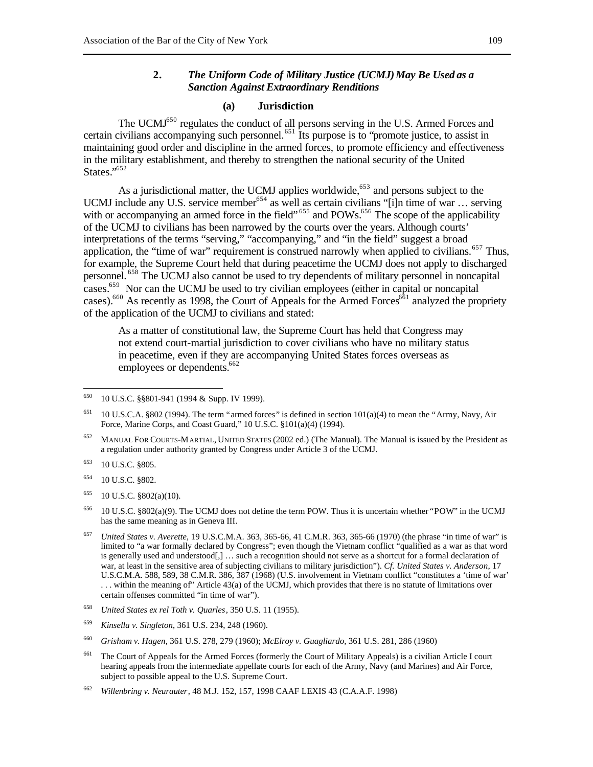## **2.** *The Uniform Code of Military Justice (UCMJ)May Be Used as a Sanction Against Extraordinary Renditions*

#### **(a) Jurisdiction**

The UCMJ<sup>650</sup> regulates the conduct of all persons serving in the U.S. Armed Forces and certain civilians accompanying such personnel.<sup>651</sup> Its purpose is to "promote justice, to assist in maintaining good order and discipline in the armed forces, to promote efficiency and effectiveness in the military establishment, and thereby to strengthen the national security of the United States."<sup>652</sup>

As a jurisdictional matter, the UCMJ applies worldwide,<sup>653</sup> and persons subject to the UCMJ include any U.S. service member<sup>654</sup> as well as certain civilians "[i]n time of war ... serving with or accompanying an armed force in the field"  $655$  and POWs.<sup>656</sup> The scope of the applicability of the UCMJ to civilians has been narrowed by the courts over the years. Although courts' interpretations of the terms "serving," "accompanying," and "in the field" suggest a broad application, the "time of war" requirement is construed narrowly when applied to civilians.<sup>657</sup> Thus, for example, the Supreme Court held that during peacetime the UCMJ does not apply to discharged personnel. <sup>658</sup> The UCMJ also cannot be used to try dependents of military personnel in noncapital cases.<sup>659</sup> Nor can the UCMJ be used to try civilian employees (either in capital or noncapital cases).<sup>660</sup> As recently as 1998, the Court of Appeals for the Armed Forces<sup>661</sup> analyzed the propriety of the application of the UCMJ to civilians and stated:

As a matter of constitutional law, the Supreme Court has held that Congress may not extend court-martial jurisdiction to cover civilians who have no military status in peacetime, even if they are accompanying United States forces overseas as employees or dependents.<sup>662</sup>

- $655$  10 U.S.C. §802(a)(10).
- $656$  10 U.S.C. §802(a)(9). The UCMJ does not define the term POW. Thus it is uncertain whether "POW" in the UCMJ has the same meaning as in Geneva III.
- <sup>657</sup> *United States v. Averette*, 19 U.S.C.M.A. 363, 365-66, 41 C.M.R. 363, 365-66 (1970) (the phrase "in time of war" is limited to "a war formally declared by Congress"; even though the Vietnam conflict "qualified as a war as that word is generally used and understood[,] … such a recognition should not serve as a shortcut for a formal declaration of war, at least in the sensitive area of subjecting civilians to military jurisdiction"). *Cf. United States v. Anderson*, 17 U.S.C.M.A. 588, 589, 38 C.M.R. 386, 387 (1968) (U.S. involvement in Vietnam conflict "constitutes a 'time of war' . . . within the meaning of" Article 43(a) of the UCMJ, which provides that there is no statute of limitations over certain offenses committed "in time of war").

<sup>650</sup> 10 U.S.C. §§801-941 (1994 & Supp. IV 1999).

<sup>&</sup>lt;sup>651</sup> 10 U.S.C.A. §802 (1994). The term "armed forces" is defined in section  $101(a)(4)$  to mean the "Army, Navy, Air Force, Marine Corps, and Coast Guard," 10 U.S.C. §101(a)(4) (1994).

<sup>652</sup> MANUAL FOR COURTS-MARTIAL, UNITED STATES (2002 ed.) (The Manual). The Manual is issued by the President as a regulation under authority granted by Congress under Article 3 of the UCMJ.

<sup>653</sup> 10 U.S.C. §805.

<sup>654</sup> 10 U.S.C. §802.

<sup>658</sup> *United States ex rel Toth v. Quarles*, 350 U.S. 11 (1955).

<sup>659</sup> *Kinsella v. Singleton*, 361 U.S. 234, 248 (1960).

<sup>660</sup> *Grisham v. Hagen*, 361 U.S. 278, 279 (1960); *McElroy v. Guagliardo,* 361 U.S. 281, 286 (1960)

<sup>661</sup> The Court of Appeals for the Armed Forces (formerly the Court of Military Appeals) is a civilian Article I court hearing appeals from the intermediate appellate courts for each of the Army, Navy (and Marines) and Air Force, subject to possible appeal to the U.S. Supreme Court.

<sup>662</sup> *Willenbring v. Neurauter*, 48 M.J. 152, 157, 1998 CAAF LEXIS 43 (C.A.A.F. 1998)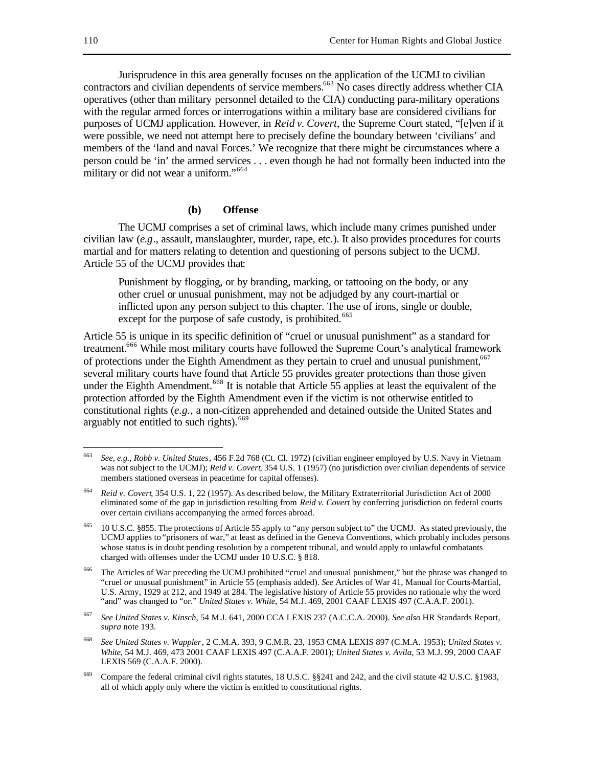Jurisprudence in this area generally focuses on the application of the UCMJ to civilian contractors and civilian dependents of service members.<sup>663</sup> No cases directly address whether CIA operatives (other than military personnel detailed to the CIA) conducting para-military operations with the regular armed forces or interrogations within a military base are considered civilians for purposes of UCMJ application. However, in *Reid v. Covert*, the Supreme Court stated, "[e]ven if it were possible, we need not attempt here to precisely define the boundary between 'civilians' and members of the 'land and naval Forces.' We recognize that there might be circumstances where a person could be 'in' the armed services . . . even though he had not formally been inducted into the military or did not wear a uniform."<sup>664</sup>

## **(b) Offense**

The UCMJ comprises a set of criminal laws, which include many crimes punished under civilian law (*e.g*., assault, manslaughter, murder, rape, etc.). It also provides procedures for courts martial and for matters relating to detention and questioning of persons subject to the UCMJ. Article 55 of the UCMJ provides that:

Punishment by flogging, or by branding, marking, or tattooing on the body, or any other cruel or unusual punishment, may not be adjudged by any court-martial or inflicted upon any person subject to this chapter. The use of irons, single or double, except for the purpose of safe custody, is prohibited.<sup>665</sup>

Article 55 is unique in its specific definition of "cruel or unusual punishment" as a standard for treatment.<sup>666</sup> While most military courts have followed the Supreme Court's analytical framework of protections under the Eighth Amendment as they pertain to cruel and unusual punishment,<sup>667</sup> several military courts have found that Article 55 provides greater protections than those given under the Eighth Amendment.<sup>668</sup> It is notable that Article  $55$  applies at least the equivalent of the protection afforded by the Eighth Amendment even if the victim is not otherwise entitled to constitutional rights (*e.g.,* a non-citizen apprehended and detained outside the United States and arguably not entitled to such rights).<sup>669</sup>

<sup>663</sup> *See, e.g., Robb v. United States*, 456 F.2d 768 (Ct. Cl. 1972) (civilian engineer employed by U.S. Navy in Vietnam was not subject to the UCMJ); *Reid v. Covert*, 354 U.S. 1 (1957) (no jurisdiction over civilian dependents of service members stationed overseas in peacetime for capital offenses).

<sup>664</sup> *Reid v. Covert*, 354 U.S. 1, 22 (1957). As described below, the Military Extraterritorial Jurisdiction Act of 2000 eliminated some of the gap in jurisdiction resulting from *Reid v. Covert* by conferring jurisdiction on federal courts over certain civilians accompanying the armed forces abroad.

<sup>&</sup>lt;sup>665</sup> 10 U.S.C. §855. The protections of Article 55 apply to "any person subject to" the UCMJ. As stated previously, the UCMJ applies to "prisoners of war," at least as defined in the Geneva Conventions, which probably includes persons whose status is in doubt pending resolution by a competent tribunal, and would apply to unlawful combatants charged with offenses under the UCMJ under 10 U.S.C. § 818.

<sup>666</sup> The Articles of War preceding the UCMJ prohibited "cruel and unusual punishment," but the phrase was changed to "cruel *or* unusual punishment" in Article 55 (emphasis added). *See* Articles of War 41, Manual for Courts-Martial, U.S. Army, 1929 at 212, and 1949 at 284. The legislative history of Article 55 provides no rationale why the word "and" was changed to "or." *United States v. White*, 54 M.J. 469, 2001 CAAF LEXIS 497 (C.A.A.F. 2001).

<sup>667</sup> *See United States v. Kinsch*, 54 M.J. 641, 2000 CCA LEXIS 237 (A.C.C.A. 2000). *See also* HR Standards Report, *supra* note 193.

<sup>668</sup> *See United States v. Wappler*, 2 C.M.A. 393, 9 C.M.R. 23, 1953 CMA LEXIS 897 (C.M.A. 1953); *United States v. White*, 54 M.J. 469, 473 2001 CAAF LEXIS 497 (C.A.A.F. 2001); *United States v. Avila*, 53 M.J. 99, 2000 CAAF LEXIS 569 (C.A.A.F. 2000).

<sup>669</sup> Compare the federal criminal civil rights statutes, 18 U.S.C. §§241 and 242, and the civil statute 42 U.S.C. §1983, all of which apply only where the victim is entitled to constitutional rights.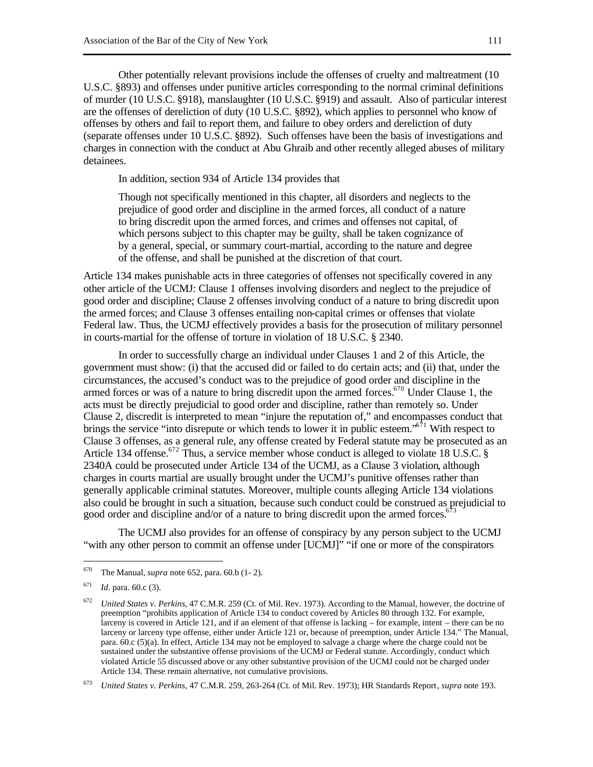Other potentially relevant provisions include the offenses of cruelty and maltreatment (10 U.S.C. §893) and offenses under punitive articles corresponding to the normal criminal definitions of murder (10 U.S.C. §918), manslaughter (10 U.S.C. §919) and assault. Also of particular interest are the offenses of dereliction of duty (10 U.S.C. §892), which applies to personnel who know of offenses by others and fail to report them, and failure to obey orders and dereliction of duty (separate offenses under 10 U.S.C. §892). Such offenses have been the basis of investigations and charges in connection with the conduct at Abu Ghraib and other recently alleged abuses of military detainees.

In addition, section 934 of Article 134 provides that

Though not specifically mentioned in this chapter, all disorders and neglects to the prejudice of good order and discipline in the armed forces, all conduct of a nature to bring discredit upon the armed forces, and crimes and offenses not capital, of which persons subject to this chapter may be guilty, shall be taken cognizance of by a general, special, or summary court-martial, according to the nature and degree of the offense, and shall be punished at the discretion of that court.

Article 134 makes punishable acts in three categories of offenses not specifically covered in any other article of the UCMJ: Clause 1 offenses involving disorders and neglect to the prejudice of good order and discipline; Clause 2 offenses involving conduct of a nature to bring discredit upon the armed forces; and Clause 3 offenses entailing non-capital crimes or offenses that violate Federal law. Thus, the UCMJ effectively provides a basis for the prosecution of military personnel in courts-martial for the offense of torture in violation of 18 U.S.C. § 2340.

In order to successfully charge an individual under Clauses 1 and 2 of this Article, the government must show: (i) that the accused did or failed to do certain acts; and (ii) that, under the circumstances, the accused's conduct was to the prejudice of good order and discipline in the armed forces or was of a nature to bring discredit upon the armed forces.<sup>670</sup> Under Clause 1, the acts must be directly prejudicial to good order and discipline, rather than remotely so. Under Clause 2, discredit is interpreted to mean "injure the reputation of," and encompasses conduct that brings the service "into disrepute or which tends to lower it in public esteem."<sup>671</sup> With respect to Clause 3 offenses, as a general rule, any offense created by Federal statute may be prosecuted as an Article 134 offense.<sup>672</sup> Thus, a service member whose conduct is alleged to violate 18 U.S.C. § 2340A could be prosecuted under Article 134 of the UCMJ, as a Clause 3 violation, although charges in courts martial are usually brought under the UCMJ's punitive offenses rather than generally applicable criminal statutes. Moreover, multiple counts alleging Article 134 violations also could be brought in such a situation, because such conduct could be construed as prejudicial to good order and discipline and/or of a nature to bring discredit upon the armed forces.<sup>67</sup>

The UCMJ also provides for an offense of conspiracy by any person subject to the UCMJ "with any other person to commit an offense under [UCMJ]" "if one or more of the conspirators

 $670$  The Manual, *supra* note 652, para. 60.b (1-2).

<sup>671</sup> *Id*. para. 60.c (3).

<sup>672</sup> *United States v. Perkins*, 47 C.M.R. 259 (Ct. of Mil. Rev. 1973). According to the Manual, however, the doctrine of preemption "prohibits application of Article 134 to conduct covered by Articles 80 through 132. For example, larceny is covered in Article 121, and if an element of that offense is lacking – for example, intent – there can be no larceny or larceny type offense, either under Article 121 or, because of preemption, under Article 134." The Manual, para. 60.c (5)(a). In effect, Article 134 may not be employed to salvage a charge where the charge could not be sustained under the substantive offense provisions of the UCMJ or Federal statute. Accordingly, conduct which violated Article 55 discussed above or any other substantive provision of the UCMJ could not be charged under Article 134. These remain alternative, not cumulative provisions.

<sup>673</sup> *United States v. Perkins*, 47 C.M.R. 259, 263-264 (Ct. of Mil. Rev. 1973); HR Standards Report*, supra* note 193.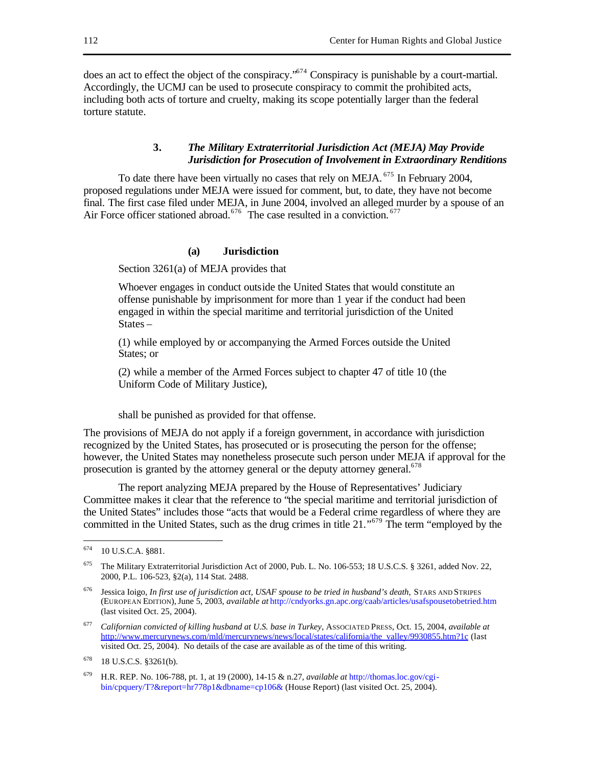does an act to effect the object of the conspiracy."<sup>674</sup> Conspiracy is punishable by a court-martial. Accordingly, the UCMJ can be used to prosecute conspiracy to commit the prohibited acts, including both acts of torture and cruelty, making its scope potentially larger than the federal torture statute.

## **3.** *The Military Extraterritorial Jurisdiction Act (MEJA) May Provide Jurisdiction for Prosecution of Involvement in Extraordinary Renditions*

To date there have been virtually no cases that rely on MEJA. <sup>675</sup> In February 2004, proposed regulations under MEJA were issued for comment, but, to date, they have not become final. The first case filed under MEJA, in June 2004, involved an alleged murder by a spouse of an Air Force officer stationed abroad.<sup>676</sup> The case resulted in a conviction.<sup>677</sup>

#### **(a) Jurisdiction**

Section 3261(a) of MEJA provides that

Whoever engages in conduct outside the United States that would constitute an offense punishable by imprisonment for more than 1 year if the conduct had been engaged in within the special maritime and territorial jurisdiction of the United States –

(1) while employed by or accompanying the Armed Forces outside the United States; or

(2) while a member of the Armed Forces subject to chapter 47 of title 10 (the Uniform Code of Military Justice),

shall be punished as provided for that offense.

The provisions of MEJA do not apply if a foreign government, in accordance with jurisdiction recognized by the United States, has prosecuted or is prosecuting the person for the offense; however, the United States may nonetheless prosecute such person under MEJA if approval for the prosecution is granted by the attorney general or the deputy attorney general.<sup>678</sup>

The report analyzing MEJA prepared by the House of Representatives' Judiciary Committee makes it clear that the reference to "the special maritime and territorial jurisdiction of the United States" includes those "acts that would be a Federal crime regardless of where they are committed in the United States, such as the drug crimes in title 21."<sup>679</sup> The term "employed by the

<sup>674</sup> 10 U.S.C.A. §881.

<sup>675</sup> The Military Extraterritorial Jurisdiction Act of 2000, Pub. L. No. 106-553; 18 U.S.C.S. § 3261, added Nov. 22, 2000, P.L. 106-523, §2(a), 114 Stat. 2488.

<sup>676</sup> Jessica Ioigo, *In first use of jurisdiction act, USAF spouse to be tried in husband's death,* STARS AND STRIPES (EUROPEAN EDITION),June 5, 2003, *available at* http://cndyorks.gn.apc.org/caab/articles/usafspousetobetried.htm (last visited Oct. 25, 2004).

<sup>677</sup> *Californian convicted of killing husband at U.S. base in Turkey*, ASSOCIATED PRESS, Oct. 15, 2004, *available at* http://www.mercurynews.com/mld/mercurynews/news/local/states/california/the\_valley/9930855.htm?1c (last visited Oct. 25, 2004). No details of the case are available as of the time of this writing.

<sup>678</sup> 18 U.S.C.S. §3261(b).

<sup>679</sup> H.R. REP. No. 106-788, pt. 1, at 19 (2000), 14-15 & n.27, *available at* http://thomas.loc.gov/cgibin/cpquery/T?&report=hr778p1&dbname=cp106& (House Report) (last visited Oct. 25, 2004).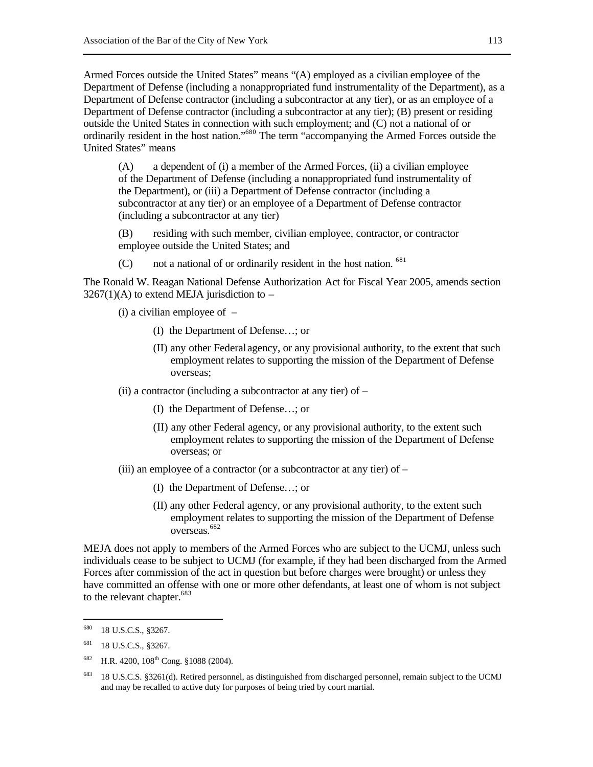Armed Forces outside the United States" means "(A) employed as a civilian employee of the Department of Defense (including a nonappropriated fund instrumentality of the Department), as a Department of Defense contractor (including a subcontractor at any tier), or as an employee of a Department of Defense contractor (including a subcontractor at any tier); (B) present or residing outside the United States in connection with such employment; and (C) not a national of or ordinarily resident in the host nation."<sup>680</sup> The term "accompanying the Armed Forces outside the United States" means

(A) a dependent of (i) a member of the Armed Forces, (ii) a civilian employee of the Department of Defense (including a nonappropriated fund instrumentality of the Department), or (iii) a Department of Defense contractor (including a subcontractor at any tier) or an employee of a Department of Defense contractor (including a subcontractor at any tier)

(B) residing with such member, civilian employee, contractor, or contractor employee outside the United States; and

 $(C)$  not a national of or ordinarily resident in the host nation.  $681$ 

The Ronald W. Reagan National Defense Authorization Act for Fiscal Year 2005, amends section  $3267(1)(A)$  to extend MEJA jurisdiction to –

 $(i)$  a civilian employee of  $-$ 

- (I) the Department of Defense…; or
- (II) any other Federal agency, or any provisional authority, to the extent that such employment relates to supporting the mission of the Department of Defense overseas;

(ii) a contractor (including a subcontractor at any tier) of  $-$ 

- (I) the Department of Defense…; or
- (II) any other Federal agency, or any provisional authority, to the extent such employment relates to supporting the mission of the Department of Defense overseas; or
- (iii) an employee of a contractor (or a subcontractor at any tier) of  $-$ 
	- (I) the Department of Defense…; or
	- (II) any other Federal agency, or any provisional authority, to the extent such employment relates to supporting the mission of the Department of Defense overseas. 682

MEJA does not apply to members of the Armed Forces who are subject to the UCMJ, unless such individuals cease to be subject to UCMJ (for example, if they had been discharged from the Armed Forces after commission of the act in question but before charges were brought) or unless they have committed an offense with one or more other defendants, at least one of whom is not subject to the relevant chapter.<sup>683</sup>

<sup>680</sup> 18 U.S.C.S., §3267.

<sup>681</sup> 18 U.S.C.S., §3267.

<sup>682</sup> H.R. 4200, 108<sup>th</sup> Cong. §1088 (2004).

<sup>683</sup> 18 U.S.C.S. §3261(d). Retired personnel, as distinguished from discharged personnel, remain subject to the UCMJ and may be recalled to active duty for purposes of being tried by court martial.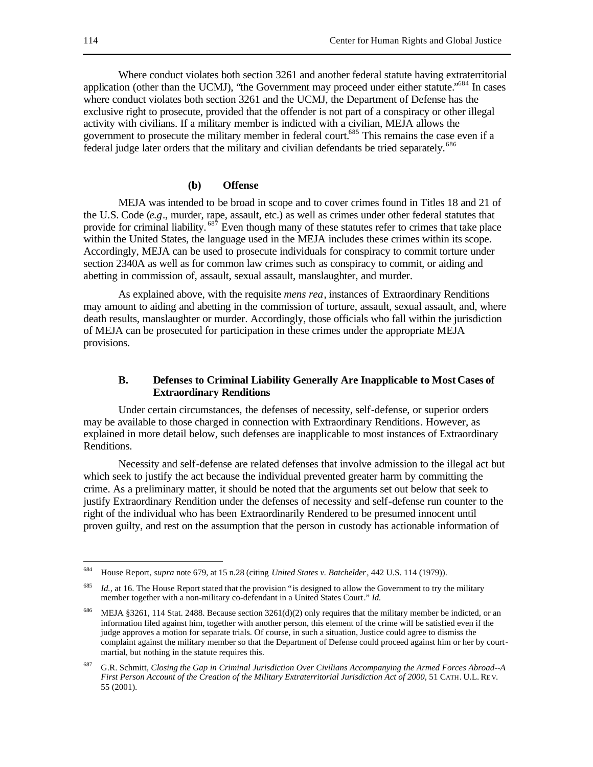Where conduct violates both section 3261 and another federal statute having extraterritorial application (other than the UCMJ), "the Government may proceed under either statute."<sup>684</sup> In cases where conduct violates both section 3261 and the UCMJ, the Department of Defense has the exclusive right to prosecute, provided that the offender is not part of a conspiracy or other illegal activity with civilians. If a military member is indicted with a civilian, MEJA allows the government to prosecute the military member in federal court.<sup>685</sup> This remains the case even if a federal judge later orders that the military and civilian defendants be tried separately.<sup>686</sup>

#### **(b) Offense**

MEJA was intended to be broad in scope and to cover crimes found in Titles 18 and 21 of the U.S. Code (*e.g*., murder, rape, assault, etc.) as well as crimes under other federal statutes that provide for criminal liability.  $687$  Even though many of these statutes refer to crimes that take place within the United States, the language used in the MEJA includes these crimes within its scope. Accordingly, MEJA can be used to prosecute individuals for conspiracy to commit torture under section 2340A as well as for common law crimes such as conspiracy to commit, or aiding and abetting in commission of, assault, sexual assault, manslaughter, and murder.

As explained above, with the requisite *mens rea*, instances of Extraordinary Renditions may amount to aiding and abetting in the commission of torture, assault, sexual assault, and, where death results, manslaughter or murder. Accordingly, those officials who fall within the jurisdiction of MEJA can be prosecuted for participation in these crimes under the appropriate MEJA provisions.

# **B. Defenses to Criminal Liability Generally Are Inapplicable to Most Cases of Extraordinary Renditions**

Under certain circumstances, the defenses of necessity, self-defense, or superior orders may be available to those charged in connection with Extraordinary Renditions. However, as explained in more detail below, such defenses are inapplicable to most instances of Extraordinary Renditions.

Necessity and self-defense are related defenses that involve admission to the illegal act but which seek to justify the act because the individual prevented greater harm by committing the crime. As a preliminary matter, it should be noted that the arguments set out below that seek to justify Extraordinary Rendition under the defenses of necessity and self-defense run counter to the right of the individual who has been Extraordinarily Rendered to be presumed innocent until proven guilty, and rest on the assumption that the person in custody has actionable information of

<sup>684</sup> House Report, *supra* note 679, at 15 n.28 (citing *United States v. Batchelder,* 442 U.S. 114 (1979)).

<sup>685</sup> *Id.*, at 16. The House Report stated that the provision "is designed to allow the Government to try the military member together with a non-military co-defendant in a United States Court." *Id.*

<sup>&</sup>lt;sup>686</sup> MEJA §3261, 114 Stat. 2488. Because section  $3261(d)(2)$  only requires that the military member be indicted, or an information filed against him, together with another person, this element of the crime will be satisfied even if the judge approves a motion for separate trials. Of course, in such a situation, Justice could agree to dismiss the complaint against the military member so that the Department of Defense could proceed against him or her by courtmartial, but nothing in the statute requires this.

<sup>687</sup> G.R. Schmitt, *Closing the Gap in Criminal Jurisdiction Over Civilians Accompanying the Armed Forces Abroad--A First Person Account of the Creation of the Military Extraterritorial Jurisdiction Act of 2000*, 51 CATH. U.L.RE V. 55 (2001).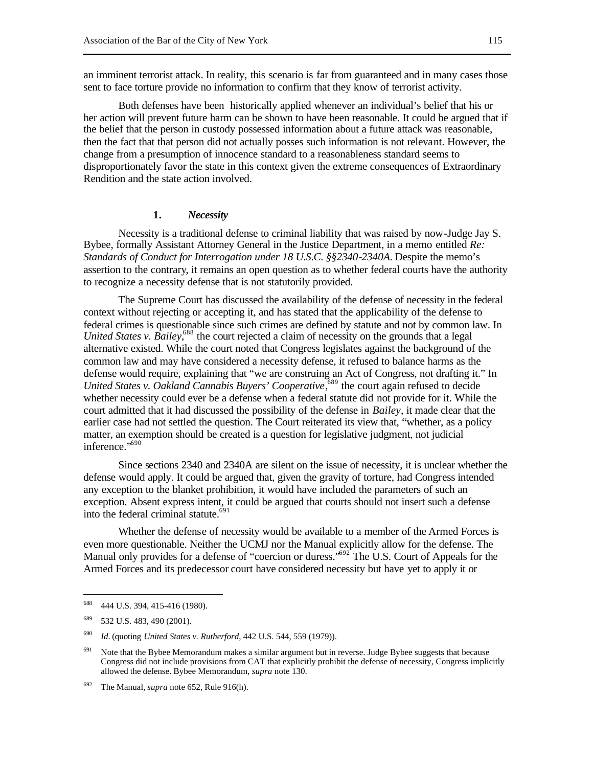an imminent terrorist attack. In reality, this scenario is far from guaranteed and in many cases those sent to face torture provide no information to confirm that they know of terrorist activity.

Both defenses have been historically applied whenever an individual's belief that his or her action will prevent future harm can be shown to have been reasonable. It could be argued that if the belief that the person in custody possessed information about a future attack was reasonable, then the fact that that person did not actually posses such information is not relevant. However, the change from a presumption of innocence standard to a reasonableness standard seems to disproportionately favor the state in this context given the extreme consequences of Extraordinary Rendition and the state action involved.

#### **1.** *Necessity*

Necessity is a traditional defense to criminal liability that was raised by now-Judge Jay S. Bybee, formally Assistant Attorney General in the Justice Department, in a memo entitled *Re: Standards of Conduct for Interrogation under 18 U.S.C. §§2340-2340A.* Despite the memo's assertion to the contrary, it remains an open question as to whether federal courts have the authority to recognize a necessity defense that is not statutorily provided.

The Supreme Court has discussed the availability of the defense of necessity in the federal context without rejecting or accepting it, and has stated that the applicability of the defense to federal crimes is questionable since such crimes are defined by statute and not by common law. In United States v. Bailey,<sup>688</sup> the court rejected a claim of necessity on the grounds that a legal alternative existed. While the court noted that Congress legislates against the background of the common law and may have considered a necessity defense, it refused to balance harms as the defense would require, explaining that "we are construing an Act of Congress, not drafting it." In United States v. Oakland Cannabis Buyers' Cooperative,<sup>689</sup> the court again refused to decide whether necessity could ever be a defense when a federal statute did not provide for it. While the court admitted that it had discussed the possibility of the defense in *Bailey*, it made clear that the earlier case had not settled the question. The Court reiterated its view that, "whether, as a policy matter, an exemption should be created is a question for legislative judgment, not judicial inference."690

Since sections 2340 and 2340A are silent on the issue of necessity, it is unclear whether the defense would apply. It could be argued that, given the gravity of torture, had Congress intended any exception to the blanket prohibition, it would have included the parameters of such an exception. Absent express intent, it could be argued that courts should not insert such a defense into the federal criminal statute.<sup>691</sup>

Whether the defense of necessity would be available to a member of the Armed Forces is even more questionable. Neither the UCMJ nor the Manual explicitly allow for the defense. The Manual only provides for a defense of "coercion or duress."<sup>692</sup> The U.S. Court of Appeals for the Armed Forces and its predecessor court have considered necessity but have yet to apply it or

<sup>688</sup> 444 U.S. 394, 415-416 (1980).

<sup>689</sup> 532 U.S. 483, 490 (2001).

<sup>690</sup> *Id*. (quoting *United States v. Rutherford*, 442 U.S. 544, 559 (1979)).

 $691$  Note that the Bybee Memorandum makes a similar argument but in reverse. Judge Bybee suggests that because Congress did not include provisions from CAT that explicitly prohibit the defense of necessity, Congress implicitly allowed the defense. Bybee Memorandum, *supra* note 130.

<sup>692</sup> The Manual, *supra* note 652, Rule 916(h).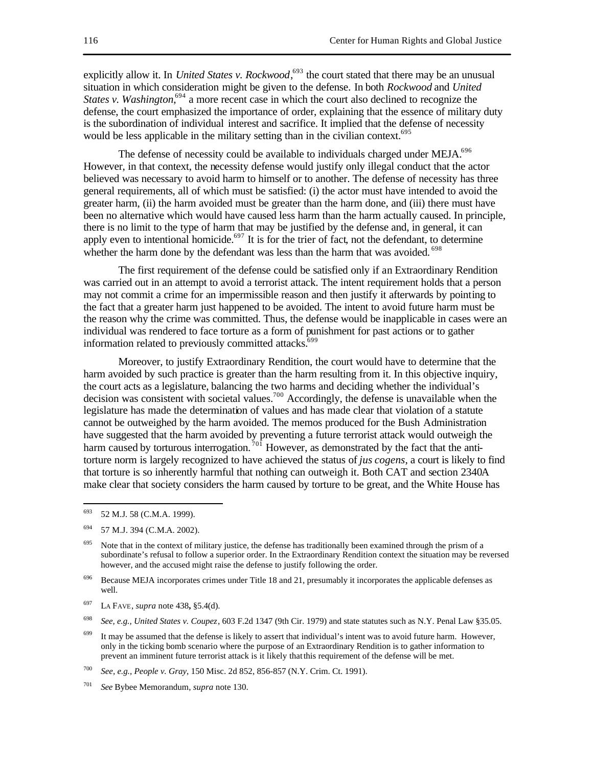explicitly allow it. In *United States v. Rockwood*,<sup>693</sup> the court stated that there may be an unusual situation in which consideration might be given to the defense. In both *Rockwood* and *United*  States v. Washington,<sup>694</sup> a more recent case in which the court also declined to recognize the defense, the court emphasized the importance of order, explaining that the essence of military duty is the subordination of individual interest and sacrifice. It implied that the defense of necessity would be less applicable in the military setting than in the civilian context.<sup>695</sup>

The defense of necessity could be available to individuals charged under MEJA.<sup>696</sup> However, in that context, the necessity defense would justify only illegal conduct that the actor believed was necessary to avoid harm to himself or to another. The defense of necessity has three general requirements, all of which must be satisfied: (i) the actor must have intended to avoid the greater harm, (ii) the harm avoided must be greater than the harm done, and (iii) there must have been no alternative which would have caused less harm than the harm actually caused. In principle, there is no limit to the type of harm that may be justified by the defense and, in general, it can apply even to intentional homicide.<sup>697</sup> It is for the trier of fact, not the defendant, to determine whether the harm done by the defendant was less than the harm that was avoided. <sup>698</sup>

The first requirement of the defense could be satisfied only if an Extraordinary Rendition was carried out in an attempt to avoid a terrorist attack. The intent requirement holds that a person may not commit a crime for an impermissible reason and then justify it afterwards by pointing to the fact that a greater harm just happened to be avoided. The intent to avoid future harm must be the reason why the crime was committed. Thus, the defense would be inapplicable in cases were an individual was rendered to face torture as a form of punishment for past actions or to gather information related to previously committed attacks. $699$ 

Moreover, to justify Extraordinary Rendition, the court would have to determine that the harm avoided by such practice is greater than the harm resulting from it. In this objective inquiry, the court acts as a legislature, balancing the two harms and deciding whether the individual's decision was consistent with societal values.<sup>700</sup> Accordingly, the defense is unavailable when the legislature has made the determination of values and has made clear that violation of a statute cannot be outweighed by the harm avoided. The memos produced for the Bush Administration have suggested that the harm avoided by preventing a future terrorist attack would outweigh the harm caused by torturous interrogation.  $^{701}$  However, as demonstrated by the fact that the antitorture norm is largely recognized to have achieved the status of *jus cogens*, a court is likely to find that torture is so inherently harmful that nothing can outweigh it. Both CAT and section 2340A make clear that society considers the harm caused by torture to be great, and the White House has

 $\overline{a}$ 

 $699$  It may be assumed that the defense is likely to assert that individual's intent was to avoid future harm. However, only in the ticking bomb scenario where the purpose of an Extraordinary Rendition is to gather information to prevent an imminent future terrorist attack is it likely that this requirement of the defense will be met.

<sup>693</sup> 52 M.J. 58 (C.M.A. 1999).

<sup>694</sup> 57 M.J. 394 (C.M.A. 2002).

 $695$  Note that in the context of military justice, the defense has traditionally been examined through the prism of a subordinate's refusal to follow a superior order. In the Extraordinary Rendition context the situation may be reversed however, and the accused might raise the defense to justify following the order.

 $696$  Because MEJA incorporates crimes under Title 18 and 21, presumably it incorporates the applicable defenses as well.

<sup>697</sup> LA FAVE, *supra* note 438**,** §5.4(d).

<sup>698</sup> *See, e.g., United States v. Coupez*, 603 F.2d 1347 (9th Cir. 1979) and state statutes such as N.Y. Penal Law §35.05.

<sup>700</sup> *See, e.g., People v. Gray*, 150 Misc. 2d 852, 856-857 (N.Y. Crim. Ct. 1991).

<sup>701</sup> *See* Bybee Memorandum, *supra* note 130.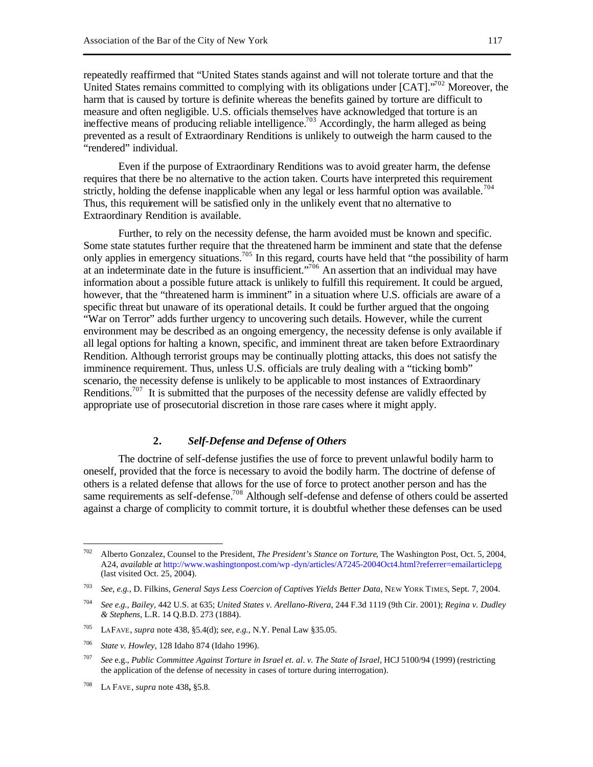repeatedly reaffirmed that "United States stands against and will not tolerate torture and that the United States remains committed to complying with its obligations under [CAT]."<sup>702</sup> Moreover, the harm that is caused by torture is definite whereas the benefits gained by torture are difficult to measure and often negligible. U.S. officials themselves have acknowledged that torture is an ineffective means of producing reliable intelligence.<sup>703</sup> Accordingly, the harm alleged as being prevented as a result of Extraordinary Renditions is unlikely to outweigh the harm caused to the "rendered" individual.

Even if the purpose of Extraordinary Renditions was to avoid greater harm, the defense requires that there be no alternative to the action taken. Courts have interpreted this requirement strictly, holding the defense inapplicable when any legal or less harmful option was available.<sup>704</sup> Thus, this requirement will be satisfied only in the unlikely event that no alternative to Extraordinary Rendition is available.

Further, to rely on the necessity defense, the harm avoided must be known and specific. Some state statutes further require that the threatened harm be imminent and state that the defense only applies in emergency situations.<sup>705</sup> In this regard, courts have held that "the possibility of harm at an indeterminate date in the future is insufficient."<sup>706</sup> An assertion that an individual may have information about a possible future attack is unlikely to fulfill this requirement. It could be argued, however, that the "threatened harm is imminent" in a situation where U.S. officials are aware of a specific threat but unaware of its operational details. It could be further argued that the ongoing "War on Terror" adds further urgency to uncovering such details. However, while the current environment may be described as an ongoing emergency, the necessity defense is only available if all legal options for halting a known, specific, and imminent threat are taken before Extraordinary Rendition. Although terrorist groups may be continually plotting attacks, this does not satisfy the imminence requirement. Thus, unless U.S. officials are truly dealing with a "ticking bomb" scenario, the necessity defense is unlikely to be applicable to most instances of Extraordinary Renditions.<sup>707</sup> It is submitted that the purposes of the necessity defense are validly effected by appropriate use of prosecutorial discretion in those rare cases where it might apply.

### **2.** *Self-Defense and Defense of Others*

The doctrine of self-defense justifies the use of force to prevent unlawful bodily harm to oneself, provided that the force is necessary to avoid the bodily harm. The doctrine of defense of others is a related defense that allows for the use of force to protect another person and has the same requirements as self-defense.<sup>708</sup> Although self-defense and defense of others could be asserted against a charge of complicity to commit torture, it is doubtful whether these defenses can be used

<sup>702</sup> Alberto Gonzalez, Counsel to the President, *The President's Stance on Torture*, The Washington Post, Oct. 5, 2004, A24, *available at* http://www.washingtonpost.com/wp -dyn/articles/A7245-2004Oct4.html?referrer=emailarticlepg (last visited Oct. 25, 2004).

<sup>703</sup> *See*, *e.g.*, D. Filkins, *General Says Less Coercion of Captives Yields Better Data*, NEW YORK TIMES, Sept. 7, 2004.

<sup>704</sup> *See e.g.*, *Bailey,* 442 U.S. at 635; *United States v. Arellano-Rivera*, 244 F.3d 1119 (9th Cir. 2001); *Regina v. Dudley & Stephens*, L.R. 14 Q.B.D. 273 (1884).

<sup>705</sup> LAFAVE, *supra* note 438, §5.4(d); *see, e.g.*, N.Y. Penal Law §35.05.

<sup>706</sup> *State v. Howley*, 128 Idaho 874 (Idaho 1996).

<sup>707</sup> *See* e.g., *Public Committee Against Torture in Israel et. al*. *v. The State of Israel*, HCJ 5100/94 (1999) (restricting the application of the defense of necessity in cases of torture during interrogation).

<sup>708</sup> LA FAVE, *supra* note 438**,** §5.8.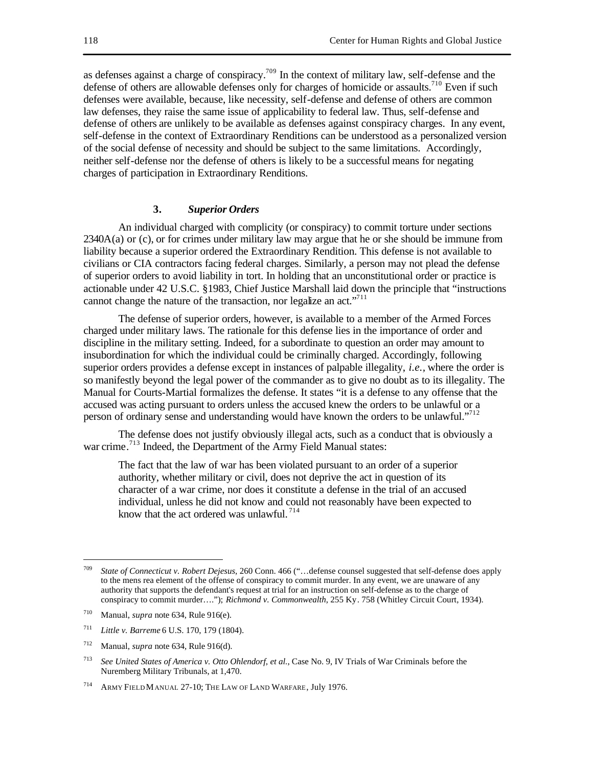as defenses against a charge of conspiracy.<sup>709</sup> In the context of military law, self-defense and the defense of others are allowable defenses only for charges of homicide or assaults.<sup>710</sup> Even if such defenses were available, because, like necessity, self-defense and defense of others are common law defenses, they raise the same issue of applicability to federal law. Thus, self-defense and defense of others are unlikely to be available as defenses against conspiracy charges. In any event, self-defense in the context of Extraordinary Renditions can be understood as a personalized version of the social defense of necessity and should be subject to the same limitations. Accordingly, neither self-defense nor the defense of others is likely to be a successful means for negating charges of participation in Extraordinary Renditions.

# **3.** *Superior Orders*

An individual charged with complicity (or conspiracy) to commit torture under sections 2340A(a) or (c), or for crimes under military law may argue that he or she should be immune from liability because a superior ordered the Extraordinary Rendition. This defense is not available to civilians or CIA contractors facing federal charges. Similarly, a person may not plead the defense of superior orders to avoid liability in tort. In holding that an unconstitutional order or practice is actionable under 42 U.S.C. §1983, Chief Justice Marshall laid down the principle that "instructions cannot change the nature of the transaction, nor legalize an act.<sup> $2711$ </sup>

The defense of superior orders, however, is available to a member of the Armed Forces charged under military laws. The rationale for this defense lies in the importance of order and discipline in the military setting. Indeed, for a subordinate to question an order may amount to insubordination for which the individual could be criminally charged. Accordingly, following superior orders provides a defense except in instances of palpable illegality, *i.e.,* where the order is so manifestly beyond the legal power of the commander as to give no doubt as to its illegality. The Manual for Courts-Martial formalizes the defense. It states "it is a defense to any offense that the accused was acting pursuant to orders unless the accused knew the orders to be unlawful or a person of ordinary sense and understanding would have known the orders to be unlawful."<sup>712</sup>

The defense does not justify obviously illegal acts, such as a conduct that is obviously a war crime.<sup>713</sup> Indeed, the Department of the Army Field Manual states:

The fact that the law of war has been violated pursuant to an order of a superior authority, whether military or civil, does not deprive the act in question of its character of a war crime, nor does it constitute a defense in the trial of an accused individual, unless he did not know and could not reasonably have been expected to know that the act ordered was unlawful.  $714$ 

<sup>709</sup> *State of Connecticut v. Robert Dejesus*, 260 Conn. 466 ("…defense counsel suggested that self-defense does apply to the mens rea element of the offense of conspiracy to commit murder. In any event, we are unaware of any authority that supports the defendant's request at trial for an instruction on self-defense as to the charge of conspiracy to commit murder…."); *Richmond v. Commonwealth*, 255 Ky. 758 (Whitley Circuit Court, 1934).

<sup>710</sup> Manual, *supra* note 634, Rule 916(e).

<sup>711</sup> *Little v. Barreme* 6 U.S. 170, 179 (1804).

<sup>712</sup> Manual, *supra* note 634, Rule 916(d).

<sup>713</sup> *See United States of America v. Otto Ohlendorf, et al.*, Case No. 9, IV Trials of War Criminals before the Nuremberg Military Tribunals, at 1,470.

<sup>714</sup> ARMY FIELD MANUAL 27-10; THE LAW OF LAND WARFARE, July 1976.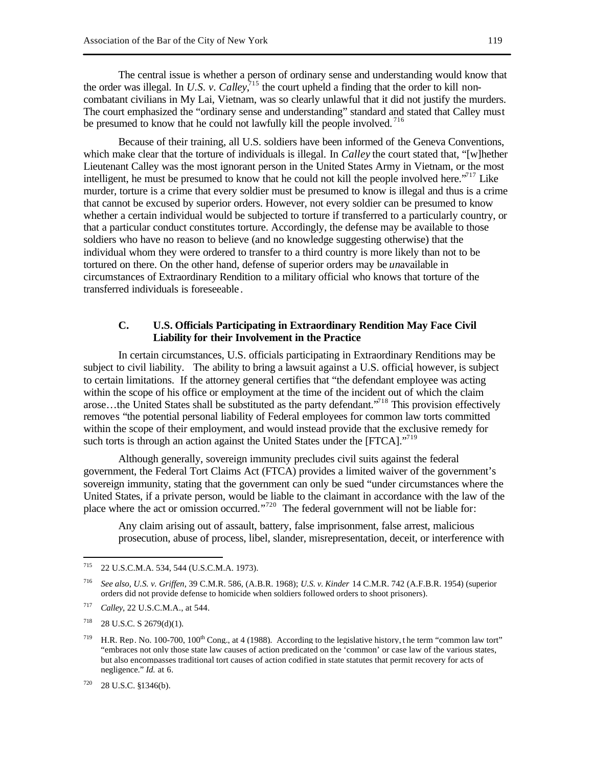The central issue is whether a person of ordinary sense and understanding would know that the order was illegal. In *U.S. v. Calley*,<sup> $715$ </sup> the court upheld a finding that the order to kill noncombatant civilians in My Lai, Vietnam, was so clearly unlawful that it did not justify the murders. The court emphasized the "ordinary sense and understanding" standard and stated that Calley must be presumed to know that he could not lawfully kill the people involved.<sup>716</sup>

Because of their training, all U.S. soldiers have been informed of the Geneva Conventions, which make clear that the torture of individuals is illegal. In *Calley* the court stated that, "[w]hether Lieutenant Calley was the most ignorant person in the United States Army in Vietnam, or the most intelligent, he must be presumed to know that he could not kill the people involved here.<sup> $7^{17}$ </sup> Like murder, torture is a crime that every soldier must be presumed to know is illegal and thus is a crime that cannot be excused by superior orders. However, not every soldier can be presumed to know whether a certain individual would be subjected to torture if transferred to a particularly country, or that a particular conduct constitutes torture. Accordingly, the defense may be available to those soldiers who have no reason to believe (and no knowledge suggesting otherwise) that the individual whom they were ordered to transfer to a third country is more likely than not to be tortured on there. On the other hand, defense of superior orders may be *un*available in circumstances of Extraordinary Rendition to a military official who knows that torture of the transferred individuals is foreseeable .

## **C. U.S. Officials Participating in Extraordinary Rendition May Face Civil Liability for their Involvement in the Practice**

In certain circumstances, U.S. officials participating in Extraordinary Renditions may be subject to civil liability. The ability to bring a lawsuit against a U.S. official, however, is subject to certain limitations. If the attorney general certifies that "the defendant employee was acting within the scope of his office or employment at the time of the incident out of which the claim arose…the United States shall be substituted as the party defendant."<sup>718</sup> This provision effectively removes "the potential personal liability of Federal employees for common law torts committed within the scope of their employment, and would instead provide that the exclusive remedy for such torts is through an action against the United States under the  $[FTCA].$ <sup>"19</sup>

Although generally, sovereign immunity precludes civil suits against the federal government, the Federal Tort Claims Act (FTCA) provides a limited waiver of the government's sovereign immunity, stating that the government can only be sued "under circumstances where the United States, if a private person, would be liable to the claimant in accordance with the law of the place where the act or omission occurred."<sup>720</sup> The federal government will not be liable for:

Any claim arising out of assault, battery, false imprisonment, false arrest, malicious prosecution, abuse of process, libel, slander, misrepresentation, deceit, or interference with

<sup>715</sup> 22 U.S.C.M.A. 534, 544 (U.S.C.M.A. 1973).

<sup>716</sup> *See also*, *U.S. v. Griffen*, 39 C.M.R. 586, (A.B.R. 1968); *U.S. v. Kinder* 14 C.M.R. 742 (A.F.B.R. 1954) (superior orders did not provide defense to homicide when soldiers followed orders to shoot prisoners).

<sup>717</sup> *Calley*, 22 U.S.C.M.A., at 544.

 $718$  28 U.S.C. S 2679(d)(1).

<sup>&</sup>lt;sup>719</sup> H.R. Rep. No. 100-700, 100<sup>th</sup> Cong., at 4 (1988). According to the legislative history, the term "common law tort" "embraces not only those state law causes of action predicated on the 'common' or case law of the various states, but also encompasses traditional tort causes of action codified in state statutes that permit recovery for acts of negligence." *Id.* at 6.

<sup>720</sup> 28 U.S.C. §1346(b).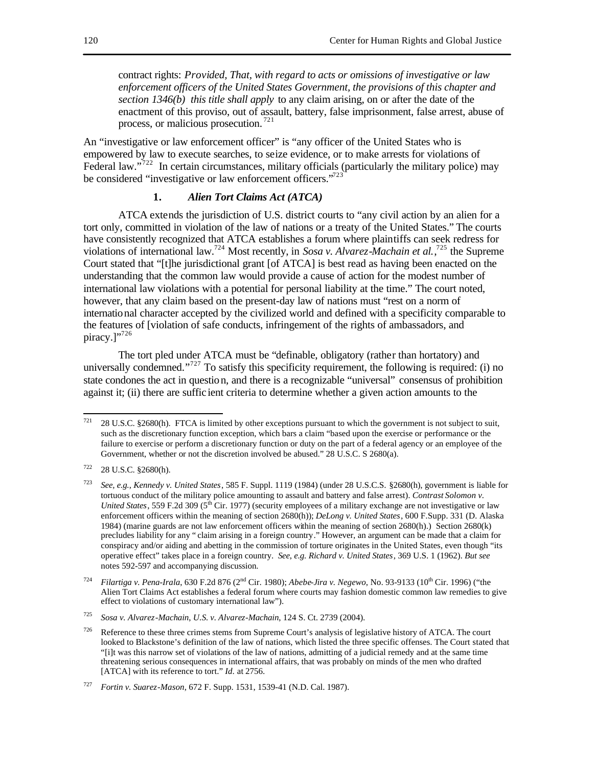contract rights: *Provided, That, with regard to acts or omissions of investigative or law enforcement officers of the United States Government, the provisions of this chapter and section 1346(b) this title shall apply* to any claim arising, on or after the date of the enactment of this proviso, out of assault, battery, false imprisonment, false arrest, abuse of process, or malicious prosecution. <sup>721</sup>

An "investigative or law enforcement officer" is "any officer of the United States who is empowered by law to execute searches, to seize evidence, or to make arrests for violations of Federal law."<sup>722</sup> In certain circumstances, military officials (particularly the military police) may be considered "investigative or law enforcement officers."<sup>723</sup>

## **1.** *Alien Tort Claims Act (ATCA)*

ATCA extends the jurisdiction of U.S. district courts to "any civil action by an alien for a tort only, committed in violation of the law of nations or a treaty of the United States." The courts have consistently recognized that ATCA establishes a forum where plaintiffs can seek redress for violations of international law.<sup>724</sup> Most recently, in *Sosa v. Alvarez-Machain et al.*,<sup>725</sup> the Supreme Court stated that "[t]he jurisdictional grant [of ATCA] is best read as having been enacted on the understanding that the common law would provide a cause of action for the modest number of international law violations with a potential for personal liability at the time." The court noted, however, that any claim based on the present-day law of nations must "rest on a norm of international character accepted by the civilized world and defined with a specificity comparable to the features of [violation of safe conducts, infringement of the rights of ambassadors, and piracy.]"<sup>726</sup>

The tort pled under ATCA must be "definable, obligatory (rather than hortatory) and universally condemned."<sup>727</sup> To satisfy this specificity requirement, the following is required: (i) no state condones the act in question, and there is a recognizable "universal" consensus of prohibition against it; (ii) there are suffic ient criteria to determine whether a given action amounts to the

<sup>721</sup> <sup>721</sup> 28 U.S.C. §2680(h). FTCA is limited by other exceptions pursuant to which the government is not subject to suit, such as the discretionary function exception, which bars a claim "based upon the exercise or performance or the failure to exercise or perform a discretionary function or duty on the part of a federal agency or an employee of the Government, whether or not the discretion involved be abused." 28 U.S.C. S 2680(a).

<sup>722</sup> 28 U.S.C. §2680(h).

<sup>723</sup> *See, e.g.*, *Kennedy v. United States*, 585 F. Suppl. 1119 (1984) (under 28 U.S.C.S. §2680(h), government is liable for tortuous conduct of the military police amounting to assault and battery and false arrest). *Contrast Solomon v. United States*, 559 F.2d 309 ( $5<sup>th</sup>$  Cir. 1977) (security employees of a military exchange are not investigative or law enforcement officers within the meaning of section 2680(h)); *DeLong v. United States*, 600 F.Supp. 331 (D. Alaska 1984) (marine guards are not law enforcement officers within the meaning of section 2680(h).) Section 2680(k) precludes liability for any " claim arising in a foreign country." However, an argument can be made that a claim for conspiracy and/or aiding and abetting in the commission of torture originates in the United States, even though "its operative effect" takes place in a foreign country. *See*, *e.g. Richard v. United States*, 369 U.S. 1 (1962). *But see* notes 592-597 and accompanying discussion.

<sup>724</sup> *Filartiga v. Pena-Irala*, 630 F.2d 876 (2nd Cir. 1980); *Abebe-Jira v. Negewo*, No. 93-9133 (10th Cir. 1996) ("the Alien Tort Claims Act establishes a federal forum where courts may fashion domestic common law remedies to give effect to violations of customary international law").

<sup>725</sup> *Sosa v. Alvarez-Machain*, *U.S. v. Alvarez-Machain*, 124 S. Ct. 2739 (2004).

 $726$  Reference to these three crimes stems from Supreme Court's analysis of legislative history of ATCA. The court looked to Blackstone's definition of the law of nations, which listed the three specific offenses. The Court stated that "[i]t was this narrow set of violations of the law of nations, admitting of a judicial remedy and at the same time threatening serious consequences in international affairs, that was probably on minds of the men who drafted [ATCA] with its reference to tort." *Id*. at 2756.

<sup>727</sup> *Fortin v. Suarez-Mason*, 672 F. Supp. 1531, 1539-41 (N.D. Cal. 1987).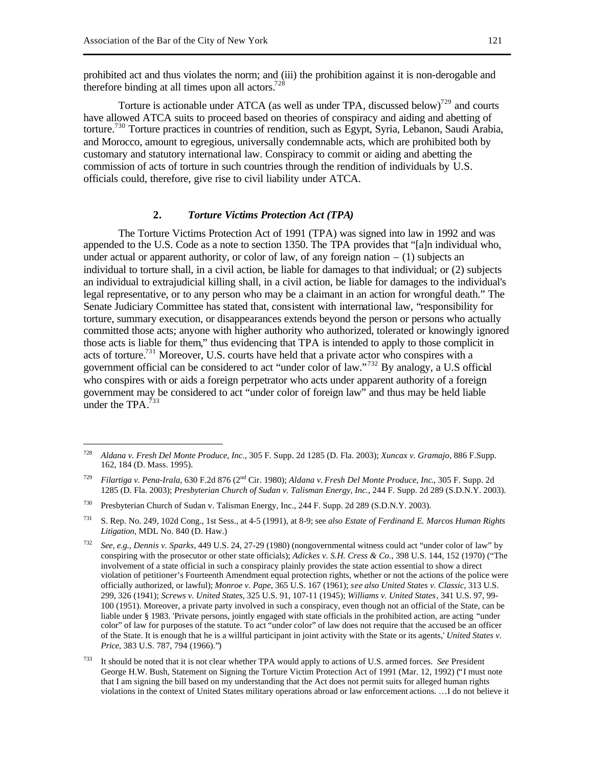$\overline{a}$ 

prohibited act and thus violates the norm; and (iii) the prohibition against it is non-derogable and therefore binding at all times upon all actors.<sup>728</sup>

Torture is actionable under ATCA (as well as under TPA, discussed below)<sup>729</sup> and courts have allowed ATCA suits to proceed based on theories of conspiracy and aiding and abetting of torture.<sup>730</sup> Torture practices in countries of rendition, such as Egypt, Syria, Lebanon, Saudi Arabia, and Morocco, amount to egregious, universally condemnable acts, which are prohibited both by customary and statutory international law. Conspiracy to commit or aiding and abetting the commission of acts of torture in such countries through the rendition of individuals by U.S. officials could, therefore, give rise to civil liability under ATCA.

## **2.** *Torture Victims Protection Act (TPA)*

The Torture Victims Protection Act of 1991 (TPA) was signed into law in 1992 and was appended to the U.S. Code as a note to section 1350. The TPA provides that "[a]n individual who, under actual or apparent authority, or color of law, of any foreign nation  $- (1)$  subjects an individual to torture shall, in a civil action, be liable for damages to that individual; or (2) subjects an individual to extrajudicial killing shall, in a civil action, be liable for damages to the individual's legal representative, or to any person who may be a claimant in an action for wrongful death." The Senate Judiciary Committee has stated that, consistent with international law, "responsibility for torture, summary execution, or disappearances extends beyond the person or persons who actually committed those acts; anyone with higher authority who authorized, tolerated or knowingly ignored those acts is liable for them," thus evidencing that TPA is intended to apply to those complicit in acts of torture.<sup>731</sup> Moreover, U.S. courts have held that a private actor who conspires with a government official can be considered to act "under color of law."<sup>732</sup> By analogy, a U.S official who conspires with or aids a foreign perpetrator who acts under apparent authority of a foreign government may be considered to act "under color of foreign law" and thus may be held liable under the TPA. $^{733}$ 

<sup>728</sup> *Aldana v. Fresh Del Monte Produce, Inc*., 305 F. Supp. 2d 1285 (D. Fla. 2003); *Xuncax v. Gramajo*, 886 F.Supp. 162, 184 (D. Mass. 1995).

<sup>729</sup> *Filartiga v. Pena-Irala*, 630 F.2d 876 (2nd Cir. 1980); *Aldana v. Fresh Del Monte Produce, Inc*., 305 F. Supp. 2d 1285 (D. Fla. 2003); *Presbyterian Church of Sudan v. Talisman Energy, Inc.,* 244 F. Supp. 2d 289 (S.D.N.Y. 2003).

<sup>730</sup> Presbyterian Church of Sudan v. Talisman Energy, Inc., 244 F. Supp. 2d 289 (S.D.N.Y. 2003).

<sup>731</sup> S. Rep. No. 249, 102d Cong., 1st Sess., at 4-5 (1991), at 8-9; see *also Estate of Ferdinand E. Marcos Human Rights Litigation*, MDL No. 840 (D. Haw.)

<sup>732</sup> *See, e.g., Dennis v. Sparks*, 449 U.S. 24, 27-29 (1980) (nongovernmental witness could act "under color of law" by conspiring with the prosecutor or other state officials); *Adickes v. S.H. Cress & Co.*, 398 U.S. 144, 152 (1970) ("The involvement of a state official in such a conspiracy plainly provides the state action essential to show a direct violation of petitioner's Fourteenth Amendment equal protection rights, whether or not the actions of the police were officially authorized, or lawful); *Monroe v. Pape*, 365 U.S. 167 (1961); *see also United States v. Classic*, 313 U.S. 299, 326 (1941); *Screws v. United States,* 325 U.S. 91, 107-11 (1945); *Williams v. United States*, 341 U.S. 97, 99- 100 (1951). Moreover, a private party involved in such a conspiracy, even though not an official of the State, can be liable under § 1983. 'Private persons, jointly engaged with state officials in the prohibited action, are acting "under color" of law for purposes of the statute. To act "under color" of law does not require that the accused be an officer of the State. It is enough that he is a willful participant in joint activity with the State or its agents,' *United States v. Price*, 383 U.S. 787, 794 (1966).")

<sup>733</sup> It should be noted that it is not clear whether TPA would apply to actions of U.S. armed forces. *See* President George H.W. Bush, Statement on Signing the Torture Victim Protection Act of 1991 (Mar. 12, 1992) ("I must note that I am signing the bill based on my understanding that the Act does not permit suits for alleged human rights violations in the context of United States military operations abroad or law enforcement actions. …I do not believe it